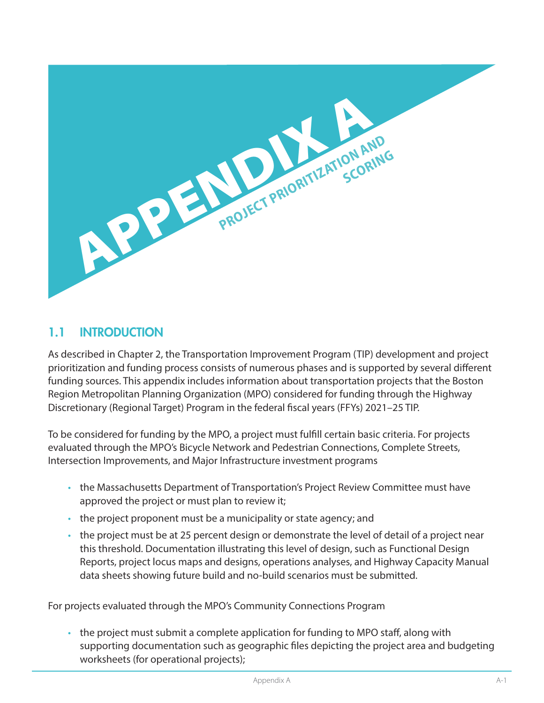

## 1.1 INTRODUCTION

As described in Chapter 2, the Transportation Improvement Program (TIP) development and project prioritization and funding process consists of numerous phases and is supported by several different funding sources. This appendix includes information about transportation projects that the Boston Region Metropolitan Planning Organization (MPO) considered for funding through the Highway Discretionary (Regional Target) Program in the federal fiscal years (FFYs) 2021–25 TIP.

To be considered for funding by the MPO, a project must fulfill certain basic criteria. For projects evaluated through the MPO's Bicycle Network and Pedestrian Connections, Complete Streets, Intersection Improvements, and Major Infrastructure investment programs

- the Massachusetts Department of Transportation's Project Review Committee must have approved the project or must plan to review it;
- the project proponent must be a municipality or state agency; and
- the project must be at 25 percent design or demonstrate the level of detail of a project near this threshold. Documentation illustrating this level of design, such as Functional Design Reports, project locus maps and designs, operations analyses, and Highway Capacity Manual data sheets showing future build and no-build scenarios must be submitted.

For projects evaluated through the MPO's Community Connections Program

• the project must submit a complete application for funding to MPO staff, along with supporting documentation such as geographic files depicting the project area and budgeting worksheets (for operational projects);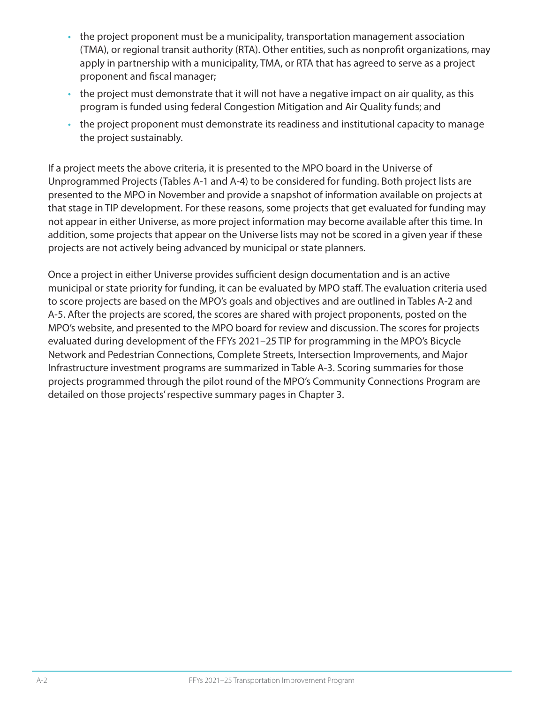- the project proponent must be a municipality, transportation management association (TMA), or regional transit authority (RTA). Other entities, such as nonprofit organizations, may apply in partnership with a municipality, TMA, or RTA that has agreed to serve as a project proponent and fiscal manager;
- the project must demonstrate that it will not have a negative impact on air quality, as this program is funded using federal Congestion Mitigation and Air Quality funds; and
- the project proponent must demonstrate its readiness and institutional capacity to manage the project sustainably.

If a project meets the above criteria, it is presented to the MPO board in the Universe of Unprogrammed Projects (Tables A-1 and A-4) to be considered for funding. Both project lists are presented to the MPO in November and provide a snapshot of information available on projects at that stage in TIP development. For these reasons, some projects that get evaluated for funding may not appear in either Universe, as more project information may become available after this time. In addition, some projects that appear on the Universe lists may not be scored in a given year if these projects are not actively being advanced by municipal or state planners.

Once a project in either Universe provides sufficient design documentation and is an active municipal or state priority for funding, it can be evaluated by MPO staff. The evaluation criteria used to score projects are based on the MPO's goals and objectives and are outlined in Tables A-2 and A-5. After the projects are scored, the scores are shared with project proponents, posted on the MPO's website, and presented to the MPO board for review and discussion. The scores for projects evaluated during development of the FFYs 2021–25 TIP for programming in the MPO's Bicycle Network and Pedestrian Connections, Complete Streets, Intersection Improvements, and Major Infrastructure investment programs are summarized in Table A-3. Scoring summaries for those projects programmed through the pilot round of the MPO's Community Connections Program are detailed on those projects' respective summary pages in Chapter 3.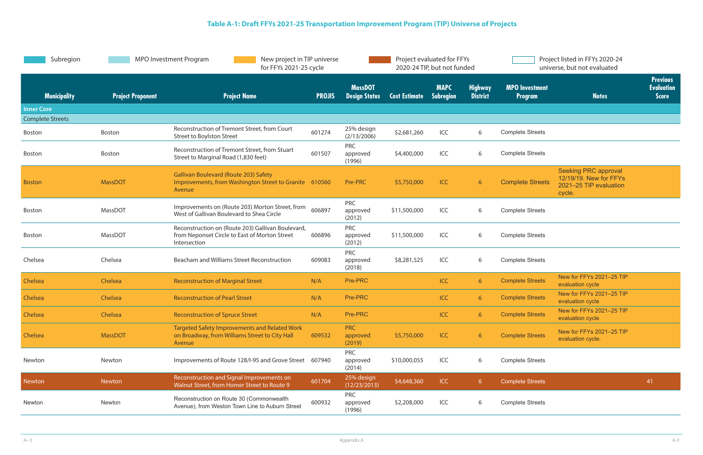| Subregion               | <b>MPO Investment Program</b><br>New project in TIP universe<br>for FFYs 2021-25 cycle |                                                                                                                    | Project evaluated for FFYs<br>2020-24 TIP, but not funded |                                        |                      | Project listed in FFYs 2020-24<br>universe, but not evaluated |                                   |                                         |                                                                                           |                                                      |
|-------------------------|----------------------------------------------------------------------------------------|--------------------------------------------------------------------------------------------------------------------|-----------------------------------------------------------|----------------------------------------|----------------------|---------------------------------------------------------------|-----------------------------------|-----------------------------------------|-------------------------------------------------------------------------------------------|------------------------------------------------------|
| <b>Municipality</b>     | <b>Project Proponent</b>                                                               | <b>Project Name</b>                                                                                                | <b>PROJIS</b>                                             | <b>MassDOT</b><br><b>Design Status</b> | <b>Cost Estimate</b> | <b>MAPC</b><br>Subregion                                      | <b>Highway</b><br><b>District</b> | <b>MPO</b> Investment<br><b>Program</b> | <b>Notes</b>                                                                              | <b>Previous</b><br><b>Evaluation</b><br><b>Score</b> |
| <b>Inner Core</b>       |                                                                                        |                                                                                                                    |                                                           |                                        |                      |                                                               |                                   |                                         |                                                                                           |                                                      |
| <b>Complete Streets</b> |                                                                                        |                                                                                                                    |                                                           |                                        |                      |                                                               |                                   |                                         |                                                                                           |                                                      |
| Boston                  | Boston                                                                                 | Reconstruction of Tremont Street, from Court<br>Street to Boylston Street                                          | 601274                                                    | 25% design<br>(2/13/2006)              | \$2,681,260          | ICC                                                           | 6                                 | <b>Complete Streets</b>                 |                                                                                           |                                                      |
| Boston                  | Boston                                                                                 | Reconstruction of Tremont Street, from Stuart<br>Street to Marginal Road (1,830 feet)                              | 601507                                                    | <b>PRC</b><br>approved<br>(1996)       | \$4,400,000          | ICC                                                           | 6                                 | <b>Complete Streets</b>                 |                                                                                           |                                                      |
| <b>Boston</b>           | <b>MassDOT</b>                                                                         | <b>Gallivan Boulevard (Route 203) Safety</b><br>Improvements, from Washington Street to Granite 610560<br>Avenue   |                                                           | Pre-PRC                                | \$5,750,000          | <b>ICC</b>                                                    | 6                                 | <b>Complete Streets</b>                 | <b>Seeking PRC approval</b><br>12/19/19. New for FFYs<br>2021-25 TIP evaluation<br>cycle. |                                                      |
| Boston                  | MassDOT                                                                                | Improvements on (Route 203) Morton Street, from<br>West of Gallivan Boulevard to Shea Circle                       | 606897                                                    | <b>PRC</b><br>approved<br>(2012)       | \$11,500,000         | ICC                                                           | 6                                 | <b>Complete Streets</b>                 |                                                                                           |                                                      |
| Boston                  | MassDOT                                                                                | Reconstruction on (Route 203) Gallivan Boulevard,<br>from Neponset Circle to East of Morton Street<br>Intersection | 606896                                                    | <b>PRC</b><br>approved<br>(2012)       | \$11,500,000         | ICC                                                           | 6                                 | <b>Complete Streets</b>                 |                                                                                           |                                                      |
| Chelsea                 | Chelsea                                                                                | Beacham and Williams Street Reconstruction                                                                         | 609083                                                    | <b>PRC</b><br>approved<br>(2018)       | \$8,281,525          | ICC                                                           | 6                                 | <b>Complete Streets</b>                 |                                                                                           |                                                      |
| Chelsea                 | Chelsea                                                                                | <b>Reconstruction of Marginal Street</b>                                                                           | N/A                                                       | Pre-PRC                                |                      | ICC                                                           | 6 <sup>1</sup>                    | <b>Complete Streets</b>                 | New for FFYs 2021-25 TIP<br>evaluation cycle                                              |                                                      |
| Chelsea                 | Chelsea                                                                                | <b>Reconstruction of Pearl Street</b>                                                                              | N/A                                                       | Pre-PRC                                |                      | ICC                                                           | $6^{\circ}$                       | <b>Complete Streets</b>                 | New for FFYs 2021-25 TIP<br>evaluation cycle                                              |                                                      |
| Chelsea                 | Chelsea                                                                                | <b>Reconstruction of Spruce Street</b>                                                                             | N/A                                                       | Pre-PRC                                |                      | ICC                                                           | 6                                 | <b>Complete Streets</b>                 | New for FFYs 2021-25 TIP<br>evaluation cycle                                              |                                                      |
| Chelsea                 | <b>MassDOT</b>                                                                         | <b>Targeted Safety Improvements and Related Work</b><br>on Broadway, from Williams Street to City Hall<br>Avenue   | 609532                                                    | <b>PRC</b><br>approved<br>(2019)       | \$5,750,000          | ICC                                                           | 6 <sup>1</sup>                    | <b>Complete Streets</b>                 | New for FFYs 2021-25 TIP<br>evaluation cycle.                                             |                                                      |
| Newton                  | Newton                                                                                 | Improvements of Route 128/I-95 and Grove Street                                                                    | 607940                                                    | <b>PRC</b><br>approved<br>(2014)       | \$10,000,055         | ICC                                                           | 6                                 | <b>Complete Streets</b>                 |                                                                                           |                                                      |
| <b>Newton</b>           | Newton                                                                                 | Reconstruction and Signal Improvements on<br>Walnut Street, from Homer Street to Route 9                           | 601704                                                    | 25% design<br>(12/23/2013)             | \$4,648,360          | ICC                                                           | 6 <sup>1</sup>                    | <b>Complete Streets</b>                 |                                                                                           | 41                                                   |
| Newton                  | Newton                                                                                 | Reconstruction on Route 30 (Commonwealth<br>Avenue), from Weston Town Line to Auburn Street                        | 600932                                                    | <b>PRC</b><br>approved<br>(1996)       | \$2,208,000          | ICC                                                           | 6                                 | <b>Complete Streets</b>                 |                                                                                           |                                                      |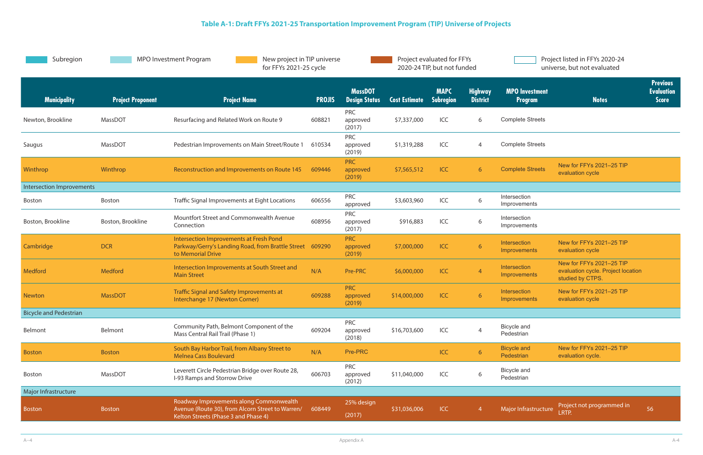| Subregion                        |                          | MPO Investment Program<br>New project in TIP universe<br>for FFYs 2021-25 cycle                                                     |               | Project evaluated for FFYs<br>2020-24 TIP, but not funded |                      | Project listed in FFYs 2020-24<br>universe, but not evaluated |                                   |                                         |                                                                                    |                                                      |
|----------------------------------|--------------------------|-------------------------------------------------------------------------------------------------------------------------------------|---------------|-----------------------------------------------------------|----------------------|---------------------------------------------------------------|-----------------------------------|-----------------------------------------|------------------------------------------------------------------------------------|------------------------------------------------------|
| <b>Municipality</b>              | <b>Project Proponent</b> | <b>Project Name</b>                                                                                                                 | <b>PROJIS</b> | <b>MassDOT</b><br><b>Design Status</b>                    | <b>Cost Estimate</b> | <b>MAPC</b><br><b>Subregion</b>                               | <b>Highway</b><br><b>District</b> | <b>MPO</b> Investment<br><b>Program</b> | <b>Notes</b>                                                                       | <b>Previous</b><br><b>Evaluation</b><br><b>Score</b> |
| Newton, Brookline                | MassDOT                  | Resurfacing and Related Work on Route 9                                                                                             | 608821        | <b>PRC</b><br>approved<br>(2017)                          | \$7,337,000          | ICC                                                           | 6                                 | <b>Complete Streets</b>                 |                                                                                    |                                                      |
| Saugus                           | MassDOT                  | Pedestrian Improvements on Main Street/Route 1                                                                                      | 610534        | <b>PRC</b><br>approved<br>(2019)                          | \$1,319,288          | ICC                                                           | 4                                 | <b>Complete Streets</b>                 |                                                                                    |                                                      |
| Winthrop                         | Winthrop                 | Reconstruction and Improvements on Route 145                                                                                        | 609446        | <b>PRC</b><br>approved<br>(2019)                          | \$7,565,512          | <b>ICC</b>                                                    | $6^{\circ}$                       | <b>Complete Streets</b>                 | New for FFYs 2021-25 TIP<br>evaluation cycle                                       |                                                      |
| <b>Intersection Improvements</b> |                          |                                                                                                                                     |               |                                                           |                      |                                                               |                                   |                                         |                                                                                    |                                                      |
| <b>Boston</b>                    | Boston                   | Traffic Signal Improvements at Eight Locations                                                                                      | 606556        | <b>PRC</b><br>approved                                    | \$3,603,960          | ICC                                                           | 6                                 | Intersection<br>Improvements            |                                                                                    |                                                      |
| Boston, Brookline                | Boston, Brookline        | Mountfort Street and Commonwealth Avenue<br>Connection                                                                              | 608956        | <b>PRC</b><br>approved<br>(2017)                          | \$916,883            | ICC                                                           | 6                                 | Intersection<br>Improvements            |                                                                                    |                                                      |
| Cambridge                        | <b>DCR</b>               | Intersection Improvements at Fresh Pond<br>Parkway/Gerry's Landing Road, from Brattle Street<br>to Memorial Drive                   | 609290        | <b>PRC</b><br>approved<br>(2019)                          | \$7,000,000          | ICC                                                           | 6 <sup>1</sup>                    | Intersection<br>Improvements            | New for FFYs 2021-25 TIP<br>evaluation cycle                                       |                                                      |
| <b>Medford</b>                   | Medford                  | Intersection Improvements at South Street and<br><b>Main Street</b>                                                                 | N/A           | Pre-PRC                                                   | \$6,000,000          | ICC                                                           | $\overline{4}$                    | Intersection<br>Improvements            | New for FFYs 2021-25 TIP<br>evaluation cycle. Project location<br>studied by CTPS. |                                                      |
| <b>Newton</b>                    | <b>MassDOT</b>           | Traffic Signal and Safety Improvements at<br>Interchange 17 (Newton Corner)                                                         | 609288        | <b>PRC</b><br>approved<br>(2019)                          | \$14,000,000         | ICC                                                           | 6                                 | Intersection<br>Improvements            | New for FFYs 2021-25 TIP<br>evaluation cycle                                       |                                                      |
| <b>Bicycle and Pedestrian</b>    |                          |                                                                                                                                     |               |                                                           |                      |                                                               |                                   |                                         |                                                                                    |                                                      |
| Belmont                          | Belmont                  | Community Path, Belmont Component of the<br>Mass Central Rail Trail (Phase 1)                                                       | 609204        | <b>PRC</b><br>approved<br>(2018)                          | \$16,703,600         | ICC                                                           | $\overline{4}$                    | Bicycle and<br>Pedestrian               |                                                                                    |                                                      |
| <b>Boston</b>                    | <b>Boston</b>            | South Bay Harbor Trail, from Albany Street to<br><b>Melnea Cass Boulevard</b>                                                       | N/A           | Pre-PRC                                                   |                      | ICC                                                           | 6                                 | <b>Bicycle and</b><br>Pedestrian        | New for FFYs 2021-25 TIP<br>evaluation cycle.                                      |                                                      |
| Boston                           | MassDOT                  | Leverett Circle Pedestrian Bridge over Route 28,<br>I-93 Ramps and Storrow Drive                                                    | 606703        | <b>PRC</b><br>approved<br>(2012)                          | \$11,040,000         | ICC                                                           | 6                                 | Bicycle and<br>Pedestrian               |                                                                                    |                                                      |
| Major Infrastructure             |                          |                                                                                                                                     |               |                                                           |                      |                                                               |                                   |                                         |                                                                                    |                                                      |
| <b>Boston</b>                    | <b>Boston</b>            | Roadway Improvements along Commonwealth<br>Avenue (Route 30), from Alcorn Street to Warren/<br>Kelton Streets (Phase 3 and Phase 4) | 608449        | 25% design<br>(2017)                                      | \$31,036,006         | ICC                                                           | $\overline{4}$                    | Major Infrastructure                    | Project not programmed in<br>LRTP.                                                 | 56                                                   |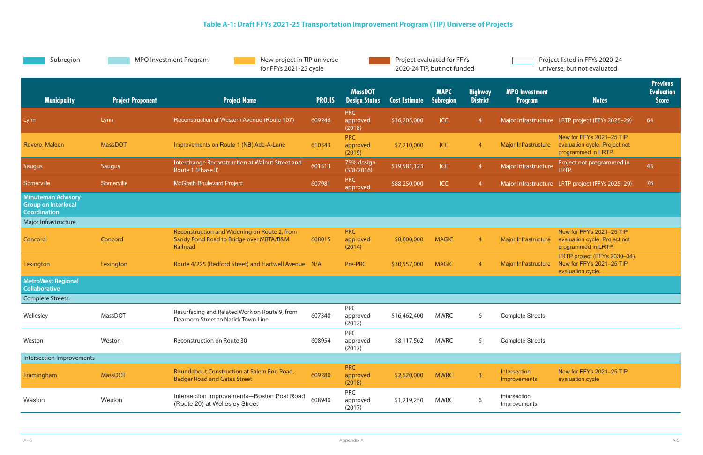| Subregion                                                                      |                          | <b>MPO Investment Program</b><br>New project in TIP universe<br>for FFYs 2021-25 cycle              |               | Project evaluated for FFYs<br>2020-24 TIP, but not funded |                      |                          |                                   | Project listed in FFYs 2020-24<br>universe, but not evaluated |                                                                                  |                                                      |
|--------------------------------------------------------------------------------|--------------------------|-----------------------------------------------------------------------------------------------------|---------------|-----------------------------------------------------------|----------------------|--------------------------|-----------------------------------|---------------------------------------------------------------|----------------------------------------------------------------------------------|------------------------------------------------------|
| <b>Municipality</b>                                                            | <b>Project Proponent</b> | <b>Project Name</b>                                                                                 | <b>PROJIS</b> | <b>MassDOT</b><br><b>Design Status</b>                    | <b>Cost Estimate</b> | <b>MAPC</b><br>Subregion | <b>Highway</b><br><b>District</b> | <b>MPO</b> Investment<br><b>Program</b>                       | <b>Notes</b>                                                                     | <b>Previous</b><br><b>Evaluation</b><br><b>Score</b> |
| Lynn                                                                           | Lynn                     | Reconstruction of Western Avenue (Route 107)                                                        | 609246        | PRC<br>approved<br>(2018)                                 | \$36,205,000         | <b>ICC</b>               | $\overline{4}$                    |                                                               | Major Infrastructure LRTP project (FFYs 2025-29)                                 | 64                                                   |
| Revere, Malden                                                                 | <b>MassDOT</b>           | Improvements on Route 1 (NB) Add-A-Lane                                                             | 610543        | <b>PRC</b><br>approved<br>(2019)                          | \$7,210,000          | ICC                      | $\overline{4}$                    | Major Infrastructure                                          | New for FFYs 2021-25 TIP<br>evaluation cycle. Project not<br>programmed in LRTP. |                                                      |
| Saugus                                                                         | Saugus                   | Interchange Reconstruction at Walnut Street and<br>Route 1 (Phase II)                               | 601513        | 75% design<br>(3/8/2016)                                  | \$19,581,123         | <b>ICC</b>               | $\overline{4}$                    | Major Infrastructure                                          | Project not programmed in<br>LRTP.                                               | 43                                                   |
| Somerville                                                                     | Somerville               | <b>McGrath Boulevard Project</b>                                                                    | 607981        | <b>PRC</b><br>approved                                    | \$88,250,000         | <b>ICC</b>               | $\overline{4}$                    |                                                               | Major Infrastructure LRTP project (FFYs 2025-29)                                 | 76                                                   |
| <b>Minuteman Advisory</b><br><b>Group on Interlocal</b><br><b>Coordination</b> |                          |                                                                                                     |               |                                                           |                      |                          |                                   |                                                               |                                                                                  |                                                      |
| Major Infrastructure                                                           |                          |                                                                                                     |               |                                                           |                      |                          |                                   |                                                               |                                                                                  |                                                      |
| Concord                                                                        | Concord                  | Reconstruction and Widening on Route 2, from<br>Sandy Pond Road to Bridge over MBTA/B&M<br>Railroad | 608015        | <b>PRC</b><br>approved<br>(2014)                          | \$8,000,000          | <b>MAGIC</b>             | $\overline{4}$                    | <b>Major Infrastructure</b>                                   | New for FFYs 2021-25 TIP<br>evaluation cycle. Project not<br>programmed in LRTP. |                                                      |
| Lexington                                                                      | Lexington                | Route 4/225 (Bedford Street) and Hartwell Avenue N/A                                                |               | Pre-PRC                                                   | \$30,557,000         | <b>MAGIC</b>             | $\overline{4}$                    | Major Infrastructure                                          | LRTP project (FFYs 2030-34).<br>New for FFYs 2021-25 TIP<br>evaluation cycle.    |                                                      |
| <b>MetroWest Regional</b><br><b>Collaborative</b>                              |                          |                                                                                                     |               |                                                           |                      |                          |                                   |                                                               |                                                                                  |                                                      |
| <b>Complete Streets</b>                                                        |                          |                                                                                                     |               |                                                           |                      |                          |                                   |                                                               |                                                                                  |                                                      |
| Wellesley                                                                      | MassDOT                  | Resurfacing and Related Work on Route 9, from<br>Dearborn Street to Natick Town Line                | 607340        | <b>PRC</b><br>approved<br>(2012)                          | \$16,462,400         | <b>MWRC</b>              | 6                                 | <b>Complete Streets</b>                                       |                                                                                  |                                                      |
| Weston                                                                         | Weston                   | Reconstruction on Route 30                                                                          | 608954        | <b>PRC</b><br>approved<br>(2017)                          | \$8,117,562          | <b>MWRC</b>              | 6                                 | <b>Complete Streets</b>                                       |                                                                                  |                                                      |
| Intersection Improvements                                                      |                          |                                                                                                     |               |                                                           |                      |                          |                                   |                                                               |                                                                                  |                                                      |
| Framingham                                                                     | <b>MassDOT</b>           | Roundabout Construction at Salem End Road,<br><b>Badger Road and Gates Street</b>                   | 609280        | <b>PRC</b><br>approved<br>(2018)                          | \$2,520,000          | <b>MWRC</b>              | $\overline{3}$                    | Intersection<br>Improvements                                  | New for FFYs 2021-25 TIP<br>evaluation cycle                                     |                                                      |
| Weston                                                                         | Weston                   | Intersection Improvements-Boston Post Road<br>(Route 20) at Wellesley Street                        | 608940        | <b>PRC</b><br>approved<br>(2017)                          | \$1,219,250          | <b>MWRC</b>              | 6                                 | Intersection<br>Improvements                                  |                                                                                  |                                                      |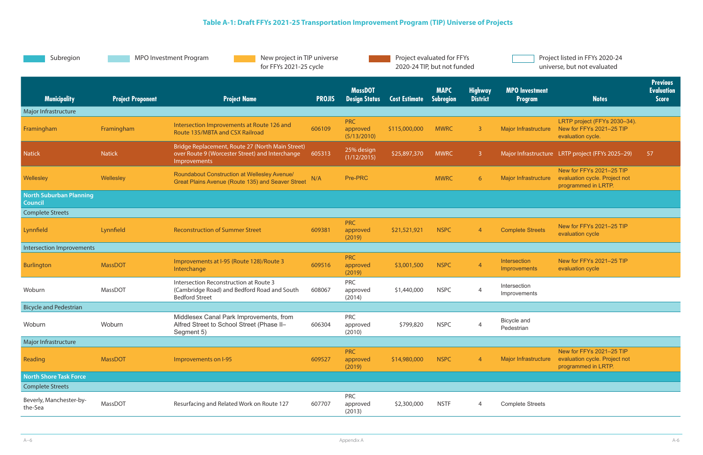| Project listed in FFYs 2020-24 |
|--------------------------------|
| universe, but not evaluated    |

| Subregion                                        |                          | <b>MPO Investment Program</b><br>New project in TIP universe<br>for FFYs 2021-25 cycle                                     |               |                                        |                      | Project evaluated for FFYs<br>2020-24 TIP, but not funded |                                   |                                  | Project listed in FFYs 2020-24<br>universe, but not evaluated                    |                                                      |
|--------------------------------------------------|--------------------------|----------------------------------------------------------------------------------------------------------------------------|---------------|----------------------------------------|----------------------|-----------------------------------------------------------|-----------------------------------|----------------------------------|----------------------------------------------------------------------------------|------------------------------------------------------|
| <b>Municipality</b>                              | <b>Project Proponent</b> | <b>Project Name</b>                                                                                                        | <b>PROJIS</b> | <b>MassDOT</b><br><b>Design Status</b> | <b>Cost Estimate</b> | <b>MAPC</b><br><b>Subregion</b>                           | <b>Highway</b><br><b>District</b> | <b>MPO Investment</b><br>Program | <b>Notes</b>                                                                     | <b>Previous</b><br><b>Evaluation</b><br><b>Score</b> |
| Major Infrastructure                             |                          |                                                                                                                            |               |                                        |                      |                                                           |                                   |                                  |                                                                                  |                                                      |
| Framingham                                       | Framingham               | Intersection Improvements at Route 126 and<br>Route 135/MBTA and CSX Railroad                                              | 606109        | <b>PRC</b><br>approved<br>(5/13/2010)  | \$115,000,000        | <b>MWRC</b>                                               | $\overline{3}$                    | <b>Major Infrastructure</b>      | LRTP project (FFYs 2030-34).<br>New for FFYs 2021-25 TIP<br>evaluation cycle.    |                                                      |
| <b>Natick</b>                                    | <b>Natick</b>            | Bridge Replacement, Route 27 (North Main Street)<br>over Route 9 (Worcester Street) and Interchange<br><b>Improvements</b> | 605313        | 25% design<br>(1/12/2015)              | \$25,897,370         | <b>MWRC</b>                                               | 3 <sup>°</sup>                    |                                  | Major Infrastructure LRTP project (FFYs 2025-29)                                 | 57                                                   |
| Wellesley                                        | Wellesley                | Roundabout Construction at Wellesley Avenue/<br>Great Plains Avenue (Route 135) and Seaver Street                          | N/A           | Pre-PRC                                |                      | <b>MWRC</b>                                               | 6                                 | Major Infrastructure             | New for FFYs 2021-25 TIP<br>evaluation cycle. Project not<br>programmed in LRTP. |                                                      |
| <b>North Suburban Planning</b><br><b>Council</b> |                          |                                                                                                                            |               |                                        |                      |                                                           |                                   |                                  |                                                                                  |                                                      |
| <b>Complete Streets</b>                          |                          |                                                                                                                            |               |                                        |                      |                                                           |                                   |                                  |                                                                                  |                                                      |
| Lynnfield                                        | Lynnfield                | <b>Reconstruction of Summer Street</b>                                                                                     | 609381        | <b>PRC</b><br>approved<br>(2019)       | \$21,521,921         | <b>NSPC</b>                                               | $\overline{4}$                    | <b>Complete Streets</b>          | New for FFYs 2021-25 TIP<br>evaluation cycle                                     |                                                      |
| Intersection Improvements                        |                          |                                                                                                                            |               |                                        |                      |                                                           |                                   |                                  |                                                                                  |                                                      |
| Burlington                                       | <b>MassDOT</b>           | Improvements at I-95 (Route 128)/Route 3<br>Interchange                                                                    | 609516        | <b>PRC</b><br>approved<br>(2019)       | \$3,001,500          | <b>NSPC</b>                                               | $\overline{4}$                    | Intersection<br>Improvements     | New for FFYs 2021-25 TIP<br>evaluation cycle                                     |                                                      |
| Woburn                                           | MassDOT                  | Intersection Reconstruction at Route 3<br>(Cambridge Road) and Bedford Road and South<br><b>Bedford Street</b>             | 608067        | <b>PRC</b><br>approved<br>(2014)       | \$1,440,000          | <b>NSPC</b>                                               | $\overline{4}$                    | Intersection<br>Improvements     |                                                                                  |                                                      |
| <b>Bicycle and Pedestrian</b>                    |                          |                                                                                                                            |               |                                        |                      |                                                           |                                   |                                  |                                                                                  |                                                      |
| Woburn                                           | Woburn                   | Middlesex Canal Park Improvements, from<br>Alfred Street to School Street (Phase II-<br>Segment 5)                         | 606304        | <b>PRC</b><br>approved<br>(2010)       | \$799,820            | <b>NSPC</b>                                               |                                   | Bicycle and<br>Pedestrian        |                                                                                  |                                                      |
| Major Infrastructure                             |                          |                                                                                                                            |               |                                        |                      |                                                           |                                   |                                  |                                                                                  |                                                      |
| Reading                                          | <b>MassDOT</b>           | Improvements on I-95                                                                                                       | 609527        | <b>PRC</b><br>approved<br>(2019)       | \$14,980,000         | <b>NSPC</b>                                               | $\overline{4}$                    | Major Infrastructure             | New for FFYs 2021-25 TIP<br>evaluation cycle. Project not<br>programmed in LRTP. |                                                      |
| <b>North Shore Task Force</b>                    |                          |                                                                                                                            |               |                                        |                      |                                                           |                                   |                                  |                                                                                  |                                                      |
| <b>Complete Streets</b>                          |                          |                                                                                                                            |               |                                        |                      |                                                           |                                   |                                  |                                                                                  |                                                      |
| Beverly, Manchester-by-<br>the-Sea               | MassDOT                  | Resurfacing and Related Work on Route 127                                                                                  | 607707        | <b>PRC</b><br>approved<br>(2013)       | \$2,300,000          | <b>NSTF</b>                                               | $\overline{4}$                    | <b>Complete Streets</b>          |                                                                                  |                                                      |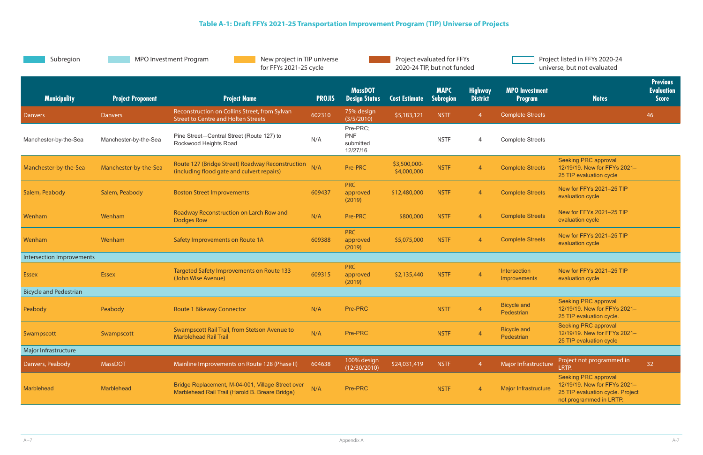| Subregion                     | <b>MPO Investment Program</b><br>New project in TIP universe<br>for FFYs 2021-25 cycle |                                                                                                      |               | Project evaluated for FFYs<br>2020-24 TIP, but not funded |                             |                                 | Project listed in FFYs 2020-24<br>universe, but not evaluated |                                         |                                                                                                                            |                                                      |
|-------------------------------|----------------------------------------------------------------------------------------|------------------------------------------------------------------------------------------------------|---------------|-----------------------------------------------------------|-----------------------------|---------------------------------|---------------------------------------------------------------|-----------------------------------------|----------------------------------------------------------------------------------------------------------------------------|------------------------------------------------------|
| <b>Municipality</b>           | <b>Project Proponent</b>                                                               | <b>Project Name</b>                                                                                  | <b>PROJIS</b> | <b>MassDOT</b><br><b>Design Status</b>                    | <b>Cost Estimate</b>        | <b>MAPC</b><br><b>Subregion</b> | <b>Highway</b><br><b>District</b>                             | <b>MPO</b> Investment<br><b>Program</b> | <b>Notes</b>                                                                                                               | <b>Previous</b><br><b>Evaluation</b><br><b>Score</b> |
| Danvers                       | Danvers                                                                                | Reconstruction on Collins Street, from Sylvan<br><b>Street to Centre and Holten Streets</b>          | 602310        | 75% design<br>(3/5/2010)                                  | \$5,183,121                 | <b>NSTF</b>                     | $\overline{4}$                                                | <b>Complete Streets</b>                 |                                                                                                                            | 46                                                   |
| Manchester-by-the-Sea         | Manchester-by-the-Sea                                                                  | Pine Street-Central Street (Route 127) to<br>Rockwood Heights Road                                   | N/A           | Pre-PRC;<br><b>PNF</b><br>submitted<br>12/27/16           |                             | <b>NSTF</b>                     | 4                                                             | <b>Complete Streets</b>                 |                                                                                                                            |                                                      |
| Manchester-by-the-Sea         | Manchester-by-the-Sea                                                                  | Route 127 (Bridge Street) Roadway Reconstruction<br>(including flood gate and culvert repairs)       | N/A           | Pre-PRC                                                   | \$3,500,000-<br>\$4,000,000 | <b>NSTF</b>                     | $\overline{4}$                                                | <b>Complete Streets</b>                 | <b>Seeking PRC approval</b><br>12/19/19. New for FFYs 2021-<br>25 TIP evaluation cycle                                     |                                                      |
| Salem, Peabody                | Salem, Peabody                                                                         | <b>Boston Street Improvements</b>                                                                    | 609437        | <b>PRC</b><br>approved<br>(2019)                          | \$12,480,000                | <b>NSTF</b>                     | $\overline{4}$                                                | <b>Complete Streets</b>                 | New for FFYs 2021-25 TIP<br>evaluation cycle                                                                               |                                                      |
| Wenham                        | Wenham                                                                                 | Roadway Reconstruction on Larch Row and<br>Dodges Row                                                | N/A           | Pre-PRC                                                   | \$800,000                   | <b>NSTF</b>                     | $\overline{4}$                                                | <b>Complete Streets</b>                 | New for FFYs 2021-25 TIP<br>evaluation cycle                                                                               |                                                      |
| Wenham                        | Wenham                                                                                 | Safety Improvements on Route 1A                                                                      | 609388        | <b>PRC</b><br>approved<br>(2019)                          | \$5,075,000                 | <b>NSTF</b>                     | $\overline{4}$                                                | <b>Complete Streets</b>                 | New for FFYs 2021-25 TIP<br>evaluation cycle                                                                               |                                                      |
| Intersection Improvements     |                                                                                        |                                                                                                      |               |                                                           |                             |                                 |                                                               |                                         |                                                                                                                            |                                                      |
| <b>Essex</b>                  | <b>Essex</b>                                                                           | <b>Targeted Safety Improvements on Route 133</b><br>(John Wise Avenue)                               | 609315        | <b>PRC</b><br>approved<br>(2019)                          | \$2,135,440                 | <b>NSTF</b>                     | $\overline{4}$                                                | Intersection<br>Improvements            | New for FFYs 2021-25 TIP<br>evaluation cycle                                                                               |                                                      |
| <b>Bicycle and Pedestrian</b> |                                                                                        |                                                                                                      |               |                                                           |                             |                                 |                                                               |                                         |                                                                                                                            |                                                      |
| Peabody                       | Peabody                                                                                | <b>Route 1 Bikeway Connector</b>                                                                     | N/A           | Pre-PRC                                                   |                             | <b>NSTF</b>                     | $\mathbf{A}$                                                  | <b>Bicycle and</b><br>Pedestrian        | <b>Seeking PRC approval</b><br>12/19/19. New for FFYs 2021-<br>25 TIP evaluation cycle.                                    |                                                      |
| Swampscott                    | Swampscott                                                                             | Swampscott Rail Trail, from Stetson Avenue to<br><b>Marblehead Rail Trail</b>                        | N/A           | Pre-PRC                                                   |                             | <b>NSTF</b>                     | $\overline{4}$                                                | <b>Bicycle and</b><br>Pedestrian        | <b>Seeking PRC approval</b><br>12/19/19. New for FFYs 2021-<br>25 TIP evaluation cycle                                     |                                                      |
| Major Infrastructure          |                                                                                        |                                                                                                      |               |                                                           |                             |                                 |                                                               |                                         |                                                                                                                            |                                                      |
| Danvers, Peabody              | <b>MassDOT</b>                                                                         | Mainline Improvements on Route 128 (Phase II)                                                        | 604638        | 100% design<br>(12/30/2010)                               | \$24,031,419                | <b>NSTF</b>                     | $\overline{4}$                                                | Major Infrastructure                    | Project not programmed in<br>LRTP.                                                                                         | 32                                                   |
| Marblehead                    | Marblehead                                                                             | Bridge Replacement, M-04-001, Village Street over<br>Marblehead Rail Trail (Harold B. Breare Bridge) | N/A           | Pre-PRC                                                   |                             | <b>NSTF</b>                     | 4                                                             | <b>Major Infrastructure</b>             | <b>Seeking PRC approval</b><br>12/19/19. New for FFYs 2021-<br>25 TIP evaluation cycle. Project<br>not programmed in LRTP. |                                                      |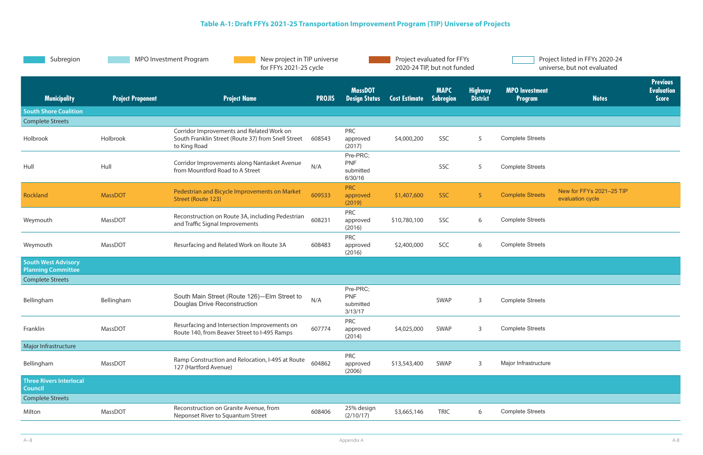| Subregion                                               | <b>MPO Investment Program</b><br>New project in TIP universe<br>for FFYs 2021-25 cycle |                                                                                                                 | Project evaluated for FFYs<br>2020-24 TIP, but not funded |                                                |                      | Project listed in FFYs 2020-24<br>universe, but not evaluated |                                   |                                         |                                              |                                                      |
|---------------------------------------------------------|----------------------------------------------------------------------------------------|-----------------------------------------------------------------------------------------------------------------|-----------------------------------------------------------|------------------------------------------------|----------------------|---------------------------------------------------------------|-----------------------------------|-----------------------------------------|----------------------------------------------|------------------------------------------------------|
| <b>Municipality</b>                                     | <b>Project Proponent</b>                                                               | <b>Project Name</b>                                                                                             | <b>PROJIS</b>                                             | <b>MassDOT</b><br><b>Design Status</b>         | <b>Cost Estimate</b> | <b>MAPC</b><br>Subregion                                      | <b>Highway</b><br><b>District</b> | <b>MPO</b> Investment<br><b>Program</b> | <b>Notes</b>                                 | <b>Previous</b><br><b>Evaluation</b><br><b>Score</b> |
| <b>South Shore Coalition</b>                            |                                                                                        |                                                                                                                 |                                                           |                                                |                      |                                                               |                                   |                                         |                                              |                                                      |
| <b>Complete Streets</b>                                 |                                                                                        |                                                                                                                 |                                                           |                                                |                      |                                                               |                                   |                                         |                                              |                                                      |
| Holbrook                                                | Holbrook                                                                               | Corridor Improvements and Related Work on<br>South Franklin Street (Route 37) from Snell Street<br>to King Road | 608543                                                    | <b>PRC</b><br>approved<br>(2017)               | \$4,000,200          | SSC                                                           | 5                                 | <b>Complete Streets</b>                 |                                              |                                                      |
| Hull                                                    | Hull                                                                                   | Corridor Improvements along Nantasket Avenue<br>from Mountford Road to A Street                                 | N/A                                                       | Pre-PRC;<br><b>PNF</b><br>submitted<br>6/30/16 |                      | SSC                                                           | 5                                 | <b>Complete Streets</b>                 |                                              |                                                      |
| Rockland                                                | <b>MassDOT</b>                                                                         | Pedestrian and Bicycle Improvements on Market<br>Street (Route 123)                                             | 609533                                                    | <b>PRC</b><br>approved<br>(2019)               | \$1,407,600          | <b>SSC</b>                                                    | 5 <sup>1</sup>                    | <b>Complete Streets</b>                 | New for FFYs 2021-25 TIP<br>evaluation cycle |                                                      |
| Weymouth                                                | MassDOT                                                                                | Reconstruction on Route 3A, including Pedestrian<br>and Traffic Signal Improvements                             | 608231                                                    | PRC<br>approved<br>(2016)                      | \$10,780,100         | <b>SSC</b>                                                    | 6                                 | <b>Complete Streets</b>                 |                                              |                                                      |
| Weymouth                                                | MassDOT                                                                                | Resurfacing and Related Work on Route 3A                                                                        | 608483                                                    | <b>PRC</b><br>approved<br>(2016)               | \$2,400,000          | SCC                                                           | 6                                 | <b>Complete Streets</b>                 |                                              |                                                      |
| <b>South West Advisory</b><br><b>Planning Committee</b> |                                                                                        |                                                                                                                 |                                                           |                                                |                      |                                                               |                                   |                                         |                                              |                                                      |
| <b>Complete Streets</b>                                 |                                                                                        |                                                                                                                 |                                                           |                                                |                      |                                                               |                                   |                                         |                                              |                                                      |
| Bellingham                                              | Bellingham                                                                             | South Main Street (Route 126)-Elm Street to<br><b>Douglas Drive Reconstruction</b>                              | N/A                                                       | Pre-PRC;<br><b>PNF</b><br>submitted<br>3/13/17 |                      | <b>SWAP</b>                                                   | $\mathsf{3}$                      | <b>Complete Streets</b>                 |                                              |                                                      |
| Franklin                                                | MassDOT                                                                                | Resurfacing and Intersection Improvements on<br>Route 140, from Beaver Street to I-495 Ramps                    | 607774                                                    | <b>PRC</b><br>approved<br>(2014)               | \$4,025,000          | SWAP                                                          | $\mathsf{3}$                      | <b>Complete Streets</b>                 |                                              |                                                      |
| Major Infrastructure                                    |                                                                                        |                                                                                                                 |                                                           |                                                |                      |                                                               |                                   |                                         |                                              |                                                      |
| Bellingham                                              | MassDOT                                                                                | Ramp Construction and Relocation, I-495 at Route<br>127 (Hartford Avenue)                                       | 604862                                                    | <b>PRC</b><br>approved<br>(2006)               | \$13,543,400         | SWAP                                                          | 3                                 | Major Infrastructure                    |                                              |                                                      |
| <b>Three Rivers Interlocal</b><br><b>Council</b>        |                                                                                        |                                                                                                                 |                                                           |                                                |                      |                                                               |                                   |                                         |                                              |                                                      |
| <b>Complete Streets</b>                                 |                                                                                        |                                                                                                                 |                                                           |                                                |                      |                                                               |                                   |                                         |                                              |                                                      |
| Milton                                                  | MassDOT                                                                                | Reconstruction on Granite Avenue, from<br>Neponset River to Squantum Street                                     | 608406                                                    | 25% design<br>(2/10/17)                        | \$3,665,146          | <b>TRIC</b>                                                   | 6                                 | <b>Complete Streets</b>                 |                                              |                                                      |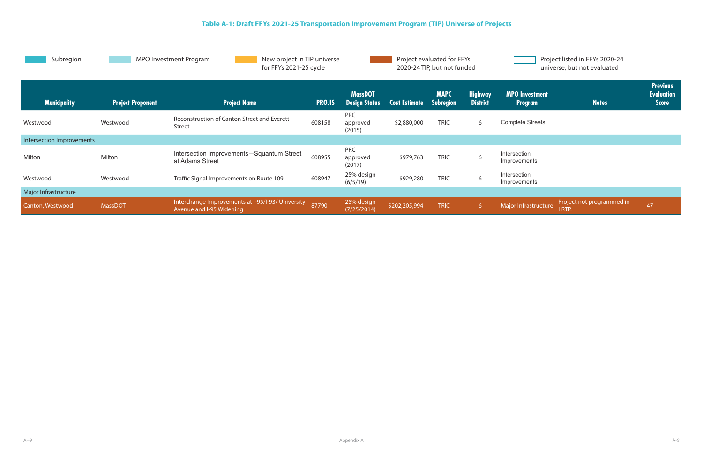| Subregion                 |                          | <b>MPO Investment Program</b><br>New project in TIP universe<br>for FFYs 2021-25 cycle |               |                                        |                      | Project evaluated for FFYs<br>2020-24 TIP, but not funded |                                   |                                         | Project listed in FFYs 2020-24<br>universe, but not evaluated |                                                      |
|---------------------------|--------------------------|----------------------------------------------------------------------------------------|---------------|----------------------------------------|----------------------|-----------------------------------------------------------|-----------------------------------|-----------------------------------------|---------------------------------------------------------------|------------------------------------------------------|
| <b>Municipality</b>       | <b>Project Proponent</b> | <b>Project Name</b>                                                                    | <b>PROJIS</b> | <b>MassDOT</b><br><b>Design Status</b> | <b>Cost Estimate</b> | <b>MAPC</b><br>Subregion                                  | <b>Highway</b><br><b>District</b> | <b>MPO</b> Investment<br><b>Program</b> | <b>Notes</b>                                                  | <b>Previous</b><br><b>Evaluation</b><br><b>Score</b> |
| Westwood                  | Westwood                 | Reconstruction of Canton Street and Everett<br><b>Street</b>                           | 608158        | <b>PRC</b><br>approved<br>(2015)       | \$2,880,000          | <b>TRIC</b>                                               | 6                                 | <b>Complete Streets</b>                 |                                                               |                                                      |
| Intersection Improvements |                          |                                                                                        |               |                                        |                      |                                                           |                                   |                                         |                                                               |                                                      |
| Milton                    | Milton                   | Intersection Improvements-Squantum Street<br>at Adams Street                           | 608955        | <b>PRC</b><br>approved<br>(2017)       | \$979,763            | <b>TRIC</b>                                               | 6                                 | Intersection<br>Improvements            |                                                               |                                                      |
| Westwood                  | Westwood                 | Traffic Signal Improvements on Route 109                                               | 608947        | 25% design<br>(6/5/19)                 | \$929,280            | <b>TRIC</b>                                               | 6                                 | Intersection<br>Improvements            |                                                               |                                                      |
| Major Infrastructure      |                          |                                                                                        |               |                                        |                      |                                                           |                                   |                                         |                                                               |                                                      |
| Canton, Westwood          | <b>MassDOT</b>           | Interchange Improvements at I-95/I-93/ University<br>Avenue and I-95 Widening          | 87790         | 25% design<br>(7/25/2014)              | \$202,205,994        | <b>TRIC</b>                                               | 6 <sup>1</sup>                    | Major Infrastructure                    | Project not programmed in<br><b>LRTP</b>                      | 47                                                   |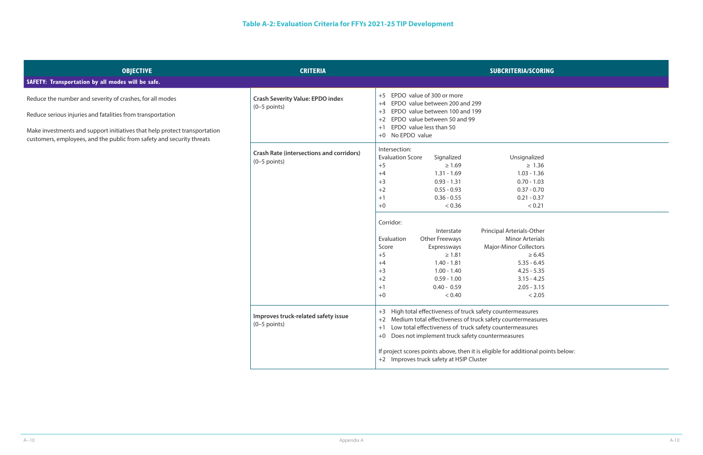| <b>OBJECTIVE</b><br>SAFETY: Transportation by all modes will be safe.                                                                                                                                                                                                        | <b>CRITERIA</b>                                                   | <b>SUBCRITERIA/SCORING</b>                                                                                                                                                                                                                                                                                                                                                                                                                                                                                                                                                                                                                                                                                                                   |
|------------------------------------------------------------------------------------------------------------------------------------------------------------------------------------------------------------------------------------------------------------------------------|-------------------------------------------------------------------|----------------------------------------------------------------------------------------------------------------------------------------------------------------------------------------------------------------------------------------------------------------------------------------------------------------------------------------------------------------------------------------------------------------------------------------------------------------------------------------------------------------------------------------------------------------------------------------------------------------------------------------------------------------------------------------------------------------------------------------------|
| Reduce the number and severity of crashes, for all modes<br>Reduce serious injuries and fatalities from transportation<br>Make investments and support initiatives that help protect transportation<br>customers, employees, and the public from safety and security threats | <b>Crash Severity Value: EPDO index</b><br>$(0-5$ points)         | +5 EPDO value of 300 or more<br>EPDO value between 200 and 299<br>$+4$<br>EPDO value between 100 and 199<br>$+3$<br>EPDO value between 50 and 99<br>$+2$<br>EPDO value less than 50<br>$+1$<br>+0 No EPDO value                                                                                                                                                                                                                                                                                                                                                                                                                                                                                                                              |
|                                                                                                                                                                                                                                                                              | <b>Crash Rate (intersections and corridors)</b><br>$(0-5$ points) | Intersection:<br><b>Evaluation Score</b><br>Unsignalized<br>Signalized<br>$+5$<br>$\geq 1.69$<br>$\geq 1.36$<br>$1.31 - 1.69$<br>$1.03 - 1.36$<br>$+4$<br>$+3$<br>$0.93 - 1.31$<br>$0.70 - 1.03$<br>$0.55 - 0.93$<br>$0.37 - 0.70$<br>$+2$<br>$0.36 - 0.55$<br>$0.21 - 0.37$<br>$+1$<br>< 0.36<br>< 0.21<br>$+0$<br>Corridor:<br>Principal Arterials-Other<br>Interstate<br><b>Minor Arterials</b><br>Evaluation<br><b>Other Freeways</b><br><b>Major-Minor Collectors</b><br>Score<br>Expressways<br>$+5$<br>$\geq 1.81$<br>$\geq 6.45$<br>$+4$<br>$1.40 - 1.81$<br>$5.35 - 6.45$<br>$+3$<br>$1.00 - 1.40$<br>$4.25 - 5.35$<br>$0.59 - 1.00$<br>$3.15 - 4.25$<br>$+2$<br>$+1$<br>$0.40 - 0.59$<br>$2.05 - 3.15$<br>< 0.40<br>< 2.05<br>$+0$ |
|                                                                                                                                                                                                                                                                              | Improves truck-related safety issue<br>$(0-5$ points)             | +3 High total effectiveness of truck safety countermeasures<br>+2 Medium total effectiveness of truck safety countermeasures<br>Low total effectiveness of truck safety countermeasures<br>$+1$<br>+0 Does not implement truck safety countermeasures<br>If project scores points above, then it is eligible for additional points below:<br>+2 Improves truck safety at HSIP Cluster                                                                                                                                                                                                                                                                                                                                                        |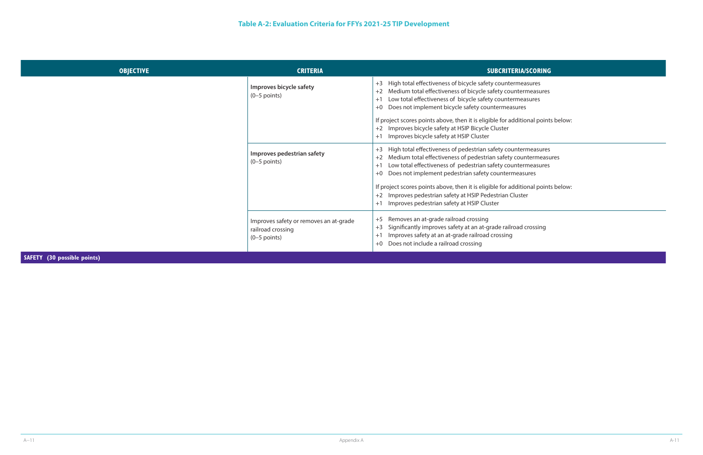ditional points below:

n termeasures countermeasures n termeasures neasures

ditional points below:

| <b>OBJECTIVE</b> | <b>CRITERIA</b>                                                               | <b>SUBCRITERIA/SCORING</b>                                                                                                                                                                                                                                               |
|------------------|-------------------------------------------------------------------------------|--------------------------------------------------------------------------------------------------------------------------------------------------------------------------------------------------------------------------------------------------------------------------|
|                  | Improves bicycle safety<br>$(0-5$ points)                                     | +3 High total effectiveness of bicycle safety countermeasures<br>Medium total effectiveness of bicycle safety countermeasures<br>$+2$<br>Low total effectiveness of bicycle safety countermeasures<br>$+1$<br>+0 Does not implement bicycle safety countermeasures       |
|                  |                                                                               | If project scores points above, then it is eligible for additional point<br>+2 Improves bicycle safety at HSIP Bicycle Cluster<br>Improves bicycle safety at HSIP Cluster<br>$+1$                                                                                        |
|                  | Improves pedestrian safety<br>$(0-5$ points)                                  | High total effectiveness of pedestrian safety countermeasures<br>Medium total effectiveness of pedestrian safety countermeasu<br>$+2$<br>Low total effectiveness of pedestrian safety countermeasures<br>$+1$<br>+0 Does not implement pedestrian safety countermeasures |
|                  |                                                                               | If project scores points above, then it is eligible for additional point<br>Improves pedestrian safety at HSIP Pedestrian Cluster<br>Improves pedestrian safety at HSIP Cluster                                                                                          |
|                  | Improves safety or removes an at-grade<br>railroad crossing<br>$(0-5$ points) | Removes an at-grade railroad crossing<br>$+5$<br>Significantly improves safety at an at-grade railroad crossing<br>$+3$<br>Improves safety at an at-grade railroad crossing<br>$+1$<br>+0 Does not include a railroad crossing                                           |

**SAFETY (30 possible points)**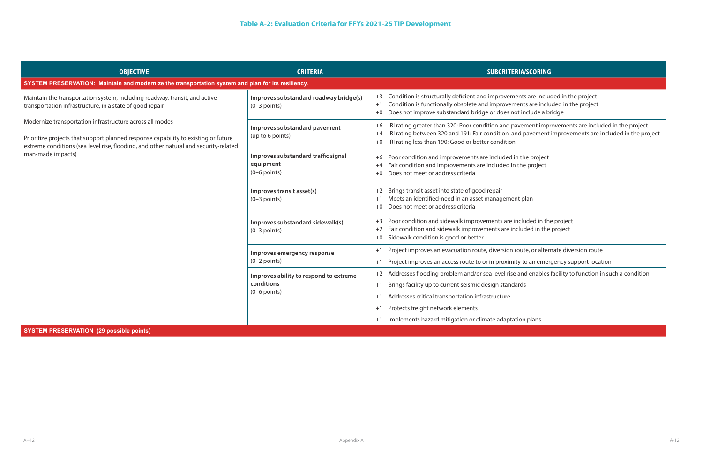ents are included in the project nents are included in the project ot include a bridge

avement improvements are included in the project nd pavement improvements are included in the project

included in the project ncluded in the project

route, or alternate diversion route

ity to an emergency support location

e and enables facility to function in such a condition

| <b>OBJECTIVE</b>                                                                                                                                                                                                                       | <b>CRITERIA</b>                                                        | <b>SUBCRITERIA/SCORING</b>                                                                                                                                                                                              |
|----------------------------------------------------------------------------------------------------------------------------------------------------------------------------------------------------------------------------------------|------------------------------------------------------------------------|-------------------------------------------------------------------------------------------------------------------------------------------------------------------------------------------------------------------------|
| SYSTEM PRESERVATION: Maintain and modernize the transportation system and plan for its resiliency.                                                                                                                                     |                                                                        |                                                                                                                                                                                                                         |
| Maintain the transportation system, including roadway, transit, and active<br>transportation infrastructure, in a state of good repair                                                                                                 | Improves substandard roadway bridge(s)<br>$(0-3$ points)               | Condition is structurally deficient and improvements are inclu-<br>$+3$<br>Condition is functionally obsolete and improvements are inclu<br>$+1$<br>Does not improve substandard bridge or does not include a b<br>$+0$ |
| Modernize transportation infrastructure across all modes<br>Prioritize projects that support planned response capability to existing or future<br>extreme conditions (sea level rise, flooding, and other natural and security-related | Improves substandard pavement<br>(up to 6 points)                      | IRI rating greater than 320: Poor condition and pavement impre<br>$+6$<br>IRI rating between 320 and 191: Fair condition and pavement<br>$+4$<br>IRI rating less than 190: Good or better condition<br>$+0$             |
| man-made impacts)                                                                                                                                                                                                                      | Improves substandard traffic signal<br>equipment<br>$(0-6$ points)     | Poor condition and improvements are included in the project<br>$+6$<br>Fair condition and improvements are included in the project<br>$+4$<br>Does not meet or address criteria<br>$+0$                                 |
|                                                                                                                                                                                                                                        | Improves transit asset(s)<br>$(0-3$ points)                            | Brings transit asset into state of good repair<br>$+2$<br>Meets an identified-need in an asset management plan<br>$+1$<br>Does not meet or address criteria<br>$+0$                                                     |
|                                                                                                                                                                                                                                        | Improves substandard sidewalk(s)<br>$(0-3$ points)                     | Poor condition and sidewalk improvements are included in the<br>$+3$<br>Fair condition and sidewalk improvements are included in the<br>$+2$<br>Sidewalk condition is good or better<br>$+0$                            |
|                                                                                                                                                                                                                                        | Improves emergency response<br>$(0-2$ points)                          | Project improves an evacuation route, diversion route, or alter<br>$+1$<br>Project improves an access route to or in proximity to an emer<br>$+1$                                                                       |
|                                                                                                                                                                                                                                        | Improves ability to respond to extreme<br>conditions<br>$(0-6$ points) | Addresses flooding problem and/or sea level rise and enables<br>$+2$<br>Brings facility up to current seismic design standards<br>$+1$<br>Addresses critical transportation infrastructure<br>$+1$                      |
|                                                                                                                                                                                                                                        |                                                                        | Protects freight network elements<br>$+1$<br>Implements hazard mitigation or climate adaptation plans<br>$+1$                                                                                                           |

### **SYSTEM PRESERVATION (29 possible points)**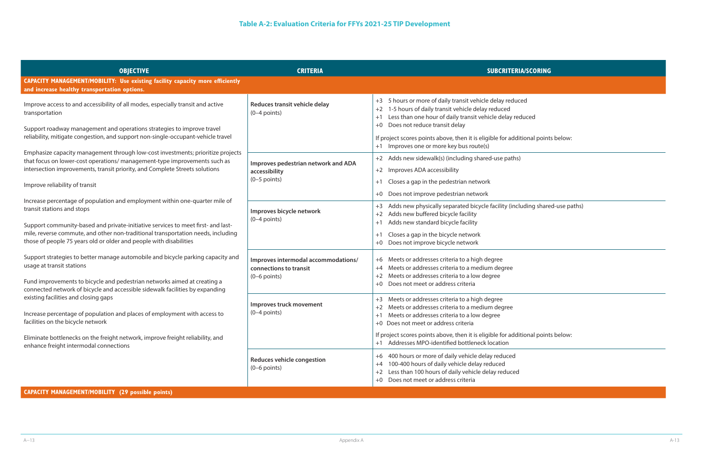| <b>ERIA/SCORING</b>     |
|-------------------------|
|                         |
| duced                   |
| reduced                 |
| dditional points below: |
| hs)                     |
|                         |
|                         |

ncluding shared-use paths)

| <b>OBJECTIVE</b>                                                                                                                                                                                                                                                                                                                                        | <b>CRITERIA</b>                                                                 | <b>SUBCRITERIA/SCORING</b>                                                                                                                                                                                                                                             |
|---------------------------------------------------------------------------------------------------------------------------------------------------------------------------------------------------------------------------------------------------------------------------------------------------------------------------------------------------------|---------------------------------------------------------------------------------|------------------------------------------------------------------------------------------------------------------------------------------------------------------------------------------------------------------------------------------------------------------------|
| CAPACITY MANAGEMENT/MOBILITY: Use existing facility capacity more efficiently<br>and increase healthy transportation options.                                                                                                                                                                                                                           |                                                                                 |                                                                                                                                                                                                                                                                        |
| Improve access to and accessibility of all modes, especially transit and active<br>transportation<br>Support roadway management and operations strategies to improve travel                                                                                                                                                                             | Reduces transit vehicle delay<br>$(0-4$ points)                                 | 5 hours or more of daily transit vehicle delay reduced<br>$+3$<br>1-5 hours of daily transit vehicle delay reduced<br>$+2$<br>Less than one hour of daily transit vehicle delay reduced<br>$+1$<br>Does not reduce transit delay<br>$+0$                               |
| reliability, mitigate congestion, and support non-single-occupant-vehicle travel                                                                                                                                                                                                                                                                        |                                                                                 | If project scores points above, then it is eligible for additional points below:<br>Improves one or more key bus route(s)<br>$+1$                                                                                                                                      |
| Emphasize capacity management through low-cost investments; prioritize projects<br>that focus on lower-cost operations/ management-type improvements such as<br>intersection improvements, transit priority, and Complete Streets solutions                                                                                                             | Improves pedestrian network and ADA<br>accessibility<br>$(0-5$ points)          | +2 Adds new sidewalk(s) (including shared-use paths)<br>Improves ADA accessibility<br>$+2$<br>Closes a gap in the pedestrian network<br>$+1$                                                                                                                           |
| Improve reliability of transit                                                                                                                                                                                                                                                                                                                          |                                                                                 | Does not improve pedestrian network<br>$+0$                                                                                                                                                                                                                            |
| Increase percentage of population and employment within one-quarter mile of<br>transit stations and stops<br>Support community-based and private-initiative services to meet first- and last-<br>mile, reverse commute, and other non-traditional transportation needs, including<br>those of people 75 years old or older and people with disabilities | Improves bicycle network<br>$(0-4$ points)                                      | Adds new physically separated bicycle facility (including shared-use pa<br>$+3$<br>Adds new buffered bicycle facility<br>$+2$<br>Adds new standard bicycle facility<br>$+1$<br>Closes a gap in the bicycle network<br>$+1$<br>Does not improve bicycle network<br>$+0$ |
| Support strategies to better manage automobile and bicycle parking capacity and<br>usage at transit stations<br>Fund improvements to bicycle and pedestrian networks aimed at creating a<br>connected network of bicycle and accessible sidewalk facilities by expanding                                                                                | Improves intermodal accommodations/<br>connections to transit<br>$(0-6$ points) | Meets or addresses criteria to a high degree<br>$+6$<br>Meets or addresses criteria to a medium degree<br>$+4$<br>Meets or addresses criteria to a low degree<br>$+2$<br>Does not meet or address criteria<br>$+0$                                                     |
| existing facilities and closing gaps<br>Increase percentage of population and places of employment with access to<br>facilities on the bicycle network                                                                                                                                                                                                  | Improves truck movement<br>$(0-4$ points)                                       | Meets or addresses criteria to a high degree<br>$+3$<br>Meets or addresses criteria to a medium degree<br>Meets or addresses criteria to a low degree<br>$+1$<br>+0 Does not meet or address criteria                                                                  |
| Eliminate bottlenecks on the freight network, improve freight reliability, and<br>enhance freight intermodal connections                                                                                                                                                                                                                                |                                                                                 | If project scores points above, then it is eligible for additional points below:<br>+1 Addresses MPO-identified bottleneck location                                                                                                                                    |
|                                                                                                                                                                                                                                                                                                                                                         | <b>Reduces vehicle congestion</b><br>$(0-6$ points)                             | 400 hours or more of daily vehicle delay reduced<br>$+6$<br>100-400 hours of daily vehicle delay reduced<br>$+4$<br>Less than 100 hours of daily vehicle delay reduced<br>$+2$<br>Does not meet or address criteria<br>$+0$                                            |

## **CAPACITY MANAGEMENT/MOBILITY (29 possible points)**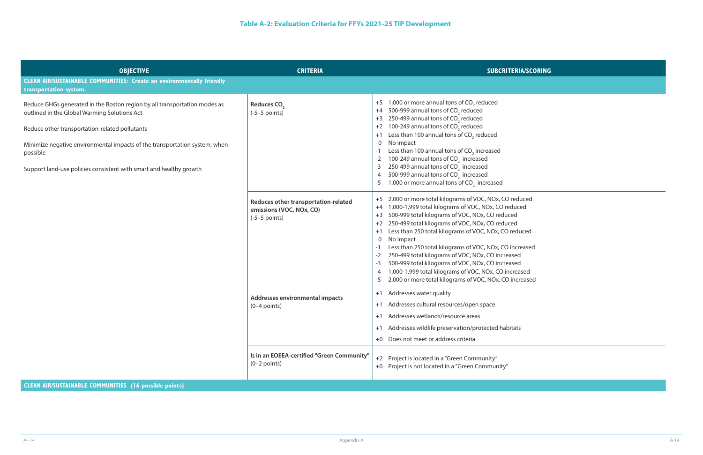| duced<br>ced                        |  |  |  |
|-------------------------------------|--|--|--|
| luced                               |  |  |  |
| reased<br>d<br>d<br>ased<br>creased |  |  |  |
|                                     |  |  |  |

| <b>OBJECTIVE</b>                                                                                                                                                                                                                                                                                                                            | <b>CRITERIA</b>                                                                     | <b>SUBCRITERIA/SCORING</b>                                                                                                                                                                                                                                                                                                                                                                                                                                                                                                                                                                                                                             |
|---------------------------------------------------------------------------------------------------------------------------------------------------------------------------------------------------------------------------------------------------------------------------------------------------------------------------------------------|-------------------------------------------------------------------------------------|--------------------------------------------------------------------------------------------------------------------------------------------------------------------------------------------------------------------------------------------------------------------------------------------------------------------------------------------------------------------------------------------------------------------------------------------------------------------------------------------------------------------------------------------------------------------------------------------------------------------------------------------------------|
| <b>CLEAN AIR/SUSTAINABLE COMMUNITIES: Create an environmentally friendly</b><br>transportation system.                                                                                                                                                                                                                                      |                                                                                     |                                                                                                                                                                                                                                                                                                                                                                                                                                                                                                                                                                                                                                                        |
| Reduce GHGs generated in the Boston region by all transportation modes as<br>outlined in the Global Warming Solutions Act<br>Reduce other transportation-related pollutants<br>Minimize negative environmental impacts of the transportation system, when<br>possible<br>Support land-use policies consistent with smart and healthy growth | Reduces CO <sub>2</sub><br>$(-5-5$ points)                                          | 1,000 or more annual tons of CO <sub>2</sub> reduced<br>$+5$<br>500-999 annual tons of CO <sub>2</sub> reduced<br>$+4$<br>250-499 annual tons of CO <sub>2</sub> reduced<br>$+3$<br>100-249 annual tons of CO <sub>2</sub> reduced<br>$+2$<br>Less than 100 annual tons of CO <sub>2</sub> reduced<br>$+1$<br>$\mathbf 0$<br>No impact<br>Less than 100 annual tons of CO <sub>2</sub> increased<br>100-249 annual tons of CO <sub>2</sub> increased<br>$-2$<br>250-499 annual tons of CO <sub>2</sub> increased<br>-3<br>500-999 annual tons of CO <sub>2</sub> increased<br>-4<br>1,000 or more annual tons of CO <sub>2</sub> increased<br>-5       |
|                                                                                                                                                                                                                                                                                                                                             | Reduces other transportation-related<br>emissions (VOC, NOx, CO)<br>$(-5-5$ points) | 2,000 or more total kilograms of VOC, NOx, CO reduced<br>$+5$<br>1,000-1,999 total kilograms of VOC, NOx, CO reduced<br>$+4$<br>500-999 total kilograms of VOC, NOx, CO reduced<br>$+3$<br>250-499 total kilograms of VOC, NOx, CO reduced<br>$+2$<br>Less than 250 total kilograms of VOC, NOx, CO reduced<br>$+1$<br>No impact<br>0<br>Less than 250 total kilograms of VOC, NOx, CO increased<br>250-499 total kilograms of VOC, NOx, CO increased<br>-2<br>500-999 total kilograms of VOC, NOx, CO increased<br>-3<br>1,000-1,999 total kilograms of VOC, NOx, CO increased<br>-4<br>2,000 or more total kilograms of VOC, NOx, CO increased<br>-5 |
|                                                                                                                                                                                                                                                                                                                                             | Addresses environmental impacts<br>$(0-4$ points)                                   | Addresses water quality<br>$+1$<br>Addresses cultural resources/open space<br>$+1$<br>+1 Addresses wetlands/resource areas<br>Addresses wildlife preservation/protected habitats<br>$+1$<br>Does not meet or address criteria<br>$+0$                                                                                                                                                                                                                                                                                                                                                                                                                  |
|                                                                                                                                                                                                                                                                                                                                             | Is in an EOEEA-certified "Green Community"<br>$(0-2$ points)                        | Project is located in a "Green Community"<br>$+2$<br>Project is not located in a "Green Community"<br>$+0$                                                                                                                                                                                                                                                                                                                                                                                                                                                                                                                                             |

# **CLEAN AIR/SUSTAINABLE COMMUNITIES (16 possible points)**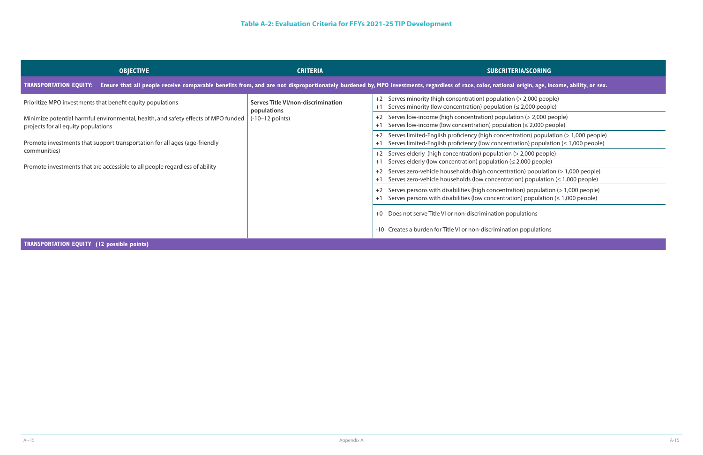| <b>IA/SCORING</b> |  |  |
|-------------------|--|--|
|                   |  |  |

| origin, age, income, ability, or sex.                                                 |
|---------------------------------------------------------------------------------------|
| $(>2,000$ people)<br>$\leq$ 2,000 people)                                             |
| on (> 2,000 people)<br>$\mathsf{on}$ ( $\leq$ 2,000 people)                           |
| ation) population (> 1,000 people)<br>tion) population $( \leq 1,000$ people)         |
| > 2,000 people)<br>2,000 people)                                                      |
| on) population $(>1,000$ people)<br>$\mathsf{on}$ ) population ( $\leq 1,000$ people) |
| on) population (> 1,000 people)<br>n) population $( \leq 1,000$ people)               |
|                                                                                       |

| <b>OBJECTIVE</b>                                                                                                          | <b>CRITERIA</b>                                   | <b>SUBCRITERIA/SCORING</b>                                                                                                                                                                               |
|---------------------------------------------------------------------------------------------------------------------------|---------------------------------------------------|----------------------------------------------------------------------------------------------------------------------------------------------------------------------------------------------------------|
| <b>TRANSPORTATION EQUITY:</b>                                                                                             |                                                   | Ensure that all people receive comparable benefits from, and are not disproportionately burdened by, MPO investments, regardless of race, color, national origin, age, income, ability, or sex.          |
| Prioritize MPO investments that benefit equity populations                                                                | Serves Title VI/non-discrimination<br>populations | +2 Serves minority (high concentration) population (> 2,000 people)<br>Serves minority (low concentration) population ( $\leq$ 2,000 people)<br>$+$                                                      |
| Minimize potential harmful environmental, health, and safety effects of MPO funded<br>projects for all equity populations | $(-10-12 \text{ points})$                         | Serves low-income (high concentration) population (> 2,000 people)<br>+2<br>Serves low-income (low concentration) population $(\leq 2,000$ people)<br>$+^{\degree}$                                      |
| Promote investments that support transportation for all ages (age-friendly                                                |                                                   | Serves limited-English proficiency (high concentration) population (> 1,000 people)<br>+2<br>Serves limited-English proficiency (low concentration) population $(\leq 1,000$ people)<br>$^{\mathrm{+1}}$ |
| communities)                                                                                                              |                                                   | Serves elderly (high concentration) population (> 2,000 people)<br>+2<br>Serves elderly (low concentration) population $(\leq 2,000$ people)<br>$+$                                                      |
| Promote investments that are accessible to all people regardless of ability                                               |                                                   | +2 Serves zero-vehicle households (high concentration) population (> 1,000 people)<br>Serves zero-vehicle households (low concentration) population ( $\leq 1,000$ people)<br>$+$                        |
|                                                                                                                           |                                                   | Serves persons with disabilities (high concentration) population (> 1,000 people)<br>+2<br>Serves persons with disabilities (low concentration) population ( $\leq 1,000$ people)                        |
|                                                                                                                           |                                                   | Does not serve Title VI or non-discrimination populations<br>$+0$                                                                                                                                        |
|                                                                                                                           |                                                   | -10 Creates a burden for Title VI or non-discrimination populations                                                                                                                                      |

# **TRANSPORTATION EQUITY (12 possible points)**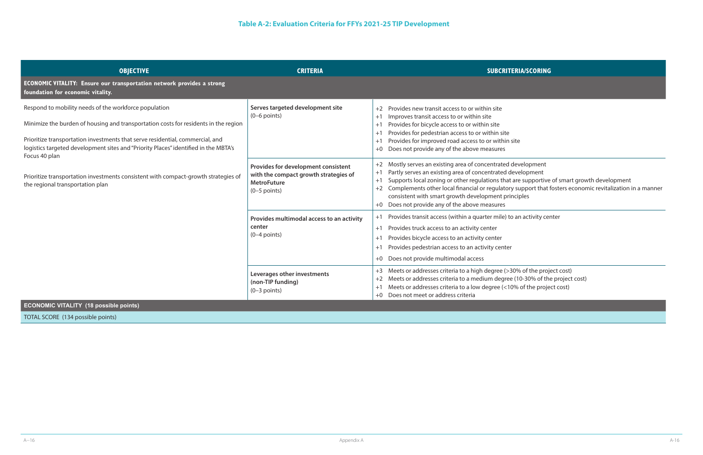are supportive of smart growth development

support that fosters economic revitalization in a manner ciples

an activity center

0% of the project cost) (10-30% of the project cost)  $%$  of the project cost)

| <b>OBJECTIVE</b>                                                                                                                                                                                                                                                                                                                      | <b>CRITERIA</b>                                                                                                      | <b>SUBCRITERIA/SCORING</b>                                                                                                                                                                                                                                                                                                                                                                        |
|---------------------------------------------------------------------------------------------------------------------------------------------------------------------------------------------------------------------------------------------------------------------------------------------------------------------------------------|----------------------------------------------------------------------------------------------------------------------|---------------------------------------------------------------------------------------------------------------------------------------------------------------------------------------------------------------------------------------------------------------------------------------------------------------------------------------------------------------------------------------------------|
| ECONOMIC VITALITY: Ensure our transportation network provides a strong<br>foundation for economic vitality.                                                                                                                                                                                                                           |                                                                                                                      |                                                                                                                                                                                                                                                                                                                                                                                                   |
| Respond to mobility needs of the workforce population<br>Minimize the burden of housing and transportation costs for residents in the region<br>Prioritize transportation investments that serve residential, commercial, and<br>logistics targeted development sites and "Priority Places" identified in the MBTA's<br>Focus 40 plan | Serves targeted development site<br>$(0-6$ points)                                                                   | Provides new transit access to or within site<br>$+2$<br>Improves transit access to or within site<br>$+1$<br>Provides for bicycle access to or within site<br>$+1$<br>Provides for pedestrian access to or within site<br>$+1$<br>Provides for improved road access to or within site<br>$+1$<br>Does not provide any of the above measures<br>$+0$                                              |
| Prioritize transportation investments consistent with compact-growth strategies of<br>the regional transportation plan                                                                                                                                                                                                                | Provides for development consistent<br>with the compact growth strategies of<br><b>MetroFuture</b><br>$(0-5$ points) | Mostly serves an existing area of concentrated development<br>Partly serves an existing area of concentrated development<br>$+1$<br>Supports local zoning or other regulations that are supportive<br>$+1$<br>Complements other local financial or regulatory support that t<br>$+2$<br>consistent with smart growth development principles<br>Does not provide any of the above measures<br>$+0$ |
|                                                                                                                                                                                                                                                                                                                                       | Provides multimodal access to an activity<br>center<br>$(0-4$ points)                                                | Provides transit access (within a quarter mile) to an activity cer<br>$+1$<br>Provides truck access to an activity center<br>$+1$<br>Provides bicycle access to an activity center<br>$+1$<br>Provides pedestrian access to an activity center<br>$+1$<br>Does not provide multimodal access<br>$+0$                                                                                              |
|                                                                                                                                                                                                                                                                                                                                       | Leverages other investments<br>(non-TIP funding)<br>$(0-3$ points)                                                   | Meets or addresses criteria to a high degree (>30% of the proje<br>$+3$<br>Meets or addresses criteria to a medium degree (10-30% of the<br>$+2$<br>Meets or addresses criteria to a low degree (<10% of the proje<br>$+1$<br>Does not meet or address criteria<br>$+0$                                                                                                                           |
| <b>ECONOMIC VITALITY (18 possible points)</b>                                                                                                                                                                                                                                                                                         |                                                                                                                      |                                                                                                                                                                                                                                                                                                                                                                                                   |
| TOTAL SCORE (134 possible points)                                                                                                                                                                                                                                                                                                     |                                                                                                                      |                                                                                                                                                                                                                                                                                                                                                                                                   |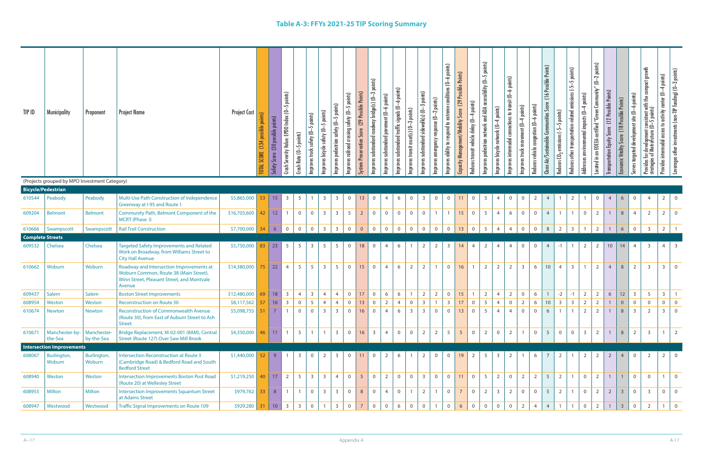| TIP ID                  | <b>Municipality</b>                           | Proponent                     | <b>Project Name</b>                                                                                                                        | <b>Project Cost</b>  | points)<br>(30 possible points)<br>possible<br>(134<br><b>TOTAL SCORE</b><br>Safety Score |    | points)<br>Severity Value: EPDO Index (0-5<br>Crash Rate (0-5 points)<br>Crash          | truck safety (0-5 points)<br>Improves t | Improves bicycle safety (0-5 points) | Improves pedestrian safety (0-5 points) | Improves railroad crossing safety (0-5 points) | nis)<br>(29 Possible Poi<br><b>System Preservation Score</b> | points)<br>Improves substandard roadway bridge(s) (0-3 | substandard pavement (0-6 points)<br>Improves | Improves substandard traffic signals (0–6 points) | Improves transit asset(s) (0-3 points) | -3 points)<br>Improves substandard sidewalk(s) (0- | conditions (0-6 points)<br>emergency response $(0\text{--}2$ points)<br>Improves ability to respond to extreme<br>Improves | Capacity Management/Mobility Score (29 Possible Points) | Reduces transit vehicle delay (0-4 points) | Improves pedestrian network and ADA accessibility (0-5 points) | Improves bicycle network (0-4 points) | points)<br>Improves intermodal connections to transit (0-6 | -4 points)<br>movement (0-<br>Improves truck | Reduces vehicle congestion (0-6 points) | (16 Possible Points)<br>Clean Air/Sustainable Communities Score | Reduces $\mathbb{C}$ O <sub>2</sub> emissions (-5–5 points) | Reduces other transportation-related emissions (-5-5 points) | -4 points)<br>Addresses environmental impacts (0- | $(0-2$ points)<br>Located in an EOEEA-certified "Green Community" | Transportation Equity Score (12 Possible Points) | (18 Possible Points)<br>Vitality Score<br>Economic <sup>1</sup> | Serves targeted development site (0-6 points) | Provides for development consistent with the compact growth<br>strategies of MetroFuture (O—S points) | Provides intermodal access to activity center (0-4 points) | Leverages other investments (non-TIP funding) (0-3 points) |
|-------------------------|-----------------------------------------------|-------------------------------|--------------------------------------------------------------------------------------------------------------------------------------------|----------------------|-------------------------------------------------------------------------------------------|----|-----------------------------------------------------------------------------------------|-----------------------------------------|--------------------------------------|-----------------------------------------|------------------------------------------------|--------------------------------------------------------------|--------------------------------------------------------|-----------------------------------------------|---------------------------------------------------|----------------------------------------|----------------------------------------------------|----------------------------------------------------------------------------------------------------------------------------|---------------------------------------------------------|--------------------------------------------|----------------------------------------------------------------|---------------------------------------|------------------------------------------------------------|----------------------------------------------|-----------------------------------------|-----------------------------------------------------------------|-------------------------------------------------------------|--------------------------------------------------------------|---------------------------------------------------|-------------------------------------------------------------------|--------------------------------------------------|-----------------------------------------------------------------|-----------------------------------------------|-------------------------------------------------------------------------------------------------------|------------------------------------------------------------|------------------------------------------------------------|
|                         | (Projects grouped by MPO Investment Category) |                               |                                                                                                                                            |                      |                                                                                           |    |                                                                                         |                                         |                                      |                                         |                                                |                                                              |                                                        |                                               |                                                   |                                        |                                                    |                                                                                                                            |                                                         |                                            |                                                                |                                       |                                                            |                                              |                                         |                                                                 |                                                             |                                                              |                                                   |                                                                   |                                                  |                                                                 |                                               |                                                                                                       |                                                            |                                                            |
|                         | <b>Bicycle/Pedestrian</b>                     |                               |                                                                                                                                            |                      |                                                                                           |    |                                                                                         |                                         |                                      |                                         |                                                |                                                              |                                                        |                                               |                                                   |                                        |                                                    |                                                                                                                            |                                                         |                                            |                                                                |                                       |                                                            |                                              |                                         |                                                                 |                                                             |                                                              |                                                   |                                                                   |                                                  |                                                                 |                                               |                                                                                                       |                                                            |                                                            |
| 610544                  | Peabody                                       | Peabody                       | Multi-Use Path Construction of Independence<br><b>Greenway at I-95 and Route 1</b>                                                         | \$5,865,000          | $53$ 15                                                                                   |    | $\overline{3}$<br>$5\overline{)}$                                                       | $\overline{1}$                          | $\overline{3}$                       | $\overline{\mathbf{3}}$                 | $\overline{0}$                                 | 13                                                           | $\overline{0}$                                         | $\overline{4}$                                | 6                                                 | $\overline{0}$                         | $\overline{\mathbf{3}}$                            | $\overline{0}$                                                                                                             | $\overline{0}$<br>11                                    | $\mathsf 0$                                | 5                                                              | $\overline{4}$                        | $\overline{0}$                                             | $\overline{0}$                               | $\overline{2}$                          | $\overline{4}$                                                  |                                                             | $\overline{2}$                                               |                                                   | $\overline{0}$                                                    | $\overline{4}$                                   | 6                                                               | $\overline{0}$                                | $\overline{4}$                                                                                        | 2                                                          | $\overline{0}$                                             |
| 609204                  | <b>Belmont</b>                                | <b>Belmont</b>                | Community Path, Belmont Component of the<br>MCRT (Phase I)                                                                                 | \$16,703,600         | $42$ 12                                                                                   |    | $\overline{1}$<br>$\overline{0}$                                                        | $\overline{0}$                          | 3 <sup>1</sup>                       | $\overline{\mathbf{3}}$                 | 5                                              | $\overline{2}$                                               | $\overline{0}$                                         | $\overline{0}$                                | $\overline{0}$                                    | $\mathbf 0$                            | $\overline{0}$                                     | $\overline{1}$                                                                                                             | 15<br>$\overline{1}$                                    | $\mathbf 0$                                | $5\overline{)}$                                                | $\overline{4}$                        | 6                                                          | $\overline{0}$                               | $\overline{0}$                          | $\overline{4}$                                                  | $\overline{1}$                                              | $\overline{1}$                                               | $\overline{0}$                                    | $\overline{2}$                                                    |                                                  | $8\phantom{.}$                                                  | $\overline{4}$                                | $\overline{2}$                                                                                        | $\overline{2}$                                             | $\overline{0}$                                             |
| 610666                  | Swampscott                                    | Swampscott                    | <b>Rail Trail Construction</b>                                                                                                             | \$7,700,000          | $34 \mid 6$                                                                               |    | $\overline{0}$<br>$\overline{0}$                                                        | $\mathsf{O}$                            | 3 <sup>1</sup>                       | $\overline{3}$                          | $\mathsf 0$                                    | $\mathbf 0$                                                  | $\mathsf{O}$                                           | 0                                             | $\overline{0}$                                    | $\mathbf 0$                            | $\overline{0}$                                     | $\overline{0}$                                                                                                             | $\overline{0}$                                          | $\mathbf 0$<br>13                          | $5\overline{)}$                                                | $\overline{4}$                        | $\overline{4}$                                             | $\overline{0}$                               | $\overline{0}$                          | $\,8\,$                                                         | $\overline{2}$                                              | $\overline{\mathbf{3}}$                                      | $\overline{1}$                                    | $2\overline{ }$                                                   | $\overline{1}$                                   | $6\,$                                                           | $\mathsf{O}\xspace$                           | $\overline{3}$                                                                                        | $2^{\circ}$                                                |                                                            |
| <b>Complete Streets</b> |                                               |                               |                                                                                                                                            |                      |                                                                                           |    |                                                                                         |                                         |                                      |                                         |                                                |                                                              |                                                        |                                               |                                                   |                                        |                                                    |                                                                                                                            |                                                         |                                            |                                                                |                                       |                                                            |                                              |                                         |                                                                 |                                                             |                                                              |                                                   |                                                                   |                                                  |                                                                 |                                               |                                                                                                       |                                                            |                                                            |
| 609532                  | Chelsea                                       | Chelsea                       | <b>Targeted Safety Improvements and Related</b><br>Work on Broadway, from Williams Street to<br><b>City Hall Avenue</b>                    | \$5,750,000          | 83                                                                                        | 23 | 5<br>5                                                                                  | $\overline{\mathbf{3}}$                 | 5                                    | 5                                       | $\overline{0}$                                 | 18                                                           | $\overline{0}$                                         | $\overline{4}$                                | 6                                                 |                                        | 2                                                  | $\overline{2}$                                                                                                             | $\overline{3}$<br>14                                    | $\overline{4}$                             | 2                                                              | $\overline{4}$                        | $\overline{4}$                                             | $\mathbf{0}$                                 | $\overline{0}$                          |                                                                 | $-1$                                                        | $\overline{1}$                                               | 2                                                 | 2                                                                 | $10$                                             | 14                                                              | $\overline{4}$                                | $\overline{3}$                                                                                        | 4                                                          | $\overline{3}$                                             |
| 610662                  | Woburn                                        | Woburn                        | Roadway and Intersection Improvements at<br>Woburn Common, Route 38 (Main Street),<br>Winn Street, Pleasant Street, and Montvale<br>Avenue | \$14,380,000         | $75$ 22                                                                                   |    | 5<br>$\overline{4}$                                                                     | 5                                       | $\overline{3}$                       | 5                                       | $\mathbf 0$                                    | 15                                                           | $\overline{0}$                                         | $\overline{4}$                                | 6                                                 | $\overline{2}$                         | $\overline{2}$                                     | $\overline{1}$                                                                                                             | $\overline{0}$<br>16                                    | $\overline{1}$                             | $\overline{2}$                                                 | $\overline{2}$                        | $\overline{2}$                                             | $\overline{3}$                               | 6                                       | $10\,$                                                          | $\overline{4}$                                              | $\overline{3}$                                               |                                                   | $\overline{2}$                                                    | $\overline{4}$                                   | 8                                                               | $\overline{2}$                                | $\overline{3}$                                                                                        | $\overline{3}$                                             | $\overline{0}$                                             |
| 609437                  | Salem                                         | Salem                         | <b>Boston Street Improvements</b>                                                                                                          | \$12,480,000         | 69                                                                                        | 18 | $\mathsf{3}$<br>$\overline{4}$                                                          | $\overline{3}$                          | $\overline{4}$                       | $\overline{4}$                          | $\mathbf 0$                                    | 17                                                           | $\mathsf{O}\xspace$                                    | 6                                             | 6                                                 |                                        | $\overline{2}$                                     | $\overline{2}$                                                                                                             | $\mathsf{O}\xspace$<br>15                               | $\overline{1}$                             | $\overline{2}$                                                 | $\overline{4}$                        | $\overline{2}$                                             | $\overline{0}$                               | $6\phantom{.}6$                         | $\overline{1}$                                                  | $-2$                                                        | $-1$                                                         | $\overline{2}$                                    | $\overline{2}$                                                    | $6\,$                                            | $12$                                                            | $\overline{3}$                                | 5                                                                                                     | $\overline{\mathbf{3}}$                                    | $\overline{1}$                                             |
| 608954                  | Weston                                        | Weston                        | <b>Reconstruction on Route 30</b>                                                                                                          | \$8,117,562          | $57$ 16 3 0                                                                               |    |                                                                                         | 5 <sup>5</sup>                          | $4 \mid$                             | 4                                       |                                                |                                                              |                                                        |                                               | 2 4 0 3 1 3 17 0 5 4 0 2 6 10 3 3 2               |                                        |                                                    |                                                                                                                            |                                                         |                                            |                                                                |                                       |                                                            |                                              |                                         |                                                                 |                                                             |                                                              |                                                   | $2 \mid$                                                          | 1                                                | $\overline{0}$                                                  | $\overline{0}$                                | $\mathbf 0$                                                                                           | $\overline{0}$                                             | $\overline{0}$                                             |
| 610674                  | <b>Newton</b>                                 | <b>Newton</b>                 | <b>Reconstruction of Commonwealth Avenue</b><br>(Route 30), from East of Auburn Street to Ash<br><b>Street</b>                             | $$5,098,755$ 51 7    |                                                                                           |    | $\overline{1}$<br>$\Omega$                                                              | $\overline{0}$                          | $\overline{3}$                       | $\overline{3}$                          | $\Omega$                                       | 16                                                           | $\overline{0}$                                         |                                               | 6                                                 | $\overline{3}$                         | $\overline{3}$                                     | $\overline{0}$                                                                                                             | 13                                                      | $\overline{0}$                             | 5                                                              | $\overline{4}$                        |                                                            |                                              | $\overline{0}$                          |                                                                 |                                                             |                                                              |                                                   |                                                                   |                                                  | 8                                                               | $\overline{3}$                                | 2                                                                                                     | $\overline{3}$                                             |                                                            |
| 610671                  | Manchester-by-   Manchester-<br>the-Sea       | by-the-Sea                    | Bridge Replacement, M-02-001 (8AM), Central<br>Street (Route 127) Over Saw Mill Brook                                                      | $$4,350,000$ 46 11 1 |                                                                                           |    | 5                                                                                       | $\overline{1}$                          |                                      | $\overline{3}$                          | $\mathbf 0$                                    | 16                                                           | $\overline{\mathbf{3}}$                                | $\vert$ 4                                     | $\overline{0}$                                    | $\mathbf 0$                            | $\overline{2}$                                     | $\overline{2}$                                                                                                             | 5 <sup>5</sup><br>5 <sup>5</sup>                        | $\mathbf 0$                                | $\overline{2}$                                                 | $\overline{0}$                        | $\overline{2}$                                             |                                              | $\overline{0}$                          | 5 <sup>5</sup>                                                  | $\overline{0}$                                              | $\overline{0}$                                               | $\overline{\mathbf{3}}$                           | (2)                                                               |                                                  | 8                                                               | $\overline{2}$                                | $\overline{3}$                                                                                        |                                                            | 2                                                          |
|                         | <b>Intersection Improvements</b>              |                               |                                                                                                                                            |                      |                                                                                           |    |                                                                                         |                                         |                                      |                                         |                                                |                                                              |                                                        |                                               |                                                   |                                        |                                                    |                                                                                                                            |                                                         |                                            |                                                                |                                       |                                                            |                                              |                                         |                                                                 |                                                             |                                                              |                                                   |                                                                   |                                                  |                                                                 |                                               |                                                                                                       |                                                            |                                                            |
| 608067                  | Burlington,<br>Woburn                         | <b>Burlington</b> ,<br>Woburn | Intersection Reconstruction at Route 3<br>(Cambridge Road) & Bedford Road and South<br><b>Bedford Street</b>                               | \$1,440,000          | $52$ 9                                                                                    |    | $\overline{3}$                                                                          | $\mathbf{0}$                            |                                      | $\overline{\mathbf{3}}$                 | $\Omega$                                       | 11                                                           | $\overline{0}$                                         |                                               |                                                   |                                        | 2                                                  | $\overline{0}$                                                                                                             |                                                         | $\overline{2}$                             | -5                                                             |                                       |                                                            |                                              | 6                                       |                                                                 |                                                             |                                                              |                                                   |                                                                   |                                                  |                                                                 | $\Omega$                                      | 2                                                                                                     | $2 \mid 0$                                                 |                                                            |
| 608940                  | Weston                                        | Weston                        | Intersection Improvements Boston Post Road<br>(Route 20) at Wellesley Street                                                               | $$1,219,250$ 40 17 2 |                                                                                           |    | $5^{\circ}$                                                                             | $\overline{\mathbf{3}}$                 | $\overline{3}$                       | $\overline{4}$                          | $\overline{0}$                                 | 5 <sup>5</sup>                                               | $\overline{0}$                                         | 2 <sup>1</sup>                                | $\overline{0}$                                    | $\overline{0}$                         | $\overline{\mathbf{3}}$                            | $\overline{0}$                                                                                                             | $\overline{0}$<br>11                                    | $\overline{0}$                             | $5^{\circ}$                                                    | $\overline{2}$                        | $\overline{0}$                                             | $2 \mid$                                     | $\overline{2}$                          | $5\overline{)}$                                                 | $\overline{2}$                                              | $\overline{1}$                                               | $\overline{0}$                                    | 2                                                                 |                                                  |                                                                 | $\overline{0}$                                | $\overline{0}$                                                                                        | $\overline{1}$                                             | $\overline{0}$                                             |
| 608955                  | Milton                                        | Milton                        | <b>Intersection Improvements Squantum Street</b><br>at Adams Street                                                                        | $$979,762$ 33 8      |                                                                                           |    | $\overline{1}$                                                                          | $\mathbf 0$                             | $\overline{3}$                       | $\overline{3}$                          | $\overline{0}$                                 | 8                                                            | $\overline{0}$                                         |                                               | $\overline{0}$                                    |                                        | $\overline{2}$                                     |                                                                                                                            | $\mathbf 0$                                             | $\mathbf 0$                                | $\overline{2}$                                                 | $\overline{\mathbf{3}}$               | $\overline{2}$                                             | $\overline{0}$                               | $\overline{0}$                          | $5^{\circ}$                                                     | $\overline{2}$                                              |                                                              | $\overline{0}$                                    | 2                                                                 | $\overline{2}$                                   | $\overline{\mathbf{3}}$                                         | $\overline{0}$                                | $\overline{3}$                                                                                        | $\overline{0}$                                             | $\overline{0}$                                             |
| 608947                  | Westwood                                      | Westwood                      | <b>Traffic Signal Improvements on Route 109</b>                                                                                            | $$929,280$ 31        |                                                                                           |    | $\begin{array}{ c c c c c c c c c } \hline \text{10} & \text{3} & \text{3} \end{array}$ | $\overline{0}$                          |                                      | $\overline{3}$                          | $\Omega$                                       |                                                              | $\overline{0}$                                         |                                               | 6                                                 | $\mathbf 0$                            | $\overline{0}$                                     |                                                                                                                            | $\Omega$<br>6                                           | $\overline{0}$                             | $\overline{0}$                                                 |                                       |                                                            |                                              |                                         |                                                                 |                                                             |                                                              |                                                   |                                                                   |                                                  |                                                                 |                                               |                                                                                                       |                                                            |                                                            |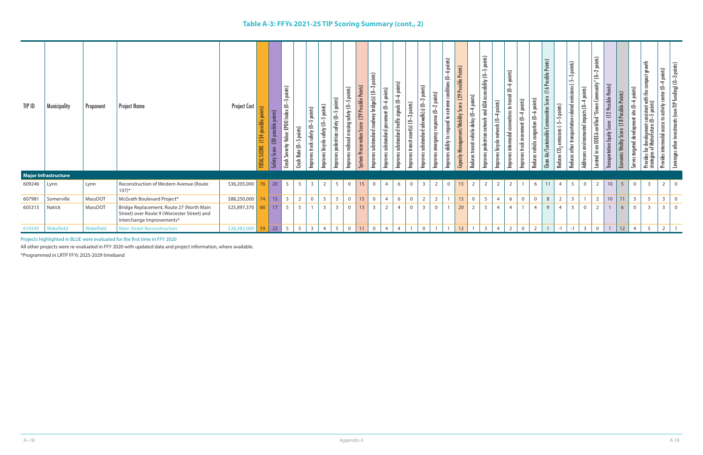| TIP ID | <b>Municipality</b>  | Proponent | <b>Project Name</b>                                                                                                  | <b>Project Cost</b> | points)<br>(134 possible<br><b>TOTAL SCORE</b> | is)<br>吕<br>(30 possible<br>Scor<br><b>Safety</b> | points)<br>5<br>ē<br>EPDO Index<br>ئة<br>늛<br>Severity<br>Crash | 5 points)<br>Rate $(0 -$<br>C <sub>nsh</sub> | points)<br>$\sim$<br>safety (0-<br>truck :<br>Improves | -5 points)<br>Improves bicycle safety (0- | points)<br>points)<br>$\sim$<br>Improves railroad crossing safety (0-<br>$\sim$<br>Improves pedestrian safety (O- | Points)<br>ossible<br>(29)<br>Score<br><b>System Preservation</b> | points)<br>က<br>bridge(s) (0-<br>dway<br>substandard roa<br><b>Improves</b> | -6 points)<br>$ent (0 -$<br>pavem<br>substandard<br>Improves | -6 points)<br>substandard traffic signals (0-<br>Improves | points)<br>ຕ<br>$aset(s)$ (0-<br>Improves transit | points)<br>S<br>substandard sidewalk(s) (0-<br>Improves : | -6 points)<br>5<br>conditions<br>nts)<br>힐<br>$\omega$<br>extrem<br>Ņ<br>$nse(0-$<br>respond to<br>gency<br>$\overline{a}$<br>ability<br>Improves<br>Improves | Possible Points)<br>(29)<br>ent/Mobility Score<br>Capacity Manage | nis)<br>힖<br>$\rightarrow$<br>delay (0-<br>Reduces transit vehicle | points)<br>$\sim$<br>and ADA accessibility (0-<br>estrian network<br>Improves ped | 4 points)<br>work (0-<br>net<br>bicycle<br>Improves | points)<br>$\bullet$<br>9.<br>怎<br>ins to trai<br>lection<br>dal co<br>intermoo<br>Improves | 4 points)<br>$ent (0 -$<br>Improves truck | -6 points)<br>congestion (0<br>vehicle<br>Reduces | Points)<br>Possible<br>16<br>Score<br>nunities<br>Clean Air/Sustainable | points)<br>$\sim$<br>$15(-5$<br>Reduces | 5 points)<br>emissions (-5<br>points)<br>-related<br>environmental impacts (0-<br>tation-<br>transport<br>other<br>Addresses<br>Reduces | points)<br>$\sim$<br>É<br>₹<br>පි<br>EOEEA-certified "Green<br>$\mathbf{g}% _{T}=\mathbf{g}_{T}=\mathbf{g}_{T}=\mathbf{g}_{T}=\mathbf{g}_{T}=\mathbf{g}_{T}=\mathbf{g}_{T}=\mathbf{g}_{T}=\mathbf{g}_{T}=\mathbf{g}_{T}=\mathbf{g}_{T}=\mathbf{g}_{T}=\mathbf{g}_{T}=\mathbf{g}_{T}=\mathbf{g}_{T}=\mathbf{g}_{T}=\mathbf{g}_{T}=\mathbf{g}_{T}=\mathbf{g}_{T}=\mathbf{g}_{T}=\mathbf{g}_{T}=\mathbf{g}_{T}=\mathbf{g}_{T}=\mathbf{g}_{T}=\mathbf{g}_{T}=\mathbf{g}_{T}=\mathbf{g}_{T}=\math$<br>Located in | (12 Possible Points)<br><b>Score</b><br>Equity<br><b>Transportation</b> | Possible Points)<br>omic Vitality | points)<br>$\div$<br>Serves targeted development site (0. | growth<br>ā<br>t consistent with the c<br>(0—5 points)<br>≏<br>develop<br>MetroFu<br>$\frac{5}{2}$<br>Provides<br>strat | 4 points)<br>9.<br>Provides intermodal access to activity center | -3 points)<br>Leverages other investments (non-TIP funding) (O- |
|--------|----------------------|-----------|----------------------------------------------------------------------------------------------------------------------|---------------------|------------------------------------------------|---------------------------------------------------|-----------------------------------------------------------------|----------------------------------------------|--------------------------------------------------------|-------------------------------------------|-------------------------------------------------------------------------------------------------------------------|-------------------------------------------------------------------|-----------------------------------------------------------------------------|--------------------------------------------------------------|-----------------------------------------------------------|---------------------------------------------------|-----------------------------------------------------------|---------------------------------------------------------------------------------------------------------------------------------------------------------------|-------------------------------------------------------------------|--------------------------------------------------------------------|-----------------------------------------------------------------------------------|-----------------------------------------------------|---------------------------------------------------------------------------------------------|-------------------------------------------|---------------------------------------------------|-------------------------------------------------------------------------|-----------------------------------------|-----------------------------------------------------------------------------------------------------------------------------------------|-------------------------------------------------------------------------------------------------------------------------------------------------------------------------------------------------------------------------------------------------------------------------------------------------------------------------------------------------------------------------------------------------------------------------------------------------------------------------------------------------------------|-------------------------------------------------------------------------|-----------------------------------|-----------------------------------------------------------|-------------------------------------------------------------------------------------------------------------------------|------------------------------------------------------------------|-----------------------------------------------------------------|
|        | Major Infrastructure |           |                                                                                                                      |                     |                                                |                                                   |                                                                 |                                              |                                                        |                                           |                                                                                                                   |                                                                   |                                                                             |                                                              |                                                           |                                                   |                                                           |                                                                                                                                                               |                                                                   |                                                                    |                                                                                   |                                                     |                                                                                             |                                           |                                                   |                                                                         |                                         |                                                                                                                                         |                                                                                                                                                                                                                                                                                                                                                                                                                                                                                                             |                                                                         |                                   |                                                           |                                                                                                                         |                                                                  |                                                                 |
| 609246 | Lynn                 | Lynn      | Reconstruction of Western Avenue (Route<br>$107$ <sup>*</sup>                                                        | \$36,205,000        | 76                                             | $\vert$ 20                                        | $5^{\circ}$                                                     | 5                                            |                                                        |                                           | $\overline{0}$                                                                                                    | 15                                                                |                                                                             |                                                              | -6                                                        | $\Omega$                                          |                                                           |                                                                                                                                                               | 15                                                                |                                                                    |                                                                                   | $\overline{2}$                                      |                                                                                             |                                           | -6                                                | 11                                                                      | $\overline{4}$                          | 5                                                                                                                                       | 2                                                                                                                                                                                                                                                                                                                                                                                                                                                                                                           | $10$                                                                    | $\overline{5}$                    | $\overline{0}$                                            | $\overline{3}$                                                                                                          | $2^{\circ}$                                                      | $\Omega$                                                        |
| 607981 | Somerville           | MassDOT   | McGrath Boulevard Project*                                                                                           | \$88,250,000        | 74                                             | 15                                                | $\mathbf{3}$                                                    | $\overline{2}$                               | $\overline{0}$                                         | 5                                         | 5<br>$\overline{0}$                                                                                               | 15                                                                | $\mathbf 0$                                                                 | $\overline{4}$                                               | 6                                                         | $\overline{0}$                                    | $\overline{2}$                                            | $\overline{2}$                                                                                                                                                | 15                                                                | $\mathbf 0$                                                        | 5                                                                                 | $\overline{4}$                                      | 6                                                                                           | $\overline{0}$                            | $\overline{0}$                                    | $\,8\,$                                                                 | $\overline{2}$                          | $\mathsf{3}$                                                                                                                            | $\overline{2}$                                                                                                                                                                                                                                                                                                                                                                                                                                                                                              | $10\,$                                                                  | 11                                | $\overline{\mathbf{3}}$                                   | 5                                                                                                                       | $\overline{3}$                                                   | $\overline{0}$                                                  |
| 605313 | Natick               | MassDOT   | Bridge Replacement, Route 27 (North Main<br>Street) over Route 9 (Worcester Street) and<br>Interchange Improvements* | \$25,897,370        | 66                                             | 17                                                | 5                                                               | 5                                            |                                                        |                                           | $\overline{3}$<br>$\overline{0}$                                                                                  | 13                                                                | $\overline{3}$                                                              | 2                                                            |                                                           | $\Omega$                                          | $\overline{3}$                                            | $\mathbf{0}$                                                                                                                                                  | 20                                                                |                                                                    | 5                                                                                 |                                                     |                                                                                             |                                           |                                                   | $\mathbf{q}$                                                            |                                         |                                                                                                                                         |                                                                                                                                                                                                                                                                                                                                                                                                                                                                                                             |                                                                         | 6                                 |                                                           | $\overline{3}$                                                                                                          | $\overline{3}$                                                   | $\overline{0}$                                                  |
|        | 610545   Wakefield   | Wakefield | <b>Main Street Reconstruction</b>                                                                                    | \$26,382,000        | 59                                             | 22                                                | $5\overline{)}$                                                 | $5\overline{)}$                              | $\overline{3}$                                         | $\overline{4}$                            | 5<br>$\overline{0}$                                                                                               | 11                                                                | $\overline{0}$                                                              |                                                              | $\overline{4}$                                            |                                                   |                                                           |                                                                                                                                                               | 12                                                                |                                                                    | $\overline{3}$                                                                    | $\overline{4}$                                      |                                                                                             | $\Omega$                                  | $\overline{2}$                                    |                                                                         | $-1$                                    |                                                                                                                                         | $\overline{3}$<br>$\Omega$                                                                                                                                                                                                                                                                                                                                                                                                                                                                                  |                                                                         | 12                                |                                                           |                                                                                                                         |                                                                  |                                                                 |

Projects highlighted in BLUE were evaluated for the first time in FFY 2020

All other projects were re-evaluated in FFY 2020 with updated data and project information, where available.

\*Programmed in LRTP FFYs 2025-2029 timeband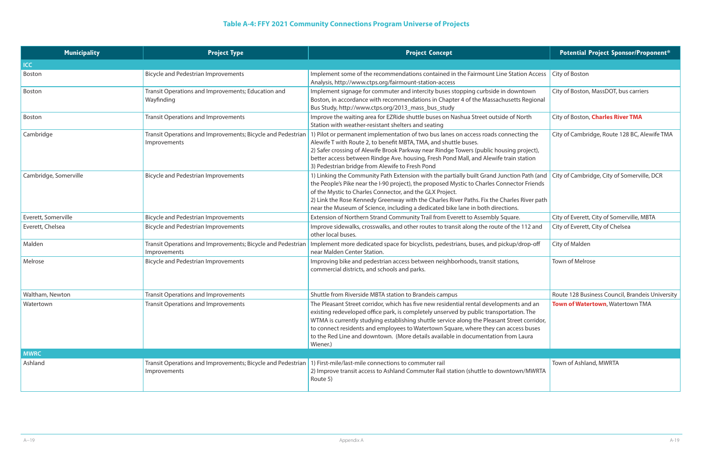# **Table A-4: FFY 2021 Community Connections Program Universe of Projects**

| <b>Municipality</b>   | <b>Project Type</b>                                                                                                              | <b>Project Concept</b>                                                                                                                                                                                                                                                                                                                                                                                                                                                            | <b>Potential Project Sponsor/Proponent*</b>     |
|-----------------------|----------------------------------------------------------------------------------------------------------------------------------|-----------------------------------------------------------------------------------------------------------------------------------------------------------------------------------------------------------------------------------------------------------------------------------------------------------------------------------------------------------------------------------------------------------------------------------------------------------------------------------|-------------------------------------------------|
| <b>ICC</b>            |                                                                                                                                  |                                                                                                                                                                                                                                                                                                                                                                                                                                                                                   |                                                 |
| Boston                | <b>Bicycle and Pedestrian Improvements</b>                                                                                       | Implement some of the recommendations contained in the Fairmount Line Station Access<br>Analysis, http://www.ctps.org/fairmount-station-access                                                                                                                                                                                                                                                                                                                                    | <b>City of Boston</b>                           |
| Boston                | Transit Operations and Improvements; Education and<br>Wayfinding                                                                 | Implement signage for commuter and intercity buses stopping curbside in downtown<br>Boston, in accordance with recommendations in Chapter 4 of the Massachusetts Regional<br>Bus Study, http://www.ctps.org/2013_mass_bus_study                                                                                                                                                                                                                                                   | City of Boston, MassDOT, bus carriers           |
| Boston                | <b>Transit Operations and Improvements</b>                                                                                       | Improve the waiting area for EZRide shuttle buses on Nashua Street outside of North<br>Station with weather-resistant shelters and seating                                                                                                                                                                                                                                                                                                                                        | City of Boston, Charles River TMA               |
| Cambridge             | Transit Operations and Improvements; Bicycle and Pedestrian<br>Improvements                                                      | 1) Pilot or permanent implementation of two bus lanes on access roads connecting the<br>Alewife T with Route 2, to benefit MBTA, TMA, and shuttle buses.<br>2) Safer crossing of Alewife Brook Parkway near Rindge Towers (public housing project),<br>better access between Rindge Ave. housing, Fresh Pond Mall, and Alewife train station<br>3) Pedestrian bridge from Alewife to Fresh Pond                                                                                   | City of Cambridge, Route 128 BC, Alewife TMA    |
| Cambridge, Somerville | <b>Bicycle and Pedestrian Improvements</b>                                                                                       | 1) Linking the Community Path Extension with the partially built Grand Junction Path (and   City of Cambridge, City of Somerville, DCR<br>the People's Pike near the I-90 project), the proposed Mystic to Charles Connector Friends<br>of the Mystic to Charles Connector, and the GLX Project.<br>2) Link the Rose Kennedy Greenway with the Charles River Paths. Fix the Charles River path<br>near the Museum of Science, including a dedicated bike lane in both directions. |                                                 |
| Everett, Somerville   | <b>Bicycle and Pedestrian Improvements</b>                                                                                       | Extension of Northern Strand Community Trail from Everett to Assembly Square.                                                                                                                                                                                                                                                                                                                                                                                                     | City of Everett, City of Somerville, MBTA       |
| Everett, Chelsea      | <b>Bicycle and Pedestrian Improvements</b>                                                                                       | Improve sidewalks, crosswalks, and other routes to transit along the route of the 112 and<br>other local buses.                                                                                                                                                                                                                                                                                                                                                                   | City of Everett, City of Chelsea                |
| Malden                | Transit Operations and Improvements; Bicycle and Pedestrian<br>Improvements                                                      | Implement more dedicated space for bicyclists, pedestrians, buses, and pickup/drop-off<br>near Malden Center Station.                                                                                                                                                                                                                                                                                                                                                             | City of Malden                                  |
| Melrose               | <b>Bicycle and Pedestrian Improvements</b>                                                                                       | Improving bike and pedestrian access between neighborhoods, transit stations,<br>commercial districts, and schools and parks.                                                                                                                                                                                                                                                                                                                                                     | <b>Town of Melrose</b>                          |
| Waltham, Newton       | <b>Transit Operations and Improvements</b>                                                                                       | Shuttle from Riverside MBTA station to Brandeis campus                                                                                                                                                                                                                                                                                                                                                                                                                            | Route 128 Business Council, Brandeis University |
| Watertown             | <b>Transit Operations and Improvements</b>                                                                                       | The Pleasant Street corridor, which has five new residential rental developments and an<br>existing redeveloped office park, is completely unserved by public transportation. The<br>WTMA is currently studying establishing shuttle service along the Pleasant Street corridor,<br>to connect residents and employees to Watertown Square, where they can access buses<br>to the Red Line and downtown. (More details available in documentation from Laura<br>Wiener.)          | Town of Watertown, Watertown TMA                |
| <b>MWRC</b>           |                                                                                                                                  |                                                                                                                                                                                                                                                                                                                                                                                                                                                                                   |                                                 |
| Ashland               | Transit Operations and Improvements; Bicycle and Pedestrian 1) First-mile/last-mile connections to commuter rail<br>Improvements | 2) Improve transit access to Ashland Commuter Rail station (shuttle to downtown/MWRTA<br>Route 5)                                                                                                                                                                                                                                                                                                                                                                                 | Town of Ashland, MWRTA                          |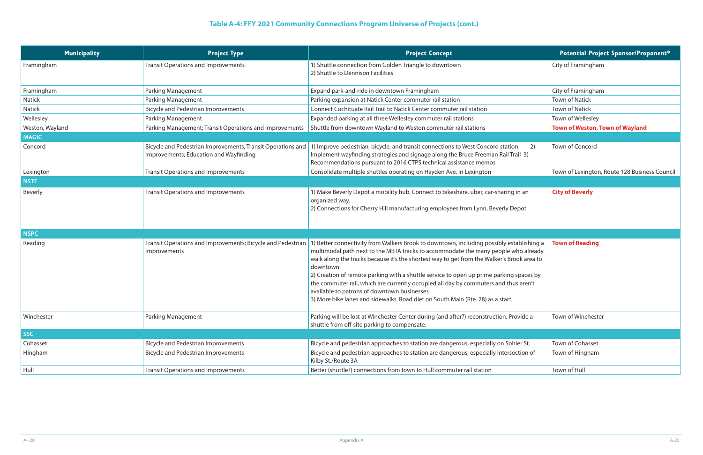# **Table A-4: FFY 2021 Community Connections Program Universe of Projects (cont.)**

| <b>Municipality</b> | <b>Project Type</b>                                                                                   | <b>Project Concept</b>                                                                                                                                                                                                                                                                                                                                                                                                                                                                                                                                                                                         | <b>Potential Project Sponsor/Proponent*</b>   |
|---------------------|-------------------------------------------------------------------------------------------------------|----------------------------------------------------------------------------------------------------------------------------------------------------------------------------------------------------------------------------------------------------------------------------------------------------------------------------------------------------------------------------------------------------------------------------------------------------------------------------------------------------------------------------------------------------------------------------------------------------------------|-----------------------------------------------|
| Framingham          | <b>Transit Operations and Improvements</b>                                                            | 1) Shuttle connection from Golden Triangle to downtown<br>2) Shuttle to Dennison Facilities                                                                                                                                                                                                                                                                                                                                                                                                                                                                                                                    | City of Framingham                            |
| Framingham          | <b>Parking Management</b>                                                                             | Expand park-and-ride in downtown Framingham                                                                                                                                                                                                                                                                                                                                                                                                                                                                                                                                                                    | City of Framingham                            |
| Natick              | <b>Parking Management</b>                                                                             | Parking expansion at Natick Center commuter rail station                                                                                                                                                                                                                                                                                                                                                                                                                                                                                                                                                       | <b>Town of Natick</b>                         |
| Natick              | <b>Bicycle and Pedestrian Improvements</b>                                                            | Connect Cochituate Rail Trail to Natick Center commuter rail station                                                                                                                                                                                                                                                                                                                                                                                                                                                                                                                                           | <b>Town of Natick</b>                         |
| Wellesley           | <b>Parking Management</b>                                                                             | Expanded parking at all three Wellesley commuter rail stations                                                                                                                                                                                                                                                                                                                                                                                                                                                                                                                                                 | Town of Wellesley                             |
| Weston, Wayland     | Parking Management; Transit Operations and Improvements                                               | Shuttle from downtown Wayland to Weston commuter rail stations                                                                                                                                                                                                                                                                                                                                                                                                                                                                                                                                                 | <b>Town of Weston, Town of Wayland</b>        |
| <b>MAGIC</b>        |                                                                                                       |                                                                                                                                                                                                                                                                                                                                                                                                                                                                                                                                                                                                                |                                               |
| Concord             | Bicycle and Pedestrian Improvements; Transit Operations and<br>Improvements; Education and Wayfinding | 1) Improve pedestrian, bicycle, and transit connections to West Concord station<br>2)<br>Implement wayfinding strategies and signage along the Bruce Freeman Rail Trail 3)<br>Recommendations pursuant to 2016 CTPS technical assistance memos                                                                                                                                                                                                                                                                                                                                                                 | Town of Concord                               |
| Lexington           | <b>Transit Operations and Improvements</b>                                                            | Consolidate multiple shuttles operating on Hayden Ave. in Lexington                                                                                                                                                                                                                                                                                                                                                                                                                                                                                                                                            | Town of Lexington, Route 128 Business Council |
| <b>NSTF</b>         |                                                                                                       |                                                                                                                                                                                                                                                                                                                                                                                                                                                                                                                                                                                                                |                                               |
| <b>Beverly</b>      | <b>Transit Operations and Improvements</b>                                                            | 1) Make Beverly Depot a mobility hub. Connect to bikeshare, uber, car-sharing in an<br>organized way.<br>2) Connections for Cherry Hill manufacturing employees from Lynn, Beverly Depot                                                                                                                                                                                                                                                                                                                                                                                                                       | <b>City of Beverly</b>                        |
| <b>NSPC</b>         |                                                                                                       |                                                                                                                                                                                                                                                                                                                                                                                                                                                                                                                                                                                                                |                                               |
| Reading             | Transit Operations and Improvements; Bicycle and Pedestrian<br>Improvements                           | 1) Better connectivity from Walkers Brook to downtown, including possibly establishing a<br>multimodal path next to the MBTA tracks to accommodate the many people who already<br>walk along the tracks because it's the shortest way to get from the Walker's Brook area to<br>downtown.<br>2) Creation of remote parking with a shuttle service to open up prime parking spaces by<br>the commuter rail, which are currently occupied all day by commuters and thus aren't<br>available to patrons of downtown businesses<br>3) More bike lanes and sidewalks. Road diet on South Main (Rte. 28) as a start. | <b>Town of Reading</b>                        |
| Winchester          | <b>Parking Management</b>                                                                             | Parking will be lost at Winchester Center during (and after?) reconstruction. Provide a<br>shuttle from off-site parking to compensate.                                                                                                                                                                                                                                                                                                                                                                                                                                                                        | Town of Winchester                            |
| <b>SSC</b>          |                                                                                                       |                                                                                                                                                                                                                                                                                                                                                                                                                                                                                                                                                                                                                |                                               |
| Cohasset            | <b>Bicycle and Pedestrian Improvements</b>                                                            | Bicycle and pedestrian approaches to station are dangerous, especially on Sohier St.                                                                                                                                                                                                                                                                                                                                                                                                                                                                                                                           | Town of Cohasset                              |
| Hingham             | <b>Bicycle and Pedestrian Improvements</b>                                                            | Bicycle and pedestrian approaches to station are dangerous, especially intersection of<br>Kilby St./Route 3A                                                                                                                                                                                                                                                                                                                                                                                                                                                                                                   | Town of Hingham                               |
| Hull                | <b>Transit Operations and Improvements</b>                                                            | Better (shuttle?) connections from town to Hull commuter rail station                                                                                                                                                                                                                                                                                                                                                                                                                                                                                                                                          | Town of Hull                                  |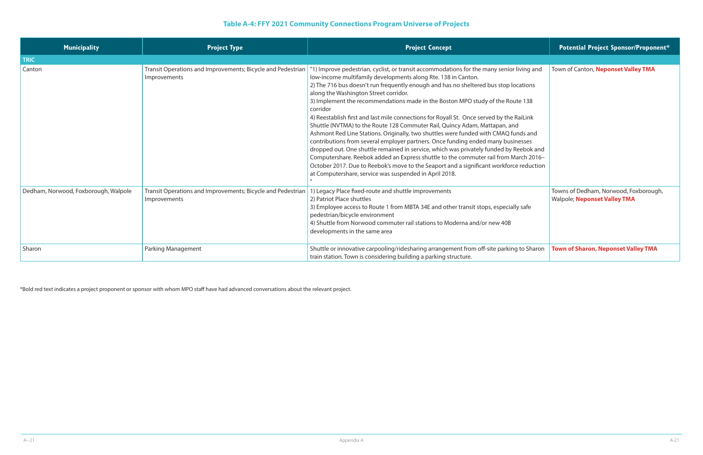# **Table A-4: FFY 2021 Community Connections Program Universe of Projects**

| <b>Municipality</b>                  | <b>Project Type</b>                                                         | <b>Project Concept</b>                                                                                                                                                                                                                                                                                                                                                                                                                                                                                                                                                                                                                                                                                                                                                                                                                                                                                                                                                                                                                                                                | <b>Potential Project Sponsor/Proponent*</b>                                  |
|--------------------------------------|-----------------------------------------------------------------------------|---------------------------------------------------------------------------------------------------------------------------------------------------------------------------------------------------------------------------------------------------------------------------------------------------------------------------------------------------------------------------------------------------------------------------------------------------------------------------------------------------------------------------------------------------------------------------------------------------------------------------------------------------------------------------------------------------------------------------------------------------------------------------------------------------------------------------------------------------------------------------------------------------------------------------------------------------------------------------------------------------------------------------------------------------------------------------------------|------------------------------------------------------------------------------|
| <b>TRIC</b>                          |                                                                             |                                                                                                                                                                                                                                                                                                                                                                                                                                                                                                                                                                                                                                                                                                                                                                                                                                                                                                                                                                                                                                                                                       |                                                                              |
| Canton                               | Transit Operations and Improvements; Bicycle and Pedestrian<br>Improvements | "1) Improve pedestrian, cyclist, or transit accommodations for the many senior living and<br>low-income multifamily developments along Rte. 138 in Canton.<br>2) The 716 bus doesn't run frequently enough and has no sheltered bus stop locations<br>along the Washington Street corridor.<br>3) Implement the recommendations made in the Boston MPO study of the Route 138<br>corridor<br>4) Reestablish first and last mile connections for Royall St. Once served by the RaiLink<br>Shuttle (NVTMA) to the Route 128 Commuter Rail, Quincy Adam, Mattapan, and<br>Ashmont Red Line Stations. Originally, two shuttles were funded with CMAQ funds and<br>contributions from several employer partners. Once funding ended many businesses<br>dropped out. One shuttle remained in service, which was privately funded by Reebok and<br>Computershare. Reebok added an Express shuttle to the commuter rail from March 2016-<br>October 2017. Due to Reebok's move to the Seaport and a significant workforce reduction<br>at Computershare, service was suspended in April 2018. | Town of Canton, Neponset Valley TMA                                          |
| Dedham, Norwood, Foxborough, Walpole | Transit Operations and Improvements; Bicycle and Pedestrian<br>Improvements | 1) Legacy Place fixed-route and shuttle improvements<br>2) Patriot Place shuttles<br>3) Employee access to Route 1 from MBTA 34E and other transit stops, especially safe<br>pedestrian/bicycle environment<br>4) Shuttle from Norwood commuter rail stations to Moderna and/or new 40B<br>developments in the same area                                                                                                                                                                                                                                                                                                                                                                                                                                                                                                                                                                                                                                                                                                                                                              | Towns of Dedham, Norwood, Foxborough,<br><b>Walpole; Neponset Valley TMA</b> |
| Sharon                               | <b>Parking Management</b>                                                   | Shuttle or innovative carpooling/ridesharing arrangement from off-site parking to Sharon<br>train station. Town is considering building a parking structure.                                                                                                                                                                                                                                                                                                                                                                                                                                                                                                                                                                                                                                                                                                                                                                                                                                                                                                                          | <b>Town of Sharon, Neponset Valley TMA</b>                                   |

|                                                                    | <b>Potential Project Sponsor/Proponent*</b>                                  |
|--------------------------------------------------------------------|------------------------------------------------------------------------------|
|                                                                    |                                                                              |
| iving and                                                          | Town of Canton, Neponset Valley TMA                                          |
| cations                                                            |                                                                              |
| te 138                                                             |                                                                              |
| aiLink<br>าds and<br>esses<br>eebok and<br>arch 2016–<br>reduction |                                                                              |
| <sub>/</sub> safe                                                  | Towns of Dedham, Norwood, Foxborough,<br><b>Walpole; Neponset Valley TMA</b> |
| to Sharon                                                          | <b>Town of Sharon, Neponset Valley TMA</b>                                   |

\*Bold red text indicates a project proponent or sponsor with whom MPO staff have had advanced conversations about the relevant project.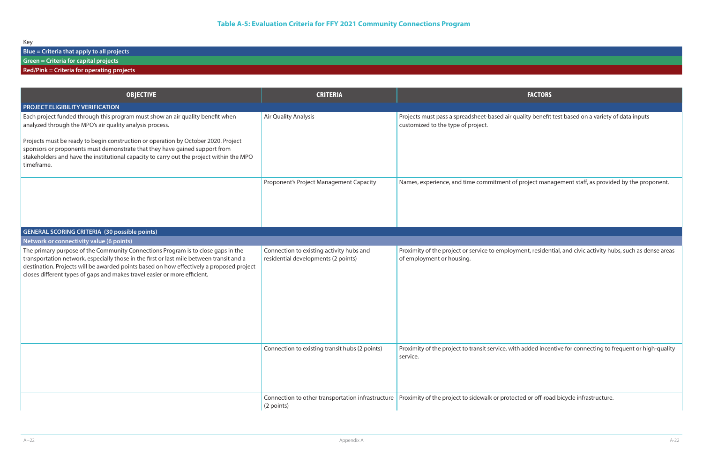quality benefit test based on a variety of data inputs

f project management staff, as provided by the proponent.

yment, residential, and civic activity hubs, such as dense areas

ith added incentive for connecting to frequent or high-quality

cted or off-road bicycle infrastructure.

Key

**Blue = Criteria that apply to all project**s

**Green = Criteria for capital projects**

### **Red/Pink = Criteria for operating projects**

| <b>OBJECTIVE</b>                                                                                                                                                                                                                                                                                                                                      | <b>CRITERIA</b>                                                                 | <b>FACTORS</b>                                                                                                   |
|-------------------------------------------------------------------------------------------------------------------------------------------------------------------------------------------------------------------------------------------------------------------------------------------------------------------------------------------------------|---------------------------------------------------------------------------------|------------------------------------------------------------------------------------------------------------------|
| <b>PROJECT ELIGIBILITY VERIFICATION</b>                                                                                                                                                                                                                                                                                                               |                                                                                 |                                                                                                                  |
| Each project funded through this program must show an air quality benefit when<br>analyzed through the MPO's air quality analysis process.                                                                                                                                                                                                            | Air Quality Analysis                                                            | Projects must pass a spreadsheet-based air quality benefit<br>customized to the type of project.                 |
| Projects must be ready to begin construction or operation by October 2020. Project<br>sponsors or proponents must demonstrate that they have gained support from<br>stakeholders and have the institutional capacity to carry out the project within the MPO<br>timeframe.                                                                            |                                                                                 |                                                                                                                  |
|                                                                                                                                                                                                                                                                                                                                                       | Proponent's Project Management Capacity                                         | Names, experience, and time commitment of project man                                                            |
| <b>GENERAL SCORING CRITERIA (30 possible points)</b>                                                                                                                                                                                                                                                                                                  |                                                                                 |                                                                                                                  |
| Network or connectivity value (6 points)                                                                                                                                                                                                                                                                                                              |                                                                                 |                                                                                                                  |
| The primary purpose of the Community Connections Program is to close gaps in the<br>transportation network, especially those in the first or last mile between transit and a<br>destination. Projects will be awarded points based on how effectively a proposed project<br>closes different types of gaps and makes travel easier or more efficient. | Connection to existing activity hubs and<br>residential developments (2 points) | Proximity of the project or service to employment, residen<br>of employment or housing.                          |
|                                                                                                                                                                                                                                                                                                                                                       | Connection to existing transit hubs (2 points)                                  | Proximity of the project to transit service, with added ince<br>service.                                         |
|                                                                                                                                                                                                                                                                                                                                                       | (2 points)                                                                      | Connection to other transportation infrastructure   Proximity of the project to sidewalk or protected or off-roa |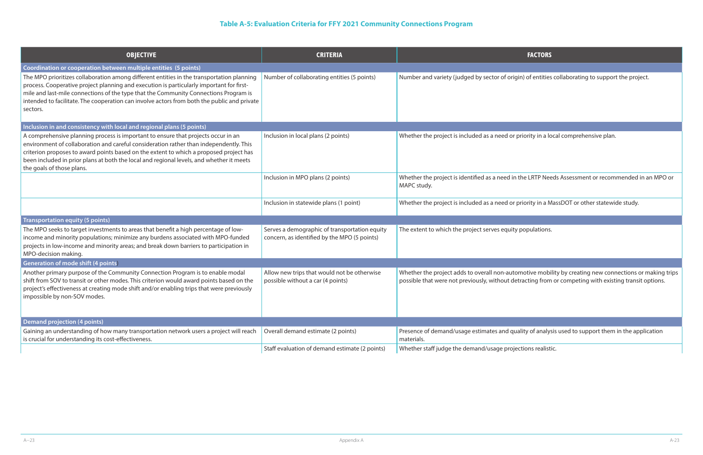igin) of entities collaborating to support the project.

Inclusion in a local comprehensive plan.

n the LRTP Needs Assessment or recommended in an MPO or

Inclusion in a MassDOT or other statewide study.

ty populations.

tomotive mobility by creating new connections or making trips letracting from or competing with existing transit options.

uality of analysis used to support them in the application

ections realistic.

## **Table A-5: Evaluation Criteria for FFY 2021 Community Connections Program**

| <b>OBJECTIVE</b>                                                                                                                                                                                                                                                                                                                                                                                                                                             | <b>CRITERIA</b>                                                                               | <b>FACTORS</b>                                                                                                        |
|--------------------------------------------------------------------------------------------------------------------------------------------------------------------------------------------------------------------------------------------------------------------------------------------------------------------------------------------------------------------------------------------------------------------------------------------------------------|-----------------------------------------------------------------------------------------------|-----------------------------------------------------------------------------------------------------------------------|
| Coordination or cooperation between multiple entities (5 points)<br>The MPO prioritizes collaboration among different entities in the transportation planning<br>process. Cooperative project planning and execution is particularly important for first-<br>mile and last-mile connections of the type that the Community Connections Program is<br>intended to facilitate. The cooperation can involve actors from both the public and private<br>sectors. | Number of collaborating entities (5 points)                                                   | Number and variety (judged by sector of origin) of entities                                                           |
| Inclusion in and consistency with local and regional plans (5 points)                                                                                                                                                                                                                                                                                                                                                                                        |                                                                                               |                                                                                                                       |
| A comprehensive planning process is important to ensure that projects occur in an<br>environment of collaboration and careful consideration rather than independently. This<br>criterion proposes to award points based on the extent to which a proposed project has<br>been included in prior plans at both the local and regional levels, and whether it meets<br>the goals of those plans.                                                               | Inclusion in local plans (2 points)                                                           | Whether the project is included as a need or priority in a lo                                                         |
|                                                                                                                                                                                                                                                                                                                                                                                                                                                              | Inclusion in MPO plans (2 points)                                                             | Whether the project is identified as a need in the LRTP Nee<br>MAPC study.                                            |
|                                                                                                                                                                                                                                                                                                                                                                                                                                                              | Inclusion in statewide plans (1 point)                                                        | Whether the project is included as a need or priority in a M                                                          |
| <b>Transportation equity (5 points)</b>                                                                                                                                                                                                                                                                                                                                                                                                                      |                                                                                               |                                                                                                                       |
| The MPO seeks to target investments to areas that benefit a high percentage of low-<br>income and minority populations; minimize any burdens associated with MPO-funded<br>projects in low-income and minority areas; and break down barriers to participation in<br>MPO-decision making.<br><b>Generation of mode shift (4 points)</b>                                                                                                                      | Serves a demographic of transportation equity<br>concern, as identified by the MPO (5 points) | The extent to which the project serves equity populations.                                                            |
| Another primary purpose of the Community Connection Program is to enable modal<br>shift from SOV to transit or other modes. This criterion would award points based on the<br>project's effectiveness at creating mode shift and/or enabling trips that were previously<br>impossible by non-SOV modes.                                                                                                                                                      | Allow new trips that would not be otherwise<br>possible without a car (4 points)              | Whether the project adds to overall non-automotive mobi<br>possible that were not previously, without detracting from |
| <b>Demand projection (4 points)</b>                                                                                                                                                                                                                                                                                                                                                                                                                          |                                                                                               |                                                                                                                       |
| Gaining an understanding of how many transportation network users a project will reach<br>is crucial for understanding its cost-effectiveness.                                                                                                                                                                                                                                                                                                               | Overall demand estimate (2 points)                                                            | Presence of demand/usage estimates and quality of analys<br>materials.                                                |
|                                                                                                                                                                                                                                                                                                                                                                                                                                                              | Staff evaluation of demand estimate (2 points)                                                | Whether staff judge the demand/usage projections realist                                                              |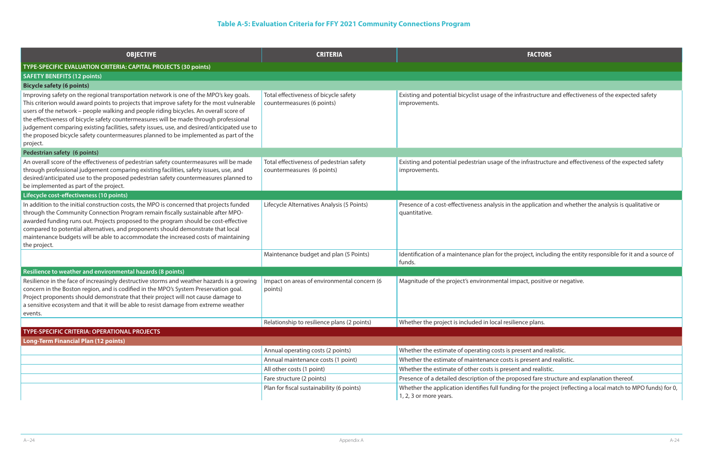exinfrastructure and effectiveness of the expected safety

the infrastructure and effectiveness of the expected safety

the application and whether the analysis is qualitative or

get and points) including the entity responsible for it and a source of  $\epsilon$ 

mpact, positive or negative.

oresent and realistic.

s is present and realistic.

ent and realistic.

pposed fare structure and explanation thereof.

ing for the project (reflecting a local match to MPO funds) for 0,

## **Table A-5: Evaluation Criteria for FFY 2021 Community Connections Program**

| <b>OBJECTIVE</b>                                                                                                                                                                                                                                                                                                                                                                                                                                                                                                                                                         | <b>CRITERIA</b>                                                        | <b>FACTORS</b>                                                                         |
|--------------------------------------------------------------------------------------------------------------------------------------------------------------------------------------------------------------------------------------------------------------------------------------------------------------------------------------------------------------------------------------------------------------------------------------------------------------------------------------------------------------------------------------------------------------------------|------------------------------------------------------------------------|----------------------------------------------------------------------------------------|
| TYPE-SPECIFIC EVALUATION CRITERIA: CAPITAL PROJECTS (30 points)                                                                                                                                                                                                                                                                                                                                                                                                                                                                                                          |                                                                        |                                                                                        |
| <b>SAFETY BENEFITS (12 points)</b>                                                                                                                                                                                                                                                                                                                                                                                                                                                                                                                                       |                                                                        |                                                                                        |
| <b>Bicycle safety (6 points)</b>                                                                                                                                                                                                                                                                                                                                                                                                                                                                                                                                         |                                                                        |                                                                                        |
| Improving safety on the regional transportation network is one of the MPO's key goals.<br>This criterion would award points to projects that improve safety for the most vulnerable<br>users of the network - people walking and people riding bicycles. An overall score of<br>the effectiveness of bicycle safety countermeasures will be made through professional<br>judgement comparing existing facilities, safety issues, use, and desired/anticipated use to<br>the proposed bicycle safety countermeasures planned to be implemented as part of the<br>project. | Total effectiveness of bicycle safety<br>countermeasures (6 points)    | Existing and potential bicyclist usage of the infrastructure<br>improvements.          |
| Pedestrian safety (6 points)                                                                                                                                                                                                                                                                                                                                                                                                                                                                                                                                             |                                                                        |                                                                                        |
| An overall score of the effectiveness of pedestrian safety countermeasures will be made<br>through professional judgement comparing existing facilities, safety issues, use, and<br>desired/anticipated use to the proposed pedestrian safety countermeasures planned to<br>be implemented as part of the project.                                                                                                                                                                                                                                                       | Total effectiveness of pedestrian safety<br>countermeasures (6 points) | Existing and potential pedestrian usage of the infrastructu<br>improvements.           |
| Lifecycle cost-effectiveness (10 points)                                                                                                                                                                                                                                                                                                                                                                                                                                                                                                                                 |                                                                        |                                                                                        |
| In addition to the initial construction costs, the MPO is concerned that projects funded<br>through the Community Connection Program remain fiscally sustainable after MPO-<br>awarded funding runs out. Projects proposed to the program should be cost-effective<br>compared to potential alternatives, and proponents should demonstrate that local<br>maintenance budgets will be able to accommodate the increased costs of maintaining<br>the project.                                                                                                             | Lifecycle Alternatives Analysis (5 Points)                             | Presence of a cost-effectiveness analysis in the application<br>quantitative.          |
|                                                                                                                                                                                                                                                                                                                                                                                                                                                                                                                                                                          | Maintenance budget and plan (5 Points)                                 | Identification of a maintenance plan for the project, includ<br>funds.                 |
| Resilience to weather and environmental hazards (8 points)                                                                                                                                                                                                                                                                                                                                                                                                                                                                                                               |                                                                        |                                                                                        |
| Resilience in the face of increasingly destructive storms and weather hazards is a growing<br>concern in the Boston region, and is codified in the MPO's System Preservation goal.<br>Project proponents should demonstrate that their project will not cause damage to<br>a sensitive ecosystem and that it will be able to resist damage from extreme weather<br>events.                                                                                                                                                                                               | Impact on areas of environmental concern (6<br>points)                 | Magnitude of the project's environmental impact, positive                              |
|                                                                                                                                                                                                                                                                                                                                                                                                                                                                                                                                                                          | Relationship to resilience plans (2 points)                            | Whether the project is included in local resilience plans.                             |
| <b>TYPE-SPECIFIC CRITERIA: OPERATIONAL PROJECTS</b>                                                                                                                                                                                                                                                                                                                                                                                                                                                                                                                      |                                                                        |                                                                                        |
| <b>Long-Term Financial Plan (12 points)</b>                                                                                                                                                                                                                                                                                                                                                                                                                                                                                                                              |                                                                        |                                                                                        |
|                                                                                                                                                                                                                                                                                                                                                                                                                                                                                                                                                                          | Annual operating costs (2 points)                                      | Whether the estimate of operating costs is present and rea                             |
|                                                                                                                                                                                                                                                                                                                                                                                                                                                                                                                                                                          | Annual maintenance costs (1 point)                                     | Whether the estimate of maintenance costs is present and                               |
|                                                                                                                                                                                                                                                                                                                                                                                                                                                                                                                                                                          | All other costs (1 point)                                              | Whether the estimate of other costs is present and realistic                           |
|                                                                                                                                                                                                                                                                                                                                                                                                                                                                                                                                                                          | Fare structure (2 points)                                              | Presence of a detailed description of the proposed fare str                            |
|                                                                                                                                                                                                                                                                                                                                                                                                                                                                                                                                                                          | Plan for fiscal sustainability (6 points)                              | Whether the application identifies full funding for the proj<br>1, 2, 3 or more years. |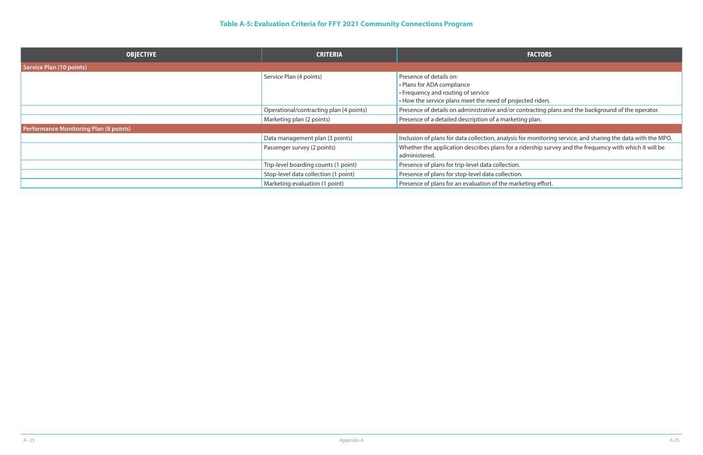r contracting plans and the background of the operator.

If for monitoring service, and sharing the data with the MPO. a ridership survey and the frequency with which it will be

arketing effort.

## **Table A-5: Evaluation Criteria for FFY 2021 Community Connections Program**

| <b>OBJECTIVE</b>                              | <b>CRITERIA</b>                         | <b>FACTORS</b>                                                                                                                                           |
|-----------------------------------------------|-----------------------------------------|----------------------------------------------------------------------------------------------------------------------------------------------------------|
| Service Plan (10 points)                      |                                         |                                                                                                                                                          |
|                                               | Service Plan (4 points)                 | Presence of details on:<br>• Plans for ADA compliance<br>• Frequency and routing of service<br>• How the service plans meet the need of projected riders |
|                                               | Operational/contracting plan (4 points) | Presence of details on administrative and/or contracting p                                                                                               |
|                                               | Marketing plan (2 points)               | Presence of a detailed description of a marketing plan.                                                                                                  |
| <b>Performance Monitoring Plan (8 points)</b> |                                         |                                                                                                                                                          |
|                                               | Data management plan (3 points)         | Inclusion of plans for data collection, analysis for monitorin                                                                                           |
|                                               | Passenger survey (2 points)             | Whether the application describes plans for a ridership sur<br>administered.                                                                             |
|                                               | Trip-level boarding counts (1 point)    | Presence of plans for trip-level data collection.                                                                                                        |
|                                               | Stop-level data collection (1 point)    | Presence of plans for stop-level data collection.                                                                                                        |
|                                               | Marketing evaluation (1 point)          | Presence of plans for an evaluation of the marketing effort                                                                                              |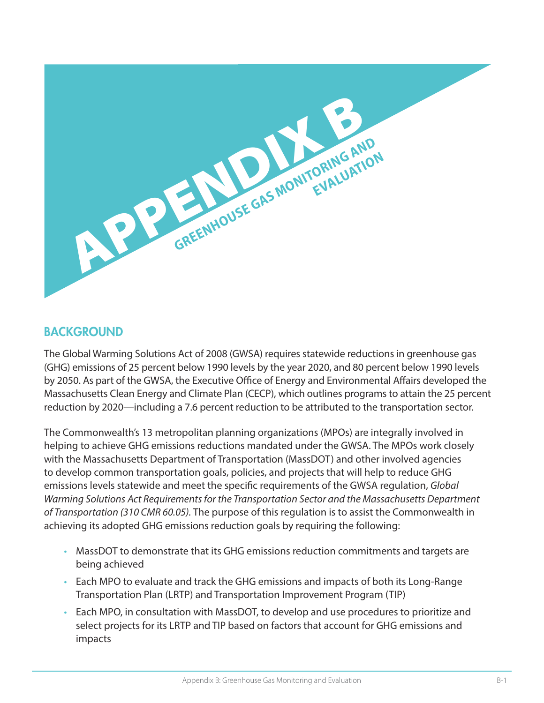

### **BACKGROUND**

The Global Warming Solutions Act of 2008 (GWSA) requires statewide reductions in greenhouse gas (GHG) emissions of 25 percent below 1990 levels by the year 2020, and 80 percent below 1990 levels by 2050. As part of the GWSA, the Executive Office of Energy and Environmental Affairs developed the Massachusetts Clean Energy and Climate Plan (CECP), which outlines programs to attain the 25 percent reduction by 2020—including a 7.6 percent reduction to be attributed to the transportation sector.

The Commonwealth's 13 metropolitan planning organizations (MPOs) are integrally involved in helping to achieve GHG emissions reductions mandated under the GWSA. The MPOs work closely with the Massachusetts Department of Transportation (MassDOT) and other involved agencies to develop common transportation goals, policies, and projects that will help to reduce GHG emissions levels statewide and meet the specific requirements of the GWSA regulation, *Global Warming Solutions Act Requirements for the Transportation Sector and the Massachusetts Department of Transportation (310 CMR 60.05).* The purpose of this regulation is to assist the Commonwealth in achieving its adopted GHG emissions reduction goals by requiring the following:

- MassDOT to demonstrate that its GHG emissions reduction commitments and targets are being achieved
- Each MPO to evaluate and track the GHG emissions and impacts of both its Long-Range Transportation Plan (LRTP) and Transportation Improvement Program (TIP)
- Each MPO, in consultation with MassDOT, to develop and use procedures to prioritize and select projects for its LRTP and TIP based on factors that account for GHG emissions and impacts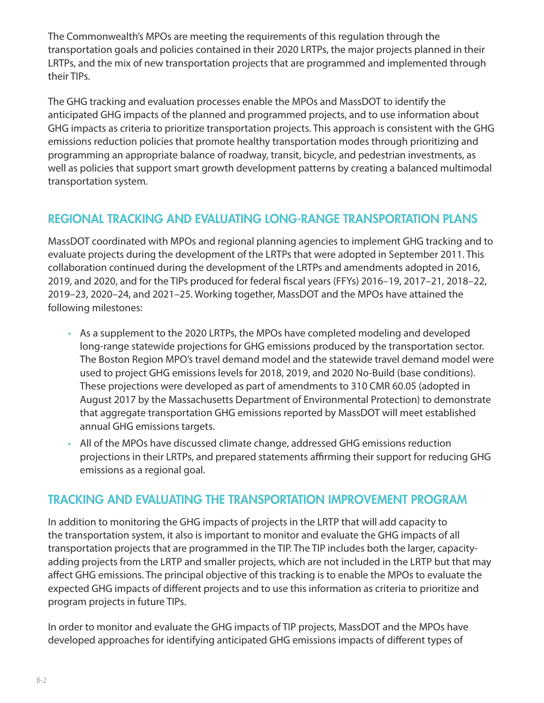The Commonwealth's MPOs are meeting the requirements of this regulation through the transportation goals and policies contained in their 2020 LRTPs, the major projects planned in their LRTPs, and the mix of new transportation projects that are programmed and implemented through their TIPs.

The GHG tracking and evaluation processes enable the MPOs and MassDOT to identify the anticipated GHG impacts of the planned and programmed projects, and to use information about GHG impacts as criteria to prioritize transportation projects. This approach is consistent with the GHG emissions reduction policies that promote healthy transportation modes through prioritizing and programming an appropriate balance of roadway, transit, bicycle, and pedestrian investments, as well as policies that support smart growth development patterns by creating a balanced multimodal transportation system.

## REGIONAL TRACKING AND EVALUATING LONG-RANGE TRANSPORTATION PLANS

MassDOT coordinated with MPOs and regional planning agencies to implement GHG tracking and to evaluate projects during the development of the LRTPs that were adopted in September 2011. This collaboration continued during the development of the LRTPs and amendments adopted in 2016, 2019, and 2020, and for the TIPs produced for federal fiscal years (FFYs) 2016–19, 2017–21, 2018–22, 2019–23, 2020–24, and 2021–25. Working together, MassDOT and the MPOs have attained the following milestones:

- As a supplement to the 2020 LRTPs, the MPOs have completed modeling and developed long-range statewide projections for GHG emissions produced by the transportation sector. The Boston Region MPO's travel demand model and the statewide travel demand model were used to project GHG emissions levels for 2018, 2019, and 2020 No-Build (base conditions). These projections were developed as part of amendments to 310 CMR 60.05 (adopted in August 2017 by the Massachusetts Department of Environmental Protection) to demonstrate that aggregate transportation GHG emissions reported by MassDOT will meet established annual GHG emissions targets.
- All of the MPOs have discussed climate change, addressed GHG emissions reduction projections in their LRTPs, and prepared statements affirming their support for reducing GHG emissions as a regional goal.

### TRACKING AND EVALUATING THE TRANSPORTATION IMPROVEMENT PROGRAM

In addition to monitoring the GHG impacts of projects in the LRTP that will add capacity to the transportation system, it also is important to monitor and evaluate the GHG impacts of all transportation projects that are programmed in the TIP. The TIP includes both the larger, capacityadding projects from the LRTP and smaller projects, which are not included in the LRTP but that may affect GHG emissions. The principal objective of this tracking is to enable the MPOs to evaluate the expected GHG impacts of different projects and to use this information as criteria to prioritize and program projects in future TIPs.

In order to monitor and evaluate the GHG impacts of TIP projects, MassDOT and the MPOs have developed approaches for identifying anticipated GHG emissions impacts of different types of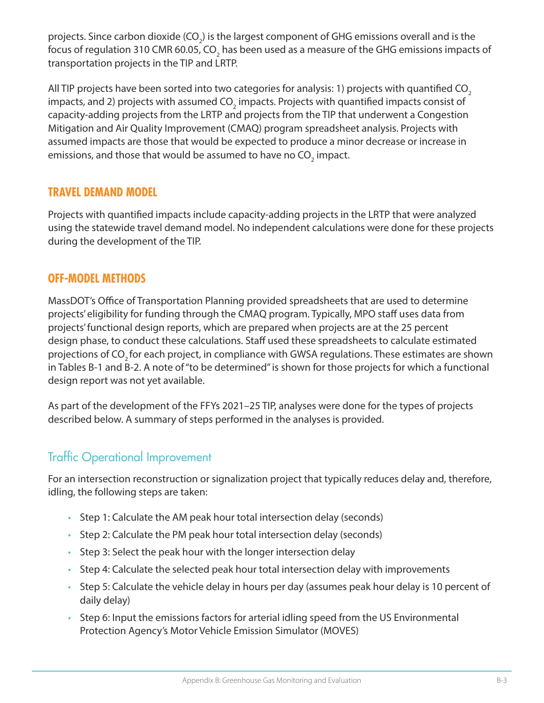projects. Since carbon dioxide (CO<sub>2</sub>) is the largest component of GHG emissions overall and is the focus of regulation 310 CMR 60.05, CO<sub>2</sub> has been used as a measure of the GHG emissions impacts of transportation projects in the TIP and LRTP.

All TIP projects have been sorted into two categories for analysis: 1) projects with quantified CO<sub>2</sub> impacts, and 2) projects with assumed CO $_{_2}$  impacts. Projects with quantified impacts consist of capacity-adding projects from the LRTP and projects from the TIP that underwent a Congestion Mitigation and Air Quality Improvement (CMAQ) program spreadsheet analysis. Projects with assumed impacts are those that would be expected to produce a minor decrease or increase in emissions, and those that would be assumed to have no CO<sub>2</sub> impact.

### **TRAVEL DEMAND MODEL**

Projects with quantified impacts include capacity-adding projects in the LRTP that were analyzed using the statewide travel demand model. No independent calculations were done for these projects during the development of the TIP.

### **OFF-MODEL METHODS**

MassDOT's Office of Transportation Planning provided spreadsheets that are used to determine projects' eligibility for funding through the CMAQ program. Typically, MPO staff uses data from projects' functional design reports, which are prepared when projects are at the 25 percent design phase, to conduct these calculations. Staff used these spreadsheets to calculate estimated projections of CO<sub>2</sub> for each project, in compliance with GWSA regulations. These estimates are shown in Tables B-1 and B-2. A note of "to be determined" is shown for those projects for which a functional design report was not yet available.

As part of the development of the FFYs 2021–25 TIP, analyses were done for the types of projects described below. A summary of steps performed in the analyses is provided.

## Traffic Operational Improvement

For an intersection reconstruction or signalization project that typically reduces delay and, therefore, idling, the following steps are taken:

- Step 1: Calculate the AM peak hour total intersection delay (seconds)
- Step 2: Calculate the PM peak hour total intersection delay (seconds)
- Step 3: Select the peak hour with the longer intersection delay
- Step 4: Calculate the selected peak hour total intersection delay with improvements
- Step 5: Calculate the vehicle delay in hours per day (assumes peak hour delay is 10 percent of daily delay)
- Step 6: Input the emissions factors for arterial idling speed from the US Environmental Protection Agency's Motor Vehicle Emission Simulator (MOVES)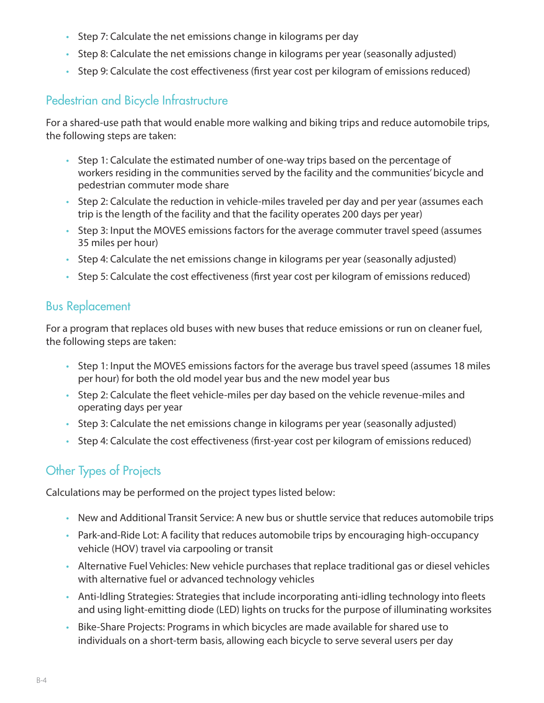- Step 7: Calculate the net emissions change in kilograms per day
- Step 8: Calculate the net emissions change in kilograms per year (seasonally adjusted)
- Step 9: Calculate the cost effectiveness (first year cost per kilogram of emissions reduced)

# Pedestrian and Bicycle Infrastructure

For a shared-use path that would enable more walking and biking trips and reduce automobile trips, the following steps are taken:

- Step 1: Calculate the estimated number of one-way trips based on the percentage of workers residing in the communities served by the facility and the communities' bicycle and pedestrian commuter mode share
- Step 2: Calculate the reduction in vehicle-miles traveled per day and per year (assumes each trip is the length of the facility and that the facility operates 200 days per year)
- Step 3: Input the MOVES emissions factors for the average commuter travel speed (assumes 35 miles per hour)
- Step 4: Calculate the net emissions change in kilograms per year (seasonally adjusted)
- Step 5: Calculate the cost effectiveness (first year cost per kilogram of emissions reduced)

## Bus Replacement

For a program that replaces old buses with new buses that reduce emissions or run on cleaner fuel, the following steps are taken:

- Step 1: Input the MOVES emissions factors for the average bus travel speed (assumes 18 miles per hour) for both the old model year bus and the new model year bus
- Step 2: Calculate the fleet vehicle-miles per day based on the vehicle revenue-miles and operating days per year
- Step 3: Calculate the net emissions change in kilograms per year (seasonally adjusted)
- Step 4: Calculate the cost effectiveness (first-year cost per kilogram of emissions reduced)

# Other Types of Projects

Calculations may be performed on the project types listed below:

- New and Additional Transit Service: A new bus or shuttle service that reduces automobile trips
- Park-and-Ride Lot: A facility that reduces automobile trips by encouraging high-occupancy vehicle (HOV) travel via carpooling or transit
- Alternative Fuel Vehicles: New vehicle purchases that replace traditional gas or diesel vehicles with alternative fuel or advanced technology vehicles
- Anti-Idling Strategies: Strategies that include incorporating anti-idling technology into fleets and using light-emitting diode (LED) lights on trucks for the purpose of illuminating worksites
- Bike-Share Projects: Programs in which bicycles are made available for shared use to individuals on a short-term basis, allowing each bicycle to serve several users per day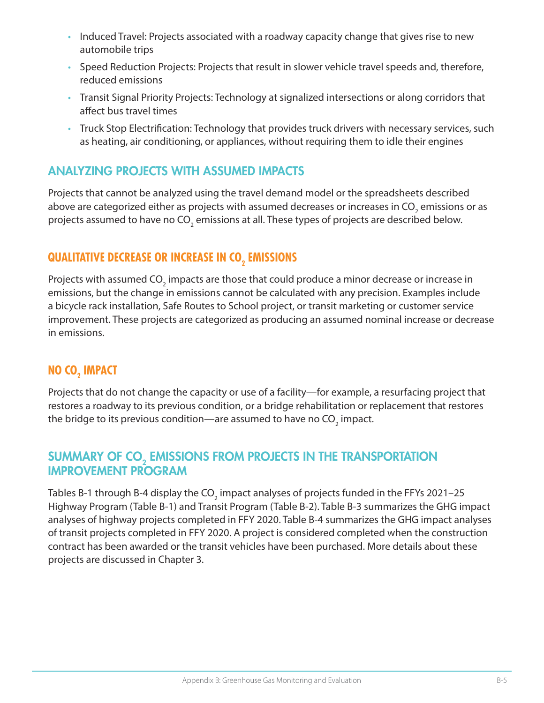- Induced Travel: Projects associated with a roadway capacity change that gives rise to new automobile trips
- Speed Reduction Projects: Projects that result in slower vehicle travel speeds and, therefore, reduced emissions
- Transit Signal Priority Projects: Technology at signalized intersections or along corridors that affect bus travel times
- Truck Stop Electrification: Technology that provides truck drivers with necessary services, such as heating, air conditioning, or appliances, without requiring them to idle their engines

## ANALYZING PROJECTS WITH ASSUMED IMPACTS

Projects that cannot be analyzed using the travel demand model or the spreadsheets described above are categorized either as projects with assumed decreases or increases in CO<sub>2</sub> emissions or as projects assumed to have no CO<sub>2</sub> emissions at all. These types of projects are described below.

# QUALITATIVE DECREASE OR INCREASE IN CO<sub>2</sub> EMISSIONS

Projects with assumed CO $_{_2}$  impacts are those that could produce a minor decrease or increase in emissions, but the change in emissions cannot be calculated with any precision. Examples include a bicycle rack installation, Safe Routes to School project, or transit marketing or customer service improvement. These projects are categorized as producing an assumed nominal increase or decrease in emissions.

# **NO CO** $_{\text{2}}$  **IMPACT**

Projects that do not change the capacity or use of a facility—for example, a resurfacing project that restores a roadway to its previous condition, or a bridge rehabilitation or replacement that restores the bridge to its previous condition—are assumed to have no CO $_2$  impact.

## SUMMARY OF CO<sub>2</sub> EMISSIONS FROM PROJECTS IN THE TRANSPORTATION IMPROVEMENT PROGRAM

Tables B-1 through B-4 display the CO $_{_2}$  impact analyses of projects funded in the FFYs 2021–25  $\,$ Highway Program (Table B-1) and Transit Program (Table B-2). Table B-3 summarizes the GHG impact analyses of highway projects completed in FFY 2020. Table B-4 summarizes the GHG impact analyses of transit projects completed in FFY 2020. A project is considered completed when the construction contract has been awarded or the transit vehicles have been purchased. More details about these projects are discussed in Chapter 3.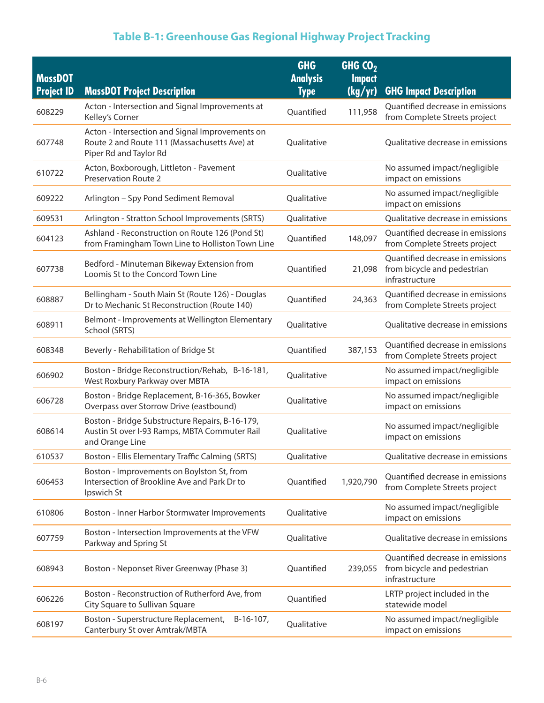| <b>MassDOT</b>    |                                                                                                                           | <b>GHG</b><br><b>Analysis</b> | GHG $CO2$<br><b>Impact</b> |                                                                                   |
|-------------------|---------------------------------------------------------------------------------------------------------------------------|-------------------------------|----------------------------|-----------------------------------------------------------------------------------|
| <b>Project ID</b> | <b>MassDOT Project Description</b>                                                                                        | <b>Type</b>                   | (kg/yr)                    | <b>GHG Impact Description</b>                                                     |
| 608229            | Acton - Intersection and Signal Improvements at<br>Kelley's Corner                                                        | Quantified                    | 111,958                    | Quantified decrease in emissions<br>from Complete Streets project                 |
| 607748            | Acton - Intersection and Signal Improvements on<br>Route 2 and Route 111 (Massachusetts Ave) at<br>Piper Rd and Taylor Rd | Oualitative                   |                            | Qualitative decrease in emissions                                                 |
| 610722            | Acton, Boxborough, Littleton - Pavement<br><b>Preservation Route 2</b>                                                    | Qualitative                   |                            | No assumed impact/negligible<br>impact on emissions                               |
| 609222            | Arlington - Spy Pond Sediment Removal                                                                                     | Qualitative                   |                            | No assumed impact/negligible<br>impact on emissions                               |
| 609531            | Arlington - Stratton School Improvements (SRTS)                                                                           | Qualitative                   |                            | Qualitative decrease in emissions                                                 |
| 604123            | Ashland - Reconstruction on Route 126 (Pond St)<br>from Framingham Town Line to Holliston Town Line                       | Quantified                    | 148,097                    | Quantified decrease in emissions<br>from Complete Streets project                 |
| 607738            | Bedford - Minuteman Bikeway Extension from<br>Loomis St to the Concord Town Line                                          | Quantified                    | 21,098                     | Quantified decrease in emissions<br>from bicycle and pedestrian<br>infrastructure |
| 608887            | Bellingham - South Main St (Route 126) - Douglas<br>Dr to Mechanic St Reconstruction (Route 140)                          | Quantified                    | 24,363                     | Quantified decrease in emissions<br>from Complete Streets project                 |
| 608911            | Belmont - Improvements at Wellington Elementary<br>School (SRTS)                                                          | Qualitative                   |                            | Qualitative decrease in emissions                                                 |
| 608348            | Beverly - Rehabilitation of Bridge St                                                                                     | Quantified                    | 387,153                    | Quantified decrease in emissions<br>from Complete Streets project                 |
| 606902            | Boston - Bridge Reconstruction/Rehab, B-16-181,<br>West Roxbury Parkway over MBTA                                         | Qualitative                   |                            | No assumed impact/negligible<br>impact on emissions                               |
| 606728            | Boston - Bridge Replacement, B-16-365, Bowker<br>Overpass over Storrow Drive (eastbound)                                  | Qualitative                   |                            | No assumed impact/negligible<br>impact on emissions                               |
| 608614            | Boston - Bridge Substructure Repairs, B-16-179,<br>Austin St over I-93 Ramps, MBTA Commuter Rail<br>and Orange Line       | Qualitative                   |                            | No assumed impact/negligible<br>impact on emissions                               |
| 610537            | Boston - Ellis Elementary Traffic Calming (SRTS)                                                                          | Qualitative                   |                            | Qualitative decrease in emissions                                                 |
| 606453            | Boston - Improvements on Boylston St, from<br>Intersection of Brookline Ave and Park Dr to<br>Ipswich St                  | Quantified                    | 1,920,790                  | Quantified decrease in emissions<br>from Complete Streets project                 |
| 610806            | Boston - Inner Harbor Stormwater Improvements                                                                             | Qualitative                   |                            | No assumed impact/negligible<br>impact on emissions                               |
| 607759            | Boston - Intersection Improvements at the VFW<br>Parkway and Spring St                                                    | Qualitative                   |                            | Qualitative decrease in emissions                                                 |
| 608943            | Boston - Neponset River Greenway (Phase 3)                                                                                | Quantified                    | 239,055                    | Quantified decrease in emissions<br>from bicycle and pedestrian<br>infrastructure |
| 606226            | Boston - Reconstruction of Rutherford Ave, from<br>City Square to Sullivan Square                                         | Quantified                    |                            | LRTP project included in the<br>statewide model                                   |
| 608197            | Boston - Superstructure Replacement,<br>$B-16-107$ ,<br>Canterbury St over Amtrak/MBTA                                    | Qualitative                   |                            | No assumed impact/negligible<br>impact on emissions                               |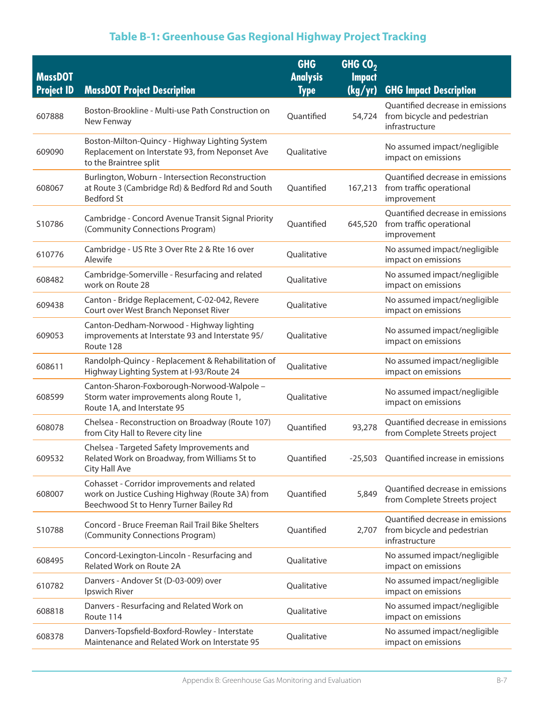| <b>MassDOT</b>    |                                                                                                                                           | <b>GHG</b><br><b>Analysis</b> | GHG $CO2$<br><b>Impact</b> |                                                                                   |
|-------------------|-------------------------------------------------------------------------------------------------------------------------------------------|-------------------------------|----------------------------|-----------------------------------------------------------------------------------|
| <b>Project ID</b> | <b>MassDOT Project Description</b>                                                                                                        | <b>Type</b>                   | (kg/yr)                    | <b>GHG Impact Description</b>                                                     |
| 607888            | Boston-Brookline - Multi-use Path Construction on<br>New Fenway                                                                           | Quantified                    | 54,724                     | Quantified decrease in emissions<br>from bicycle and pedestrian<br>infrastructure |
| 609090            | Boston-Milton-Quincy - Highway Lighting System<br>Replacement on Interstate 93, from Neponset Ave<br>to the Braintree split               | Qualitative                   |                            | No assumed impact/negligible<br>impact on emissions                               |
| 608067            | Burlington, Woburn - Intersection Reconstruction<br>at Route 3 (Cambridge Rd) & Bedford Rd and South<br><b>Bedford St</b>                 | Quantified                    | 167,213                    | Quantified decrease in emissions<br>from traffic operational<br>improvement       |
| S10786            | Cambridge - Concord Avenue Transit Signal Priority<br>(Community Connections Program)                                                     | Quantified                    | 645,520                    | Quantified decrease in emissions<br>from traffic operational<br>improvement       |
| 610776            | Cambridge - US Rte 3 Over Rte 2 & Rte 16 over<br>Alewife                                                                                  | Qualitative                   |                            | No assumed impact/negligible<br>impact on emissions                               |
| 608482            | Cambridge-Somerville - Resurfacing and related<br>work on Route 28                                                                        | Qualitative                   |                            | No assumed impact/negligible<br>impact on emissions                               |
| 609438            | Canton - Bridge Replacement, C-02-042, Revere<br>Court over West Branch Neponset River                                                    | Qualitative                   |                            | No assumed impact/negligible<br>impact on emissions                               |
| 609053            | Canton-Dedham-Norwood - Highway lighting<br>improvements at Interstate 93 and Interstate 95/<br>Route 128                                 | Qualitative                   |                            | No assumed impact/negligible<br>impact on emissions                               |
| 608611            | Randolph-Quincy - Replacement & Rehabilitation of<br>Highway Lighting System at I-93/Route 24                                             | Qualitative                   |                            | No assumed impact/negligible<br>impact on emissions                               |
| 608599            | Canton-Sharon-Foxborough-Norwood-Walpole -<br>Storm water improvements along Route 1,<br>Route 1A, and Interstate 95                      | Qualitative                   |                            | No assumed impact/negligible<br>impact on emissions                               |
| 608078            | Chelsea - Reconstruction on Broadway (Route 107)<br>from City Hall to Revere city line                                                    | Quantified                    | 93,278                     | Quantified decrease in emissions<br>from Complete Streets project                 |
| 609532            | Chelsea - Targeted Safety Improvements and<br>Related Work on Broadway, from Williams St to<br>City Hall Ave                              | Quantified                    |                            | -25,503 Quantified increase in emissions                                          |
| 608007            | Cohasset - Corridor improvements and related<br>work on Justice Cushing Highway (Route 3A) from<br>Beechwood St to Henry Turner Bailey Rd | Quantified                    | 5,849                      | Quantified decrease in emissions<br>from Complete Streets project                 |
| S10788            | Concord - Bruce Freeman Rail Trail Bike Shelters<br>(Community Connections Program)                                                       | Quantified                    | 2,707                      | Quantified decrease in emissions<br>from bicycle and pedestrian<br>infrastructure |
| 608495            | Concord-Lexington-Lincoln - Resurfacing and<br>Related Work on Route 2A                                                                   | Qualitative                   |                            | No assumed impact/negligible<br>impact on emissions                               |
| 610782            | Danvers - Andover St (D-03-009) over<br>Ipswich River                                                                                     | Qualitative                   |                            | No assumed impact/negligible<br>impact on emissions                               |
| 608818            | Danvers - Resurfacing and Related Work on<br>Route 114                                                                                    | Qualitative                   |                            | No assumed impact/negligible<br>impact on emissions                               |
| 608378            | Danvers-Topsfield-Boxford-Rowley - Interstate<br>Maintenance and Related Work on Interstate 95                                            | Qualitative                   |                            | No assumed impact/negligible<br>impact on emissions                               |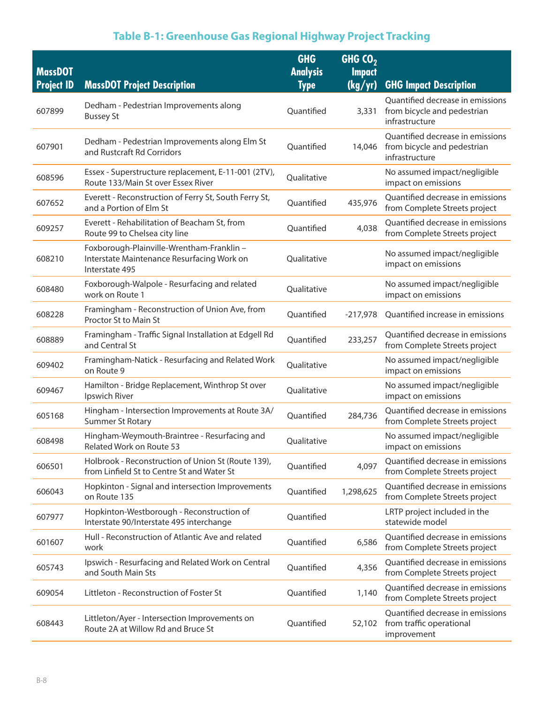| <b>MassDOT</b><br><b>Project ID</b> | <b>MassDOT Project Description</b>                                                                        | <b>GHG</b><br><b>Analysis</b><br><b>Type</b> | GHG $\overline{O_2}$<br><b>Impact</b><br>(kg/yr) | <b>GHG Impact Description</b>                                                     |
|-------------------------------------|-----------------------------------------------------------------------------------------------------------|----------------------------------------------|--------------------------------------------------|-----------------------------------------------------------------------------------|
| 607899                              | Dedham - Pedestrian Improvements along<br><b>Bussey St</b>                                                | Quantified                                   | 3,331                                            | Quantified decrease in emissions<br>from bicycle and pedestrian<br>infrastructure |
| 607901                              | Dedham - Pedestrian Improvements along Elm St<br>and Rustcraft Rd Corridors                               | Quantified                                   | 14,046                                           | Quantified decrease in emissions<br>from bicycle and pedestrian<br>infrastructure |
| 608596                              | Essex - Superstructure replacement, E-11-001 (2TV),<br>Route 133/Main St over Essex River                 | Qualitative                                  |                                                  | No assumed impact/negligible<br>impact on emissions                               |
| 607652                              | Everett - Reconstruction of Ferry St, South Ferry St,<br>and a Portion of Elm St                          | Quantified                                   | 435,976                                          | Quantified decrease in emissions<br>from Complete Streets project                 |
| 609257                              | Everett - Rehabilitation of Beacham St, from<br>Route 99 to Chelsea city line                             | Quantified                                   | 4,038                                            | Quantified decrease in emissions<br>from Complete Streets project                 |
| 608210                              | Foxborough-Plainville-Wrentham-Franklin -<br>Interstate Maintenance Resurfacing Work on<br>Interstate 495 | Qualitative                                  |                                                  | No assumed impact/negligible<br>impact on emissions                               |
| 608480                              | Foxborough-Walpole - Resurfacing and related<br>work on Route 1                                           | Qualitative                                  |                                                  | No assumed impact/negligible<br>impact on emissions                               |
| 608228                              | Framingham - Reconstruction of Union Ave, from<br>Proctor St to Main St                                   | Quantified                                   | $-217,978$                                       | Quantified increase in emissions                                                  |
| 608889                              | Framingham - Traffic Signal Installation at Edgell Rd<br>and Central St                                   | Quantified                                   | 233,257                                          | Quantified decrease in emissions<br>from Complete Streets project                 |
| 609402                              | Framingham-Natick - Resurfacing and Related Work<br>on Route 9                                            | Qualitative                                  |                                                  | No assumed impact/negligible<br>impact on emissions                               |
| 609467                              | Hamilton - Bridge Replacement, Winthrop St over<br>Ipswich River                                          | Qualitative                                  |                                                  | No assumed impact/negligible<br>impact on emissions                               |
| 605168                              | Hingham - Intersection Improvements at Route 3A/<br><b>Summer St Rotary</b>                               | Quantified                                   | 284,736                                          | Quantified decrease in emissions<br>from Complete Streets project                 |
| 608498                              | Hingham-Weymouth-Braintree - Resurfacing and<br><b>Related Work on Route 53</b>                           | Qualitative                                  |                                                  | No assumed impact/negligible<br>impact on emissions                               |
| 606501                              | Holbrook - Reconstruction of Union St (Route 139),<br>from Linfield St to Centre St and Water St          | Quantified                                   | 4,097                                            | Quantified decrease in emissions<br>from Complete Streets project                 |
| 606043                              | Hopkinton - Signal and intersection Improvements<br>on Route 135                                          | Quantified                                   | 1,298,625                                        | Quantified decrease in emissions<br>from Complete Streets project                 |
| 607977                              | Hopkinton-Westborough - Reconstruction of<br>Interstate 90/Interstate 495 interchange                     | Quantified                                   |                                                  | LRTP project included in the<br>statewide model                                   |
| 601607                              | Hull - Reconstruction of Atlantic Ave and related<br>work                                                 | Quantified                                   | 6,586                                            | Quantified decrease in emissions<br>from Complete Streets project                 |
| 605743                              | Ipswich - Resurfacing and Related Work on Central<br>and South Main Sts                                   | Quantified                                   | 4,356                                            | Quantified decrease in emissions<br>from Complete Streets project                 |
| 609054                              | Littleton - Reconstruction of Foster St                                                                   | Quantified                                   | 1,140                                            | Quantified decrease in emissions<br>from Complete Streets project                 |
| 608443                              | Littleton/Ayer - Intersection Improvements on<br>Route 2A at Willow Rd and Bruce St                       | Quantified                                   | 52,102                                           | Quantified decrease in emissions<br>from traffic operational<br>improvement       |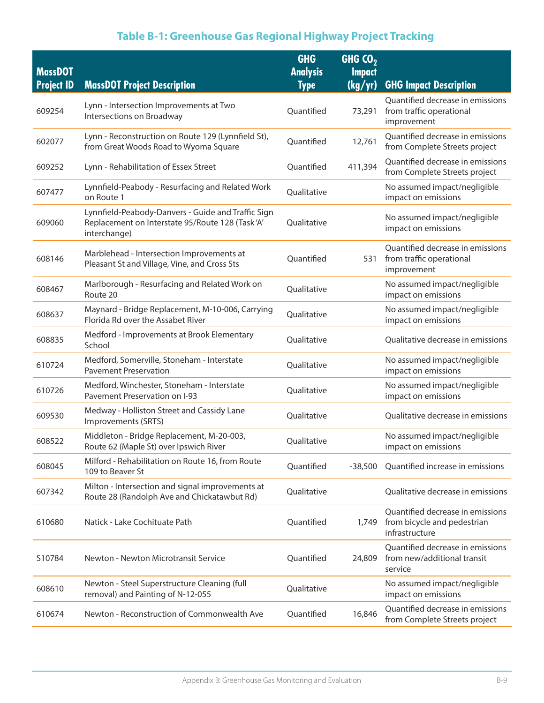| <b>MassDOT</b><br><b>Project ID</b> | <b>MassDOT Project Description</b>                                                                                    | <b>GHG</b><br><b>Analysis</b><br><b>Type</b> | GHG $CO2$<br><b>Impact</b><br>(kg/yr) | <b>GHG Impact Description</b>                                                     |
|-------------------------------------|-----------------------------------------------------------------------------------------------------------------------|----------------------------------------------|---------------------------------------|-----------------------------------------------------------------------------------|
| 609254                              | Lynn - Intersection Improvements at Two<br>Intersections on Broadway                                                  | Quantified                                   | 73,291                                | Quantified decrease in emissions<br>from traffic operational<br>improvement       |
| 602077                              | Lynn - Reconstruction on Route 129 (Lynnfield St),<br>from Great Woods Road to Wyoma Square                           | Quantified                                   | 12,761                                | Quantified decrease in emissions<br>from Complete Streets project                 |
| 609252                              | Lynn - Rehabilitation of Essex Street                                                                                 | Quantified                                   | 411,394                               | Quantified decrease in emissions<br>from Complete Streets project                 |
| 607477                              | Lynnfield-Peabody - Resurfacing and Related Work<br>on Route 1                                                        | Qualitative                                  |                                       | No assumed impact/negligible<br>impact on emissions                               |
| 609060                              | Lynnfield-Peabody-Danvers - Guide and Traffic Sign<br>Replacement on Interstate 95/Route 128 (Task'A'<br>interchange) | Qualitative                                  |                                       | No assumed impact/negligible<br>impact on emissions                               |
| 608146                              | Marblehead - Intersection Improvements at<br>Pleasant St and Village, Vine, and Cross Sts                             | Quantified                                   | 531                                   | Quantified decrease in emissions<br>from traffic operational<br>improvement       |
| 608467                              | Marlborough - Resurfacing and Related Work on<br>Route 20                                                             | Qualitative                                  |                                       | No assumed impact/negligible<br>impact on emissions                               |
| 608637                              | Maynard - Bridge Replacement, M-10-006, Carrying<br>Florida Rd over the Assabet River                                 | Qualitative                                  |                                       | No assumed impact/negligible<br>impact on emissions                               |
| 608835                              | Medford - Improvements at Brook Elementary<br>School                                                                  | Qualitative                                  |                                       | Qualitative decrease in emissions                                                 |
| 610724                              | Medford, Somerville, Stoneham - Interstate<br><b>Pavement Preservation</b>                                            | Qualitative                                  |                                       | No assumed impact/negligible<br>impact on emissions                               |
| 610726                              | Medford, Winchester, Stoneham - Interstate<br>Pavement Preservation on I-93                                           | Qualitative                                  |                                       | No assumed impact/negligible<br>impact on emissions                               |
| 609530                              | Medway - Holliston Street and Cassidy Lane<br>Improvements (SRTS)                                                     | Qualitative                                  |                                       | Qualitative decrease in emissions                                                 |
| 608522                              | Middleton - Bridge Replacement, M-20-003,<br>Route 62 (Maple St) over Ipswich River                                   | Qualitative                                  |                                       | No assumed impact/negligible<br>impact on emissions                               |
| 608045                              | Milford - Rehabilitation on Route 16, from Route<br>109 to Beaver St                                                  | Quantified                                   | $-38,500$                             | Quantified increase in emissions                                                  |
| 607342                              | Milton - Intersection and signal improvements at<br>Route 28 (Randolph Ave and Chickatawbut Rd)                       | Qualitative                                  |                                       | Qualitative decrease in emissions                                                 |
| 610680                              | Natick - Lake Cochituate Path                                                                                         | Quantified                                   | 1,749                                 | Quantified decrease in emissions<br>from bicycle and pedestrian<br>infrastructure |
| S10784                              | Newton - Newton Microtransit Service                                                                                  | Quantified                                   | 24,809                                | Quantified decrease in emissions<br>from new/additional transit<br>service        |
| 608610                              | Newton - Steel Superstructure Cleaning (full<br>removal) and Painting of N-12-055                                     | Qualitative                                  |                                       | No assumed impact/negligible<br>impact on emissions                               |
| 610674                              | Newton - Reconstruction of Commonwealth Ave                                                                           | Quantified                                   | 16,846                                | Quantified decrease in emissions<br>from Complete Streets project                 |
|                                     |                                                                                                                       |                                              |                                       |                                                                                   |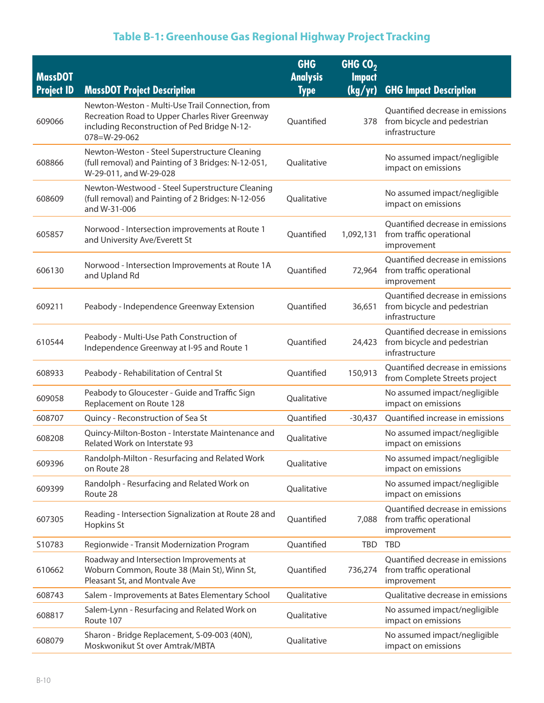| <b>MassDOT</b>    |                                                                                                                                                                             | <b>GHG</b><br><b>Analysis</b> | GHGCO <sub>2</sub><br><b>Impact</b> |                                                                                       |
|-------------------|-----------------------------------------------------------------------------------------------------------------------------------------------------------------------------|-------------------------------|-------------------------------------|---------------------------------------------------------------------------------------|
| <b>Project ID</b> | <b>MassDOT Project Description</b>                                                                                                                                          | <b>Type</b>                   | (kg/yr)                             | <b>GHG Impact Description</b>                                                         |
| 609066            | Newton-Weston - Multi-Use Trail Connection, from<br>Recreation Road to Upper Charles River Greenway<br>including Reconstruction of Ped Bridge N-12-<br>$078 = W - 29 - 062$ | Ouantified                    |                                     | Quantified decrease in emissions<br>378 from bicycle and pedestrian<br>infrastructure |
| 608866            | Newton-Weston - Steel Superstructure Cleaning<br>(full removal) and Painting of 3 Bridges: N-12-051,<br>W-29-011, and W-29-028                                              | Oualitative                   |                                     | No assumed impact/negligible<br>impact on emissions                                   |
| 608609            | Newton-Westwood - Steel Superstructure Cleaning<br>(full removal) and Painting of 2 Bridges: N-12-056<br>and W-31-006                                                       | Qualitative                   |                                     | No assumed impact/negligible<br>impact on emissions                                   |
| 605857            | Norwood - Intersection improvements at Route 1<br>and University Ave/Everett St                                                                                             | Quantified                    | 1,092,131                           | Quantified decrease in emissions<br>from traffic operational<br>improvement           |
| 606130            | Norwood - Intersection Improvements at Route 1A<br>and Upland Rd                                                                                                            | Quantified                    | 72,964                              | Quantified decrease in emissions<br>from traffic operational<br>improvement           |
| 609211            | Peabody - Independence Greenway Extension                                                                                                                                   | Quantified                    | 36,651                              | Quantified decrease in emissions<br>from bicycle and pedestrian<br>infrastructure     |
| 610544            | Peabody - Multi-Use Path Construction of<br>Independence Greenway at I-95 and Route 1                                                                                       | Quantified                    | 24,423                              | Quantified decrease in emissions<br>from bicycle and pedestrian<br>infrastructure     |
| 608933            | Peabody - Rehabilitation of Central St                                                                                                                                      | Quantified                    | 150,913                             | Quantified decrease in emissions<br>from Complete Streets project                     |
| 609058            | Peabody to Gloucester - Guide and Traffic Sign<br>Replacement on Route 128                                                                                                  | Qualitative                   |                                     | No assumed impact/negligible<br>impact on emissions                                   |
| 608707            | Quincy - Reconstruction of Sea St                                                                                                                                           | Quantified                    | $-30,437$                           | Quantified increase in emissions                                                      |
| 608208            | Quincy-Milton-Boston - Interstate Maintenance and<br>Related Work on Interstate 93                                                                                          | Qualitative                   |                                     | No assumed impact/negligible<br>impact on emissions                                   |
| 609396            | Randolph-Milton - Resurfacing and Related Work<br>on Route 28                                                                                                               | Qualitative                   |                                     | No assumed impact/negligible<br>impact on emissions                                   |
| 609399            | Randolph - Resurfacing and Related Work on<br>Route 28                                                                                                                      | Qualitative                   |                                     | No assumed impact/negligible<br>impact on emissions                                   |
| 607305            | Reading - Intersection Signalization at Route 28 and<br>Hopkins St                                                                                                          | Quantified                    | 7,088                               | Quantified decrease in emissions<br>from traffic operational<br>improvement           |
| S10783            | Regionwide - Transit Modernization Program                                                                                                                                  | Quantified                    | <b>TBD</b>                          | <b>TBD</b>                                                                            |
| 610662            | Roadway and Intersection Improvements at<br>Woburn Common, Route 38 (Main St), Winn St,<br>Pleasant St, and Montvale Ave                                                    | Quantified                    | 736,274                             | Quantified decrease in emissions<br>from traffic operational<br>improvement           |
| 608743            | Salem - Improvements at Bates Elementary School                                                                                                                             | Qualitative                   |                                     | Qualitative decrease in emissions                                                     |
| 608817            | Salem-Lynn - Resurfacing and Related Work on<br>Route 107                                                                                                                   | Qualitative                   |                                     | No assumed impact/negligible<br>impact on emissions                                   |
| 608079            | Sharon - Bridge Replacement, S-09-003 (40N),<br>Moskwonikut St over Amtrak/MBTA                                                                                             | Qualitative                   |                                     | No assumed impact/negligible<br>impact on emissions                                   |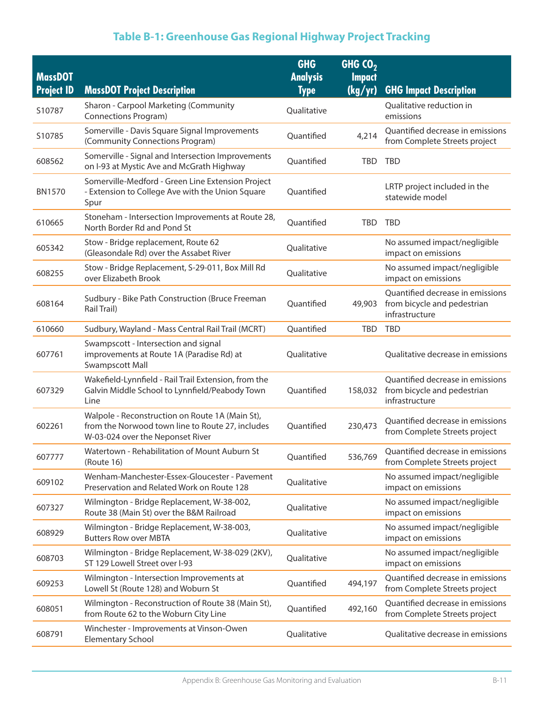# **Table B-1: Greenhouse Gas Regional Highway Project Tracking**

| <b>MassDOT</b>    |                                                                                                                                         | <b>GHG</b><br><b>Analysis</b> | GHG $CO2$<br><b>Impact</b> |                                                                                   |
|-------------------|-----------------------------------------------------------------------------------------------------------------------------------------|-------------------------------|----------------------------|-----------------------------------------------------------------------------------|
| <b>Project ID</b> | <b>MassDOT Project Description</b>                                                                                                      | <b>Type</b>                   | (kg/yr)                    | <b>GHG Impact Description</b>                                                     |
| S10787            | Sharon - Carpool Marketing (Community<br><b>Connections Program)</b>                                                                    | Qualitative                   |                            | Qualitative reduction in<br>emissions                                             |
| S10785            | Somerville - Davis Square Signal Improvements<br>(Community Connections Program)                                                        | Quantified                    | 4,214                      | Quantified decrease in emissions<br>from Complete Streets project                 |
| 608562            | Somerville - Signal and Intersection Improvements<br>on I-93 at Mystic Ave and McGrath Highway                                          | Quantified                    | <b>TBD</b>                 | <b>TBD</b>                                                                        |
| <b>BN1570</b>     | Somerville-Medford - Green Line Extension Project<br>- Extension to College Ave with the Union Square<br>Spur                           | Quantified                    |                            | LRTP project included in the<br>statewide model                                   |
| 610665            | Stoneham - Intersection Improvements at Route 28,<br>North Border Rd and Pond St                                                        | Quantified                    | <b>TBD</b>                 | <b>TBD</b>                                                                        |
| 605342            | Stow - Bridge replacement, Route 62<br>(Gleasondale Rd) over the Assabet River                                                          | Qualitative                   |                            | No assumed impact/negligible<br>impact on emissions                               |
| 608255            | Stow - Bridge Replacement, S-29-011, Box Mill Rd<br>over Elizabeth Brook                                                                | Qualitative                   |                            | No assumed impact/negligible<br>impact on emissions                               |
| 608164            | Sudbury - Bike Path Construction (Bruce Freeman<br>Rail Trail)                                                                          | Quantified                    | 49,903                     | Quantified decrease in emissions<br>from bicycle and pedestrian<br>infrastructure |
| 610660            | Sudbury, Wayland - Mass Central Rail Trail (MCRT)                                                                                       | Quantified                    | <b>TBD</b>                 | <b>TBD</b>                                                                        |
| 607761            | Swampscott - Intersection and signal<br>improvements at Route 1A (Paradise Rd) at<br>Swampscott Mall                                    | Qualitative                   |                            | Qualitative decrease in emissions                                                 |
| 607329            | Wakefield-Lynnfield - Rail Trail Extension, from the<br>Galvin Middle School to Lynnfield/Peabody Town<br>Line                          | Quantified                    | 158,032                    | Quantified decrease in emissions<br>from bicycle and pedestrian<br>infrastructure |
| 602261            | Walpole - Reconstruction on Route 1A (Main St),<br>from the Norwood town line to Route 27, includes<br>W-03-024 over the Neponset River | Quantified                    | 230,473                    | Quantified decrease in emissions<br>from Complete Streets project                 |
| 607777            | Watertown - Rehabilitation of Mount Auburn St<br>(Route 16)                                                                             | Quantified                    | 536,769                    | Quantified decrease in emissions<br>from Complete Streets project                 |
| 609102            | Wenham-Manchester-Essex-Gloucester - Pavement<br>Preservation and Related Work on Route 128                                             | Qualitative                   |                            | No assumed impact/negligible<br>impact on emissions                               |
| 607327            | Wilmington - Bridge Replacement, W-38-002,<br>Route 38 (Main St) over the B&M Railroad                                                  | Qualitative                   |                            | No assumed impact/negligible<br>impact on emissions                               |
| 608929            | Wilmington - Bridge Replacement, W-38-003,<br><b>Butters Row over MBTA</b>                                                              | Qualitative                   |                            | No assumed impact/negligible<br>impact on emissions                               |
| 608703            | Wilmington - Bridge Replacement, W-38-029 (2KV),<br>ST 129 Lowell Street over I-93                                                      | Qualitative                   |                            | No assumed impact/negligible<br>impact on emissions                               |
| 609253            | Wilmington - Intersection Improvements at<br>Lowell St (Route 128) and Woburn St                                                        | Quantified                    | 494,197                    | Quantified decrease in emissions<br>from Complete Streets project                 |
| 608051            | Wilmington - Reconstruction of Route 38 (Main St),<br>from Route 62 to the Woburn City Line                                             | Quantified                    | 492,160                    | Quantified decrease in emissions<br>from Complete Streets project                 |
| 608791            | Winchester - Improvements at Vinson-Owen<br><b>Elementary School</b>                                                                    | Qualitative                   |                            | Qualitative decrease in emissions                                                 |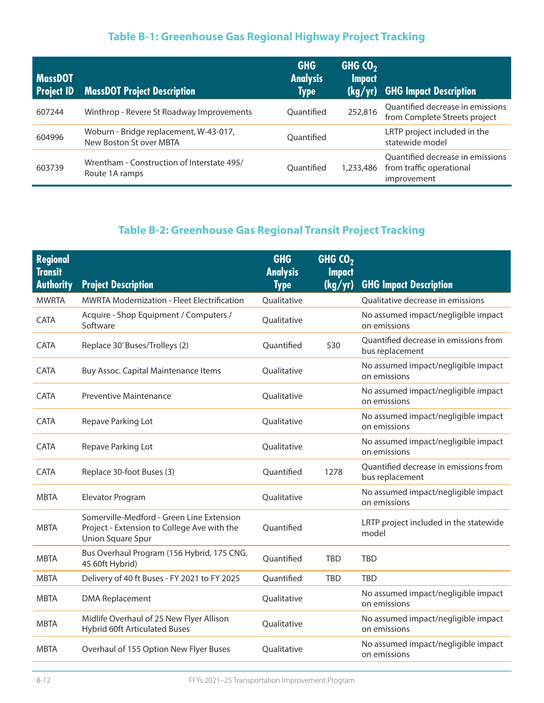# **Table B-1: Greenhouse Gas Regional Highway Project Tracking**

| MassDOT<br><b>Project ID</b> | <b>MassDOT Project Description</b>                                | <b>GHG</b><br><b>Analysis</b><br><b>Type</b> | <b>GHG CO2</b><br><b>Impact</b><br>(kg/yr) | <b>GHG Impact Description</b>                                               |
|------------------------------|-------------------------------------------------------------------|----------------------------------------------|--------------------------------------------|-----------------------------------------------------------------------------|
| 607244                       | Winthrop - Revere St Roadway Improvements                         | Ouantified                                   | 252,816                                    | Quantified decrease in emissions<br>from Complete Streets project           |
| 604996                       | Woburn - Bridge replacement, W-43-017,<br>New Boston St over MBTA | Ouantified                                   |                                            | LRTP project included in the<br>statewide model                             |
| 603739                       | Wrentham - Construction of Interstate 495/<br>Route 1A ramps      | Ouantified                                   | 1,233,486                                  | Quantified decrease in emissions<br>from traffic operational<br>improvement |

# **Table B-2: Greenhouse Gas Regional Transit Project Tracking**

| <b>Regional</b><br><b>Transit</b><br><b>Authority</b> | <b>Project Description</b>                                                                                           | <b>GHG</b><br><b>Analysis</b><br><b>Type</b> | GHG CO <sub>2</sub><br><b>Impact</b><br>(kg/yr) | <b>GHG Impact Description</b>                            |
|-------------------------------------------------------|----------------------------------------------------------------------------------------------------------------------|----------------------------------------------|-------------------------------------------------|----------------------------------------------------------|
| <b>MWRTA</b>                                          | <b>MWRTA Modernization - Fleet Electrification</b>                                                                   | Qualitative                                  |                                                 | Qualitative decrease in emissions                        |
| CATA                                                  | Acquire - Shop Equipment / Computers /<br>Software                                                                   | Qualitative                                  |                                                 | No assumed impact/negligible impact<br>on emissions      |
| <b>CATA</b>                                           | Replace 30' Buses/Trolleys (2)                                                                                       | Quantified                                   | 530                                             | Quantified decrease in emissions from<br>bus replacement |
| <b>CATA</b>                                           | Buy Assoc. Capital Maintenance Items                                                                                 | Qualitative                                  |                                                 | No assumed impact/negligible impact<br>on emissions      |
| <b>CATA</b>                                           | Preventive Maintenance                                                                                               | Qualitative                                  |                                                 | No assumed impact/negligible impact<br>on emissions      |
| <b>CATA</b>                                           | Repave Parking Lot                                                                                                   | Oualitative                                  |                                                 | No assumed impact/negligible impact<br>on emissions      |
| <b>CATA</b>                                           | Repave Parking Lot                                                                                                   | Qualitative                                  |                                                 | No assumed impact/negligible impact<br>on emissions      |
| CATA                                                  | Replace 30-foot Buses (3)                                                                                            | Quantified                                   | 1278                                            | Quantified decrease in emissions from<br>bus replacement |
| <b>MBTA</b>                                           | Elevator Program                                                                                                     | Qualitative                                  |                                                 | No assumed impact/negligible impact<br>on emissions      |
| <b>MBTA</b>                                           | Somerville-Medford - Green Line Extension<br>Project - Extension to College Ave with the<br><b>Union Square Spur</b> | Quantified                                   |                                                 | LRTP project included in the statewide<br>model          |
| <b>MBTA</b>                                           | Bus Overhaul Program (156 Hybrid, 175 CNG,<br>45 60ft Hybrid)                                                        | Quantified                                   | <b>TBD</b>                                      | <b>TBD</b>                                               |
| <b>MBTA</b>                                           | Delivery of 40 ft Buses - FY 2021 to FY 2025                                                                         | Quantified                                   | <b>TBD</b>                                      | <b>TBD</b>                                               |
| <b>MBTA</b>                                           | <b>DMA Replacement</b>                                                                                               | Qualitative                                  |                                                 | No assumed impact/negligible impact<br>on emissions      |
| <b>MBTA</b>                                           | Midlife Overhaul of 25 New Flyer Allison<br><b>Hybrid 60ft Articulated Buses</b>                                     | Qualitative                                  |                                                 | No assumed impact/negligible impact<br>on emissions      |
| <b>MBTA</b>                                           | Overhaul of 155 Option New Flyer Buses                                                                               | Qualitative                                  |                                                 | No assumed impact/negligible impact<br>on emissions      |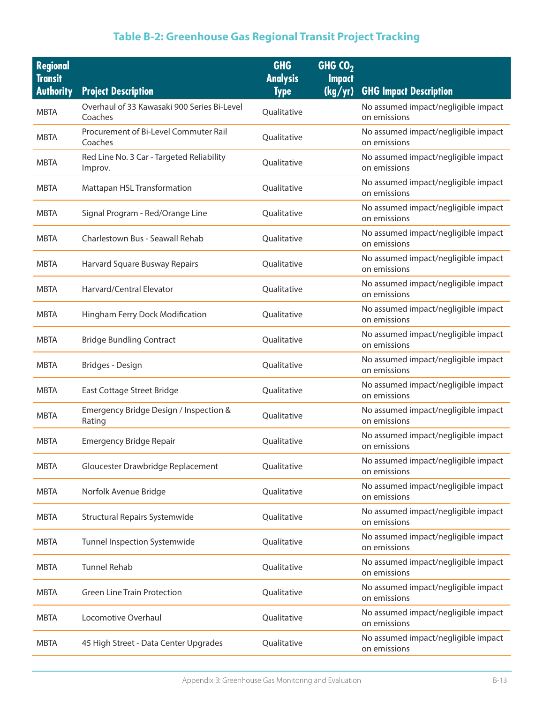# **Table B-2: Greenhouse Gas Regional Transit Project Tracking**

| <b>Regional</b><br><b>Transit</b> |                                                        | <b>GHG</b><br><b>Analysis</b> | GHG $CO2$<br><b>Impact</b> |                                                     |
|-----------------------------------|--------------------------------------------------------|-------------------------------|----------------------------|-----------------------------------------------------|
| <b>Authority</b>                  | <b>Project Description</b>                             | <b>Type</b>                   | (kg/yr)                    | <b>GHG Impact Description</b>                       |
| <b>MBTA</b>                       | Overhaul of 33 Kawasaki 900 Series Bi-Level<br>Coaches | Qualitative                   |                            | No assumed impact/negligible impact<br>on emissions |
| MBTA                              | Procurement of Bi-Level Commuter Rail<br>Coaches       | Qualitative                   |                            | No assumed impact/negligible impact<br>on emissions |
| <b>MBTA</b>                       | Red Line No. 3 Car - Targeted Reliability<br>Improv.   | Qualitative                   |                            | No assumed impact/negligible impact<br>on emissions |
| <b>MBTA</b>                       | Mattapan HSL Transformation                            | Qualitative                   |                            | No assumed impact/negligible impact<br>on emissions |
| <b>MBTA</b>                       | Signal Program - Red/Orange Line                       | Qualitative                   |                            | No assumed impact/negligible impact<br>on emissions |
| <b>MBTA</b>                       | Charlestown Bus - Seawall Rehab                        | Qualitative                   |                            | No assumed impact/negligible impact<br>on emissions |
| <b>MBTA</b>                       | Harvard Square Busway Repairs                          | Qualitative                   |                            | No assumed impact/negligible impact<br>on emissions |
| <b>MBTA</b>                       | Harvard/Central Elevator                               | Qualitative                   |                            | No assumed impact/negligible impact<br>on emissions |
| <b>MBTA</b>                       | Hingham Ferry Dock Modification                        | Qualitative                   |                            | No assumed impact/negligible impact<br>on emissions |
| <b>MBTA</b>                       | <b>Bridge Bundling Contract</b>                        | Qualitative                   |                            | No assumed impact/negligible impact<br>on emissions |
| <b>MBTA</b>                       | Bridges - Design                                       | Qualitative                   |                            | No assumed impact/negligible impact<br>on emissions |
| <b>MBTA</b>                       | East Cottage Street Bridge                             | Qualitative                   |                            | No assumed impact/negligible impact<br>on emissions |
| <b>MBTA</b>                       | Emergency Bridge Design / Inspection &<br>Rating       | Qualitative                   |                            | No assumed impact/negligible impact<br>on emissions |
| <b>MBTA</b>                       | <b>Emergency Bridge Repair</b>                         | Qualitative                   |                            | No assumed impact/negligible impact<br>on emissions |
| <b>MBTA</b>                       | Gloucester Drawbridge Replacement                      | Qualitative                   |                            | No assumed impact/negligible impact<br>on emissions |
| <b>MBTA</b>                       | Norfolk Avenue Bridge                                  | Qualitative                   |                            | No assumed impact/negligible impact<br>on emissions |
| <b>MBTA</b>                       | <b>Structural Repairs Systemwide</b>                   | Qualitative                   |                            | No assumed impact/negligible impact<br>on emissions |
| <b>MBTA</b>                       | Tunnel Inspection Systemwide                           | Qualitative                   |                            | No assumed impact/negligible impact<br>on emissions |
| <b>MBTA</b>                       | <b>Tunnel Rehab</b>                                    | Qualitative                   |                            | No assumed impact/negligible impact<br>on emissions |
| <b>MBTA</b>                       | <b>Green Line Train Protection</b>                     | Qualitative                   |                            | No assumed impact/negligible impact<br>on emissions |
| <b>MBTA</b>                       | Locomotive Overhaul                                    | Qualitative                   |                            | No assumed impact/negligible impact<br>on emissions |
| <b>MBTA</b>                       | 45 High Street - Data Center Upgrades                  | Qualitative                   |                            | No assumed impact/negligible impact<br>on emissions |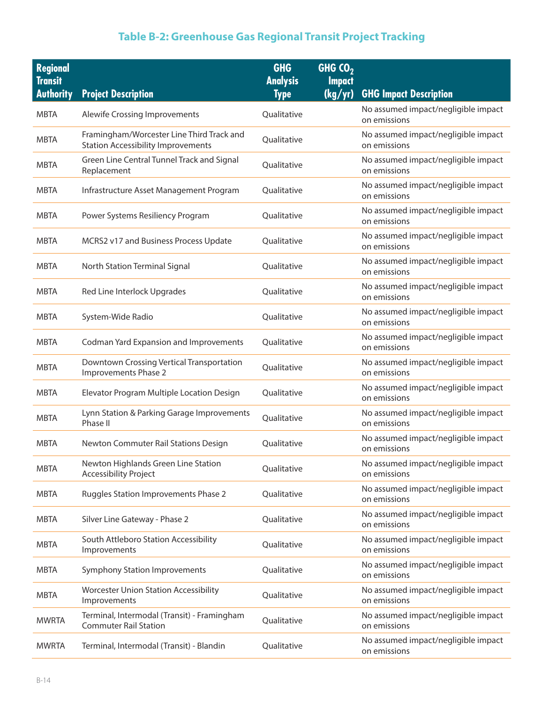# **Table B-2: Greenhouse Gas Regional Transit Project Tracking**

| <b>Regional</b><br><b>Transit</b><br><b>Authority</b> | <b>Project Description</b>                                                             | <b>GHG</b><br><b>Analysis</b><br><b>Type</b> | GHG $CO2$<br><b>Impact</b><br>(kg/yr) | <b>GHG Impact Description</b>                       |
|-------------------------------------------------------|----------------------------------------------------------------------------------------|----------------------------------------------|---------------------------------------|-----------------------------------------------------|
| <b>MBTA</b>                                           | <b>Alewife Crossing Improvements</b>                                                   | Qualitative                                  |                                       | No assumed impact/negligible impact<br>on emissions |
| <b>MBTA</b>                                           | Framingham/Worcester Line Third Track and<br><b>Station Accessibility Improvements</b> | Qualitative                                  |                                       | No assumed impact/negligible impact<br>on emissions |
| <b>MBTA</b>                                           | Green Line Central Tunnel Track and Signal<br>Replacement                              | Qualitative                                  |                                       | No assumed impact/negligible impact<br>on emissions |
| <b>MBTA</b>                                           | Infrastructure Asset Management Program                                                | Qualitative                                  |                                       | No assumed impact/negligible impact<br>on emissions |
| <b>MBTA</b>                                           | Power Systems Resiliency Program                                                       | Qualitative                                  |                                       | No assumed impact/negligible impact<br>on emissions |
| <b>MBTA</b>                                           | MCRS2 v17 and Business Process Update                                                  | Qualitative                                  |                                       | No assumed impact/negligible impact<br>on emissions |
| <b>MBTA</b>                                           | North Station Terminal Signal                                                          | Qualitative                                  |                                       | No assumed impact/negligible impact<br>on emissions |
| <b>MBTA</b>                                           | Red Line Interlock Upgrades                                                            | Qualitative                                  |                                       | No assumed impact/negligible impact<br>on emissions |
| <b>MBTA</b>                                           | System-Wide Radio                                                                      | Qualitative                                  |                                       | No assumed impact/negligible impact<br>on emissions |
| <b>MBTA</b>                                           | <b>Codman Yard Expansion and Improvements</b>                                          | Qualitative                                  |                                       | No assumed impact/negligible impact<br>on emissions |
| <b>MBTA</b>                                           | Downtown Crossing Vertical Transportation<br>Improvements Phase 2                      | Qualitative                                  |                                       | No assumed impact/negligible impact<br>on emissions |
| <b>MBTA</b>                                           | Elevator Program Multiple Location Design                                              | Qualitative                                  |                                       | No assumed impact/negligible impact<br>on emissions |
| <b>MBTA</b>                                           | Lynn Station & Parking Garage Improvements<br>Phase II                                 | Qualitative                                  |                                       | No assumed impact/negligible impact<br>on emissions |
| <b>MBTA</b>                                           | Newton Commuter Rail Stations Design                                                   | Qualitative                                  |                                       | No assumed impact/negligible impact<br>on emissions |
| <b>MBTA</b>                                           | Newton Highlands Green Line Station<br><b>Accessibility Project</b>                    | Qualitative                                  |                                       | No assumed impact/negligible impact<br>on emissions |
| <b>MBTA</b>                                           | Ruggles Station Improvements Phase 2                                                   | Qualitative                                  |                                       | No assumed impact/negligible impact<br>on emissions |
| <b>MBTA</b>                                           | Silver Line Gateway - Phase 2                                                          | Qualitative                                  |                                       | No assumed impact/negligible impact<br>on emissions |
| <b>MBTA</b>                                           | South Attleboro Station Accessibility<br>Improvements                                  | Qualitative                                  |                                       | No assumed impact/negligible impact<br>on emissions |
| <b>MBTA</b>                                           | <b>Symphony Station Improvements</b>                                                   | Qualitative                                  |                                       | No assumed impact/negligible impact<br>on emissions |
| <b>MBTA</b>                                           | <b>Worcester Union Station Accessibility</b><br>Improvements                           | Qualitative                                  |                                       | No assumed impact/negligible impact<br>on emissions |
| <b>MWRTA</b>                                          | Terminal, Intermodal (Transit) - Framingham<br><b>Commuter Rail Station</b>            | Qualitative                                  |                                       | No assumed impact/negligible impact<br>on emissions |
| <b>MWRTA</b>                                          | Terminal, Intermodal (Transit) - Blandin                                               | Qualitative                                  |                                       | No assumed impact/negligible impact<br>on emissions |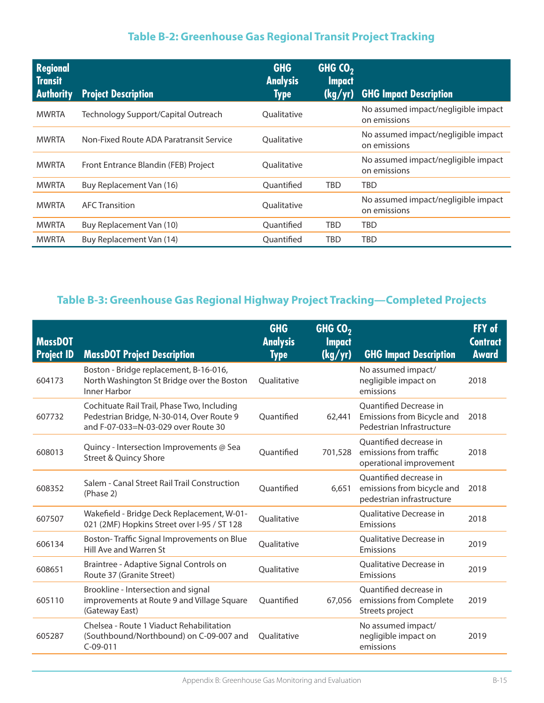# **Table B-2: Greenhouse Gas Regional Transit Project Tracking**

| <b>Regional</b><br><b>Transit</b><br><b>Authority</b> | <b>Project Description</b>              | <b>GHG</b><br><b>Analysis</b><br><b>Type</b> | GHG $CO2$<br><b>Impact</b><br>(kg/yr) | <b>GHG Impact Description</b>                       |
|-------------------------------------------------------|-----------------------------------------|----------------------------------------------|---------------------------------------|-----------------------------------------------------|
| <b>MWRTA</b>                                          | Technology Support/Capital Outreach     | <b>Oualitative</b>                           |                                       | No assumed impact/negligible impact<br>on emissions |
| <b>MWRTA</b>                                          | Non-Fixed Route ADA Paratransit Service | Oualitative                                  |                                       | No assumed impact/negligible impact<br>on emissions |
| <b>MWRTA</b>                                          | Front Entrance Blandin (FEB) Project    | Oualitative                                  |                                       | No assumed impact/negligible impact<br>on emissions |
| <b>MWRTA</b>                                          | Buy Replacement Van (16)                | Ouantified                                   | <b>TBD</b>                            | <b>TBD</b>                                          |
| <b>MWRTA</b>                                          | <b>AFC Transition</b>                   | Qualitative                                  |                                       | No assumed impact/negligible impact<br>on emissions |
| <b>MWRTA</b>                                          | Buy Replacement Van (10)                | Ouantified                                   | <b>TBD</b>                            | TBD                                                 |
| <b>MWRTA</b>                                          | Buy Replacement Van (14)                | Ouantified                                   | TBD                                   | TBD                                                 |

# **Table B-3: Greenhouse Gas Regional Highway Project Tracking—Completed Projects**

| <b>MassDOT</b><br><b>Project ID</b> | <b>MassDOT Project Description</b>                                                                                              | <b>GHG</b><br><b>Analysis</b><br><b>Type</b> | GHG $CO2$<br><b>Impact</b><br>(kg/yr) | <b>GHG Impact Description</b>                                                     | FFY of<br><b>Contract</b><br><b>Award</b> |
|-------------------------------------|---------------------------------------------------------------------------------------------------------------------------------|----------------------------------------------|---------------------------------------|-----------------------------------------------------------------------------------|-------------------------------------------|
| 604173                              | Boston - Bridge replacement, B-16-016,<br>North Washington St Bridge over the Boston<br>Inner Harbor                            | Qualitative                                  |                                       | No assumed impact/<br>negligible impact on<br>emissions                           | 2018                                      |
| 607732                              | Cochituate Rail Trail, Phase Two, Including<br>Pedestrian Bridge, N-30-014, Over Route 9<br>and F-07-033=N-03-029 over Route 30 | Quantified                                   | 62,441                                | Quantified Decrease in<br>Emissions from Bicycle and<br>Pedestrian Infrastructure | 2018                                      |
| 608013                              | Quincy - Intersection Improvements @ Sea<br>Street & Quincy Shore                                                               | Ouantified                                   | 701,528                               | Quantified decrease in<br>emissions from traffic<br>operational improvement       | 2018                                      |
| 608352                              | Salem - Canal Street Rail Trail Construction<br>(Phase 2)                                                                       | Ouantified                                   | 6.651                                 | Ouantified decrease in<br>emissions from bicycle and<br>pedestrian infrastructure | 2018                                      |
| 607507                              | Wakefield - Bridge Deck Replacement, W-01-<br>021 (2MF) Hopkins Street over I-95 / ST 128                                       | Oualitative                                  |                                       | Qualitative Decrease in<br>Emissions                                              | 2018                                      |
| 606134                              | Boston-Traffic Signal Improvements on Blue<br>Hill Ave and Warren St                                                            | Qualitative                                  |                                       | <b>Oualitative Decrease in</b><br>Emissions                                       | 2019                                      |
| 608651                              | Braintree - Adaptive Signal Controls on<br>Route 37 (Granite Street)                                                            | Qualitative                                  |                                       | <b>Oualitative Decrease in</b><br>Emissions                                       | 2019                                      |
| 605110                              | Brookline - Intersection and signal<br>improvements at Route 9 and Village Square<br>(Gateway East)                             | Quantified                                   | 67,056                                | Quantified decrease in<br>emissions from Complete<br>Streets project              | 2019                                      |
| 605287                              | Chelsea - Route 1 Viaduct Rehabilitation<br>(Southbound/Northbound) on C-09-007 and<br>$C-09-011$                               | Oualitative                                  |                                       | No assumed impact/<br>negligible impact on<br>emissions                           | 2019                                      |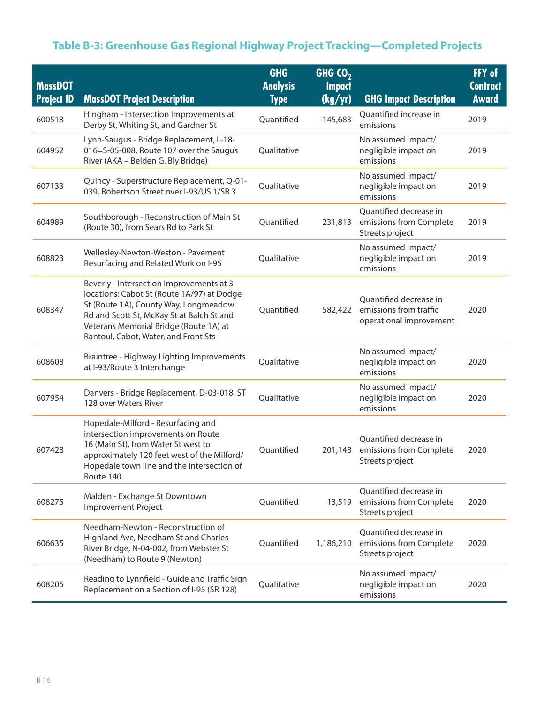# **Table B-3: Greenhouse Gas Regional Highway Project Tracking—Completed Projects**

| <b>MassDOT</b><br><b>Project ID</b> | <b>MassDOT Project Description</b>                                                                                                                                                                                                                             | <b>GHG</b><br><b>Analysis</b><br><b>Type</b> | GHG $CO2$<br><b>Impact</b><br>(kg/yr) | <b>GHG Impact Description</b>                                               | FFY of<br><b>Contract</b><br>Award |
|-------------------------------------|----------------------------------------------------------------------------------------------------------------------------------------------------------------------------------------------------------------------------------------------------------------|----------------------------------------------|---------------------------------------|-----------------------------------------------------------------------------|------------------------------------|
| 600518                              | Hingham - Intersection Improvements at<br>Derby St, Whiting St, and Gardner St                                                                                                                                                                                 | Quantified                                   | $-145,683$                            | Quantified increase in<br>emissions                                         | 2019                               |
| 604952                              | Lynn-Saugus - Bridge Replacement, L-18-<br>016=S-05-008, Route 107 over the Saugus<br>River (AKA - Belden G. Bly Bridge)                                                                                                                                       | Qualitative                                  |                                       | No assumed impact/<br>negligible impact on<br>emissions                     | 2019                               |
| 607133                              | Quincy - Superstructure Replacement, Q-01-<br>039, Robertson Street over I-93/US 1/SR 3                                                                                                                                                                        | Qualitative                                  |                                       | No assumed impact/<br>negligible impact on<br>emissions                     | 2019                               |
| 604989                              | Southborough - Reconstruction of Main St<br>(Route 30), from Sears Rd to Park St                                                                                                                                                                               | Quantified                                   | 231,813                               | Quantified decrease in<br>emissions from Complete<br>Streets project        | 2019                               |
| 608823                              | Wellesley-Newton-Weston - Pavement<br>Resurfacing and Related Work on I-95                                                                                                                                                                                     | Qualitative                                  |                                       | No assumed impact/<br>negligible impact on<br>emissions                     | 2019                               |
| 608347                              | Beverly - Intersection Improvements at 3<br>locations: Cabot St (Route 1A/97) at Dodge<br>St (Route 1A), County Way, Longmeadow<br>Rd and Scott St, McKay St at Balch St and<br>Veterans Memorial Bridge (Route 1A) at<br>Rantoul, Cabot, Water, and Front Sts | Quantified                                   | 582,422                               | Quantified decrease in<br>emissions from traffic<br>operational improvement | 2020                               |
| 608608                              | Braintree - Highway Lighting Improvements<br>at I-93/Route 3 Interchange                                                                                                                                                                                       | Qualitative                                  |                                       | No assumed impact/<br>negligible impact on<br>emissions                     | 2020                               |
| 607954                              | Danvers - Bridge Replacement, D-03-018, ST<br>128 over Waters River                                                                                                                                                                                            | Qualitative                                  |                                       | No assumed impact/<br>negligible impact on<br>emissions                     | 2020                               |
| 607428                              | Hopedale-Milford - Resurfacing and<br>intersection improvements on Route<br>16 (Main St), from Water St west to<br>approximately 120 feet west of the Milford/<br>Hopedale town line and the intersection of<br>Route 140                                      | Quantified                                   | 201,148                               | Quantified decrease in<br>emissions from Complete<br>Streets project        | 2020                               |
| 608275                              | Malden - Exchange St Downtown<br><b>Improvement Project</b>                                                                                                                                                                                                    | Quantified                                   | 13,519                                | Quantified decrease in<br>emissions from Complete<br>Streets project        | 2020                               |
| 606635                              | Needham-Newton - Reconstruction of<br>Highland Ave, Needham St and Charles<br>River Bridge, N-04-002, from Webster St<br>(Needham) to Route 9 (Newton)                                                                                                         | Quantified                                   | 1,186,210                             | Quantified decrease in<br>emissions from Complete<br>Streets project        | 2020                               |
| 608205                              | Reading to Lynnfield - Guide and Traffic Sign<br>Replacement on a Section of I-95 (SR 128)                                                                                                                                                                     | Qualitative                                  |                                       | No assumed impact/<br>negligible impact on<br>emissions                     | 2020                               |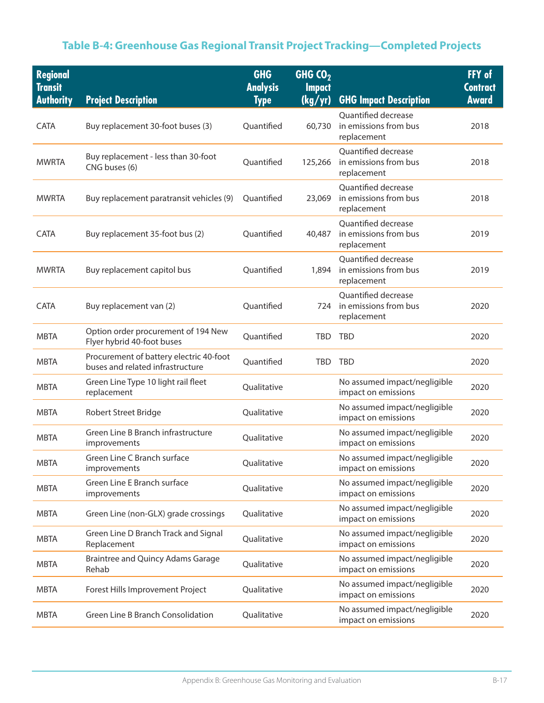# **Table B-4: Greenhouse Gas Regional Transit Project Tracking—Completed Projects**

| <b>Regional</b><br><b>Transit</b><br><b>Authority</b> | <b>Project Description</b>                                                  | <b>GHG</b><br><b>Analysis</b><br><b>Type</b> | GHG $CO2$<br><b>Impact</b><br>(kg/yr) | <b>GHG Impact Description</b>                               | FFY of<br><b>Contract</b><br><b>Award</b> |
|-------------------------------------------------------|-----------------------------------------------------------------------------|----------------------------------------------|---------------------------------------|-------------------------------------------------------------|-------------------------------------------|
| <b>CATA</b>                                           | Buy replacement 30-foot buses (3)                                           | Quantified                                   | 60,730                                | Quantified decrease<br>in emissions from bus<br>replacement | 2018                                      |
| <b>MWRTA</b>                                          | Buy replacement - less than 30-foot<br>CNG buses (6)                        | Quantified                                   | 125,266                               | Quantified decrease<br>in emissions from bus<br>replacement | 2018                                      |
| <b>MWRTA</b>                                          | Buy replacement paratransit vehicles (9)                                    | Quantified                                   | 23,069                                | Quantified decrease<br>in emissions from bus<br>replacement | 2018                                      |
| <b>CATA</b>                                           | Buy replacement 35-foot bus (2)                                             | Quantified                                   | 40,487                                | Quantified decrease<br>in emissions from bus<br>replacement | 2019                                      |
| <b>MWRTA</b>                                          | Buy replacement capitol bus                                                 | Quantified                                   | 1,894                                 | Quantified decrease<br>in emissions from bus<br>replacement | 2019                                      |
| CATA                                                  | Buy replacement van (2)                                                     | Quantified                                   | 724                                   | Quantified decrease<br>in emissions from bus<br>replacement | 2020                                      |
| <b>MBTA</b>                                           | Option order procurement of 194 New<br>Flyer hybrid 40-foot buses           | Quantified                                   | <b>TBD</b>                            | <b>TBD</b>                                                  | 2020                                      |
| <b>MBTA</b>                                           | Procurement of battery electric 40-foot<br>buses and related infrastructure | Quantified                                   | <b>TBD</b>                            | <b>TBD</b>                                                  | 2020                                      |
| <b>MBTA</b>                                           | Green Line Type 10 light rail fleet<br>replacement                          | Qualitative                                  |                                       | No assumed impact/negligible<br>impact on emissions         | 2020                                      |
| <b>MBTA</b>                                           | Robert Street Bridge                                                        | Qualitative                                  |                                       | No assumed impact/negligible<br>impact on emissions         | 2020                                      |
| <b>MBTA</b>                                           | Green Line B Branch infrastructure<br>improvements                          | Qualitative                                  |                                       | No assumed impact/negligible<br>impact on emissions         | 2020                                      |
| <b>MBTA</b>                                           | Green Line C Branch surface<br>improvements                                 | Qualitative                                  |                                       | No assumed impact/negligible<br>impact on emissions         | 2020                                      |
| <b>MBTA</b>                                           | Green Line E Branch surface<br>improvements                                 | Qualitative                                  |                                       | No assumed impact/negligible<br>impact on emissions         | 2020                                      |
| <b>MBTA</b>                                           | Green Line (non-GLX) grade crossings                                        | Qualitative                                  |                                       | No assumed impact/negligible<br>impact on emissions         | 2020                                      |
| <b>MBTA</b>                                           | Green Line D Branch Track and Signal<br>Replacement                         | Qualitative                                  |                                       | No assumed impact/negligible<br>impact on emissions         | 2020                                      |
| <b>MBTA</b>                                           | <b>Braintree and Quincy Adams Garage</b><br>Rehab                           | Qualitative                                  |                                       | No assumed impact/negligible<br>impact on emissions         | 2020                                      |
| <b>MBTA</b>                                           | Forest Hills Improvement Project                                            | Qualitative                                  |                                       | No assumed impact/negligible<br>impact on emissions         | 2020                                      |
| <b>MBTA</b>                                           | Green Line B Branch Consolidation                                           | Qualitative                                  |                                       | No assumed impact/negligible<br>impact on emissions         | 2020                                      |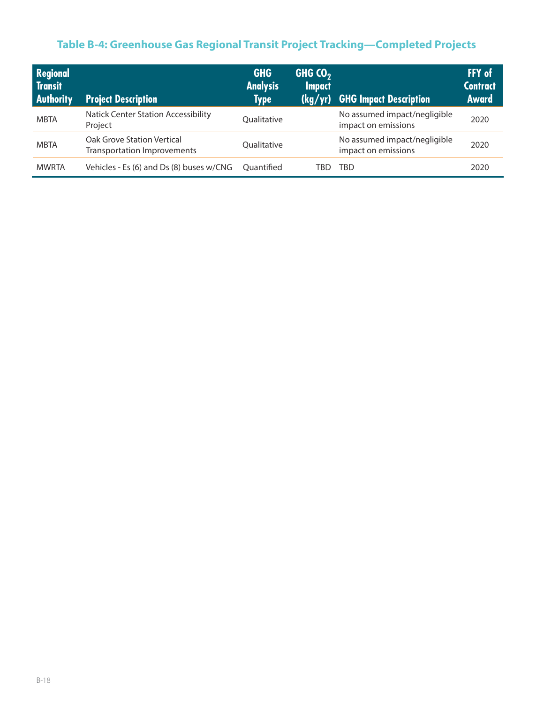# **Table B-4: Greenhouse Gas Regional Transit Project Tracking—Completed Projects**

| <b>Regional</b><br>Transit<br><b>Authority</b> | <b>Project Description</b>                                       | <b>GHG</b><br><b>Analysis</b><br><b>Type</b> | GHG $CO2$<br><b>Impact</b><br>(kg/yr) | <b>GHG Impact Description</b>                       | FFY of<br><b>Contract</b><br><b>Award</b> |
|------------------------------------------------|------------------------------------------------------------------|----------------------------------------------|---------------------------------------|-----------------------------------------------------|-------------------------------------------|
| <b>MBTA</b>                                    | <b>Natick Center Station Accessibility</b><br>Project            | Oualitative                                  |                                       | No assumed impact/negligible<br>impact on emissions | 2020                                      |
| <b>MBTA</b>                                    | Oak Grove Station Vertical<br><b>Transportation Improvements</b> | <b>Oualitative</b>                           |                                       | No assumed impact/negligible<br>impact on emissions | 2020                                      |
| <b>MWRTA</b>                                   | Vehicles - Es (6) and Ds (8) buses w/CNG                         | Ouantified                                   | TBD                                   | TBD                                                 | 2020                                      |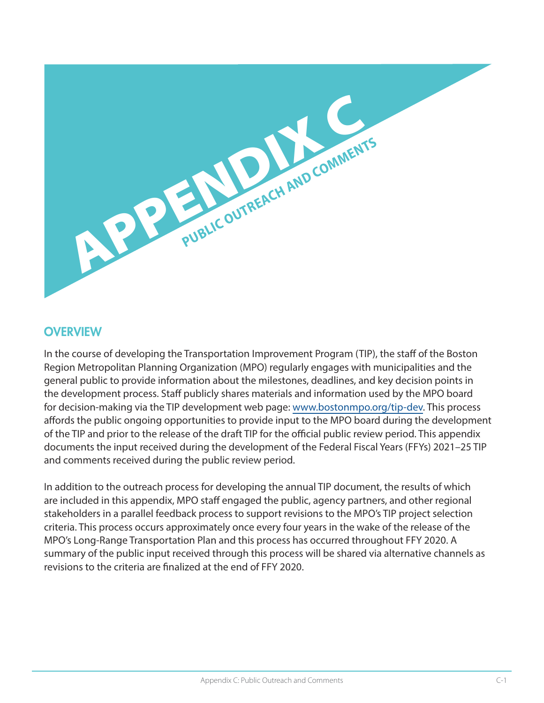

#### **OVERVIEW**

In the course of developing the Transportation Improvement Program (TIP), the staff of the Boston Region Metropolitan Planning Organization (MPO) regularly engages with municipalities and the general public to provide information about the milestones, deadlines, and key decision points in the development process. Staff publicly shares materials and information used by the MPO board for decision-making via the TIP development web page: [www.bostonmpo.org/tip-dev](http://www.bostonmpo.org/tip-dev). This process affords the public ongoing opportunities to provide input to the MPO board during the development of the TIP and prior to the release of the draft TIP for the official public review period. This appendix documents the input received during the development of the Federal Fiscal Years (FFYs) 2021–25 TIP and comments received during the public review period.

In addition to the outreach process for developing the annual TIP document, the results of which are included in this appendix, MPO staff engaged the public, agency partners, and other regional stakeholders in a parallel feedback process to support revisions to the MPO's TIP project selection criteria. This process occurs approximately once every four years in the wake of the release of the MPO's Long-Range Transportation Plan and this process has occurred throughout FFY 2020. A summary of the public input received through this process will be shared via alternative channels as revisions to the criteria are finalized at the end of FFY 2020.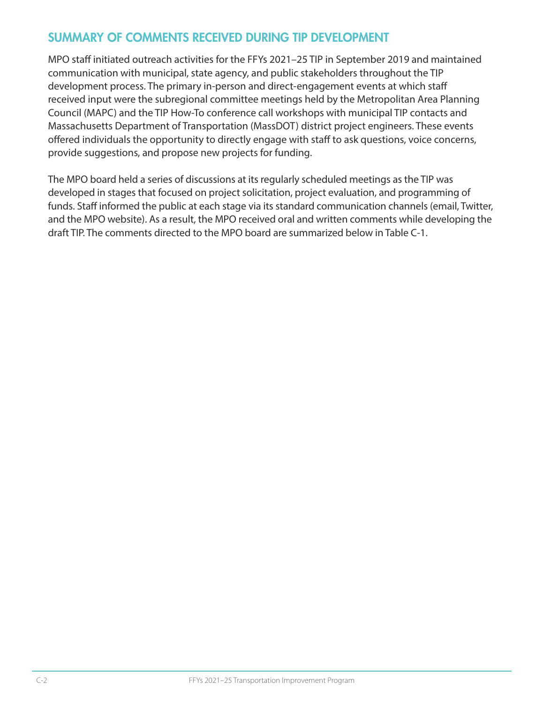# SUMMARY OF COMMENTS RECEIVED DURING TIP DEVELOPMENT

MPO staff initiated outreach activities for the FFYs 2021–25 TIP in September 2019 and maintained communication with municipal, state agency, and public stakeholders throughout the TIP development process. The primary in-person and direct-engagement events at which staff received input were the subregional committee meetings held by the Metropolitan Area Planning Council (MAPC) and the TIP How-To conference call workshops with municipal TIP contacts and Massachusetts Department of Transportation (MassDOT) district project engineers. These events offered individuals the opportunity to directly engage with staff to ask questions, voice concerns, provide suggestions, and propose new projects for funding.

The MPO board held a series of discussions at its regularly scheduled meetings as the TIP was developed in stages that focused on project solicitation, project evaluation, and programming of funds. Staff informed the public at each stage via its standard communication channels (email, Twitter, and the MPO website). As a result, the MPO received oral and written comments while developing the draft TIP. The comments directed to the MPO board are summarized below in Table C-1.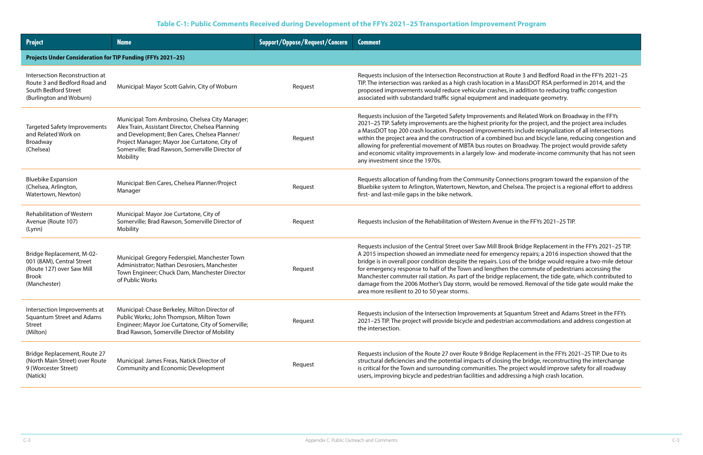Requests 3 and Bedford Road in the FFYs 2021–25 MassDOT RSA performed in 2014, and the addition to reducing traffic congestion adequate geometry.

Related Work on Broadway in the FFYs the project, and the project area includes include resignalization of all intersections bus and bicycle lane, reducing congestion and Broadway. The project would provide safety oderate-income community that has not seen

tions program toward the expansion of the sea. The project is a regional effort to address

in the FFYs 2021–25 TIP.

Bridge Replacement in the FFYs 2021–25 TIP. ty repairs; a 2016 inspection showed that the f the bridge would require a two-mile detour ie commute of pedestrians accessing the acement, the tide gate, which contributed to ed. Removal of the tide gate would make the

antum Street and Adams Street in the FFYs accommodations and address congestion at

acement in the FFYs 2021–25 TIP. Due to its he bridge, reconstructing the interchange oject would improve safety for all roadway sing a high crash location.

#### **Table C-1: Public Comments Received during Development of the FFYs 2021–25 Transportation Improvement Program**

| <b>Project</b>                                                                                                      | <b>Name</b>                                                                                                                                                                                                                                                         | <b>Support/Oppose/Request/Concern</b> | <b>Comment</b>                                                                                                                                                                                                                                                                                                                                                                                                                            |
|---------------------------------------------------------------------------------------------------------------------|---------------------------------------------------------------------------------------------------------------------------------------------------------------------------------------------------------------------------------------------------------------------|---------------------------------------|-------------------------------------------------------------------------------------------------------------------------------------------------------------------------------------------------------------------------------------------------------------------------------------------------------------------------------------------------------------------------------------------------------------------------------------------|
| <b>Projects Under Consideration for TIP Funding (FFYs 2021-25)</b>                                                  |                                                                                                                                                                                                                                                                     |                                       |                                                                                                                                                                                                                                                                                                                                                                                                                                           |
| Intersection Reconstruction at<br>Route 3 and Bedford Road and<br>South Bedford Street<br>(Burlington and Woburn)   | Municipal: Mayor Scott Galvin, City of Woburn                                                                                                                                                                                                                       | Request                               | Requests inclusion of the Intersection Reconstruction at Rout<br>TIP. The intersection was ranked as a high crash location in a<br>proposed improvements would reduce vehicular crashes, in<br>associated with substandard traffic signal equipment and ina                                                                                                                                                                               |
| <b>Targeted Safety Improvements</b><br>and Related Work on<br>Broadway<br>(Chelsea)                                 | Municipal: Tom Ambrosino, Chelsea City Manager;<br>Alex Train, Assistant Director, Chelsea Planning<br>and Development; Ben Cares, Chelsea Planner/<br>Project Manager; Mayor Joe Curtatone, City of<br>Somerville; Brad Rawson, Somerville Director of<br>Mobility | Request                               | Requests inclusion of the Targeted Safety Improvements and<br>2021-25 TIP. Safety improvements are the highest priority for<br>a MassDOT top 200 crash location. Proposed improvements i<br>within the project area and the construction of a combined b<br>allowing for preferential movement of MBTA bus routes on B<br>and economic vitality improvements in a largely low- and mo<br>any investment since the 1970s.                  |
| <b>Bluebike Expansion</b><br>(Chelsea, Arlington,<br>Watertown, Newton)                                             | Municipal: Ben Cares, Chelsea Planner/Project<br>Manager                                                                                                                                                                                                            | Request                               | Requests allocation of funding from the Community Connect<br>Bluebike system to Arlington, Watertown, Newton, and Chels<br>first- and last-mile gaps in the bike network.                                                                                                                                                                                                                                                                 |
| <b>Rehabilitation of Western</b><br>Avenue (Route 107)<br>(Lynn)                                                    | Municipal: Mayor Joe Curtatone, City of<br>Somerville; Brad Rawson, Somerville Director of<br>Mobility                                                                                                                                                              | Request                               | Requests inclusion of the Rehabilitation of Western Avenue in                                                                                                                                                                                                                                                                                                                                                                             |
| Bridge Replacement, M-02-<br>001 (8AM), Central Street<br>(Route 127) over Saw Mill<br><b>Brook</b><br>(Manchester) | Municipal: Gregory Federspiel, Manchester Town<br>Administrator; Nathan Desrosiers, Manchester<br>Town Engineer; Chuck Dam, Manchester Director<br>of Public Works                                                                                                  | Request                               | Requests inclusion of the Central Street over Saw Mill Brook I<br>A 2015 inspection showed an immediate need for emergenc<br>bridge is in overall poor condition despite the repairs. Loss of<br>for emergency response to half of the Town and lengthen the<br>Manchester commuter rail station. As part of the bridge repla<br>damage from the 2006 Mother's Day storm, would be remove<br>area more resilient to 20 to 50 year storms. |
| Intersection Improvements at<br><b>Squantum Street and Adams</b><br><b>Street</b><br>(Milton)                       | Municipal: Chase Berkeley, Milton Director of<br>Public Works; John Thompson, Milton Town<br>Engineer; Mayor Joe Curtatone, City of Somerville;<br>Brad Rawson, Somerville Director of Mobility                                                                     | Request                               | Requests inclusion of the Intersection Improvements at Squa<br>2021-25 TIP. The project will provide bicycle and pedestrian a<br>the intersection.                                                                                                                                                                                                                                                                                        |
| Bridge Replacement, Route 27<br>(North Main Street) over Route<br>9 (Worcester Street)<br>(Natick)                  | Municipal: James Freas, Natick Director of<br><b>Community and Economic Development</b>                                                                                                                                                                             | Request                               | Requests inclusion of the Route 27 over Route 9 Bridge Repla<br>structural deficiencies and the potential impacts of closing th<br>is critical for the Town and surrounding communities. The pro<br>users, improving bicycle and pedestrian facilities and addres.                                                                                                                                                                        |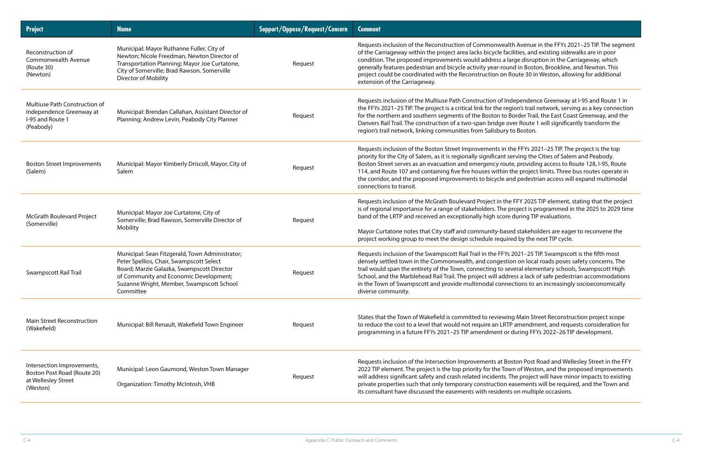Avenue in the FFYs 2021–25 TIP. The segment ties, and existing sidewalks are in poor ge disruption in the Carriageway, which I in Boston, Brookline, and Newton. This ute 30 in Weston, allowing for additional

Pendence Greenway at I-95 and Route 1 in on's trail network, serving as a key connection rder Trail, the East Coast Greenway, and the  $\alpha$  Route 1 will significantly transform the Boston.

Refuestion of FFYs 2021–25 TIP. The project is the top ving the Cities of Salem and Peabody. providing access to Route 128, I-95, Route project limits. Three bus routes operate in pedestrian access will expand multimodal

FY 2025 TIP element, stating that the project bject is programmed in the 2025 to 2029 time uring TIP evaluations.

stakeholders are eager to reconvene the by the next TIP cycle.

021-25 TIP. Swampscott is the fifth most on local roads poses safety concerns. The ral elementary schools, Swampscott High ss a lack of safe pedestrian accommodations ions to an increasingly socioeconomically

Main Street Reconstruction project scope amendment, and requests consideration for pring FFYs 2022–26 TIP development.

on Post Road and Wellesley Street in the FFY of Weston, and the proposed improvements project will have minor impacts to existing sements will be required, and the Town and on multiple occasions.

| <b>Project</b>                                                                               | <b>Name</b>                                                                                                                                                                                                                                   | <b>Support/Oppose/Request/Concern</b> | <b>Comment</b>                                                                                                                                                                                                                                                                                                                                               |
|----------------------------------------------------------------------------------------------|-----------------------------------------------------------------------------------------------------------------------------------------------------------------------------------------------------------------------------------------------|---------------------------------------|--------------------------------------------------------------------------------------------------------------------------------------------------------------------------------------------------------------------------------------------------------------------------------------------------------------------------------------------------------------|
| Reconstruction of<br>Commonwealth Avenue<br>(Route 30)<br>(Newton)                           | Municipal: Mayor Ruthanne Fuller, City of<br>Newton; Nicole Freedman, Newton Director of<br>Transportation Planning; Mayor Joe Curtatone,<br>City of Somerville; Brad Rawson. Somerville<br><b>Director of Mobility</b>                       | Request                               | Requests inclusion of the Reconstruction of Commonwealth<br>of the Carriageway within the project area lacks bicycle facilit<br>condition. The proposed improvements would address a larg<br>generally features pedestrian and bicycle activity year-round<br>project could be coordinated with the Reconstruction on Rou<br>extension of the Carriageway.   |
| Multiuse Path Construction of<br>Independence Greenway at<br>I-95 and Route 1<br>(Peabody)   | Municipal: Brendan Callahan, Assistant Director of<br>Planning; Andrew Levin, Peabody City Planner                                                                                                                                            | Request                               | Requests inclusion of the Multiuse Path Construction of Inder<br>the FFYs 2021-25 TIP. The project is a critical link for the regio<br>for the northern and southern segments of the Boston to Bor<br>Danvers Rail Trail. The construction of a two-span bridge over<br>region's trail network, linking communities from Salisbury to                        |
| <b>Boston Street Improvements</b><br>(Salem)                                                 | Municipal: Mayor Kimberly Driscoll, Mayor, City of<br>Salem                                                                                                                                                                                   | Request                               | Requests inclusion of the Boston Street Improvements in the<br>priority for the City of Salem, as it is regionally significant serve<br>Boston Street serves as an evacuation and emergency route,<br>114, and Route 107 and containing five fire houses within the<br>the corridor, and the proposed improvements to bicycle and<br>connections to transit. |
| McGrath Boulevard Project<br>(Somerville)                                                    | Municipal: Mayor Joe Curtatone, City of<br>Somerville; Brad Rawson, Somerville Director of<br>Mobility                                                                                                                                        | Request                               | Requests inclusion of the McGrath Boulevard Project in the FI<br>is of regional importance for a range of stakeholders. The pro<br>band of the LRTP and received an exceptionally high score du<br>Mayor Curtatone notes that City staff and community-based<br>project working group to meet the design schedule required                                   |
| Swampscott Rail Trail                                                                        | Municipal: Sean Fitzgerald, Town Administrator;<br>Peter Spellios, Chair, Swampscott Select<br>Board; Marzie Galazka, Swampscott Director<br>of Community and Economic Development;<br>Suzanne Wright, Member, Swampscott School<br>Committee | Request                               | Requests inclusion of the Swampscott Rail Trail in the FFYs 20<br>densely settled town in the Commonwealth, and congestion<br>trail would span the entirety of the Town, connecting to seve<br>School, and the Marblehead Rail Trail. The project will address<br>in the Town of Swampscott and provide multimodal connect<br>diverse community.             |
| <b>Main Street Reconstruction</b><br>(Wakefield)                                             | Municipal: Bill Renault, Wakefield Town Engineer                                                                                                                                                                                              | Request                               | States that the Town of Wakefield is committed to reviewing<br>to reduce the cost to a level that would not require an LRTP a<br>programming in a future FFYs 2021-25 TIP amendment or du                                                                                                                                                                    |
| Intersection Improvements,<br>Boston Post Road (Route 20)<br>at Wellesley Street<br>(Weston) | Municipal: Leon Gaumond, Weston Town Manager<br>Organization: Timothy McIntosh, VHB                                                                                                                                                           | Request                               | Requests inclusion of the Intersection Improvements at Bosto<br>2022 TIP element. The project is the top priority for the Town<br>will address significant safety and crash related incidents. The<br>private properties such that only temporary construction eas<br>its consultant have discussed the easements with residents o                           |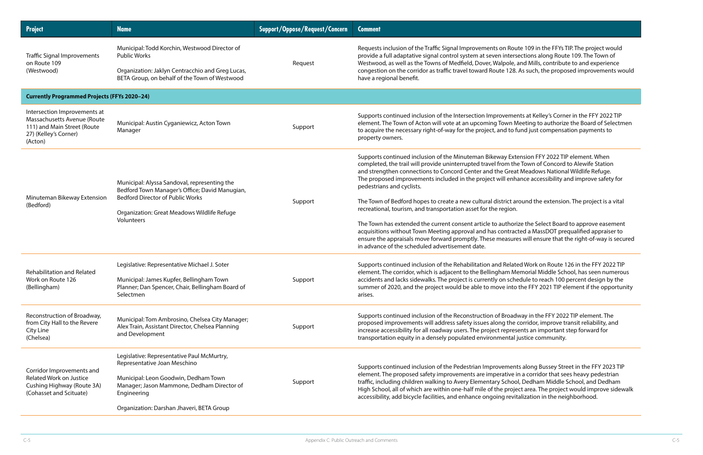ute 109 in the FFYs TIP. The project would sections along Route 109. The Town of and Mills, contribute to and experience As such, the proposed improvements would

ents at Kelley's Corner in the FFY 2022 TIP Meeting to authorize the Board of Selectmen fund just compensation payments to

tension FFY 2022 TIP element. When ne Town of Concord to Alewife Station at Meadows National Wildlife Refuge. nance accessibility and improve safety for

round the extension. The project is a vital

rize the Select Board to approve easement cted a MassDOT prequalified appraiser to res will ensure that the right-of-way is secured

ted Work on Route 126 in the FFY 2022 TIP lemorial Middle School, has seen numerous edule to reach 100 percent design by the the FFY 2021 TIP element if the opportunity

dway in the FFY 2022 TIP element. The exportidor, improve transit reliability, and sents an important step forward for justice community.

nts along Bussey Street in the FFY 2023 TIP in a corridor that sees heavy pedestrian ol, Dedham Middle School, and Dedham ect area. The project would improve sidewalk italization in the neighborhood.

| <b>Project</b>                                                                                                                 | <b>Name</b>                                                                                                                                                                                                                  | <b>Support/Oppose/Request/Concern</b> | <b>Comment</b>                                                                                                                                                                                                                                                                                                                                                                                                                                                                                                                                                                                                                                                                |
|--------------------------------------------------------------------------------------------------------------------------------|------------------------------------------------------------------------------------------------------------------------------------------------------------------------------------------------------------------------------|---------------------------------------|-------------------------------------------------------------------------------------------------------------------------------------------------------------------------------------------------------------------------------------------------------------------------------------------------------------------------------------------------------------------------------------------------------------------------------------------------------------------------------------------------------------------------------------------------------------------------------------------------------------------------------------------------------------------------------|
| <b>Traffic Signal Improvements</b><br>on Route 109<br>(Westwood)                                                               | Municipal: Todd Korchin, Westwood Director of<br><b>Public Works</b><br>Organization: Jaklyn Centracchio and Greg Lucas,<br>BETA Group, on behalf of the Town of Westwood                                                    | Request                               | Requests inclusion of the Traffic Signal Improvements on Rout<br>provide a full adaptative signal control system at seven inters<br>Westwood, as well as the Towns of Medfield, Dover, Walpole, a<br>congestion on the corridor as traffic travel toward Route 128.<br>have a regional benefit.                                                                                                                                                                                                                                                                                                                                                                               |
| <b>Currently Programmed Projects (FFYs 2020-24)</b>                                                                            |                                                                                                                                                                                                                              |                                       |                                                                                                                                                                                                                                                                                                                                                                                                                                                                                                                                                                                                                                                                               |
| Intersection Improvements at<br>Massachusetts Avenue (Route<br>111) and Main Street (Route<br>27) (Kelley's Corner)<br>(Acton) | Municipal: Austin Cyganiewicz, Acton Town<br>Manager                                                                                                                                                                         | Support                               | Supports continued inclusion of the Intersection Improvemer<br>element. The Town of Acton will vote at an upcoming Town M<br>to acquire the necessary right-of-way for the project, and to fu<br>property owners.                                                                                                                                                                                                                                                                                                                                                                                                                                                             |
| Minuteman Bikeway Extension<br>(Bedford)                                                                                       | Municipal: Alyssa Sandoval, representing the<br>Bedford Town Manager's Office; David Manugian,<br><b>Bedford Director of Public Works</b><br>Organization: Great Meadows Wildlife Refuge<br>Volunteers                       | Support                               | Supports continued inclusion of the Minuteman Bikeway Exte<br>completed, the trail will provide uninterrupted travel from the<br>and strengthen connections to Concord Center and the Great<br>The proposed improvements included in the project will enha<br>pedestrians and cyclists.<br>The Town of Bedford hopes to create a new cultural district ar<br>recreational, tourism, and transportation asset for the region.<br>The Town has extended the current consent article to authori:<br>acquisitions without Town Meeting approval and has contract<br>ensure the appraisals move forward promptly. These measure<br>in advance of the scheduled advertisement date. |
| <b>Rehabilitation and Related</b><br>Work on Route 126<br>(Bellingham)                                                         | Legislative: Representative Michael J. Soter<br>Municipal: James Kupfer, Bellingham Town<br>Planner; Dan Spencer, Chair, Bellingham Board of<br>Selectmen                                                                    | Support                               | Supports continued inclusion of the Rehabilitation and Relate<br>element. The corridor, which is adjacent to the Bellingham Me<br>accidents and lacks sidewalks. The project is currently on sche<br>summer of 2020, and the project would be able to move into<br>arises.                                                                                                                                                                                                                                                                                                                                                                                                    |
| Reconstruction of Broadway,<br>from City Hall to the Revere<br>City Line<br>(Chelsea)                                          | Municipal: Tom Ambrosino, Chelsea City Manager;<br>Alex Train, Assistant Director, Chelsea Planning<br>and Development                                                                                                       | Support                               | Supports continued inclusion of the Reconstruction of Broady<br>proposed improvements will address safety issues along the o<br>increase accessibility for all roadway users. The project represe<br>transportation equity in a densely populated environmental j                                                                                                                                                                                                                                                                                                                                                                                                             |
| Corridor Improvements and<br><b>Related Work on Justice</b><br>Cushing Highway (Route 3A)<br>(Cohasset and Scituate)           | Legislative: Representative Paul McMurtry,<br>Representative Joan Meschino<br>Municipal: Leon Goodwin, Dedham Town<br>Manager; Jason Mammone, Dedham Director of<br>Engineering<br>Organization: Darshan Jhaveri, BETA Group | Support                               | Supports continued inclusion of the Pedestrian Improvement<br>element. The proposed safety improvements are imperative in<br>traffic, including children walking to Avery Elementary Schoo<br>High School, all of which are within one-half mile of the proje<br>accessibility, add bicycle facilities, and enhance ongoing revit                                                                                                                                                                                                                                                                                                                                             |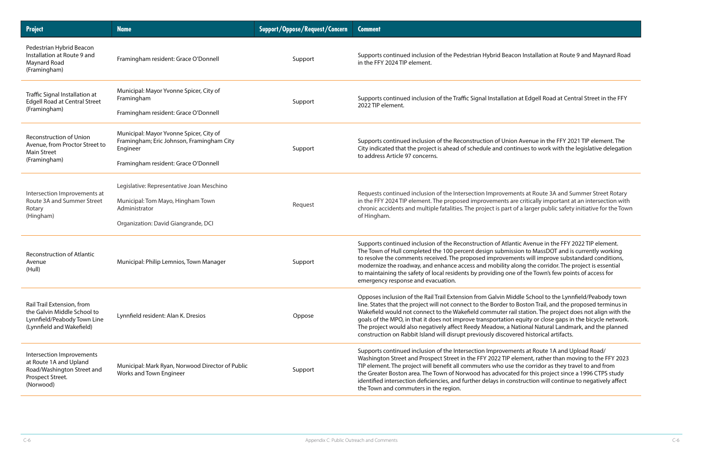on Installation at Route 9 and Maynard Road

n at Edgell Road at Central Street in the FFY

n Avenue in the FFY 2021 TIP element. The tinues to work with the legislative delegation

ents at Route 3A and Summer Street Rotary re critically important at an intersection with of a larger public safety initiative for the Town

Itic Avenue in the FFY 2022 TIP element. sion to MassDOT and is currently working ents will improve substandard conditions, long the corridor. The project is essential e of the Town's few points of access for

ddle School to the Lynnfield/Peabody town Boston Trail, and the proposed terminus in il station. The project does not align with the equity or close gaps in the bicycle network. Vational Natural Landmark, and the planned red historical artifacts.

ents at Route 1A and Upload Road/ lement, rather than moving to the FFY 2023 the corridor as they travel to and from ed for this project since a 1996 CTPS study istruction will continue to negatively affect

| <b>Project</b>                                                                                                        | <b>Name</b>                                                                                                                              | <b>Support/Oppose/Request/Concern</b> | <b>Comment</b>                                                                                                                                                                                                                                                                                                                                                                                  |
|-----------------------------------------------------------------------------------------------------------------------|------------------------------------------------------------------------------------------------------------------------------------------|---------------------------------------|-------------------------------------------------------------------------------------------------------------------------------------------------------------------------------------------------------------------------------------------------------------------------------------------------------------------------------------------------------------------------------------------------|
| Pedestrian Hybrid Beacon<br>Installation at Route 9 and<br>Maynard Road<br>(Framingham)                               | Framingham resident: Grace O'Donnell                                                                                                     | Support                               | Supports continued inclusion of the Pedestrian Hybrid Beaco<br>in the FFY 2024 TIP element.                                                                                                                                                                                                                                                                                                     |
| Traffic Signal Installation at<br><b>Edgell Road at Central Street</b><br>(Framingham)                                | Municipal: Mayor Yvonne Spicer, City of<br>Framingham<br>Framingham resident: Grace O'Donnell                                            | Support                               | Supports continued inclusion of the Traffic Signal Installation<br>2022 TIP element.                                                                                                                                                                                                                                                                                                            |
| <b>Reconstruction of Union</b><br>Avenue, from Proctor Street to<br>Main Street<br>(Framingham)                       | Municipal: Mayor Yvonne Spicer, City of<br>Framingham; Eric Johnson, Framingham City<br>Engineer<br>Framingham resident: Grace O'Donnell | Support                               | Supports continued inclusion of the Reconstruction of Unior<br>City indicated that the project is ahead of schedule and cont<br>to address Article 97 concerns.                                                                                                                                                                                                                                 |
| Intersection Improvements at<br>Route 3A and Summer Street<br>Rotary<br>(Hingham)                                     | Legislative: Representative Joan Meschino<br>Municipal: Tom Mayo, Hingham Town<br>Administrator<br>Organization: David Giangrande, DCI   | Request                               | Requests continued inclusion of the Intersection Improveme<br>in the FFY 2024 TIP element. The proposed improvements are<br>chronic accidents and multiple fatalities. The project is part o<br>of Hingham.                                                                                                                                                                                     |
| <b>Reconstruction of Atlantic</b><br>Avenue<br>(Hull)                                                                 | Municipal: Philip Lemnios, Town Manager                                                                                                  | Support                               | Supports continued inclusion of the Reconstruction of Atlant<br>The Town of Hull completed the 100 percent design submiss<br>to resolve the comments received. The proposed improveme<br>modernize the roadway, and enhance access and mobility al<br>to maintaining the safety of local residents by providing one<br>emergency response and evacuation.                                       |
| Rail Trail Extension, from<br>the Galvin Middle School to<br>Lynnfield/Peabody Town Line<br>(Lynnfield and Wakefield) | Lynnfield resident: Alan K. Dresios                                                                                                      | Oppose                                | Opposes inclusion of the Rail Trail Extension from Galvin Mid<br>line. States that the project will not connect to the Border to<br>Wakefield would not connect to the Wakefield commuter rail<br>goals of the MPO, in that it does not improve transportation<br>The project would also negatively affect Reedy Meadow, a Na<br>construction on Rabbit Island will disrupt previously discover |
| Intersection Improvements<br>at Route 1A and Upland<br>Road/Washington Street and<br>Prospect Street.<br>(Norwood)    | Municipal: Mark Ryan, Norwood Director of Public<br>Works and Town Engineer                                                              | Support                               | Supports continued inclusion of the Intersection Improveme<br>Washington Street and Prospect Street in the FFY 2022 TIP el<br>TIP element. The project will benefit all commuters who use<br>the Greater Boston area. The Town of Norwood has advocate<br>identified intersection deficiencies, and further delays in con<br>the Town and commuters in the region.                              |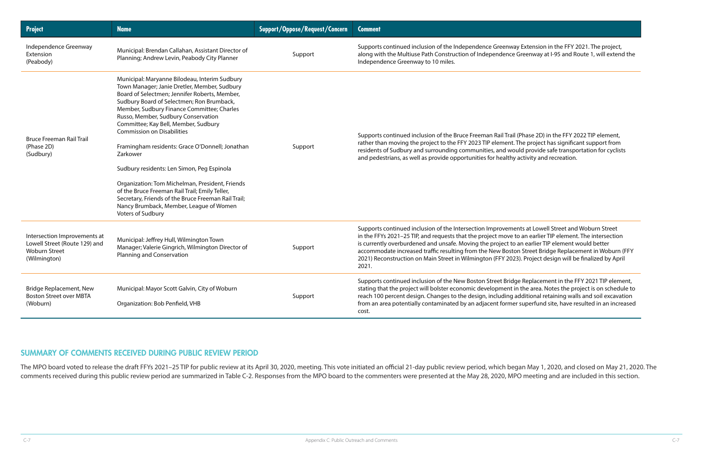y Extension in the FFY 2021. The project, Greenway at I-95 and Route 1, will extend the

(Phase 2D) in the FFY 2022 TIP element, The project has significant support from uld provide safe transportation for cyclists activity and recreation.

nts at Lowell Street and Woburn Street to an earlier TIP element. The intersection an earlier TIP element would better accommodate traffice Replacement in Woburn (FFY 23). Project design will be finalized by April

ge Replacement in the FFY 2021 TIP element, n the area. Notes the project is on schedule to additional retaining walls and soil excavation from an area potential contained in an increased

| <b>Project</b>                                                                                        | <b>Name</b>                                                                                                                                                                                                                                                                                                                                                                                                                                                                                                                                                                                                                                                                                            | Support/Oppose/Request/Concern | <b>Comment</b>                                                                                                                                                                                                                                                                                                                     |
|-------------------------------------------------------------------------------------------------------|--------------------------------------------------------------------------------------------------------------------------------------------------------------------------------------------------------------------------------------------------------------------------------------------------------------------------------------------------------------------------------------------------------------------------------------------------------------------------------------------------------------------------------------------------------------------------------------------------------------------------------------------------------------------------------------------------------|--------------------------------|------------------------------------------------------------------------------------------------------------------------------------------------------------------------------------------------------------------------------------------------------------------------------------------------------------------------------------|
| Independence Greenway<br>Extension<br>(Peabody)                                                       | Municipal: Brendan Callahan, Assistant Director of<br>Planning; Andrew Levin, Peabody City Planner                                                                                                                                                                                                                                                                                                                                                                                                                                                                                                                                                                                                     | Support                        | Supports continued inclusion of the Independence Greenway<br>along with the Multiuse Path Construction of Independence (<br>Independence Greenway to 10 miles.                                                                                                                                                                     |
| <b>Bruce Freeman Rail Trail</b><br>(Phase 2D)<br>(Sudbury)                                            | Municipal: Maryanne Bilodeau, Interim Sudbury<br>Town Manager; Janie Dretler, Member, Sudbury<br>Board of Selectmen; Jennifer Roberts, Member,<br>Sudbury Board of Selectmen; Ron Brumback,<br>Member, Sudbury Finance Committee; Charles<br>Russo, Member, Sudbury Conservation<br>Committee; Kay Bell, Member, Sudbury<br><b>Commission on Disabilities</b><br>Framingham residents: Grace O'Donnell; Jonathan<br>Zarkower<br>Sudbury residents: Len Simon, Peg Espinola<br>Organization: Tom Michelman, President, Friends<br>of the Bruce Freeman Rail Trail; Emily Teller,<br>Secretary, Friends of the Bruce Freeman Rail Trail;<br>Nancy Brumback, Member, League of Women<br>Voters of Sudbury | Support                        | Supports continued inclusion of the Bruce Freeman Rail Trail<br>rather than moving the project to the FFY 2023 TIP element. 1<br>residents of Sudbury and surrounding communities, and wou<br>and pedestrians, as well as provide opportunities for healthy                                                                        |
| Intersection Improvements at<br>Lowell Street (Route 129) and<br><b>Woburn Street</b><br>(Wilmington) | Municipal: Jeffrey Hull, Wilmington Town<br>Manager; Valerie Gingrich, Wilmington Director of<br>Planning and Conservation                                                                                                                                                                                                                                                                                                                                                                                                                                                                                                                                                                             | Support                        | Supports continued inclusion of the Intersection Improvemer<br>in the FFYs 2021-25 TIP, and requests that the project move to<br>is currently overburdened and unsafe. Moving the project to<br>accommodate increased traffic resulting from the New Bosto<br>2021) Reconstruction on Main Street in Wilmington (FFY 2023<br>2021. |
| <b>Bridge Replacement, New</b><br><b>Boston Street over MBTA</b><br>(Woburn)                          | Municipal: Mayor Scott Galvin, City of Woburn<br>Organization: Bob Penfield, VHB                                                                                                                                                                                                                                                                                                                                                                                                                                                                                                                                                                                                                       | Support                        | Supports continued inclusion of the New Boston Street Bridg<br>stating that the project will bolster economic development in<br>reach 100 percent design. Changes to the design, including a<br>from an area potentially contaminated by an adjacent former<br>cost.                                                               |

The MPO board voted to release the draft FFYs 2021-25 TIP for public review at its April 30, 2020, meeting. This vote initiated an official 21-day public review period, which began May 1, 2020, and closed on May 21, 2020. comments received during this public review period are summarized in Table C-2. Responses from the MPO board to the commenters were presented at the May 28, 2020, MPO meeting and are included in this section.

#### SUMMARY OF COMMENTS RECEIVED DURING PUBLIC REVIEW PERIOD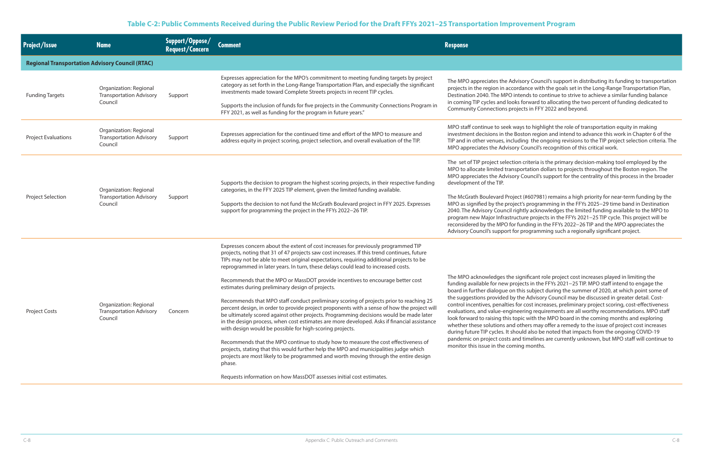risory Council's support in distributing its funding to transportation rdance with the goals set in the Long-Range Transportation Plan, Itends to continue to strive to achieve a similar funding balance is forward to allocating the two percent of funding dedicated to jects in FFY 2022 and beyond.

ays to highlight the role of transportation equity in making oston region and intend to advance this work in Chapter 6 of the ding the ongoing revisions to the TIP project selection criteria. The y Council's recognition of this critical work.

on criteria is the primary decision-making tool employed by the portation dollars to projects throughout the Boston region. The y Council's support for the centrality of this process in the broader

ct (#607981) remains a high priority for near-term funding by the ct's programming in the FFYs 2025−29 time band in Destination ghtly acknowledges the limited funding available to the MPO to cture projects in the FFYs 2021−25 TIP cycle. This project will be funding in the FFYs 2022−26 TIP and the MPO appreciates the r programming such a regionally significant project.

ignificant role project cost increases played in limiting the jects in the FFYs 2021−25 TIP. MPO staff intend to engage the this subject during the summer of 2020, at which point some of the Advisory Council may be discussed in greater detail. Costor cost increases, preliminary project scoring, cost-effectiveness eering requirements are all worthy recommendations. MPO staff pic with the MPO board in the coming months and exploring others may offer a remedy to the issue of project cost increases buld also be noted that impacts from the ongoing COVID-19 d timelines are currently unknown, but MPO staff will continue to ing months.

#### **Table C-2: Public Comments Received during the Public Review Period for the Draft FFYs 2021–25 Transportation Improvement Program**

| <b>Project/Issue</b>                                   | <b>Name</b>                                                         | Support/Oppose/<br><b>Request/Concern</b> | <b>Comment</b>                                                                                                                                                                                                                                                                                                                                                                                                                                                                                                                                                                                                                                                                                                                                                                                                                                                                                                                                                                                                                                                                                                                                                                                                                                                                                                 | <b>Response</b>                                                                                                                                                                                                                                                                                                                                                               |
|--------------------------------------------------------|---------------------------------------------------------------------|-------------------------------------------|----------------------------------------------------------------------------------------------------------------------------------------------------------------------------------------------------------------------------------------------------------------------------------------------------------------------------------------------------------------------------------------------------------------------------------------------------------------------------------------------------------------------------------------------------------------------------------------------------------------------------------------------------------------------------------------------------------------------------------------------------------------------------------------------------------------------------------------------------------------------------------------------------------------------------------------------------------------------------------------------------------------------------------------------------------------------------------------------------------------------------------------------------------------------------------------------------------------------------------------------------------------------------------------------------------------|-------------------------------------------------------------------------------------------------------------------------------------------------------------------------------------------------------------------------------------------------------------------------------------------------------------------------------------------------------------------------------|
| <b>Regional Transportation Advisory Council (RTAC)</b> |                                                                     |                                           |                                                                                                                                                                                                                                                                                                                                                                                                                                                                                                                                                                                                                                                                                                                                                                                                                                                                                                                                                                                                                                                                                                                                                                                                                                                                                                                |                                                                                                                                                                                                                                                                                                                                                                               |
| <b>Funding Targets</b>                                 | Organization: Regional<br><b>Transportation Advisory</b><br>Council | Support                                   | Expresses appreciation for the MPO's commitment to meeting funding targets by project<br>category as set forth in the Long-Range Transportation Plan, and especially the significant<br>investments made toward Complete Streets projects in recent TIP cycles.<br>Supports the inclusion of funds for five projects in the Community Connections Program in<br>FFY 2021, as well as funding for the program in future years."                                                                                                                                                                                                                                                                                                                                                                                                                                                                                                                                                                                                                                                                                                                                                                                                                                                                                 | The MPO appreciates the Adv<br>projects in the region in accor<br>Destination 2040. The MPO in<br>in coming TIP cycles and look<br><b>Community Connections proj</b>                                                                                                                                                                                                          |
| <b>Project Evaluations</b>                             | Organization: Regional<br><b>Transportation Advisory</b><br>Council | Support                                   | Expresses appreciation for the continued time and effort of the MPO to measure and<br>address equity in project scoring, project selection, and overall evaluation of the TIP.                                                                                                                                                                                                                                                                                                                                                                                                                                                                                                                                                                                                                                                                                                                                                                                                                                                                                                                                                                                                                                                                                                                                 | MPO staff continue to seek wa<br>investment decisions in the B<br>TIP and in other venues, inclu-<br>MPO appreciates the Advisory                                                                                                                                                                                                                                             |
| Project Selection                                      | Organization: Regional<br><b>Transportation Advisory</b><br>Council | Support                                   | Supports the decision to program the highest scoring projects, in their respective funding<br>categories, in the FFY 2025 TIP element, given the limited funding available.<br>Supports the decision to not fund the McGrath Boulevard project in FFY 2025. Expresses<br>support for programming the project in the FFYs 2022-26 TIP.                                                                                                                                                                                                                                                                                                                                                                                                                                                                                                                                                                                                                                                                                                                                                                                                                                                                                                                                                                          | The set of TIP project selectio<br>MPO to allocate limited transp<br>MPO appreciates the Advisory<br>development of the TIP.<br>The McGrath Boulevard Proje<br>MPO as signified by the projed<br>2040. The Advisory Council rig<br>program new Major Infrastruc<br>reconsidered by the MPO for 1<br>Advisory Council's support for                                            |
| <b>Project Costs</b>                                   | Organization: Regional<br><b>Transportation Advisory</b><br>Council | Concern                                   | Expresses concern about the extent of cost increases for previously programmed TIP<br>projects, noting that 31 of 47 projects saw cost increases. If this trend continues, future<br>TIPs may not be able to meet original expectations, requiring additional projects to be<br>reprogrammed in later years. In turn, these delays could lead to increased costs.<br>Recommends that the MPO or MassDOT provide incentives to encourage better cost<br>estimates during preliminary design of projects.<br>Recommends that MPO staff conduct preliminary scoring of projects prior to reaching 25<br>percent design, in order to provide project proponents with a sense of how the project will<br>be ultimately scored against other projects. Programming decisions would be made later<br>in the design process, when cost estimates are more developed. Asks if financial assistance<br>with design would be possible for high-scoring projects.<br>Recommends that the MPO continue to study how to measure the cost effectiveness of<br>projects, stating that this would further help the MPO and municipalities judge which<br>projects are most likely to be programmed and worth moving through the entire design<br>phase.<br>Requests information on how MassDOT assesses initial cost estimates. | The MPO acknowledges the s<br>funding available for new pro<br>board in further dialogue on t<br>the suggestions provided by t<br>control incentives, penalties fo<br>evaluations, and value-engine<br>look forward to raising this to<br>whether these solutions and o<br>during future TIP cycles. It sho<br>pandemic on project costs an<br>monitor this issue in the comi |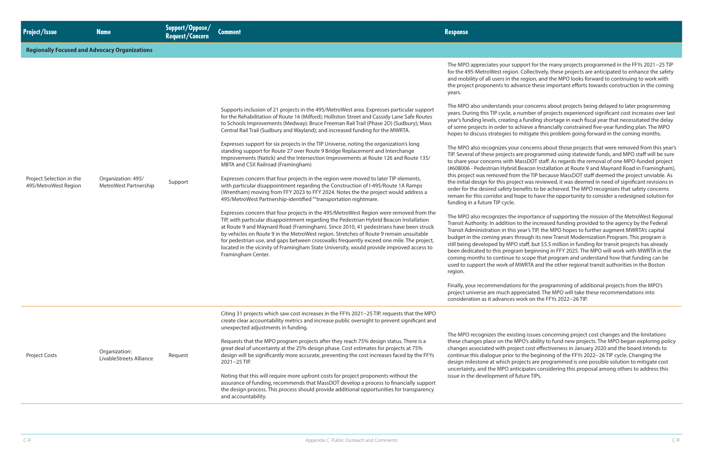#### **Regionally Focused and Advocacy Organizations**

The MPO appreciates your support for the many projects programmed in the FFYs 2021−25 TIP n. Collectively, these projects are anticipated to enhance the safety ne region, and the MPO looks forward to continuing to work with vance these important efforts towards construction in the coming

> bur concerns about projects being delayed to later programming number of projects experienced significant cost increases over last a funding shortage in each fiscal year that necessitated the delay  $\alpha$  ichieve a financially constrained five-year funding plan. The MPO  $\theta$  mitigate this problem going forward in the coming months.

ur concerns about those projects that were removed from this year's are programmed using statewide funds, and MPO staff will be sure MassDOT staff. As regards the removal of one MPO-funded project ( $\beta$ Beacon Installation at Route 9 and Maynard Road in Framingham), m the TIP because MassDOT staff deemed the project unviable. As tect was reviewed, it was deemed in need of significant revisions in oenefits to be achieved. The MPO recognizes that safety concerns nope to have the opportunity to consider a redesigned solution for

importance of supporting the mission of the MetroWest Regional to the increased funding provided to the agency by the Federal s year's TIP, the MPO hopes to further augment MWRTA's capital hrough its new Transit Modernization Program. This program is staff, but \$5.5 million in funding for transit projects has already am beginning in FFY 2025. The MPO will work with MWRTA in the to scope that program and understand how that funding can be MWRTA and the other regional transit authorities in the Boston

ns for the programming of additional projects from the MPO's preciated. The MPO will take these recommendations into work on the FFYs 2022−26 TIP.

ting issues concerning project cost changes and the limitations MPO's ability to fund new projects. The MPO began exploring policy ect cost effectiveness in January 2020 and the board intends to to the beginning of the FFYs 2022−26 TIP cycle. Changing the ojects are programmed is one possible solution to mitigate cost ticipates considering this proposal among others to address this iuture TIPs.

|                                                  |                                             |         |                                                                                                                                                                                                                                                                                                                                                                                                                                                                                                                                                                                    | The MPO appleciates your su<br>for the 495-MetroWest regior<br>and mobility of all users in the<br>the project proponents to ad<br>years.                                                                                                                                   |
|--------------------------------------------------|---------------------------------------------|---------|------------------------------------------------------------------------------------------------------------------------------------------------------------------------------------------------------------------------------------------------------------------------------------------------------------------------------------------------------------------------------------------------------------------------------------------------------------------------------------------------------------------------------------------------------------------------------------|-----------------------------------------------------------------------------------------------------------------------------------------------------------------------------------------------------------------------------------------------------------------------------|
|                                                  |                                             |         | Supports inclusion of 21 projects in the 495/MetroWest area. Expresses particular support<br>for the Rehabilitation of Route 16 (Milford); Holliston Street and Cassidy Lane Safe Routes<br>to Schools Improvements (Medway); Bruce Freeman Rail Trail (Phase 2D) (Sudbury); Mass<br>Central Rail Trail (Sudbury and Wayland); and increased funding for the MWRTA.                                                                                                                                                                                                                | The MPO also understands yo<br>years. During this TIP cycle, a<br>year's funding levels, creating<br>of some projects in order to a<br>hopes to discuss strategies to                                                                                                       |
|                                                  |                                             |         | Expresses support for six projects in the TIP Universe, noting the organization's long<br>standing support for Route 27 over Route 9 Bridge Replacement and Interchange<br>Improvements (Natick) and the Intersection Improvements at Route 126 and Route 135/<br>MBTA and CSX Railroad (Framingham)                                                                                                                                                                                                                                                                               | The MPO also recognizes you<br>TIP. Several of these projects a<br>to share your concerns with M<br>(#608006 - Pedestrian Hybrid                                                                                                                                            |
| Project Selection in the<br>495/MetroWest Region | Organization: 495/<br>MetroWest Partnership | Support | Expresses concern that four projects in the region were moved to later TIP elements,<br>with particular disappointment regarding the Construction of I-495/Route 1A Ramps<br>(Wrentham) moving from FFY 2023 to FFY 2024. Notes the the project would address a<br>495/MetroWest Partnership-identified ""transportation nightmare.                                                                                                                                                                                                                                                | this project was removed fror<br>the initial design for this proje<br>order for the desired safety be<br>remain for this corridor and h<br>funding in a future TIP cycle.                                                                                                   |
|                                                  |                                             |         | Expresses concern that four projects in the 495/MetroWest Region were removed from the<br>TIP, with particular disappointment regarding the Pedestrian Hybrid Beacon Installation<br>at Route 9 and Maynard Road (Framingham). Since 2010, 41 pedestrians have been struck<br>by vehicles on Route 9 in the MetroWest region. Stretches of Route 9 remain unsuitable<br>for pedestrian use, and gaps between crosswalks frequently exceed one mile. The project,<br>located in the vicinity of Framingham State University, would provide improved access to<br>Framingham Center. | The MPO also recognizes the<br>Transit Authority. In addition<br>Transit Administration in this<br>budget in the coming years t<br>still being developed by MPC<br>been dedicated to this progra<br>coming months to continue t<br>used to support the work of M<br>region. |
|                                                  |                                             |         |                                                                                                                                                                                                                                                                                                                                                                                                                                                                                                                                                                                    | Finally, your recommendation<br>project universe are much ap<br>consideration as it advances                                                                                                                                                                                |
|                                                  |                                             |         | Citing 31 projects which saw cost increases in the FFYs 2021-25 TIP, requests that the MPO<br>create clear accountability metrics and increase public oversight to prevent significant and<br>unexpected adjustments in funding.                                                                                                                                                                                                                                                                                                                                                   |                                                                                                                                                                                                                                                                             |
| Project Costs                                    | Organization:<br>LivableStreets Alliance    | Request | Requests that the MPO program projects after they reach 75% design status. There is a<br>great deal of uncertainty at the 25% design phase. Cost estimates for projects at 75%<br>design will be significantly more accurate, preventing the cost increases faced by the FFYs<br>2021-25 TIP.                                                                                                                                                                                                                                                                                      | The MPO recognizes the exist<br>these changes place on the M<br>changes associated with proj<br>continue this dialogue prior t<br>design milestone at which pr<br>uncertainty, and the MPO ant                                                                              |
|                                                  |                                             |         | Noting that this will require more upfront costs for project proponents without the<br>assurance of funding, recommends that MassDOT develop a process to financially support<br>the design process. This process should provide additional opportunities for transparency<br>and accountability.                                                                                                                                                                                                                                                                                  | issue in the development of f                                                                                                                                                                                                                                               |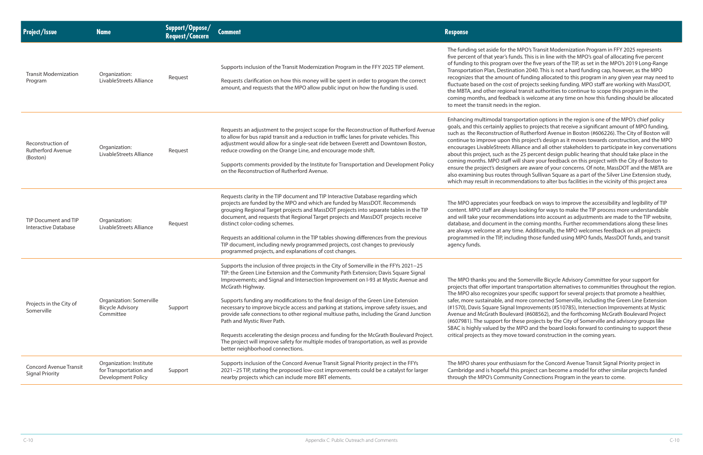**MPO's Transit Modernization Program in FFY 2025 represents** nds. This is in line with the MPO's goal of allocating five percent ver the five years of the TIP, as set in the MPO's 2019 Long-Range tion 2040. This is not a hard funding cap, however, as the MPO of funding allocated to this program in any given year may need to of projects seeking funding. MPO staff are working with MassDOT, transit authorities to continue to scope this program in the ck is welcome at any time on how this funding should be allocated the region.

portation options in the region is one of the MPO's chief policy lies to projects that receive a significant amount of MPO funding, of Rutherford Avenue in Boston (#606226). The City of Boston will his project's design as it moves towards construction, and the MPO lliance and all other stakeholders to participate in key conversations ne 25 percent design public hearing that should take place in the vill share your feedback on this project with the City of Boston to rs are aware of your concerns. Of note, MassDOT and the MBTA are arough Sullivan Square as a part of the Silver Line Extension study, endations to alter bus facilities in the vicinity of this project area

edback on ways to improve the accessibility and legibility of TIP s looking for ways to make the TIP process more understandable ndations into account as adjustments are made to the TIP website, the coming months. Further recommendations along these lines ime. Additionally, the MPO welcomes feedback on all projects ding those funded using MPO funds, MassDOT funds, and transit

Somerville Bicycle Advisory Committee for your support for t transportation alternatives to communities throughout the region. ar specific support for several projects that promote a healthier, more connected Somerville, including the Green Line Extension Improvements (#S10785), Intersection Improvements at Mystic ard (#608562), and the forthcoming McGrath Boulevard Project nese projects by the City of Somerville and advisory groups like MPO and the board looks forward to continuing to support these toward construction in the coming years.

iasm for the Concord Avenue Transit Signal Priority project in is project can become a model for other similar projects funded ity Connections Program in the years to come.

| <b>Project/Issue</b>                                      | <b>Name</b>                                                             | Support/Oppose/<br><b>Request/Concern</b> | <b>Comment</b>                                                                                                                                                                                                                                                                                                                                                                                                                                                                                                                                                                                                                                                                                                                                                                                                                | <b>Response</b>                                                                                                                                                                                                                                                                                                              |
|-----------------------------------------------------------|-------------------------------------------------------------------------|-------------------------------------------|-------------------------------------------------------------------------------------------------------------------------------------------------------------------------------------------------------------------------------------------------------------------------------------------------------------------------------------------------------------------------------------------------------------------------------------------------------------------------------------------------------------------------------------------------------------------------------------------------------------------------------------------------------------------------------------------------------------------------------------------------------------------------------------------------------------------------------|------------------------------------------------------------------------------------------------------------------------------------------------------------------------------------------------------------------------------------------------------------------------------------------------------------------------------|
| <b>Transit Modernization</b><br>Program                   | Organization:<br>LivableStreets Alliance                                | Request                                   | Supports inclusion of the Transit Modernization Program in the FFY 2025 TIP element.<br>Requests clarification on how this money will be spent in order to program the correct<br>amount, and requests that the MPO allow public input on how the funding is used.                                                                                                                                                                                                                                                                                                                                                                                                                                                                                                                                                            | The funding set aside for the<br>five percent of that year's fun<br>of funding to this program ov<br><b>Transportation Plan, Destinat</b><br>recognizes that the amount o<br>fluctuate based on the cost o<br>the MBTA, and other regional<br>coming months, and feedbac<br>to meet the transit needs in t                   |
| Reconstruction of<br><b>Rutherford Avenue</b><br>(Boston) | Organization:<br>LivableStreets Alliance                                | Request                                   | Requests an adjustment to the project scope for the Reconstruction of Rutherford Avenue<br>to allow for bus rapid transit and a reduction in traffic lanes for private vehicles. This<br>adjustment would allow for a single-seat ride between Everett and Downtown Boston,<br>reduce crowding on the Orange Line, and encourage mode shift.<br>Supports comments provided by the Institute for Transportation and Development Policy<br>on the Reconstruction of Rutherford Avenue.                                                                                                                                                                                                                                                                                                                                          | Enhancing multimodal trans<br>goals, and this certainly appli<br>such as the Reconstruction o<br>continue to improve upon th<br>encourages LivableStreets Al<br>about this project, such as th<br>coming months. MPO staff w<br>ensure the project's designer<br>also examining bus routes th<br>which may result in recomme |
| TIP Document and TIP<br>Interactive Database              | Organization:<br>LivableStreets Alliance                                | Request                                   | Requests clarity in the TIP document and TIP Interactive Database regarding which<br>projects are funded by the MPO and which are funded by MassDOT. Recommends<br>grouping Regional Target projects and MassDOT projects into separate tables in the TIP<br>document, and requests that Regional Target projects and MassDOT projects receive<br>distinct color-coding schemes.<br>Requests an additional column in the TIP tables showing differences from the previous<br>TIP document, including newly programmed projects, cost changes to previously<br>programmed projects, and explanations of cost changes.                                                                                                                                                                                                          | The MPO appreciates your fe<br>content. MPO staff are always<br>and will take your recommen<br>database, and document in t<br>are always welcome at any tir<br>programmed in the TIP, inclu-<br>agency funds.                                                                                                                |
| Projects in the City of<br>Somerville                     | Organization: Somerville<br><b>Bicycle Advisory</b><br>Committee        | Support                                   | Supports the inclusion of three projects in the City of Somerville in the FFYs 2021-25<br>TIP: the Green Line Extension and the Community Path Extension; Davis Square Signal<br>Improvements; and Signal and Intersection Improvement on I-93 at Mystic Avenue and<br>McGrath Highway.<br>Supports funding any modifications to the final design of the Green Line Extension<br>necessary to improve bicycle access and parking at stations, improve safety issues, and<br>provide safe connections to other regional multiuse paths, including the Grand Junction<br>Path and Mystic River Path.<br>Requests accelerating the design process and funding for the McGrath Boulevard Project.<br>The project will improve safety for multiple modes of transportation, as well as provide<br>better neighborhood connections. | The MPO thanks you and the<br>projects that offer important<br>The MPO also recognizes you<br>safer, more sustainable, and r<br>(#1570), Davis Square Signal<br>Avenue and McGrath Bouleva<br>(#607981). The support for th<br>SBAC is highly valued by the<br>critical projects as they move                                |
| <b>Concord Avenue Transit</b><br><b>Signal Priority</b>   | Organization: Institute<br>for Transportation and<br>Development Policy | Support                                   | Supports inclusion of the Concord Avenue Transit Signal Priority project in the FFYs<br>2021-25 TIP, stating the proposed low-cost improvements could be a catalyst for larger<br>nearby projects which can include more BRT elements.                                                                                                                                                                                                                                                                                                                                                                                                                                                                                                                                                                                        | The MPO shares your enthusi<br>Cambridge and is hopeful thi<br>through the MPO's Commun                                                                                                                                                                                                                                      |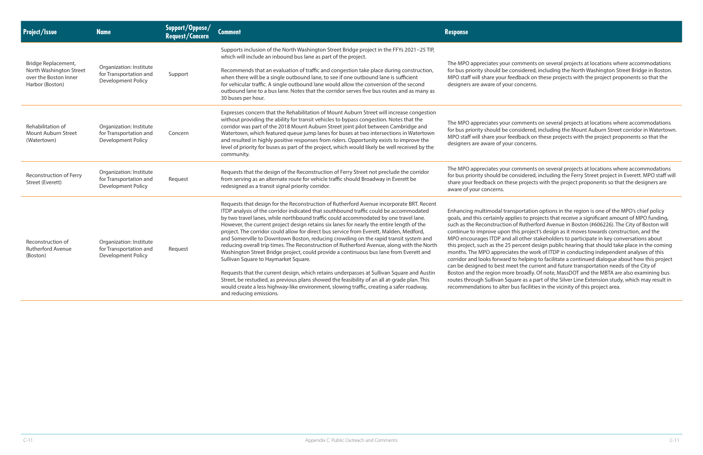omments on several projects at locations where accommodations nsidered, including the North Washington Street Bridge in Boston. dback on these projects with the project proponents so that the concerns.

omments on several projects at locations where accommodations nsidered, including the Mount Auburn Street corridor in Watertown. dback on these projects with the project proponents so that the concerns.

omments on several projects at locations where accommodations nsidered, including the Ferry Street project in Everett. MPO staff will projects with the project proponents so that the designers are

portation options in the region is one of the MPO's chief policy lies to projects that receive a significant amount of MPO funding, of Rutherford Avenue in Boston (#606226). The City of Boston will his project's design as it moves towards construction, and the I other stakeholders to participate in key conversations about ercent design public hearing that should take place in the coming es the work of ITDP in conducting independent analyses of this helping to facilitate a continued dialogue about how this project et the current and future transportation needs of the City of broadly. Of note, MassDOT and the MBTA are also examining bus are as a part of the Silver Line Extension study, which may result in us facilities in the vicinity of this project area.

| <b>Project/Issue</b>                                                                       | <b>Name</b>                                                                    | Support/Oppose/<br>Request/Concern | <b>Comment</b>                                                                                                                                                                                                                                                                                                                                                                                                                                                                                                                                                                                                                                                                                                                                                                                                                                                                                                                                                                                                                                                                                                | <b>Response</b>                                                                                                                                                                                                                                                                                                                                                                            |
|--------------------------------------------------------------------------------------------|--------------------------------------------------------------------------------|------------------------------------|---------------------------------------------------------------------------------------------------------------------------------------------------------------------------------------------------------------------------------------------------------------------------------------------------------------------------------------------------------------------------------------------------------------------------------------------------------------------------------------------------------------------------------------------------------------------------------------------------------------------------------------------------------------------------------------------------------------------------------------------------------------------------------------------------------------------------------------------------------------------------------------------------------------------------------------------------------------------------------------------------------------------------------------------------------------------------------------------------------------|--------------------------------------------------------------------------------------------------------------------------------------------------------------------------------------------------------------------------------------------------------------------------------------------------------------------------------------------------------------------------------------------|
| Bridge Replacement,<br>North Washington Street<br>over the Boston Inner<br>Harbor (Boston) | Organization: Institute<br>for Transportation and<br>Development Policy        | Support                            | Supports inclusion of the North Washington Street Bridge project in the FFYs 2021-25 TIP,<br>which will include an inbound bus lane as part of the project.<br>Recommends that an evaluation of traffic and congestion take place during construction,<br>when there will be a single outbound lane, to see if one outbound lane is sufficient<br>for vehicular traffic. A single outbound lane would allow the conversion of the second<br>outbound lane to a bus lane. Notes that the corridor serves five bus routes and as many as<br>30 buses per hour.                                                                                                                                                                                                                                                                                                                                                                                                                                                                                                                                                  | The MPO appreciates your co<br>for bus priority should be cor<br>MPO staff will share your feed<br>designers are aware of your c                                                                                                                                                                                                                                                           |
| Rehabilitation of<br>Mount Auburn Street<br>(Watertown)                                    | Organization: Institute<br>for Transportation and<br>Development Policy        | Concern                            | Expresses concern that the Rehabilitation of Mount Auburn Street will increase congestion<br>without providing the ability for transit vehicles to bypass congestion. Notes that the<br>corridor was part of the 2018 Mount Auburn Street joint pilot between Cambridge and<br>Watertown, which featured queue jump lanes for buses at two intersections in Watertown<br>and resulted in highly positive responses from riders. Opportunity exists to improve the<br>level of priority for buses as part of the project, which would likely be well received by the<br>community.                                                                                                                                                                                                                                                                                                                                                                                                                                                                                                                             | The MPO appreciates your co<br>for bus priority should be cor<br>MPO staff will share your feed<br>designers are aware of your o                                                                                                                                                                                                                                                           |
| Reconstruction of Ferry<br>Street (Everett)                                                | Organization: Institute<br>for Transportation and<br><b>Development Policy</b> | Request                            | Requests that the design of the Reconstruction of Ferry Street not preclude the corridor<br>from serving as an alternate route for vehicle traffic should Broadway in Everett be<br>redesigned as a transit signal priority corridor.                                                                                                                                                                                                                                                                                                                                                                                                                                                                                                                                                                                                                                                                                                                                                                                                                                                                         | The MPO appreciates your co<br>for bus priority should be cor<br>share your feedback on these<br>aware of your concerns.                                                                                                                                                                                                                                                                   |
| Reconstruction of<br><b>Rutherford Avenue</b><br>(Boston)                                  | Organization: Institute<br>for Transportation and<br>Development Policy        | Request                            | Requests that design for the Reconstruction of Rutherford Avenue incorporate BRT. Recent<br>ITDP analysis of the corridor indicated that southbound traffic could be accommodated<br>by two travel lanes, while northbound traffic could accommodated by one travel lane.<br>However, the current project design retains six lanes for nearly the entire length of the<br>project. The corridor could allow for direct bus service from Everett, Malden, Medford,<br>and Somerville to Downtown Boston, reducing crowding on the rapid transit system and<br>reducing overall trip times. The Reconstruction of Rutherford Avenue, along with the North<br>Washington Street Bridge project, could provide a continuous bus lane from Everett and<br>Sullivan Square to Haymarket Square.<br>Requests that the current design, which retains underpasses at Sullivan Square and Austin<br>Street, be restudied, as previous plans showed the feasibility of an all at-grade plan. This<br>would create a less highway-like environment, slowing traffic, creating a safer roadway,<br>and reducing emissions. | Enhancing multimodal transp<br>goals, and this certainly appli<br>such as the Reconstruction of<br>continue to improve upon th<br>MPO encourages ITDP and al<br>this project, such as the 25 pe<br>months. The MPO appreciate<br>corridor and looks forward to<br>can be designed to best mee<br>Boston and the region more<br>routes through Sullivan Squa<br>recommendations to alter bu |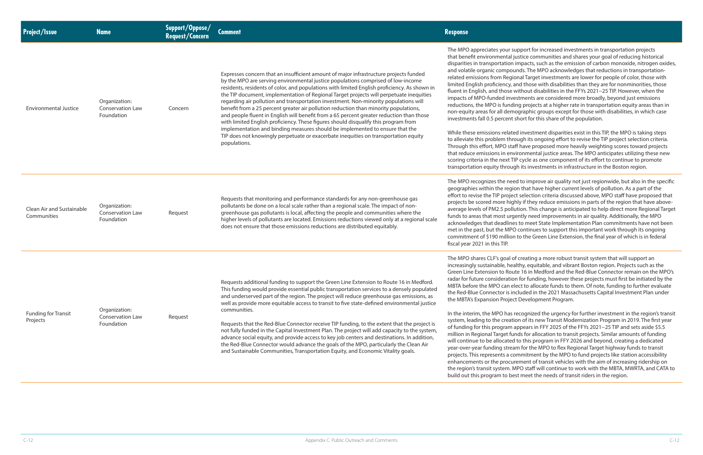upport for increased investments in transportation projects justice communities and shares your goal of reducing historical in mpacts, such as the emission of carbon monoxide, nitrogen oxides, unds. The MPO acknowledges that reductions in transportationonal Target investments are lower for people of color, those with and those with disabilities than they are for nonminorities, those without disabilities in the FFYs 2021−25 TIP. However, when the estments are considered more broadly, beyond just emissions ling projects at a higher rate in transportation equity areas than in nographic groups except for those with disabilities, in which case short for this share of the population.

ed investment disparities exist in this TIP, the MPO is taking steps tough its ongoing effort to revise the TIP project selection criteria. aff have proposed more heavily weighting scores toward projects vironmental justice areas. The MPO anticipates utilizing these new IP cycle as one component of its effort to continue to promote gh its investments in infrastructure in the Boston region.

ed to improve air quality not just regionwide, but also in the specific ion that have higher current levels of pollution. As a part of the ct selection criteria discussed above, MPO staff have proposed that hly if they reduce emissions in parts of the region that have aboveution. This change is anticipated to help direct more Regional Target jently need improvements in air quality. Additionally, the MPO es to meet State Implementation Plan commitments have not been O continues to support this important work through its ongoing to the Green Line Extension, the final year of which is in federal

of creating a more robust transit system that will support an althy, equitable, and vibrant Boston region. Projects such as the Ite 16 in Medford and the Red-Blue Connector remain on the MPO's on for funding, however these projects must first be initiated by the lect to allocate funds to them. Of note, funding to further evaluate icluded in the 2021 Massachusetts Capital Investment Plan under ct Development Program.

| <b>Project/Issue</b>                     | <b>Name</b>                                     | <b>Support/Oppose/<br/>Request/Concern</b> | <b>Comment</b>                                                                                                                                                                                                                                                                                                                                                                                                                                                                                                                                                                                                                                                                                                                                                                                                                                                                                                                 | <b>Response</b>                                                                                                                                                                                                                                                                                                                                                                                                                                                                                                                                                  |
|------------------------------------------|-------------------------------------------------|--------------------------------------------|--------------------------------------------------------------------------------------------------------------------------------------------------------------------------------------------------------------------------------------------------------------------------------------------------------------------------------------------------------------------------------------------------------------------------------------------------------------------------------------------------------------------------------------------------------------------------------------------------------------------------------------------------------------------------------------------------------------------------------------------------------------------------------------------------------------------------------------------------------------------------------------------------------------------------------|------------------------------------------------------------------------------------------------------------------------------------------------------------------------------------------------------------------------------------------------------------------------------------------------------------------------------------------------------------------------------------------------------------------------------------------------------------------------------------------------------------------------------------------------------------------|
| <b>Environmental Justice</b>             | Organization:<br>Conservation Law<br>Foundation | Concern                                    | Expresses concern that an insufficient amount of major infrastructure projects funded<br>by the MPO are serving environmental justice populations comprised of low-income<br>residents, residents of color, and populations with limited English proficiency. As shown in<br>the TIP document, implementation of Regional Target projects will perpetuate inequities<br>regarding air pollution and transportation investment. Non-minority populations will<br>benefit from a 25 percent greater air pollution reduction than minority populations,<br>and people fluent in English will benefit from a 65 percent greater reduction than those<br>with limited English proficiency. These figures should disqualify this program from<br>implementation and binding measures should be implemented to ensure that the<br>TIP does not knowingly perpetuate or exacerbate inequities on transportation equity<br>populations. | The MPO appreciates your st<br>that benefit environmental j<br>disparities in transportation<br>and volatile organic compou<br>related emissions from Regio<br>limited English proficiency, a<br>fluent in English, and those<br>impacts of MPO-funded inve<br>reductions, the MPO is fundi<br>non-equity areas for all dem<br>investments fall 0.5 percent<br>While these emissions-relate<br>to alleviate this problem thro<br>Through this effort, MPO sta<br>that reduce emissions in env<br>scoring criteria in the next TI<br>transportation equity throud |
| Clean Air and Sustainable<br>Communities | Organization:<br>Conservation Law<br>Foundation | Request                                    | Requests that monitoring and performance standards for any non-greenhouse gas<br>pollutants be done on a local scale rather than a regional scale. The impact of non-<br>greenhouse gas pollutants is local, affecting the people and communities where the<br>higher levels of pollutants are located. Emissions reductions viewed only at a regional scale<br>does not ensure that those emissions reductions are distributed equitably.                                                                                                                                                                                                                                                                                                                                                                                                                                                                                     | The MPO recognizes the nee<br>geographies within the regio<br>effort to revise the TIP projed<br>projects be scored more hig<br>average levels of PM2.5 poll<br>funds to areas that most urg<br>acknowledges that deadline<br>met in the past, but the MPC<br>commitment of \$190 million<br>fiscal year 2021 in this TIP.                                                                                                                                                                                                                                       |
| Funding for Transit<br>Projects          | Organization:<br>Conservation Law<br>Foundation | Request                                    | Requests additional funding to support the Green Line Extension to Route 16 in Medford.<br>This funding would provide essential public transportation services to a densely populated<br>and underserved part of the region. The project will reduce greenhouse gas emissions, as<br>well as provide more equitable access to transit to five state-defined environmental justice<br>communities.<br>Requests that the Red-Blue Connector receive TIP funding, to the extent that the project is<br>not fully funded in the Capital Investment Plan. The project will add capacity to the system,<br>advance social equity, and provide access to key job centers and destinations. In addition,<br>the Red-Blue Connector would advance the goals of the MPO, particularly the Clean Air<br>and Sustainable Communities, Transportation Equity, and Economic Vitality goals.                                                  | The MPO shares CLF's goal o<br>increasingly sustainable, hea<br>Green Line Extension to Rou<br>radar for future consideratio<br>MBTA before the MPO can el<br>the Red-Blue Connector is in<br>the MBTA's Expansion Projec<br>In the interim, the MPO has<br>system, leading to the creati<br>of funding for this program a<br>million in Regional Target fu<br>will continue to be allocated<br>year-over-year funding strea<br>projects. This represents a co<br>enhancements or the procul<br>the region's transit system. N                                   |

recognized the urgency for further investment in the region's transit ion of its new Transit Modernization Program in 2019. The first year appears in FFY 2025 of the FFYs 2021–25 TIP and sets aside \$5.5 nds for allocation to transit projects. Similar amounts of funding to this program in FFY 2026 and beyond, creating a dedicated im for the MPO to flex Regional Target highway funds to transit promitment by the MPO to fund projects like station accessibility rement of transit vehicles with the aim of increasing ridership on MPO staff will continue to work with the MBTA, MWRTA, and CATA to build out this program to best meet the needs of transit riders in the region.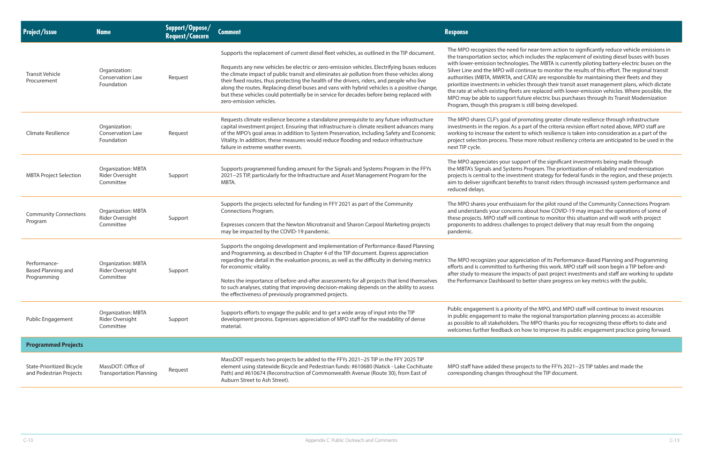d for near-term action to significantly reduce vehicle emissions in hich includes the replacement of existing diesel buses with buses logies. The MBTA is currently piloting battery-electric buses on the continue to monitor the results of this effort. The regional transit and CATA) are responsible for maintaining their fleets and they icles through their transit asset management plans, which dictate ets are replaced with lower-emission vehicles. Where possible, the t future electric bus purchases through its Transit Modernization m is still being developed.

promoting greater climate resilience through infrastructure is a part of the criteria revision effort noted above, MPO staff are nt to which resilience is taken into consideration as a part of the ese more robust resiliency criteria are anticipated to be used in the

upport of the significant investments being made through ms Program. The prioritization of reliability and modernization estment strategy for federal funds in the region, and these projects nefits to transit riders through increased system performance and

tiasm for the pilot round of the Community Connections Program erns about how COVID-19 may impact the operations of some of I continue to monitor this situation and will work with project enges to project delivery that may result from the ongoing

preciation of its Performance-Based Planning and Programming urthering this work. MPO staff will soon begin a TIP before-andnpacts of past project investments and staff are working to update to better share progress on key metrics with the public.

rity of the MPO, and MPO staff will continue to invest resources ike the regional transportation planning process as accessible rs. The MPO thanks you for recognizing these efforts to date and on how to improve its public engagement practice going forward.

projects to the FFYs 2021−25 TIP tables and made the ughout the TIP document.

| Project/Issue                                               | <b>Name</b>                                                      | Support/Oppose/<br><b>Request/Concern</b> | <b>Comment</b>                                                                                                                                                                                                                                                                                                                                                                                                                                                                                                                                                                                                  | <b>Response</b>                                                                                                                                                                                                                                                                            |
|-------------------------------------------------------------|------------------------------------------------------------------|-------------------------------------------|-----------------------------------------------------------------------------------------------------------------------------------------------------------------------------------------------------------------------------------------------------------------------------------------------------------------------------------------------------------------------------------------------------------------------------------------------------------------------------------------------------------------------------------------------------------------------------------------------------------------|--------------------------------------------------------------------------------------------------------------------------------------------------------------------------------------------------------------------------------------------------------------------------------------------|
| <b>Transit Vehicle</b><br>Procurement                       | Organization:<br><b>Conservation Law</b><br>Foundation           | Request                                   | Supports the replacement of current diesel fleet vehicles, as outlined in the TIP document.<br>Requests any new vehicles be electric or zero-emission vehicles. Electrifying buses reduces<br>the climate impact of public transit and eliminates air pollution from these vehicles along<br>their fixed routes, thus protecting the health of the drivers, riders, and people who live<br>along the routes. Replacing diesel buses and vans with hybrid vehicles is a positive change,<br>but these vehicles could potentially be in service for decades before being replaced with<br>zero-emission vehicles. | The MPO recognizes the nee<br>the transportation sector, wh<br>with lower-emission technol<br>Silver Line and the MPO will<br>authorities (MBTA, MWRTA, a<br>prioritize investments in veh<br>the rate at which existing flee<br>MPO may be able to support<br>Program, though this progra |
| Climate Resilience                                          | Organization:<br>Conservation Law<br>Foundation                  | Request                                   | Requests climate resilience become a standalone prerequisite to any future infrastructure<br>capital investment project. Ensuring that infrastructure is climate resilient advances many<br>of the MPO's goal areas in addition to System Preservation, including Safety and Economic<br>Vitality. In addition, these measures would reduce flooding and reduce infrastructure<br>failure in extreme weather events.                                                                                                                                                                                            | The MPO shares CLF's goal of<br>investments in the region. As<br>working to increase the exte<br>project selection process. The<br>next TIP cycle.                                                                                                                                         |
| <b>MBTA Project Selection</b>                               | <b>Organization: MBTA</b><br><b>Rider Oversight</b><br>Committee | Support                                   | Supports programmed funding amount for the Signals and Systems Program in the FFYs<br>2021-25 TIP, particularly for the Infrastructure and Asset Management Program for the<br>MBTA.                                                                                                                                                                                                                                                                                                                                                                                                                            | The MPO appreciates your su<br>the MBTA's Signals and Syste<br>projects is central to the inve<br>aim to deliver significant ber<br>reduced delays.                                                                                                                                        |
| <b>Community Connections</b><br>Program                     | Organization: MBTA<br><b>Rider Oversight</b><br>Committee        | Support                                   | Supports the projects selected for funding in FFY 2021 as part of the Community<br>Connections Program.<br>Expresses concern that the Newton Microtransit and Sharon Carpool Marketing projects<br>may be impacted by the COVID-19 pandemic.                                                                                                                                                                                                                                                                                                                                                                    | The MPO shares your enthus<br>and understands your conce<br>these projects. MPO staff will<br>proponents to address challe<br>pandemic.                                                                                                                                                    |
| Performance-<br><b>Based Planning and</b><br>Programming    | <b>Organization: MBTA</b><br>Rider Oversight<br>Committee        | Support                                   | Supports the ongoing development and implementation of Performance-Based Planning<br>and Programming, as described in Chapter 4 of the TIP document. Express appreciation<br>regarding the detail in the evaluation process, as well as the difficulty in deriving metrics<br>for economic vitality.<br>Notes the importance of before-and-after assessments for all projects that lend themselves<br>to such analyses, stating that improving decision-making depends on the ability to assess<br>the effectiveness of previously programmed projects.                                                         | The MPO recognizes your ap<br>efforts and is committed to f<br>after study to measure the in<br>the Performance Dashboard                                                                                                                                                                  |
| Public Engagement                                           | <b>Organization: MBTA</b><br>Rider Oversight<br>Committee        | Support                                   | Supports efforts to engage the public and to get a wide array of input into the TIP<br>development process. Expresses appreciation of MPO staff for the readability of dense<br>material.                                                                                                                                                                                                                                                                                                                                                                                                                       | Public engagement is a prior<br>in public engagement to ma<br>as possible to all stakeholder<br>welcomes further feedback o                                                                                                                                                                |
| <b>Programmed Projects</b>                                  |                                                                  |                                           |                                                                                                                                                                                                                                                                                                                                                                                                                                                                                                                                                                                                                 |                                                                                                                                                                                                                                                                                            |
| <b>State-Prioritized Bicycle</b><br>and Pedestrian Projects | MassDOT: Office of<br><b>Transportation Planning</b>             | Request                                   | MassDOT requests two projects be added to the FFYs 2021-25 TIP in the FFY 2025 TIP<br>element using statewide Bicycle and Pedestrian funds: #610680 (Natick - Lake Cochituate<br>Path) and #610674 (Reconstruction of Commonwealth Avenue (Route 30), from East of<br>Auburn Street to Ash Street).                                                                                                                                                                                                                                                                                                             | MPO staff have added these<br>corresponding changes thro                                                                                                                                                                                                                                   |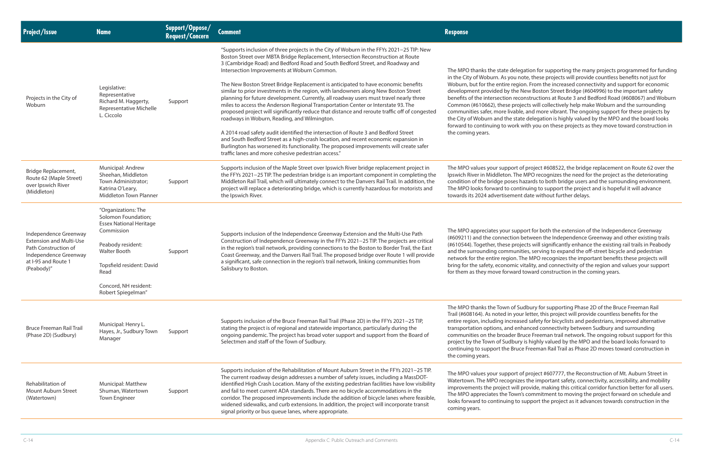legation for supporting the many projects programmed for funding I note, these projects will provide countless benefits not just for egion. From the increased connectivity and support for economic e New Boston Street Bridge (#604996) to the important safety econstructions at Route 3 and Bedford Road (#608067) and Woburn rojects will collectively help make Woburn and the surrounding ble, and more vibrant. The ongoing support for these projects by tate delegation is highly valued by the MPO and the board looks rk with you on these projects as they move toward construction in

rt of project #608522, the bridge replacement on Route 62 over the The MPO recognizes the need for the project as the deteriorating es hazards to both bridge users and the surrounding environment. Intinuing to support the project and is hopeful it will advance ent date without further delays.

upport for both the extension of the Independence Greenway on between the Independence Greenway and other existing trails rojects will significantly enhance the existing rail trails in Peabody anities, serving to expand the off-street bicycle and pedestrian n. The MPO recognizes the important benefits these projects will ic vitality, and connectivity of the region and values your support ard toward construction in the coming years.

f Sudbury for supporting Phase 2D of the Bruce Freeman Rail our letter, this project will provide countless benefits for the eased safety for bicyclists and pedestrians, improved alternative enhanced connectivity between Sudbury and surrounding r Bruce Freeman trail network. The ongoing robust support for this ury is highly valued by the MPO and the board looks forward to ruce Freeman Rail Trail as Phase 2D moves toward construction in

rt of project #607777, the Reconstruction of Mt. Auburn Street in hizes the important safety, connectivity, accessibility, and mobility ill provide, making this critical corridor function better for all users. wn's commitment to moving the project forward on schedule and to support the project as it advances towards construction in the

| <b>Project/Issue</b>                                                                | <b>Name</b>                                                                                                  | Support/Oppose/<br><b>Request/Concern</b> | <b>Comment</b>                                                                                                                                                                                                                                                                                                                                                                                                                                                                                                                                                                                                               | <b>Response</b>                                                                                                                                                                                                                                                                  |
|-------------------------------------------------------------------------------------|--------------------------------------------------------------------------------------------------------------|-------------------------------------------|------------------------------------------------------------------------------------------------------------------------------------------------------------------------------------------------------------------------------------------------------------------------------------------------------------------------------------------------------------------------------------------------------------------------------------------------------------------------------------------------------------------------------------------------------------------------------------------------------------------------------|----------------------------------------------------------------------------------------------------------------------------------------------------------------------------------------------------------------------------------------------------------------------------------|
|                                                                                     |                                                                                                              |                                           | "Supports inclusion of three projects in the City of Woburn in the FFYs 2021-25 TIP: New<br>Boston Street over MBTA Bridge Replacement, Intersection Reconstruction at Route<br>3 (Cambridge Road) and Bedford Road and South Bedford Street, and Roadway and<br>Intersection Improvements at Woburn Common.                                                                                                                                                                                                                                                                                                                 | The MPO thanks the state de                                                                                                                                                                                                                                                      |
| Projects in the City of<br>Woburn                                                   | Legislative:<br>Representative<br>Richard M. Haggerty,<br>Representative Michelle<br>L. Ciccolo              | Support                                   | The New Boston Street Bridge Replacement is anticipated to have economic benefits<br>similar to prior investments in the region, with landowners along New Boston Street<br>planning for future development. Currently, all roadway users must travel nearly three<br>miles to access the Anderson Regional Transportation Center or Interstate 93. The<br>proposed project will significantly reduce that distance and reroute traffic off of congested<br>roadways in Woburn, Reading, and Wilmington.                                                                                                                     | in the City of Woburn. As you<br>Woburn, but for the entire re<br>development provided by th<br>benefits of the intersection re<br>Common (#610662), these p<br>communities safer, more liva<br>the City of Woburn and the s<br>forward to continuing to wo<br>the coming years. |
|                                                                                     |                                                                                                              |                                           | A 2014 road safety audit identified the intersection of Route 3 and Bedford Street<br>and South Bedford Street as a high-crash location, and recent economic expansion in<br>Burlington has worsened its functionality. The proposed improvements will create safer<br>traffic lanes and more cohesive pedestrian access."                                                                                                                                                                                                                                                                                                   |                                                                                                                                                                                                                                                                                  |
| Bridge Replacement,<br>Route 62 (Maple Street)<br>over Ipswich River<br>(Middleton) | Municipal: Andrew<br>Sheehan, Middleton<br>Town Administrator;<br>Katrina O'Leary,<br>Middleton Town Planner | Support                                   | Supports inclusion of the Maple Street over Ipswich River bridge replacement project in<br>the FFYs 2021-25 TIP. The pedestrian bridge is an important component in completing the<br>Middleton Rail Trail, which will ultimately connect to the Danvers Rail Trail. In addition, the<br>project will replace a deteriorating bridge, which is currently hazardous for motorists and<br>the Ipswich River.                                                                                                                                                                                                                   | The MPO values your suppor<br>Ipswich River in Middleton. T<br>condition of the bridge pose<br>The MPO looks forward to co<br>towards its 2024 advertisem                                                                                                                        |
| Independence Greenway                                                               | "Organizations: The<br>Solomon Foundation;<br><b>Essex National Heritage</b><br>Commission                   | Support                                   | Supports inclusion of the Independence Greenway Extension and the Multi-Use Path<br>Construction of Independence Greenway in the FFYs 2021-25 TIP. The projects are critical<br>in the region's trail network, providing connections to the Boston to Border Trail, the East<br>Coast Greenway, and the Danvers Rail Trail. The proposed bridge over Route 1 will provide<br>a significant, safe connection in the region's trail network, linking communities from<br>Salisbury to Boston.                                                                                                                                  | The MPO appreciates your su<br>(#609211) and the connectio<br>(#610544). Together, these p<br>and the surrounding commu<br>network for the entire regior                                                                                                                         |
| <b>Extension and Multi-Use</b><br>Path Construction of<br>Independence Greenway     | Peabody resident:<br><b>Walter Booth</b>                                                                     |                                           |                                                                                                                                                                                                                                                                                                                                                                                                                                                                                                                                                                                                                              |                                                                                                                                                                                                                                                                                  |
| at I-95 and Route 1<br>(Peabody)"                                                   | Topsfield resident: David<br>Read                                                                            |                                           |                                                                                                                                                                                                                                                                                                                                                                                                                                                                                                                                                                                                                              | bring for the safety, economi<br>for them as they move forwa                                                                                                                                                                                                                     |
|                                                                                     | Concord, NH resident:<br>Robert Spiegelman"                                                                  |                                           |                                                                                                                                                                                                                                                                                                                                                                                                                                                                                                                                                                                                                              |                                                                                                                                                                                                                                                                                  |
| <b>Bruce Freeman Rail Trail</b><br>(Phase 2D) (Sudbury)                             | Municipal: Henry L.<br>Hayes, Jr., Sudbury Town<br>Manager                                                   | Support                                   | Supports inclusion of the Bruce Freeman Rail Trail (Phase 2D) in the FFYs 2021-25 TIP,<br>stating the project is of regional and statewide importance, particularly during the<br>ongoing pandemic. The project has broad voter support and support from the Board of<br>Selectmen and staff of the Town of Sudbury.                                                                                                                                                                                                                                                                                                         | The MPO thanks the Town of<br>Trail (#608164). As noted in y<br>entire region, including incre<br>transportation options, and<br>communities on the broader<br>project by the Town of Sudb<br>continuing to support the Br<br>the coming years.                                  |
| Rehabilitation of<br>Mount Auburn Street<br>(Watertown)                             | Municipal: Matthew<br>Shuman, Watertown<br><b>Town Engineer</b>                                              | Support                                   | Supports inclusion of the Rehabilitation of Mount Auburn Street in the FFYs 2021-25 TIP.<br>The current roadway design addresses a number of safety issues, including a MassDOT-<br>identified High Crash Location. Many of the existing pedestrian facilities have low visibility<br>and fail to meet current ADA standards. There are no bicycle accommodations in the<br>corridor. The proposed improvements include the addition of bicycle lanes where feasible,<br>widened sidewalks, and curb extensions. In addition, the project will incorporate transit<br>signal priority or bus queue lanes, where appropriate. | The MPO values your suppor<br>Watertown. The MPO recogn<br>improvements the project w<br>The MPO appreciates the Tov<br>looks forward to continuing<br>coming years.                                                                                                             |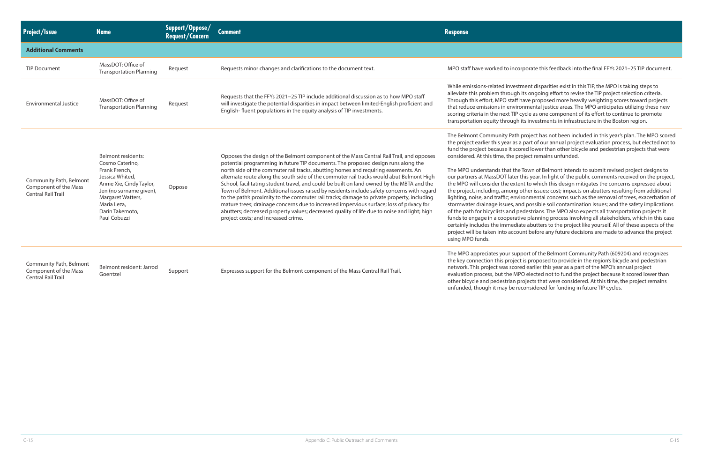#### Transportate this feedback into the final FFYs 2021–25 TIP document.

stment disparities exist in this TIP, the MPO is taking steps to ah its ongoing effort to revise the TIP project selection criteria. f have proposed more heavily weighting scores toward projects ronmental justice areas. The MPO anticipates utilizing these new cycle as one component of its effort to continue to promote h its investments in infrastructure in the Boston region.

h project has not been included in this year's plan. The MPO scored the part of our annual project evaluation process, but elected not to fored lower than other bicycle and pedestrian projects that were project remains unfunded.

Ie Town of Belmont intends to submit revised project designs to r this year. In light of the public comments received on the project, tent to which this design mitigates the concerns expressed about the protiect, impacts on abutters resulting from additional vironmental concerns such as the removal of trees, exacerbation of and possible soil contamination issues; and the safety implications pedestrians. The MPO also expects all transportation projects it ative planning process involving all stakeholders, which in this case iate abutters to the project like yourself. All of these aspects of the ount before any future decisions are made to advance the project

Ipport of the Belmont Community Path (609204) and recognizes ect is proposed to provide in the region's bicycle and pedestrian ored earlier this year as a part of the MPO's annual project 1PO elected not to fund the project because it scored lower than projects that were considered. At this time, the project remains reconsidered for funding in future TIP cycles.

| <b>Project/Issue</b>                                                          | <b>Name</b>                                                                                                                                                                                             | Support/Oppose/<br><b>Request/Concern</b> | <b>Comment</b>                                                                                                                                                                                                                                                                                                                                                                                                                                                                                                                                                                                                                                                                                                                                                                                                                                                                            | <b>Response</b>                                                                                                                                                                                                                                                                                                                                                                                                                                                                                   |
|-------------------------------------------------------------------------------|---------------------------------------------------------------------------------------------------------------------------------------------------------------------------------------------------------|-------------------------------------------|-------------------------------------------------------------------------------------------------------------------------------------------------------------------------------------------------------------------------------------------------------------------------------------------------------------------------------------------------------------------------------------------------------------------------------------------------------------------------------------------------------------------------------------------------------------------------------------------------------------------------------------------------------------------------------------------------------------------------------------------------------------------------------------------------------------------------------------------------------------------------------------------|---------------------------------------------------------------------------------------------------------------------------------------------------------------------------------------------------------------------------------------------------------------------------------------------------------------------------------------------------------------------------------------------------------------------------------------------------------------------------------------------------|
| <b>Additional Comments</b>                                                    |                                                                                                                                                                                                         |                                           |                                                                                                                                                                                                                                                                                                                                                                                                                                                                                                                                                                                                                                                                                                                                                                                                                                                                                           |                                                                                                                                                                                                                                                                                                                                                                                                                                                                                                   |
| <b>TIP Document</b>                                                           | MassDOT: Office of<br><b>Transportation Planning</b>                                                                                                                                                    | Request                                   | Requests minor changes and clarifications to the document text.                                                                                                                                                                                                                                                                                                                                                                                                                                                                                                                                                                                                                                                                                                                                                                                                                           | MPO staff have worked to inc                                                                                                                                                                                                                                                                                                                                                                                                                                                                      |
| <b>Environmental Justice</b>                                                  | MassDOT: Office of<br><b>Transportation Planning</b>                                                                                                                                                    | Request                                   | Requests that the FFYs 2021-25 TIP include additional discussion as to how MPO staff<br>will investigate the potential disparities in impact between limited-English proficient and<br>English-fluent populations in the equity analysis of TIP investments.                                                                                                                                                                                                                                                                                                                                                                                                                                                                                                                                                                                                                              | While emissions-related inves<br>alleviate this problem throug<br>Through this effort, MPO staf<br>that reduce emissions in envi<br>scoring criteria in the next TIP<br>transportation equity througl                                                                                                                                                                                                                                                                                             |
| Community Path, Belmont<br>Component of the Mass<br><b>Central Rail Trail</b> | Belmont residents:<br>Cosmo Caterino,<br>Frank French,<br>Jessica Whited,<br>Annie Xie, Cindy Taylor,<br>Jen (no surname given),<br>Margaret Watters,<br>Maria Leza,<br>Darin Takemoto,<br>Paul Cobuzzi | Oppose                                    | Opposes the design of the Belmont component of the Mass Central Rail Trail, and opposes<br>potential programming in future TIP documents. The proposed design runs along the<br>north side of the commuter rail tracks, abutting homes and requiring easements. An<br>alternate route along the south side of the commuter rail tracks would abut Belmont High<br>School, facilitating student travel, and could be built on land owned by the MBTA and the<br>Town of Belmont. Additional issues raised by residents include safety concerns with regard<br>to the path's proximity to the commuter rail tracks; damage to private property, including<br>mature trees; drainage concerns due to increased impervious surface; loss of privacy for<br>abutters; decreased property values; decreased quality of life due to noise and light; high<br>project costs; and increased crime. | The Belmont Community Pat<br>the project earlier this year as<br>fund the project because it so<br>considered. At this time, the p<br>The MPO understands that th<br>our partners at MassDOT late<br>the MPO will consider the ext<br>the project, including, among<br>lighting, noise, and traffic; en<br>stormwater drainage issues, a<br>of the path for bicyclists and<br>funds to engage in a coopera<br>certainly includes the immed<br>project will be taken into acco<br>using MPO funds. |
| Community Path, Belmont<br>Component of the Mass<br><b>Central Rail Trail</b> | Belmont resident: Jarrod<br>Goentzel                                                                                                                                                                    | Support                                   | Expresses support for the Belmont component of the Mass Central Rail Trail.                                                                                                                                                                                                                                                                                                                                                                                                                                                                                                                                                                                                                                                                                                                                                                                                               | The MPO appreciates your su<br>the key connection this proje<br>network. This project was sco<br>evaluation process, but the M<br>other bicycle and pedestrian<br>unfunded, though it may be i                                                                                                                                                                                                                                                                                                    |
|                                                                               |                                                                                                                                                                                                         |                                           |                                                                                                                                                                                                                                                                                                                                                                                                                                                                                                                                                                                                                                                                                                                                                                                                                                                                                           |                                                                                                                                                                                                                                                                                                                                                                                                                                                                                                   |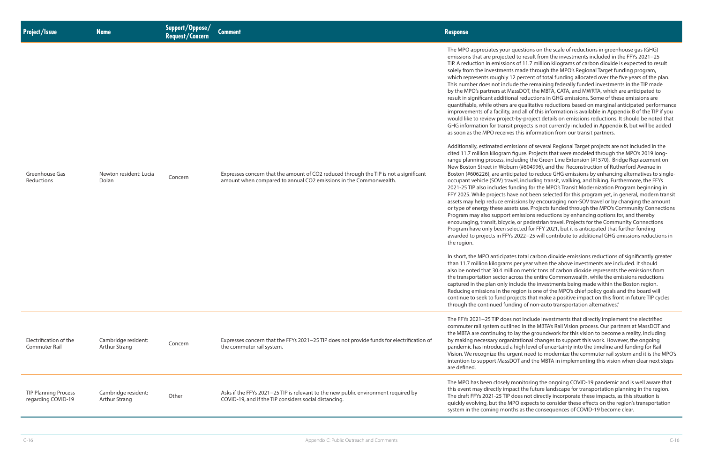uestions on the scale of reductions in greenhouse gas (GHG) to result from the investments included in the FFYs 2021−25 of 11.7 million kilograms of carbon dioxide is expected to result made through the MPO's Regional Target funding program, percent of total funding allocated over the five years of the plan. Ie the remaining federally funded investments in the TIP made ssDOT, the MBTA, CATA, and MWRTA, which are anticipated to al reductions in GHG emissions. Some of these emissions are e qualitative reductions based on marginal anticipated performance nd all of this information is available in Appendix B of the TIP if you by-project details on emissions reductions. It should be noted that orojects is not currently included in Appendix B, but will be added this information from our transit partners.

sions of several Regional Target projects are not included in the qure. Projects that were modeled through the MPO's 2019 longuding the Green Line Extension (#1570), Bridge Replacement on n (#604996), and the Reconstruction of Rutherford Avenue in bated to reduce GHG emissions by enhancing alternatives to singleel, including transit, walking, and biking. Furthermore, the FFYs ding for the MPO's Transit Modernization Program beginning in e not been selected for this program yet, in general, modern transit sions by encouraging non-SOV travel or by changing the amount ts use. Projects funded through the MPO's Community Connections missions reductions by enhancing options for, and thereby , or pedestrian travel. Projects for the Community Connections ected for FFY 2021, but it is anticipated that further funding 2022−25 will contribute to additional GHG emissions reductions in

In total carbon dioxide emissions reductions of significantly greater than 11.7 per year when the above investments are included. It should on metric tons of carbon dioxide represents the emissions from ross the entire Commonwealth, while the emissions reductions clude the investments being made within the Boston region. egion is one of the MPO's chief policy goals and the board will iects that make a positive impact on this front in future TIP cycles ing of non-auto transportation alternatives."

not include investments that directly implement the electrified ed in the MBTA's Rail Vision process. Our partners at MassDOT and ay the groundwork for this vision to become a reality, including zational changes to support this work. However, the ongoing high level of uncertainty into the timeline and funding for Rail ent need to modernize the commuter rail system and it is the MPO's Intertion and the MBTA in implementing this vision when clear next steps

onitoring the ongoing COVID-19 pandemic and is well aware that ct the future landscape for transportation planning in the region. oes not directly incorporate these impacts, as this situation is O expects to consider these effects on the region's transportation is as the consequences of COVID-19 become clear.

| <b>Project/Issue</b>                              | <b>Name</b>                                 | <b>Support/Oppose/<br/>Request/Concern</b> | <b>Comment</b>                                                                                                                                             | <b>Response</b>                                                                                                                                                                                                                                                                                                                                                                                                                                                                                                                                                                                                                                                                                                                                                                                                                                                                                                                                                                                                                                                                                                                                                                                    |
|---------------------------------------------------|---------------------------------------------|--------------------------------------------|------------------------------------------------------------------------------------------------------------------------------------------------------------|----------------------------------------------------------------------------------------------------------------------------------------------------------------------------------------------------------------------------------------------------------------------------------------------------------------------------------------------------------------------------------------------------------------------------------------------------------------------------------------------------------------------------------------------------------------------------------------------------------------------------------------------------------------------------------------------------------------------------------------------------------------------------------------------------------------------------------------------------------------------------------------------------------------------------------------------------------------------------------------------------------------------------------------------------------------------------------------------------------------------------------------------------------------------------------------------------|
| Greenhouse Gas<br>Reductions                      | Newton resident: Lucia<br>Dolan             | Concern                                    | Expresses concern that the amount of CO2 reduced through the TIP is not a significant<br>amount when compared to annual CO2 emissions in the Commonwealth. | The MPO appreciates your qu<br>emissions that are projected<br>TIP. A reduction in emissions<br>solely from the investments r<br>which represents roughly 12<br>This number does not includ<br>by the MPO's partners at Mas<br>result in significant additiona<br>quantifiable, while others are<br>improvements of a facility, ar<br>would like to review project-<br>GHG information for transit p<br>as soon as the MPO receives<br>Additionally, estimated emiss<br>cited 11.7 million kilogram fig<br>range planning process, inclu<br>New Boston Street in Woburr<br>Boston (#606226), are anticip<br>occupant vehicle (SOV) trave<br>2021-25 TIP also includes fun<br>FFY 2025. While projects have<br>assets may help reduce emis.<br>or type of energy these asset<br>Program may also support er<br>encouraging, transit, bicycle,<br>Program have only been sele<br>awarded to projects in FFYs 2<br>the region.<br>In short, the MPO anticipates<br>than 11.7 million kilograms p<br>also be noted that 30.4 millio<br>the transportation sector acre<br>captured in the plan only inc<br>Reducing emissions in the re<br>continue to seek to fund proj<br>through the continued fundi |
| Electrification of the<br>Commuter Rail           | Cambridge resident:<br><b>Arthur Strang</b> | Concern                                    | Expresses concern that the FFYs 2021-25 TIP does not provide funds for electrification of<br>the commuter rail system.                                     | The FFYs 2021-25 TIP does n<br>commuter rail system outline<br>the MBTA are continuing to la<br>by making necessary organiz<br>pandemic has introduced a h<br>Vision. We recognize the urge<br>intention to support MassDC<br>are defined.                                                                                                                                                                                                                                                                                                                                                                                                                                                                                                                                                                                                                                                                                                                                                                                                                                                                                                                                                         |
| <b>TIP Planning Process</b><br>regarding COVID-19 | Cambridge resident:<br>Arthur Strang        | Other                                      | Asks if the FFYs 2021-25 TIP is relevant to the new public environment required by<br>COVID-19, and if the TIP considers social distancing.                | The MPO has been closely m<br>this event may directly impac<br>The draft FFYs 2021-25 TIP do<br>quickly evolving, but the MP<br>system in the coming month                                                                                                                                                                                                                                                                                                                                                                                                                                                                                                                                                                                                                                                                                                                                                                                                                                                                                                                                                                                                                                         |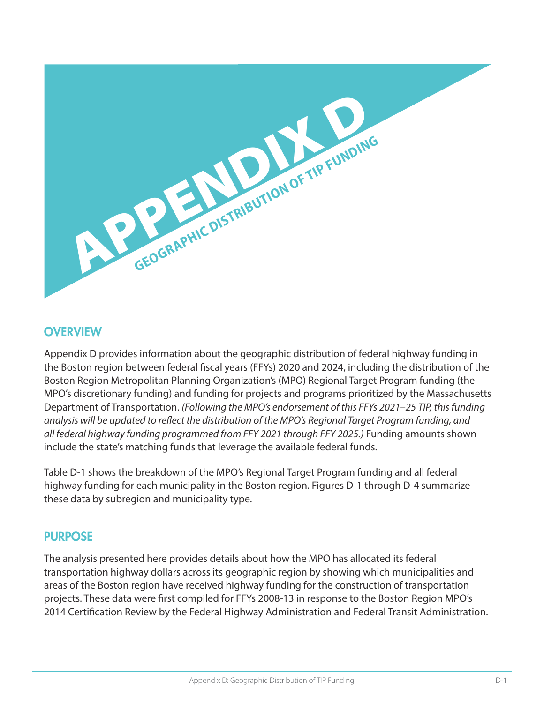

#### **OVERVIEW**

Appendix D provides information about the geographic distribution of federal highway funding in the Boston region between federal fiscal years (FFYs) 2020 and 2024, including the distribution of the Boston Region Metropolitan Planning Organization's (MPO) Regional Target Program funding (the MPO's discretionary funding) and funding for projects and programs prioritized by the Massachusetts Department of Transportation. *(Following the MPO's endorsement of this FFYs 2021–25 TIP, this funding analysis will be updated to reflect the distribution of the MPO's Regional Target Program funding, and all federal highway funding programmed from FFY 2021 through FFY 2025.)* Funding amounts shown include the state's matching funds that leverage the available federal funds.

Table D-1 shows the breakdown of the MPO's Regional Target Program funding and all federal highway funding for each municipality in the Boston region. Figures D-1 through D-4 summarize these data by subregion and municipality type.

## PURPOSE

The analysis presented here provides details about how the MPO has allocated its federal transportation highway dollars across its geographic region by showing which municipalities and areas of the Boston region have received highway funding for the construction of transportation projects. These data were first compiled for FFYs 2008-13 in response to the Boston Region MPO's 2014 Certification Review by the Federal Highway Administration and Federal Transit Administration.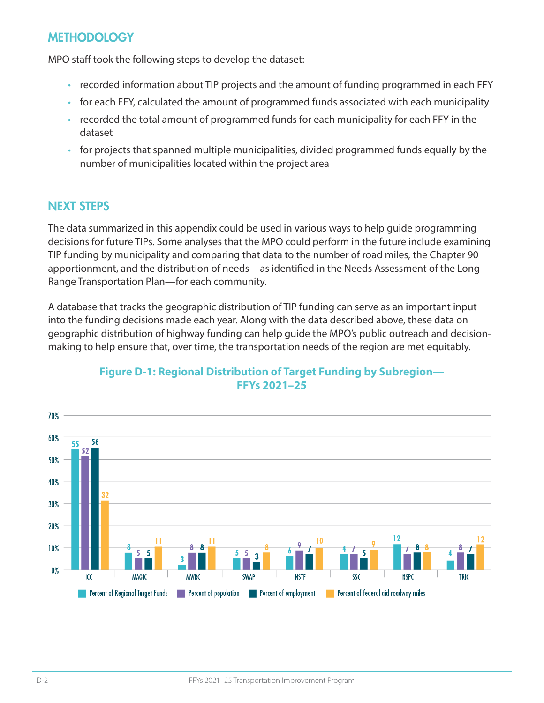### **METHODOLOGY**

MPO staff took the following steps to develop the dataset:

- recorded information about TIP projects and the amount of funding programmed in each FFY
- for each FFY, calculated the amount of programmed funds associated with each municipality
- recorded the total amount of programmed funds for each municipality for each FFY in the dataset
- for projects that spanned multiple municipalities, divided programmed funds equally by the number of municipalities located within the project area

#### NEXT STEPS

The data summarized in this appendix could be used in various ways to help guide programming decisions for future TIPs. Some analyses that the MPO could perform in the future include examining TIP funding by municipality and comparing that data to the number of road miles, the Chapter 90 apportionment, and the distribution of needs—as identified in the Needs Assessment of the Long-Range Transportation Plan—for each community.

A database that tracks the geographic distribution of TIP funding can serve as an important input into the funding decisions made each year. Along with the data described above, these data on geographic distribution of highway funding can help guide the MPO's public outreach and decisionmaking to help ensure that, over time, the transportation needs of the region are met equitably.



#### **Figure D-1: Regional Distribution of Target Funding by Subregion— FFYs 2021–25**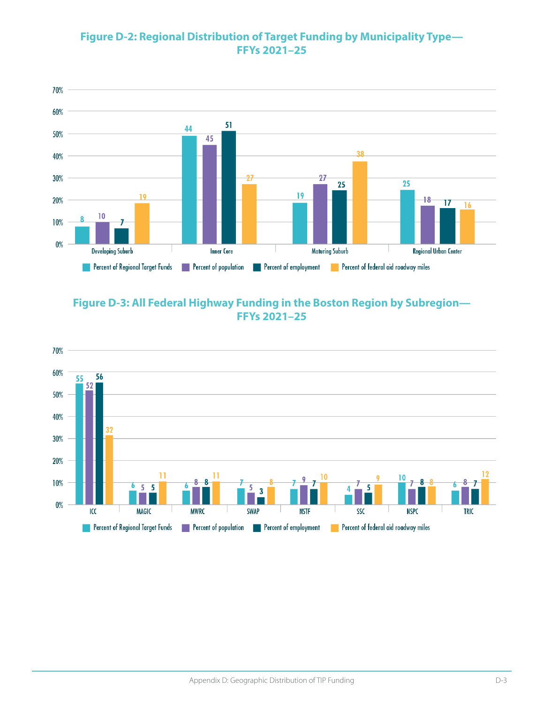#### **Figure D-2: Regional Distribution of Target Funding by Municipality Type— FFYs 2021–25**



#### **Figure D-3: All Federal Highway Funding in the Boston Region by Subregion— FFYs 2021–25**

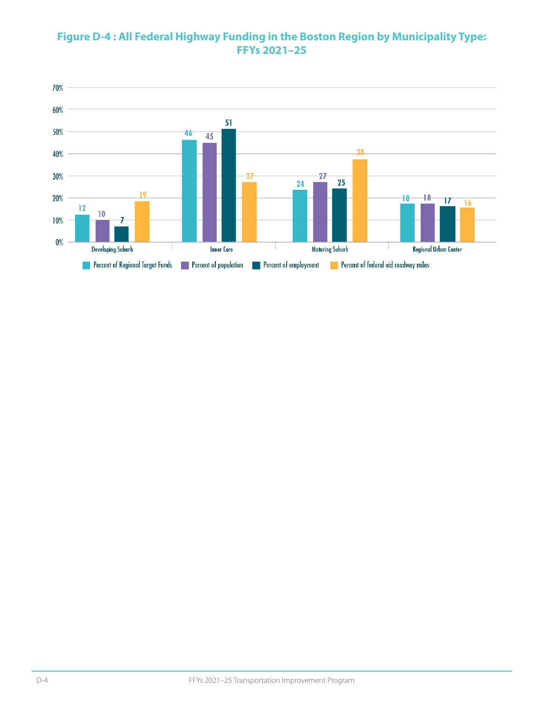#### **Figure D-4 : All Federal Highway Funding in the Boston Region by Municipality Type: FFYs 2021–25**

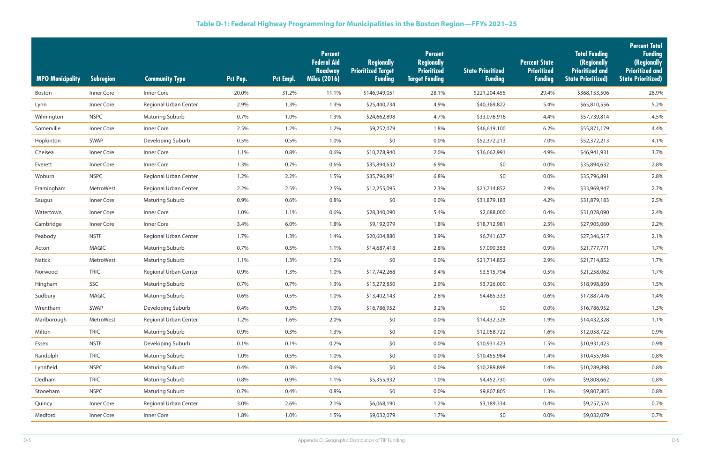| <b>MPO Municipality</b> | <b>Subregion</b> | <b>Community Type</b>  | Pct Pop. | <b>Pct Empl.</b> | <b>Percent</b><br><b>Federal Aid</b><br><b>Roadway</b><br><b>Miles (2016)</b> | <b>Regionally</b><br><b>Prioritized Target</b><br><b>Funding</b> | <b>Percent</b><br><b>Regionally</b><br>Prioritized<br><b>Target Funding</b> | <b>State Prioritized</b><br><b>Funding</b> | <b>Percent State</b><br><b>Prioritized</b><br><b>Funding</b> | <b>Total Funding</b><br>(Regionally<br><b>Prioritized and</b><br><b>State Prioritized)</b> | <b>Percent Total</b><br><b>Funding</b><br>(Regionally<br><b>Prioritized and</b><br><b>State Prioritized)</b> |
|-------------------------|------------------|------------------------|----------|------------------|-------------------------------------------------------------------------------|------------------------------------------------------------------|-----------------------------------------------------------------------------|--------------------------------------------|--------------------------------------------------------------|--------------------------------------------------------------------------------------------|--------------------------------------------------------------------------------------------------------------|
| Boston                  | Inner Core       | Inner Core             | 20.0%    | 31.2%            | 11.1%                                                                         | \$146,949,051                                                    | 28.1%                                                                       | \$221,204,455                              | 29.4%                                                        | \$368,153,506                                                                              | 28.9%                                                                                                        |
| Lynn                    | Inner Core       | Regional Urban Center  | 2.9%     | 1.3%             | 1.3%                                                                          | \$25,440,734                                                     | 4.9%                                                                        | \$40,369,822                               | 5.4%                                                         | \$65,810,556                                                                               | 5.2%                                                                                                         |
| Wilmington              | <b>NSPC</b>      | <b>Maturing Suburb</b> | 0.7%     | 1.0%             | 1.3%                                                                          | \$24,662,898                                                     | 4.7%                                                                        | \$33,076,916                               | 4.4%                                                         | \$57,739,814                                                                               | 4.5%                                                                                                         |
| Somerville              | Inner Core       | Inner Core             | 2.5%     | 1.2%             | 1.2%                                                                          | \$9,252,079                                                      | 1.8%                                                                        | \$46,619,100                               | 6.2%                                                         | \$55,871,179                                                                               | 4.4%                                                                                                         |
| Hopkinton               | SWAP             | Developing Suburb      | 0.5%     | 0.5%             | 1.0%                                                                          | \$0                                                              | $0.0\%$                                                                     | \$52,372,213                               | 7.0%                                                         | \$52,372,213                                                                               | 4.1%                                                                                                         |
| Chelsea                 | Inner Core       | Inner Core             | 1.1%     | 0.8%             | 0.6%                                                                          | \$10,278,940                                                     | 2.0%                                                                        | \$36,662,991                               | 4.9%                                                         | \$46,941,931                                                                               | 3.7%                                                                                                         |
| Everett                 | Inner Core       | Inner Core             | 1.3%     | 0.7%             | 0.6%                                                                          | \$35,894,632                                                     | 6.9%                                                                        | \$0                                        | $0.0\%$                                                      | \$35,894,632                                                                               | 2.8%                                                                                                         |
| Woburn                  | <b>NSPC</b>      | Regional Urban Center  | 1.2%     | 2.2%             | 1.5%                                                                          | \$35,796,891                                                     | 6.8%                                                                        | \$0                                        | 0.0%                                                         | \$35,796,891                                                                               | 2.8%                                                                                                         |
| Framingham              | MetroWest        | Regional Urban Center  | 2.2%     | 2.5%             | 2.5%                                                                          | \$12,255,095                                                     | 2.3%                                                                        | \$21,714,852                               | 2.9%                                                         | \$33,969,947                                                                               | 2.7%                                                                                                         |
| Saugus                  | Inner Core       | <b>Maturing Suburb</b> | 0.9%     | 0.6%             | 0.8%                                                                          | \$0                                                              | 0.0%                                                                        | \$31,879,183                               | 4.2%                                                         | \$31,879,183                                                                               | 2.5%                                                                                                         |
| Watertown               | Inner Core       | Inner Core             | 1.0%     | 1.1%             | 0.6%                                                                          | \$28,340,090                                                     | 5.4%                                                                        | \$2,688,000                                | 0.4%                                                         | \$31,028,090                                                                               | 2.4%                                                                                                         |
| Cambridge               | Inner Core       | Inner Core             | 3.4%     | 6.0%             | 1.8%                                                                          | \$9,192,079                                                      | 1.8%                                                                        | \$18,712,981                               | 2.5%                                                         | \$27,905,060                                                                               | 2.2%                                                                                                         |
| Peabody                 | <b>NSTF</b>      | Regional Urban Center  | 1.7%     | 1.3%             | 1.4%                                                                          | \$20,604,880                                                     | 3.9%                                                                        | \$6,741,637                                | 0.9%                                                         | \$27,346,517                                                                               | 2.1%                                                                                                         |
| Acton                   | <b>MAGIC</b>     | <b>Maturing Suburb</b> | 0.7%     | 0.5%             | 1.1%                                                                          | \$14,687,418                                                     | 2.8%                                                                        | \$7,090,353                                | 0.9%                                                         | \$21,777,771                                                                               | 1.7%                                                                                                         |
| Natick                  | MetroWest        | <b>Maturing Suburb</b> | 1.1%     | 1.3%             | 1.2%                                                                          | \$0                                                              | 0.0%                                                                        | \$21,714,852                               | 2.9%                                                         | \$21,714,852                                                                               | 1.7%                                                                                                         |
| Norwood                 | <b>TRIC</b>      | Regional Urban Center  | 0.9%     | 1.3%             | 1.0%                                                                          | \$17,742,268                                                     | 3.4%                                                                        | \$3,515,794                                | 0.5%                                                         | \$21,258,062                                                                               | 1.7%                                                                                                         |
| Hingham                 | SSC              | <b>Maturing Suburb</b> | 0.7%     | 0.7%             | 1.3%                                                                          | \$15,272,850                                                     | 2.9%                                                                        | \$3,726,000                                | $0.5\%$                                                      | \$18,998,850                                                                               | 1.5%                                                                                                         |
| Sudbury                 | <b>MAGIC</b>     | <b>Maturing Suburb</b> | 0.6%     | 0.5%             | 1.0%                                                                          | \$13,402,143                                                     | 2.6%                                                                        | \$4,485,333                                | 0.6%                                                         | \$17,887,476                                                                               | 1.4%                                                                                                         |
| Wrentham                | SWAP             | Developing Suburb      | 0.4%     | 0.3%             | 1.0%                                                                          | \$16,786,952                                                     | 3.2%                                                                        | \$0                                        | $0.0\%$                                                      | \$16,786,952                                                                               | 1.3%                                                                                                         |
| Marlborough             | MetroWest        | Regional Urban Center  | 1.2%     | 1.6%             | 2.0%                                                                          | \$0                                                              | 0.0%                                                                        | \$14,432,328                               | 1.9%                                                         | \$14,432,328                                                                               | 1.1%                                                                                                         |
| Milton                  | <b>TRIC</b>      | Maturing Suburb        | 0.9%     | 0.3%             | 1.3%                                                                          | \$0                                                              | 0.0%                                                                        | \$12,058,722                               | 1.6%                                                         | \$12,058,722                                                                               | 0.9%                                                                                                         |
| Essex                   | <b>NSTF</b>      | Developing Suburb      | 0.1%     | 0.1%             | 0.2%                                                                          | \$0                                                              | $0.0\%$                                                                     | \$10,931,423                               | 1.5%                                                         | \$10,931,423                                                                               | 0.9%                                                                                                         |
| Randolph                | <b>TRIC</b>      | Maturing Suburb        | 1.0%     | 0.5%             | 1.0%                                                                          | \$0                                                              | $0.0\%$                                                                     | \$10,455,984                               | 1.4%                                                         | \$10,455,984                                                                               | 0.8%                                                                                                         |
| Lynnfield               | <b>NSPC</b>      | Maturing Suburb        | 0.4%     | 0.3%             | 0.6%                                                                          | \$0                                                              | $0.0\%$                                                                     | \$10,289,898                               | 1.4%                                                         | \$10,289,898                                                                               | 0.8%                                                                                                         |
| Dedham                  | <b>TRIC</b>      | <b>Maturing Suburb</b> | 0.8%     | 0.9%             | 1.1%                                                                          | \$5,355,932                                                      | 1.0%                                                                        | \$4,452,730                                | 0.6%                                                         | \$9,808,662                                                                                | 0.8%                                                                                                         |
| Stoneham                | <b>NSPC</b>      | <b>Maturing Suburb</b> | 0.7%     | 0.4%             | 0.8%                                                                          | \$0                                                              | $0.0\%$                                                                     | \$9,807,805                                | 1.3%                                                         | \$9,807,805                                                                                | 0.8%                                                                                                         |
| Quincy                  | Inner Core       | Regional Urban Center  | 3.0%     | 2.6%             | 2.1%                                                                          | \$6,068,190                                                      | 1.2%                                                                        | \$3,189,334                                | 0.4%                                                         | \$9,257,524                                                                                | 0.7%                                                                                                         |
| Medford                 | Inner Core       | Inner Core             | 1.8%     | 1.0%             | 1.5%                                                                          | \$9,032,079                                                      | 1.7%                                                                        | \$0                                        | $0.0\%$                                                      | \$9,032,079                                                                                | 0.7%                                                                                                         |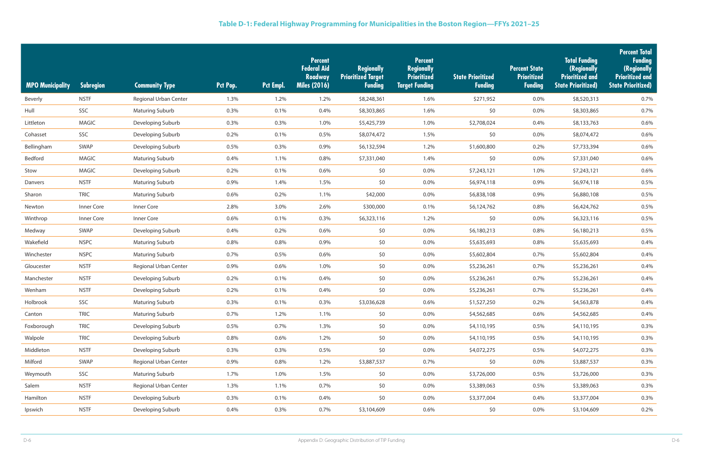| <b>MPO Municipality</b> | <b>Subregion</b> | <b>Community Type</b>  | Pct Pop. | Pct Empl. | <b>Percent</b><br><b>Federal Aid</b><br><b>Roadway</b><br><b>Miles (2016)</b> | <b>Regionally</b><br><b>Prioritized Target</b><br><b>Funding</b> | <b>Percent</b><br><b>Regionally</b><br><b>Prioritized</b><br>Target Funding | <b>State Prioritized</b><br><b>Funding</b> | <b>Percent State</b><br><b>Prioritized</b><br><b>Funding</b> | <b>Total Funding</b><br>(Regionally<br><b>Prioritized and</b><br><b>State Prioritized)</b> | <b>Percent Total</b><br><b>Funding</b><br>(Regionally<br><b>Prioritized and</b><br><b>State Prioritized)</b> |
|-------------------------|------------------|------------------------|----------|-----------|-------------------------------------------------------------------------------|------------------------------------------------------------------|-----------------------------------------------------------------------------|--------------------------------------------|--------------------------------------------------------------|--------------------------------------------------------------------------------------------|--------------------------------------------------------------------------------------------------------------|
| <b>Beverly</b>          | <b>NSTF</b>      | Regional Urban Center  | 1.3%     | 1.2%      | 1.2%                                                                          | \$8,248,361                                                      | 1.6%                                                                        | \$271,952                                  | $0.0\%$                                                      | \$8,520,313                                                                                | 0.7%                                                                                                         |
| Hull                    | SSC              | <b>Maturing Suburb</b> | 0.3%     | 0.1%      | 0.4%                                                                          | \$8,303,865                                                      | 1.6%                                                                        | \$0                                        | $0.0\%$                                                      | \$8,303,865                                                                                | 0.7%                                                                                                         |
| Littleton               | <b>MAGIC</b>     | Developing Suburb      | 0.3%     | 0.3%      | 1.0%                                                                          | \$5,425,739                                                      | 1.0%                                                                        | \$2,708,024                                | 0.4%                                                         | \$8,133,763                                                                                | 0.6%                                                                                                         |
| Cohasset                | SSC              | Developing Suburb      | 0.2%     | 0.1%      | 0.5%                                                                          | \$8,074,472                                                      | 1.5%                                                                        | \$0                                        | $0.0\%$                                                      | \$8,074,472                                                                                | 0.6%                                                                                                         |
| Bellingham              | SWAP             | Developing Suburb      | 0.5%     | 0.3%      | 0.9%                                                                          | \$6,132,594                                                      | 1.2%                                                                        | \$1,600,800                                | 0.2%                                                         | \$7,733,394                                                                                | 0.6%                                                                                                         |
| Bedford                 | <b>MAGIC</b>     | <b>Maturing Suburb</b> | 0.4%     | 1.1%      | 0.8%                                                                          | \$7,331,040                                                      | 1.4%                                                                        | \$0                                        | $0.0\%$                                                      | \$7,331,040                                                                                | 0.6%                                                                                                         |
| Stow                    | <b>MAGIC</b>     | Developing Suburb      | 0.2%     | 0.1%      | 0.6%                                                                          | \$0                                                              | 0.0%                                                                        | \$7,243,121                                | 1.0%                                                         | \$7,243,121                                                                                | 0.6%                                                                                                         |
| Danvers                 | <b>NSTF</b>      | <b>Maturing Suburb</b> | 0.9%     | 1.4%      | 1.5%                                                                          | \$0                                                              | 0.0%                                                                        | \$6,974,118                                | 0.9%                                                         | \$6,974,118                                                                                | 0.5%                                                                                                         |
| Sharon                  | <b>TRIC</b>      | <b>Maturing Suburb</b> | 0.6%     | 0.2%      | 1.1%                                                                          | \$42,000                                                         | 0.0%                                                                        | \$6,838,108                                | 0.9%                                                         | \$6,880,108                                                                                | 0.5%                                                                                                         |
| Newton                  | Inner Core       | Inner Core             | 2.8%     | 3.0%      | 2.6%                                                                          | \$300,000                                                        | 0.1%                                                                        | \$6,124,762                                | 0.8%                                                         | \$6,424,762                                                                                | 0.5%                                                                                                         |
| Winthrop                | Inner Core       | Inner Core             | 0.6%     | 0.1%      | 0.3%                                                                          | \$6,323,116                                                      | 1.2%                                                                        | \$0                                        | $0.0\%$                                                      | \$6,323,116                                                                                | 0.5%                                                                                                         |
| Medway                  | SWAP             | Developing Suburb      | 0.4%     | 0.2%      | 0.6%                                                                          | \$0                                                              | 0.0%                                                                        | \$6,180,213                                | 0.8%                                                         | \$6,180,213                                                                                | 0.5%                                                                                                         |
| Wakefield               | <b>NSPC</b>      | <b>Maturing Suburb</b> | 0.8%     | 0.8%      | 0.9%                                                                          | \$0                                                              | 0.0%                                                                        | \$5,635,693                                | 0.8%                                                         | \$5,635,693                                                                                | 0.4%                                                                                                         |
| Winchester              | <b>NSPC</b>      | <b>Maturing Suburb</b> | 0.7%     | 0.5%      | 0.6%                                                                          | \$0                                                              | 0.0%                                                                        | \$5,602,804                                | 0.7%                                                         | \$5,602,804                                                                                | 0.4%                                                                                                         |
| Gloucester              | <b>NSTF</b>      | Regional Urban Center  | 0.9%     | 0.6%      | 1.0%                                                                          | \$0                                                              | 0.0%                                                                        | \$5,236,261                                | 0.7%                                                         | \$5,236,261                                                                                | 0.4%                                                                                                         |
| Manchester              | <b>NSTF</b>      | Developing Suburb      | 0.2%     | 0.1%      | 0.4%                                                                          | \$0                                                              | 0.0%                                                                        | \$5,236,261                                | 0.7%                                                         | \$5,236,261                                                                                | 0.4%                                                                                                         |
| Wenham                  | <b>NSTF</b>      | Developing Suburb      | 0.2%     | 0.1%      | 0.4%                                                                          | \$0                                                              | 0.0%                                                                        | \$5,236,261                                | 0.7%                                                         | \$5,236,261                                                                                | 0.4%                                                                                                         |
| Holbrook                | SSC              | <b>Maturing Suburb</b> | 0.3%     | 0.1%      | 0.3%                                                                          | \$3,036,628                                                      | 0.6%                                                                        | \$1,527,250                                | 0.2%                                                         | \$4,563,878                                                                                | 0.4%                                                                                                         |
| Canton                  | <b>TRIC</b>      | <b>Maturing Suburb</b> | 0.7%     | 1.2%      | 1.1%                                                                          | \$0                                                              | $0.0\%$                                                                     | \$4,562,685                                | 0.6%                                                         | \$4,562,685                                                                                | 0.4%                                                                                                         |
| Foxborough              | <b>TRIC</b>      | Developing Suburb      | 0.5%     | 0.7%      | 1.3%                                                                          | \$0                                                              | $0.0\%$                                                                     | \$4,110,195                                | 0.5%                                                         | \$4,110,195                                                                                | 0.3%                                                                                                         |
| Walpole                 | <b>TRIC</b>      | Developing Suburb      | 0.8%     | 0.6%      | 1.2%                                                                          | \$0                                                              | 0.0%                                                                        | \$4,110,195                                | 0.5%                                                         | \$4,110,195                                                                                | 0.3%                                                                                                         |
| Middleton               | <b>NSTF</b>      | Developing Suburb      | 0.3%     | 0.3%      | 0.5%                                                                          | \$0                                                              | 0.0%                                                                        | \$4,072,275                                | 0.5%                                                         | \$4,072,275                                                                                | 0.3%                                                                                                         |
| Milford                 | SWAP             | Regional Urban Center  | 0.9%     | 0.8%      | 1.2%                                                                          | \$3,887,537                                                      | 0.7%                                                                        | \$0                                        | $0.0\%$                                                      | \$3,887,537                                                                                | 0.3%                                                                                                         |
| Weymouth                | SSC              | <b>Maturing Suburb</b> | 1.7%     | 1.0%      | 1.5%                                                                          | \$0                                                              | $0.0\%$                                                                     | \$3,726,000                                | 0.5%                                                         | \$3,726,000                                                                                | 0.3%                                                                                                         |
| Salem                   | <b>NSTF</b>      | Regional Urban Center  | 1.3%     | 1.1%      | 0.7%                                                                          | \$0                                                              | $0.0\%$                                                                     | \$3,389,063                                | 0.5%                                                         | \$3,389,063                                                                                | 0.3%                                                                                                         |
| Hamilton                | <b>NSTF</b>      | Developing Suburb      | 0.3%     | 0.1%      | 0.4%                                                                          | \$0                                                              | $0.0\%$                                                                     | \$3,377,004                                | 0.4%                                                         | \$3,377,004                                                                                | 0.3%                                                                                                         |
| Ipswich                 | <b>NSTF</b>      | Developing Suburb      | 0.4%     | 0.3%      | 0.7%                                                                          | \$3,104,609                                                      | 0.6%                                                                        | \$0                                        | $0.0\%$                                                      | \$3,104,609                                                                                | 0.2%                                                                                                         |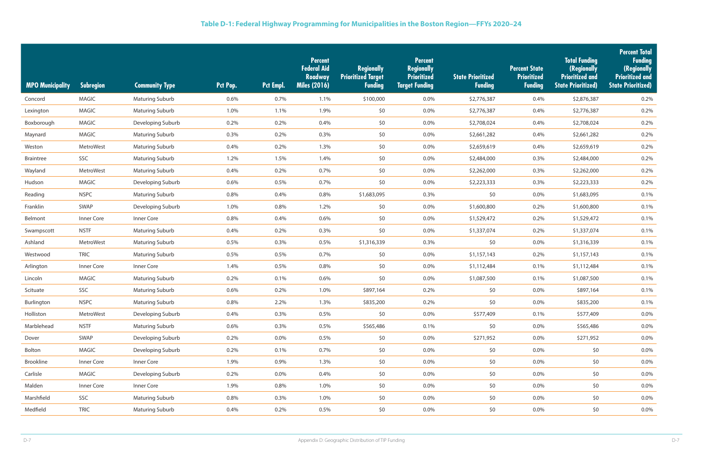| <b>MPO Municipality</b> | Subregion    | <b>Community Type</b>  | Pct Pop. | Pct Empl. | <b>Percent</b><br><b>Federal Aid</b><br><b>Roadway</b><br><b>Miles (2016)</b> | <b>Regionally</b><br><b>Prioritized Target</b><br><b>Funding</b> | <b>Percent</b><br><b>Regionally</b><br>Prioritized<br><b>Target Funding</b> | <b>State Prioritized</b><br><b>Funding</b> | <b>Percent State</b><br><b>Prioritized</b><br><b>Funding</b> | <b>Total Funding</b><br>(Regionally<br><b>Prioritized and</b><br><b>State Prioritized)</b> | <b>Percent Total</b><br><b>Funding</b><br>(Regionally<br><b>Prioritized and</b><br><b>State Prioritized)</b> |
|-------------------------|--------------|------------------------|----------|-----------|-------------------------------------------------------------------------------|------------------------------------------------------------------|-----------------------------------------------------------------------------|--------------------------------------------|--------------------------------------------------------------|--------------------------------------------------------------------------------------------|--------------------------------------------------------------------------------------------------------------|
| Concord                 | <b>MAGIC</b> | <b>Maturing Suburb</b> | 0.6%     | 0.7%      | 1.1%                                                                          | \$100,000                                                        | $0.0\%$                                                                     | \$2,776,387                                | 0.4%                                                         | \$2,876,387                                                                                | 0.2%                                                                                                         |
| Lexington               | <b>MAGIC</b> | <b>Maturing Suburb</b> | 1.0%     | 1.1%      | 1.9%                                                                          | \$0                                                              | $0.0\%$                                                                     | \$2,776,387                                | 0.4%                                                         | \$2,776,387                                                                                | 0.2%                                                                                                         |
| Boxborough              | MAGIC        | Developing Suburb      | 0.2%     | 0.2%      | 0.4%                                                                          | \$0                                                              | $0.0\%$                                                                     | \$2,708,024                                | 0.4%                                                         | \$2,708,024                                                                                | 0.2%                                                                                                         |
| Maynard                 | <b>MAGIC</b> | <b>Maturing Suburb</b> | 0.3%     | 0.2%      | 0.3%                                                                          | \$0                                                              | 0.0%                                                                        | \$2,661,282                                | 0.4%                                                         | \$2,661,282                                                                                | 0.2%                                                                                                         |
| Weston                  | MetroWest    | <b>Maturing Suburb</b> | 0.4%     | 0.2%      | 1.3%                                                                          | \$0                                                              | $0.0\%$                                                                     | \$2,659,619                                | 0.4%                                                         | \$2,659,619                                                                                | 0.2%                                                                                                         |
| <b>Braintree</b>        | SSC          | <b>Maturing Suburb</b> | 1.2%     | 1.5%      | 1.4%                                                                          | \$0                                                              | 0.0%                                                                        | \$2,484,000                                | 0.3%                                                         | \$2,484,000                                                                                | 0.2%                                                                                                         |
| Wayland                 | MetroWest    | <b>Maturing Suburb</b> | 0.4%     | 0.2%      | 0.7%                                                                          | \$0                                                              | 0.0%                                                                        | \$2,262,000                                | 0.3%                                                         | \$2,262,000                                                                                | 0.2%                                                                                                         |
| Hudson                  | <b>MAGIC</b> | Developing Suburb      | 0.6%     | 0.5%      | 0.7%                                                                          | \$0                                                              | 0.0%                                                                        | \$2,223,333                                | 0.3%                                                         | \$2,223,333                                                                                | 0.2%                                                                                                         |
| Reading                 | <b>NSPC</b>  | <b>Maturing Suburb</b> | 0.8%     | 0.4%      | 0.8%                                                                          | \$1,683,095                                                      | 0.3%                                                                        | \$0                                        | $0.0\%$                                                      | \$1,683,095                                                                                | 0.1%                                                                                                         |
| Franklin                | SWAP         | Developing Suburb      | 1.0%     | 0.8%      | 1.2%                                                                          | \$0                                                              | 0.0%                                                                        | \$1,600,800                                | 0.2%                                                         | \$1,600,800                                                                                | 0.1%                                                                                                         |
| Belmont                 | Inner Core   | Inner Core             | 0.8%     | 0.4%      | 0.6%                                                                          | \$0                                                              | 0.0%                                                                        | \$1,529,472                                | 0.2%                                                         | \$1,529,472                                                                                | 0.1%                                                                                                         |
| Swampscott              | <b>NSTF</b>  | <b>Maturing Suburb</b> | 0.4%     | 0.2%      | 0.3%                                                                          | \$0                                                              | $0.0\%$                                                                     | \$1,337,074                                | 0.2%                                                         | \$1,337,074                                                                                | 0.1%                                                                                                         |
| Ashland                 | MetroWest    | <b>Maturing Suburb</b> | 0.5%     | 0.3%      | 0.5%                                                                          | \$1,316,339                                                      | 0.3%                                                                        | \$0                                        | 0.0%                                                         | \$1,316,339                                                                                | 0.1%                                                                                                         |
| Westwood                | <b>TRIC</b>  | <b>Maturing Suburb</b> | 0.5%     | 0.5%      | 0.7%                                                                          | \$0                                                              | $0.0\%$                                                                     | \$1,157,143                                | 0.2%                                                         | \$1,157,143                                                                                | 0.1%                                                                                                         |
| Arlington               | Inner Core   | Inner Core             | 1.4%     | 0.5%      | 0.8%                                                                          | \$0                                                              | 0.0%                                                                        | \$1,112,484                                | 0.1%                                                         | \$1,112,484                                                                                | 0.1%                                                                                                         |
| Lincoln                 | MAGIC        | <b>Maturing Suburb</b> | 0.2%     | 0.1%      | 0.6%                                                                          | \$0                                                              | 0.0%                                                                        | \$1,087,500                                | 0.1%                                                         | \$1,087,500                                                                                | 0.1%                                                                                                         |
| Scituate                | SSC          | <b>Maturing Suburb</b> | 0.6%     | 0.2%      | 1.0%                                                                          | \$897,164                                                        | 0.2%                                                                        | \$0                                        | 0.0%                                                         | \$897,164                                                                                  | 0.1%                                                                                                         |
| Burlington              | <b>NSPC</b>  | <b>Maturing Suburb</b> | 0.8%     | 2.2%      | 1.3%                                                                          | \$835,200                                                        | 0.2%                                                                        | \$0                                        | $0.0\%$                                                      | \$835,200                                                                                  | 0.1%                                                                                                         |
| Holliston               | MetroWest    | Developing Suburb      | 0.4%     | 0.3%      | 0.5%                                                                          | \$0                                                              | $0.0\%$                                                                     | \$577,409                                  | 0.1%                                                         | \$577,409                                                                                  | $0.0\%$                                                                                                      |
| Marblehead              | <b>NSTF</b>  | <b>Maturing Suburb</b> | 0.6%     | 0.3%      | 0.5%                                                                          | \$565,486                                                        | 0.1%                                                                        | \$0                                        | $0.0\%$                                                      | \$565,486                                                                                  | $0.0\%$                                                                                                      |
| Dover                   | SWAP         | Developing Suburb      | 0.2%     | $0.0\%$   | 0.5%                                                                          | \$0                                                              | 0.0%                                                                        | \$271,952                                  | $0.0\%$                                                      | \$271,952                                                                                  | $0.0\%$                                                                                                      |
| Bolton                  | <b>MAGIC</b> | Developing Suburb      | 0.2%     | 0.1%      | 0.7%                                                                          | \$0                                                              | $0.0\%$                                                                     | \$0                                        | $0.0\%$                                                      | \$0                                                                                        | $0.0\%$                                                                                                      |
| Brookline               | Inner Core   | Inner Core             | 1.9%     | 0.9%      | 1.3%                                                                          | \$0                                                              | 0.0%                                                                        | \$0                                        | $0.0\%$                                                      | \$0                                                                                        | $0.0\%$                                                                                                      |
| Carlisle                | <b>MAGIC</b> | Developing Suburb      | 0.2%     | $0.0\%$   | 0.4%                                                                          | \$0                                                              | 0.0%                                                                        | \$0                                        | $0.0\%$                                                      | \$0                                                                                        | $0.0\%$                                                                                                      |
| Malden                  | Inner Core   | Inner Core             | 1.9%     | 0.8%      | 1.0%                                                                          | \$0                                                              | 0.0%                                                                        | \$0                                        | $0.0\%$                                                      | \$0                                                                                        | 0.0%                                                                                                         |
| Marshfield              | SSC          | <b>Maturing Suburb</b> | 0.8%     | 0.3%      | 1.0%                                                                          | \$0                                                              | $0.0\%$                                                                     | \$0                                        | $0.0\%$                                                      | \$0\$                                                                                      | $0.0\%$                                                                                                      |
| Medfield                | <b>TRIC</b>  | Maturing Suburb        | 0.4%     | 0.2%      | 0.5%                                                                          | \$0                                                              | $0.0\%$                                                                     | \$0                                        | $0.0\%$                                                      | \$0\$                                                                                      | 0.0%                                                                                                         |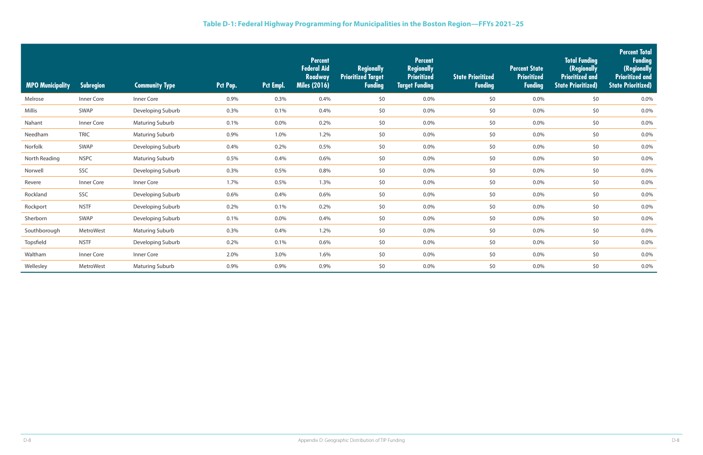| <b>MPO Municipality</b> | Subregion   | <b>Community Type</b>  | Pct Pop. | Pct Empl. | <b>Percent</b><br><b>Federal Aid</b><br><b>Roadway</b><br><b>Miles (2016)</b> | <b>Regionally</b><br><b>Prioritized Target</b><br><b>Funding</b> | <b>Percent</b><br><b>Regionally</b><br><b>Prioritized</b><br><b>Target Funding</b> | <b>State Prioritized</b><br><b>Funding</b> | <b>Percent State</b><br><b>Prioritized</b><br><b>Funding</b> | <b>Total Funding</b><br>(Regionally<br><b>Prioritized and</b><br><b>State Prioritized)</b> | <b>Percent Total</b><br><b>Funding</b><br>(Regionally<br><b>Prioritized and</b><br><b>State Prioritized)</b> |
|-------------------------|-------------|------------------------|----------|-----------|-------------------------------------------------------------------------------|------------------------------------------------------------------|------------------------------------------------------------------------------------|--------------------------------------------|--------------------------------------------------------------|--------------------------------------------------------------------------------------------|--------------------------------------------------------------------------------------------------------------|
| Melrose                 | Inner Core  | Inner Core             | 0.9%     | 0.3%      | 0.4%                                                                          | \$0                                                              | 0.0%                                                                               | \$0                                        | 0.0%                                                         | \$0                                                                                        | 0.0%                                                                                                         |
| Millis                  | SWAP        | Developing Suburb      | 0.3%     | 0.1%      | 0.4%                                                                          | \$0                                                              | $0.0\%$                                                                            | \$0                                        | 0.0%                                                         | \$0                                                                                        | 0.0%                                                                                                         |
| Nahant                  | Inner Core  | <b>Maturing Suburb</b> | 0.1%     | 0.0%      | 0.2%                                                                          | \$0                                                              | $0.0\%$                                                                            | \$0                                        | 0.0%                                                         | \$0\$                                                                                      | 0.0%                                                                                                         |
| Needham                 | <b>TRIC</b> | <b>Maturing Suburb</b> | 0.9%     | 1.0%      | 1.2%                                                                          | \$0                                                              | $0.0\%$                                                                            | \$0                                        | 0.0%                                                         | \$0\$                                                                                      | 0.0%                                                                                                         |
| Norfolk                 | SWAP        | Developing Suburb      | 0.4%     | 0.2%      | 0.5%                                                                          | \$0                                                              | 0.0%                                                                               | \$0                                        | 0.0%                                                         | \$0\$                                                                                      | 0.0%                                                                                                         |
| North Reading           | <b>NSPC</b> | <b>Maturing Suburb</b> | 0.5%     | 0.4%      | 0.6%                                                                          | \$0                                                              | 0.0%                                                                               | \$0                                        | 0.0%                                                         | \$0                                                                                        | 0.0%                                                                                                         |
| Norwell                 | SSC         | Developing Suburb      | 0.3%     | 0.5%      | 0.8%                                                                          | \$0                                                              | $0.0\%$                                                                            | \$0                                        | 0.0%                                                         | \$0\$                                                                                      | 0.0%                                                                                                         |
| Revere                  | Inner Core  | Inner Core             | 1.7%     | 0.5%      | 1.3%                                                                          | \$0                                                              | $0.0\%$                                                                            | \$0                                        | 0.0%                                                         | \$0\$                                                                                      | 0.0%                                                                                                         |
| Rockland                | SSC         | Developing Suburb      | 0.6%     | 0.4%      | 0.6%                                                                          | \$0                                                              | $0.0\%$                                                                            | \$0                                        | 0.0%                                                         | \$0\$                                                                                      | 0.0%                                                                                                         |
| Rockport                | <b>NSTF</b> | Developing Suburb      | 0.2%     | 0.1%      | 0.2%                                                                          | \$0                                                              | $0.0\%$                                                                            | \$0                                        | 0.0%                                                         | \$0\$                                                                                      | 0.0%                                                                                                         |
| Sherborn                | SWAP        | Developing Suburb      | 0.1%     | 0.0%      | 0.4%                                                                          | \$0                                                              | $0.0\%$                                                                            | \$0                                        | 0.0%                                                         | \$0                                                                                        | 0.0%                                                                                                         |
| Southborough            | MetroWest   | <b>Maturing Suburb</b> | 0.3%     | 0.4%      | 1.2%                                                                          | \$0                                                              | $0.0\%$                                                                            | \$0                                        | 0.0%                                                         | \$0\$                                                                                      | 0.0%                                                                                                         |
| Topsfield               | <b>NSTF</b> | Developing Suburb      | 0.2%     | 0.1%      | 0.6%                                                                          | \$0                                                              | $0.0\%$                                                                            | \$0                                        | 0.0%                                                         | \$0                                                                                        | 0.0%                                                                                                         |
| Waltham                 | Inner Core  | Inner Core             | 2.0%     | 3.0%      | 1.6%                                                                          | \$0                                                              | 0.0%                                                                               | \$0                                        | 0.0%                                                         | \$0                                                                                        | 0.0%                                                                                                         |
| Wellesley               | MetroWest   | <b>Maturing Suburb</b> | 0.9%     | 0.9%      | 0.9%                                                                          | \$0                                                              | 0.0%                                                                               | \$0                                        | 0.0%                                                         | \$0                                                                                        | 0.0%                                                                                                         |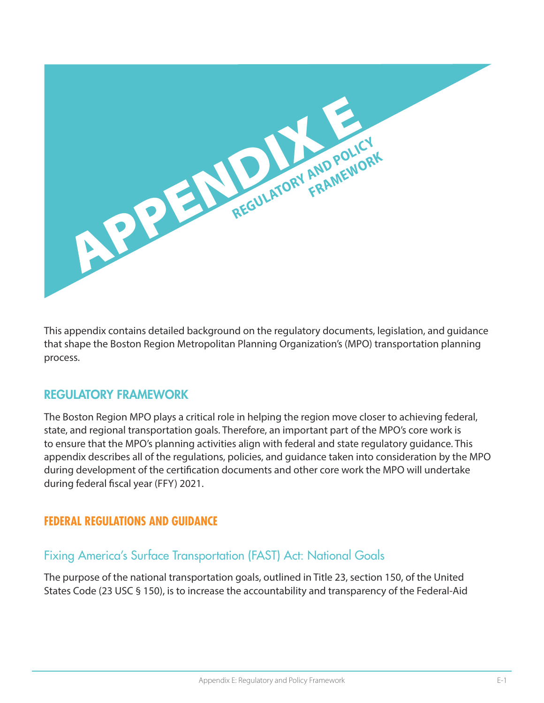

This appendix contains detailed background on the regulatory documents, legislation, and guidance that shape the Boston Region Metropolitan Planning Organization's (MPO) transportation planning process.

#### REGULATORY FRAMEWORK

The Boston Region MPO plays a critical role in helping the region move closer to achieving federal, state, and regional transportation goals. Therefore, an important part of the MPO's core work is to ensure that the MPO's planning activities align with federal and state regulatory guidance. This appendix describes all of the regulations, policies, and guidance taken into consideration by the MPO during development of the certification documents and other core work the MPO will undertake during federal fiscal year (FFY) 2021.

#### **FEDERAL REGULATIONS AND GUIDANCE**

#### Fixing America's Surface Transportation (FAST) Act: National Goals

The purpose of the national transportation goals, outlined in Title 23, section 150, of the United States Code (23 USC § 150), is to increase the accountability and transparency of the Federal-Aid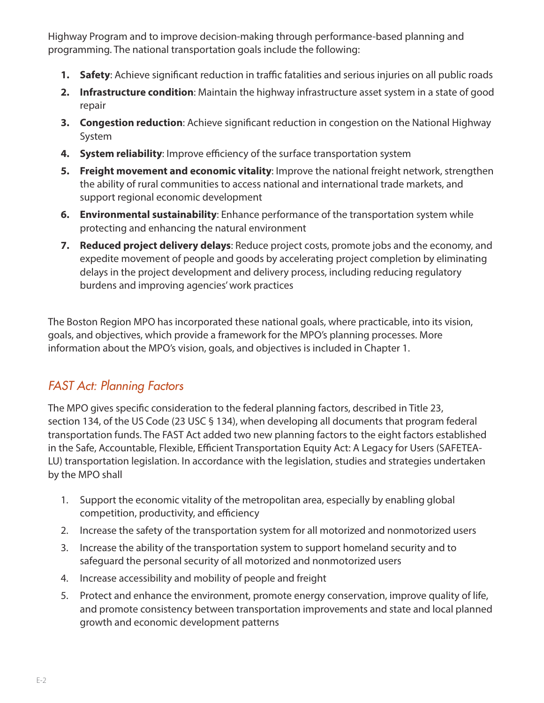Highway Program and to improve decision-making through performance-based planning and programming. The national transportation goals include the following:

- **1. Safety**: Achieve significant reduction in traffic fatalities and serious injuries on all public roads
- **2. Infrastructure condition**: Maintain the highway infrastructure asset system in a state of good repair
- **3. Congestion reduction**: Achieve significant reduction in congestion on the National Highway System
- **4. System reliability**: Improve efficiency of the surface transportation system
- **5. Freight movement and economic vitality**: Improve the national freight network, strengthen the ability of rural communities to access national and international trade markets, and support regional economic development
- **6. Environmental sustainability**: Enhance performance of the transportation system while protecting and enhancing the natural environment
- **7. Reduced project delivery delays**: Reduce project costs, promote jobs and the economy, and expedite movement of people and goods by accelerating project completion by eliminating delays in the project development and delivery process, including reducing regulatory burdens and improving agencies' work practices

The Boston Region MPO has incorporated these national goals, where practicable, into its vision, goals, and objectives, which provide a framework for the MPO's planning processes. More information about the MPO's vision, goals, and objectives is included in Chapter 1.

# *FAST Act: Planning Factors*

The MPO gives specific consideration to the federal planning factors, described in Title 23, section 134, of the US Code (23 USC § 134), when developing all documents that program federal transportation funds. The FAST Act added two new planning factors to the eight factors established in the Safe, Accountable, Flexible, Efficient Transportation Equity Act: A Legacy for Users (SAFETEA-LU) transportation legislation. In accordance with the legislation, studies and strategies undertaken by the MPO shall

- 1. Support the economic vitality of the metropolitan area, especially by enabling global competition, productivity, and efficiency
- 2. Increase the safety of the transportation system for all motorized and nonmotorized users
- 3. Increase the ability of the transportation system to support homeland security and to safeguard the personal security of all motorized and nonmotorized users
- 4. Increase accessibility and mobility of people and freight
- 5. Protect and enhance the environment, promote energy conservation, improve quality of life, and promote consistency between transportation improvements and state and local planned growth and economic development patterns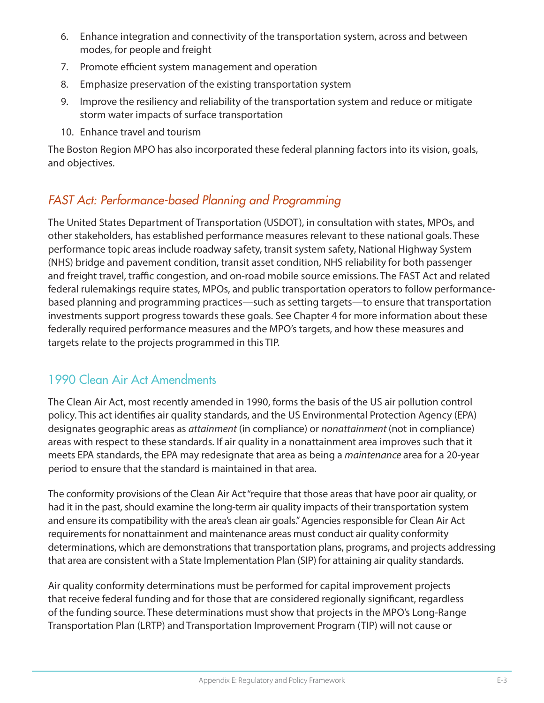- 6. Enhance integration and connectivity of the transportation system, across and between modes, for people and freight
- 7. Promote efficient system management and operation
- 8. Emphasize preservation of the existing transportation system
- 9. Improve the resiliency and reliability of the transportation system and reduce or mitigate storm water impacts of surface transportation
- 10. Enhance travel and tourism

The Boston Region MPO has also incorporated these federal planning factors into its vision, goals, and objectives.

# *FAST Act: Performance-based Planning and Programming*

The United States Department of Transportation (USDOT), in consultation with states, MPOs, and other stakeholders, has established performance measures relevant to these national goals. These performance topic areas include roadway safety, transit system safety, National Highway System (NHS) bridge and pavement condition, transit asset condition, NHS reliability for both passenger and freight travel, traffic congestion, and on-road mobile source emissions. The FAST Act and related federal rulemakings require states, MPOs, and public transportation operators to follow performancebased planning and programming practices—such as setting targets—to ensure that transportation investments support progress towards these goals. See Chapter 4 for more information about these federally required performance measures and the MPO's targets, and how these measures and targets relate to the projects programmed in this TIP.

# 1990 Clean Air Act Amendments

The Clean Air Act, most recently amended in 1990, forms the basis of the US air pollution control policy. This act identifies air quality standards, and the US Environmental Protection Agency (EPA) designates geographic areas as *attainment* (in compliance) or *nonattainment* (not in compliance) areas with respect to these standards. If air quality in a nonattainment area improves such that it meets EPA standards, the EPA may redesignate that area as being a *maintenance* area for a 20-year period to ensure that the standard is maintained in that area.

The conformity provisions of the Clean Air Act "require that those areas that have poor air quality, or had it in the past, should examine the long-term air quality impacts of their transportation system and ensure its compatibility with the area's clean air goals." Agencies responsible for Clean Air Act requirements for nonattainment and maintenance areas must conduct air quality conformity determinations, which are demonstrations that transportation plans, programs, and projects addressing that area are consistent with a State Implementation Plan (SIP) for attaining air quality standards.

Air quality conformity determinations must be performed for capital improvement projects that receive federal funding and for those that are considered regionally significant, regardless of the funding source. These determinations must show that projects in the MPO's Long-Range Transportation Plan (LRTP) and Transportation Improvement Program (TIP) will not cause or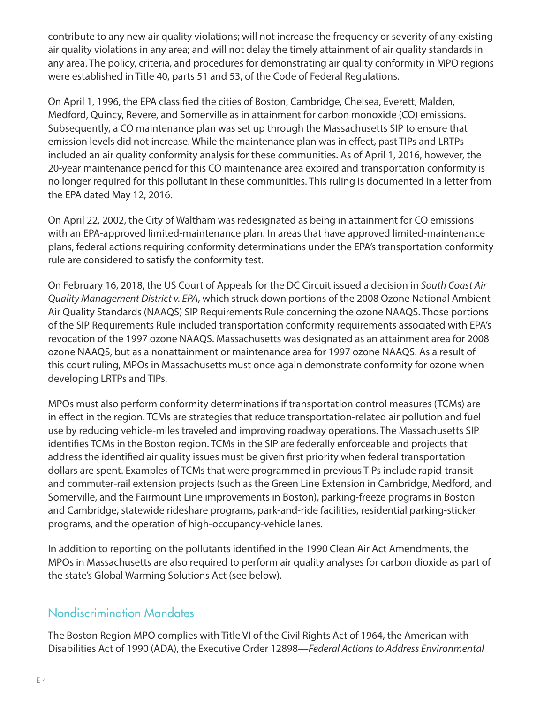contribute to any new air quality violations; will not increase the frequency or severity of any existing air quality violations in any area; and will not delay the timely attainment of air quality standards in any area. The policy, criteria, and procedures for demonstrating air quality conformity in MPO regions were established in Title 40, parts 51 and 53, of the Code of Federal Regulations.

On April 1, 1996, the EPA classified the cities of Boston, Cambridge, Chelsea, Everett, Malden, Medford, Quincy, Revere, and Somerville as in attainment for carbon monoxide (CO) emissions. Subsequently, a CO maintenance plan was set up through the Massachusetts SIP to ensure that emission levels did not increase. While the maintenance plan was in effect, past TIPs and LRTPs included an air quality conformity analysis for these communities. As of April 1, 2016, however, the 20-year maintenance period for this CO maintenance area expired and transportation conformity is no longer required for this pollutant in these communities. This ruling is documented in a letter from the EPA dated May 12, 2016.

On April 22, 2002, the City of Waltham was redesignated as being in attainment for CO emissions with an EPA-approved limited-maintenance plan. In areas that have approved limited-maintenance plans, federal actions requiring conformity determinations under the EPA's transportation conformity rule are considered to satisfy the conformity test.

On February 16, 2018, the US Court of Appeals for the DC Circuit issued a decision in *South Coast Air Quality Management District v. EPA*, which struck down portions of the 2008 Ozone National Ambient Air Quality Standards (NAAQS) SIP Requirements Rule concerning the ozone NAAQS. Those portions of the SIP Requirements Rule included transportation conformity requirements associated with EPA's revocation of the 1997 ozone NAAQS. Massachusetts was designated as an attainment area for 2008 ozone NAAQS, but as a nonattainment or maintenance area for 1997 ozone NAAQS. As a result of this court ruling, MPOs in Massachusetts must once again demonstrate conformity for ozone when developing LRTPs and TIPs.

MPOs must also perform conformity determinations if transportation control measures (TCMs) are in effect in the region. TCMs are strategies that reduce transportation-related air pollution and fuel use by reducing vehicle-miles traveled and improving roadway operations. The Massachusetts SIP identifies TCMs in the Boston region. TCMs in the SIP are federally enforceable and projects that address the identified air quality issues must be given first priority when federal transportation dollars are spent. Examples of TCMs that were programmed in previous TIPs include rapid-transit and commuter-rail extension projects (such as the Green Line Extension in Cambridge, Medford, and Somerville, and the Fairmount Line improvements in Boston), parking-freeze programs in Boston and Cambridge, statewide rideshare programs, park-and-ride facilities, residential parking-sticker programs, and the operation of high-occupancy-vehicle lanes.

In addition to reporting on the pollutants identified in the 1990 Clean Air Act Amendments, the MPOs in Massachusetts are also required to perform air quality analyses for carbon dioxide as part of the state's Global Warming Solutions Act (see below).

## Nondiscrimination Mandates

The Boston Region MPO complies with Title VI of the Civil Rights Act of 1964, the American with Disabilities Act of 1990 (ADA), the Executive Order 12898—*Federal Actions to Address Environmental*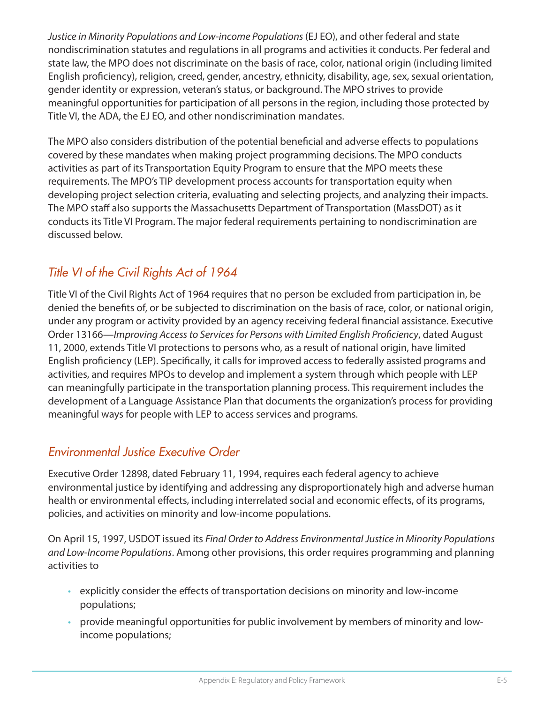*Justice in Minority Populations and Low-income Populations* (EJ EO), and other federal and state nondiscrimination statutes and regulations in all programs and activities it conducts. Per federal and state law, the MPO does not discriminate on the basis of race, color, national origin (including limited English proficiency), religion, creed, gender, ancestry, ethnicity, disability, age, sex, sexual orientation, gender identity or expression, veteran's status, or background. The MPO strives to provide meaningful opportunities for participation of all persons in the region, including those protected by Title VI, the ADA, the EJ EO, and other nondiscrimination mandates.

The MPO also considers distribution of the potential beneficial and adverse effects to populations covered by these mandates when making project programming decisions. The MPO conducts activities as part of its Transportation Equity Program to ensure that the MPO meets these requirements. The MPO's TIP development process accounts for transportation equity when developing project selection criteria, evaluating and selecting projects, and analyzing their impacts. The MPO staff also supports the Massachusetts Department of Transportation (MassDOT) as it conducts its Title VI Program. The major federal requirements pertaining to nondiscrimination are discussed below.

# *Title VI of the Civil Rights Act of 1964*

Title VI of the Civil Rights Act of 1964 requires that no person be excluded from participation in, be denied the benefits of, or be subjected to discrimination on the basis of race, color, or national origin, under any program or activity provided by an agency receiving federal financial assistance. Executive Order 13166—*Improving Access to Services for Persons with Limited English Proficiency*, dated August 11, 2000, extends Title VI protections to persons who, as a result of national origin, have limited English proficiency (LEP). Specifically, it calls for improved access to federally assisted programs and activities, and requires MPOs to develop and implement a system through which people with LEP can meaningfully participate in the transportation planning process. This requirement includes the development of a Language Assistance Plan that documents the organization's process for providing meaningful ways for people with LEP to access services and programs.

# *Environmental Justice Executive Order*

Executive Order 12898, dated February 11, 1994, requires each federal agency to achieve environmental justice by identifying and addressing any disproportionately high and adverse human health or environmental effects, including interrelated social and economic effects, of its programs, policies, and activities on minority and low-income populations.

On April 15, 1997, USDOT issued its *Final Order to Address Environmental Justice in Minority Populations and Low-Income Populations*. Among other provisions, this order requires programming and planning activities to

- explicitly consider the effects of transportation decisions on minority and low-income populations;
- provide meaningful opportunities for public involvement by members of minority and lowincome populations;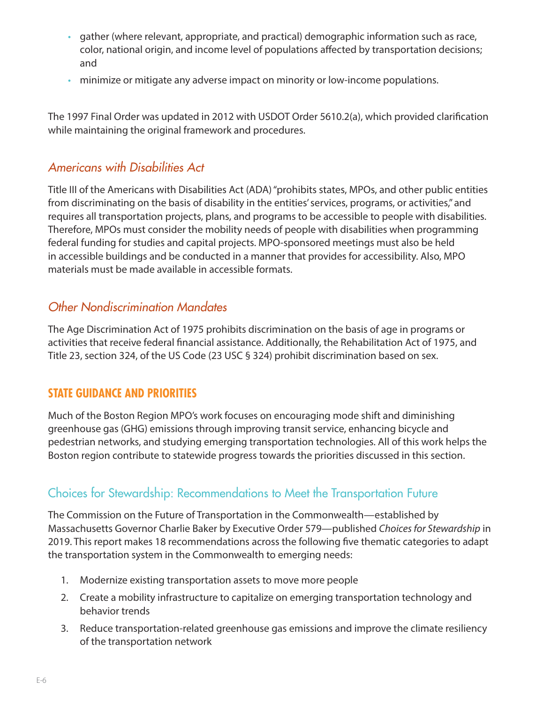- gather (where relevant, appropriate, and practical) demographic information such as race, color, national origin, and income level of populations affected by transportation decisions; and
- minimize or mitigate any adverse impact on minority or low-income populations.

The 1997 Final Order was updated in 2012 with USDOT Order 5610.2(a), which provided clarification while maintaining the original framework and procedures.

#### *Americans with Disabilities Act*

Title III of the Americans with Disabilities Act (ADA) "prohibits states, MPOs, and other public entities from discriminating on the basis of disability in the entities' services, programs, or activities," and requires all transportation projects, plans, and programs to be accessible to people with disabilities. Therefore, MPOs must consider the mobility needs of people with disabilities when programming federal funding for studies and capital projects. MPO-sponsored meetings must also be held in accessible buildings and be conducted in a manner that provides for accessibility. Also, MPO materials must be made available in accessible formats.

### *Other Nondiscrimination Mandates*

The Age Discrimination Act of 1975 prohibits discrimination on the basis of age in programs or activities that receive federal financial assistance. Additionally, the Rehabilitation Act of 1975, and Title 23, section 324, of the US Code (23 USC § 324) prohibit discrimination based on sex.

#### **STATE GUIDANCE AND PRIORITIES**

Much of the Boston Region MPO's work focuses on encouraging mode shift and diminishing greenhouse gas (GHG) emissions through improving transit service, enhancing bicycle and pedestrian networks, and studying emerging transportation technologies. All of this work helps the Boston region contribute to statewide progress towards the priorities discussed in this section.

### Choices for Stewardship: Recommendations to Meet the Transportation Future

The Commission on the Future of Transportation in the Commonwealth—established by Massachusetts Governor Charlie Baker by Executive Order 579—published *Choices for Stewardship* in 2019. This report makes 18 recommendations across the following five thematic categories to adapt the transportation system in the Commonwealth to emerging needs:

- 1. Modernize existing transportation assets to move more people
- 2. Create a mobility infrastructure to capitalize on emerging transportation technology and behavior trends
- 3. Reduce transportation-related greenhouse gas emissions and improve the climate resiliency of the transportation network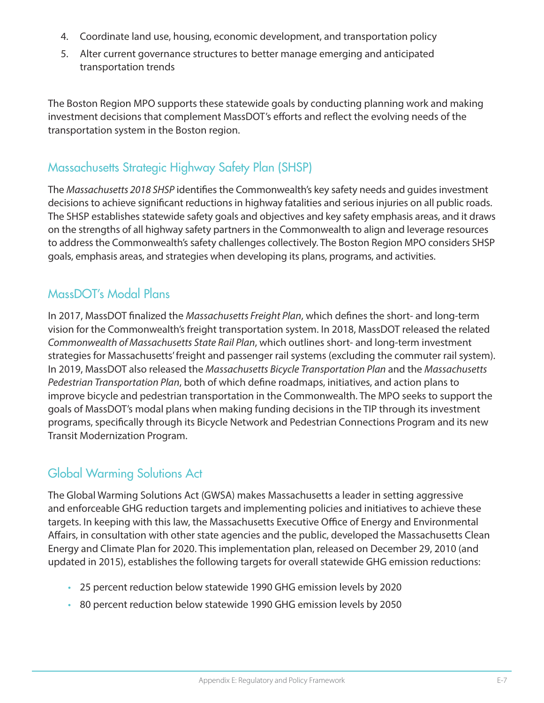- 4. Coordinate land use, housing, economic development, and transportation policy
- 5. Alter current governance structures to better manage emerging and anticipated transportation trends

The Boston Region MPO supports these statewide goals by conducting planning work and making investment decisions that complement MassDOT's efforts and reflect the evolving needs of the transportation system in the Boston region.

### Massachusetts Strategic Highway Safety Plan (SHSP)

The *Massachusetts 2018 SHSP* identifies the Commonwealth's key safety needs and guides investment decisions to achieve significant reductions in highway fatalities and serious injuries on all public roads. The SHSP establishes statewide safety goals and objectives and key safety emphasis areas, and it draws on the strengths of all highway safety partners in the Commonwealth to align and leverage resources to address the Commonwealth's safety challenges collectively. The Boston Region MPO considers SHSP goals, emphasis areas, and strategies when developing its plans, programs, and activities.

### MassDOT's Modal Plans

In 2017, MassDOT finalized the *Massachusetts Freight Plan*, which defines the short- and long-term vision for the Commonwealth's freight transportation system. In 2018, MassDOT released the related *Commonwealth of Massachusetts State Rail Plan*, which outlines short- and long-term investment strategies for Massachusetts' freight and passenger rail systems (excluding the commuter rail system). In 2019, MassDOT also released the *Massachusetts Bicycle Transportation Plan* and the *Massachusetts Pedestrian Transportation Plan*, both of which define roadmaps, initiatives, and action plans to improve bicycle and pedestrian transportation in the Commonwealth. The MPO seeks to support the goals of MassDOT's modal plans when making funding decisions in the TIP through its investment programs, specifically through its Bicycle Network and Pedestrian Connections Program and its new Transit Modernization Program.

# Global Warming Solutions Act

The Global Warming Solutions Act (GWSA) makes Massachusetts a leader in setting aggressive and enforceable GHG reduction targets and implementing policies and initiatives to achieve these targets. In keeping with this law, the Massachusetts Executive Office of Energy and Environmental Affairs, in consultation with other state agencies and the public, developed the Massachusetts Clean Energy and Climate Plan for 2020. This implementation plan, released on December 29, 2010 (and updated in 2015), establishes the following targets for overall statewide GHG emission reductions:

- 25 percent reduction below statewide 1990 GHG emission levels by 2020
- 80 percent reduction below statewide 1990 GHG emission levels by 2050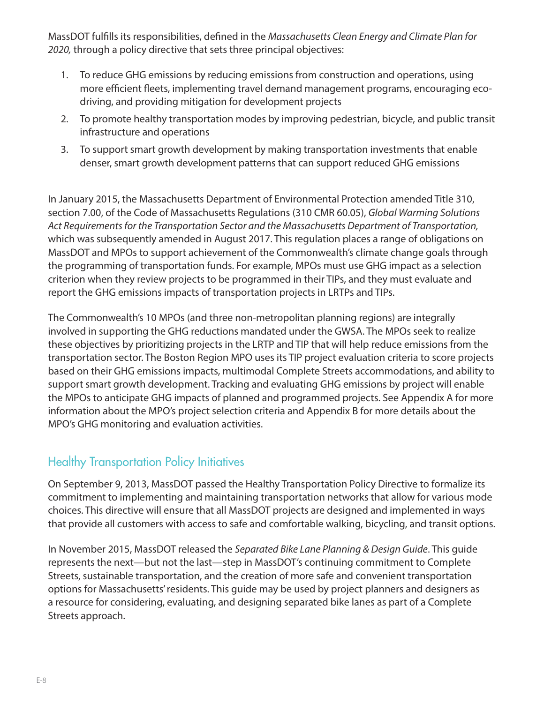MassDOT fulfills its responsibilities, defined in the *Massachusetts Clean Energy and Climate Plan for 2020,* through a policy directive that sets three principal objectives:

- 1. To reduce GHG emissions by reducing emissions from construction and operations, using more efficient fleets, implementing travel demand management programs, encouraging ecodriving, and providing mitigation for development projects
- 2. To promote healthy transportation modes by improving pedestrian, bicycle, and public transit infrastructure and operations
- 3. To support smart growth development by making transportation investments that enable denser, smart growth development patterns that can support reduced GHG emissions

In January 2015, the Massachusetts Department of Environmental Protection amended Title 310, section 7.00, of the Code of Massachusetts Regulations (310 CMR 60.05), *Global Warming Solutions Act Requirements for the Transportation Sector and the Massachusetts Department of Transportation,*  which was subsequently amended in August 2017. This regulation places a range of obligations on MassDOT and MPOs to support achievement of the Commonwealth's climate change goals through the programming of transportation funds. For example, MPOs must use GHG impact as a selection criterion when they review projects to be programmed in their TIPs, and they must evaluate and report the GHG emissions impacts of transportation projects in LRTPs and TIPs.

The Commonwealth's 10 MPOs (and three non-metropolitan planning regions) are integrally involved in supporting the GHG reductions mandated under the GWSA. The MPOs seek to realize these objectives by prioritizing projects in the LRTP and TIP that will help reduce emissions from the transportation sector. The Boston Region MPO uses its TIP project evaluation criteria to score projects based on their GHG emissions impacts, multimodal Complete Streets accommodations, and ability to support smart growth development. Tracking and evaluating GHG emissions by project will enable the MPOs to anticipate GHG impacts of planned and programmed projects. See Appendix A for more information about the MPO's project selection criteria and Appendix B for more details about the MPO's GHG monitoring and evaluation activities.

### Healthy Transportation Policy Initiatives

On September 9, 2013, MassDOT passed the Healthy Transportation Policy Directive to formalize its commitment to implementing and maintaining transportation networks that allow for various mode choices. This directive will ensure that all MassDOT projects are designed and implemented in ways that provide all customers with access to safe and comfortable walking, bicycling, and transit options.

In November 2015, MassDOT released the *Separated Bike Lane Planning & Design Guide*. This guide represents the next—but not the last—step in MassDOT's continuing commitment to Complete Streets, sustainable transportation, and the creation of more safe and convenient transportation options for Massachusetts' residents. This guide may be used by project planners and designers as a resource for considering, evaluating, and designing separated bike lanes as part of a Complete Streets approach.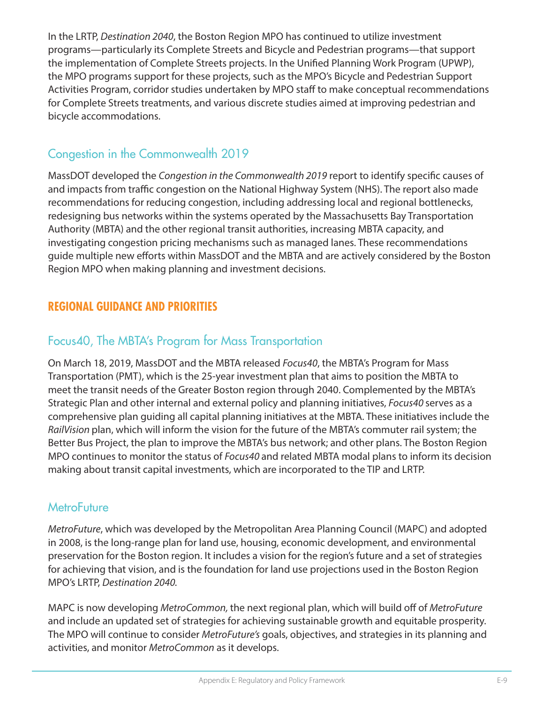In the LRTP, *Destination 2040*, the Boston Region MPO has continued to utilize investment programs—particularly its Complete Streets and Bicycle and Pedestrian programs—that support the implementation of Complete Streets projects. In the Unified Planning Work Program (UPWP), the MPO programs support for these projects, such as the MPO's Bicycle and Pedestrian Support Activities Program, corridor studies undertaken by MPO staff to make conceptual recommendations for Complete Streets treatments, and various discrete studies aimed at improving pedestrian and bicycle accommodations.

# Congestion in the Commonwealth 2019

MassDOT developed the *Congestion in the Commonwealth 2019* report to identify specific causes of and impacts from traffic congestion on the National Highway System (NHS). The report also made recommendations for reducing congestion, including addressing local and regional bottlenecks, redesigning bus networks within the systems operated by the Massachusetts Bay Transportation Authority (MBTA) and the other regional transit authorities, increasing MBTA capacity, and investigating congestion pricing mechanisms such as managed lanes. These recommendations guide multiple new efforts within MassDOT and the MBTA and are actively considered by the Boston Region MPO when making planning and investment decisions.

# **REGIONAL GUIDANCE AND PRIORITIES**

# Focus40, The MBTA's Program for Mass Transportation

On March 18, 2019, MassDOT and the MBTA released *Focus40*, the MBTA's Program for Mass Transportation (PMT), which is the 25-year investment plan that aims to position the MBTA to meet the transit needs of the Greater Boston region through 2040. Complemented by the MBTA's Strategic Plan and other internal and external policy and planning initiatives, *Focus40* serves as a comprehensive plan guiding all capital planning initiatives at the MBTA. These initiatives include the *RailVision* plan, which will inform the vision for the future of the MBTA's commuter rail system; the Better Bus Project, the plan to improve the MBTA's bus network; and other plans. The Boston Region MPO continues to monitor the status of *Focus40* and related MBTA modal plans to inform its decision making about transit capital investments, which are incorporated to the TIP and LRTP.

#### **MetroFuture**

*MetroFuture*, which was developed by the Metropolitan Area Planning Council (MAPC) and adopted in 2008, is the long-range plan for land use, housing, economic development, and environmental preservation for the Boston region. It includes a vision for the region's future and a set of strategies for achieving that vision, and is the foundation for land use projections used in the Boston Region MPO's LRTP, *Destination 2040.* 

MAPC is now developing *MetroCommon,* the next regional plan, which will build off of *MetroFuture* and include an updated set of strategies for achieving sustainable growth and equitable prosperity. The MPO will continue to consider *MetroFuture's* goals, objectives, and strategies in its planning and activities, and monitor *MetroCommon* as it develops.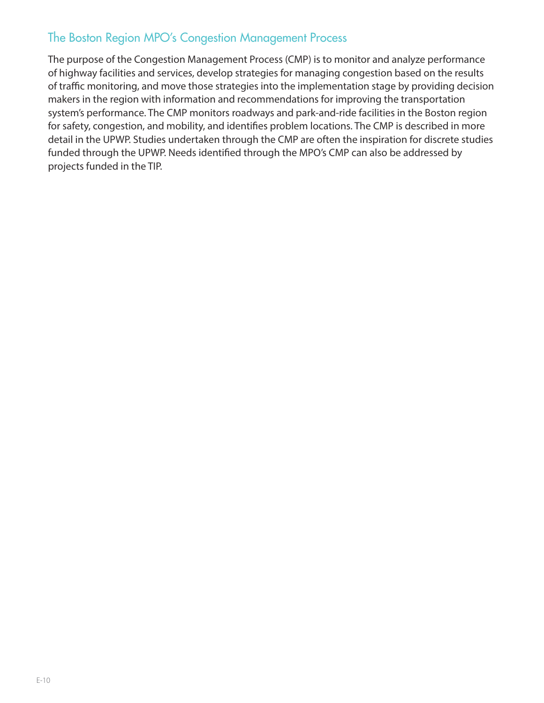### The Boston Region MPO's Congestion Management Process

The purpose of the Congestion Management Process (CMP) is to monitor and analyze performance of highway facilities and services, develop strategies for managing congestion based on the results of traffic monitoring, and move those strategies into the implementation stage by providing decision makers in the region with information and recommendations for improving the transportation system's performance. The CMP monitors roadways and park-and-ride facilities in the Boston region for safety, congestion, and mobility, and identifies problem locations. The CMP is described in more detail in the UPWP. Studies undertaken through the CMP are often the inspiration for discrete studies funded through the UPWP. Needs identified through the MPO's CMP can also be addressed by projects funded in the TIP.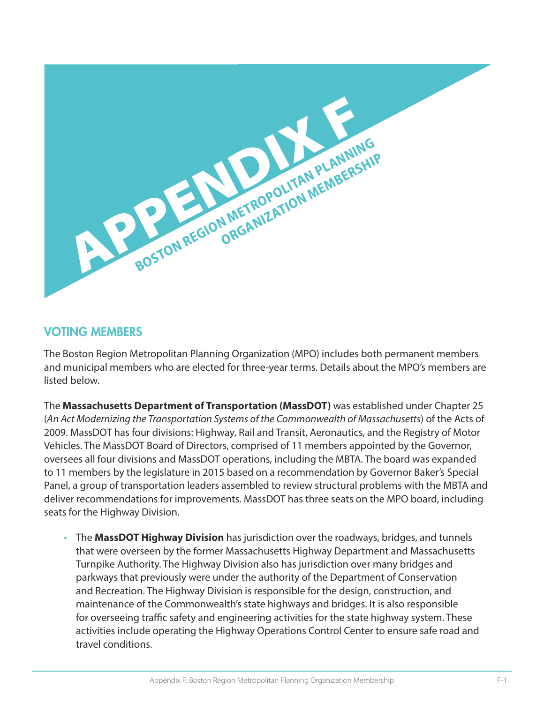

#### VOTING MEMBERS

The Boston Region Metropolitan Planning Organization (MPO) includes both permanent members and municipal members who are elected for three-year terms. Details about the MPO's members are listed below.

The **Massachusetts Department of Transportation (MassDOT)** was established under Chapter 25 (*An Act Modernizing the Transportation Systems of the Commonwealth of Massachusetts*) of the Acts of 2009. MassDOT has four divisions: Highway, Rail and Transit, Aeronautics, and the Registry of Motor Vehicles. The MassDOT Board of Directors, comprised of 11 members appointed by the Governor, oversees all four divisions and MassDOT operations, including the MBTA. The board was expanded to 11 members by the legislature in 2015 based on a recommendation by Governor Baker's Special Panel, a group of transportation leaders assembled to review structural problems with the MBTA and deliver recommendations for improvements. MassDOT has three seats on the MPO board, including seats for the Highway Division.

• The **MassDOT Highway Division** has jurisdiction over the roadways, bridges, and tunnels that were overseen by the former Massachusetts Highway Department and Massachusetts Turnpike Authority. The Highway Division also has jurisdiction over many bridges and parkways that previously were under the authority of the Department of Conservation and Recreation. The Highway Division is responsible for the design, construction, and maintenance of the Commonwealth's state highways and bridges. It is also responsible for overseeing traffic safety and engineering activities for the state highway system. These activities include operating the Highway Operations Control Center to ensure safe road and travel conditions.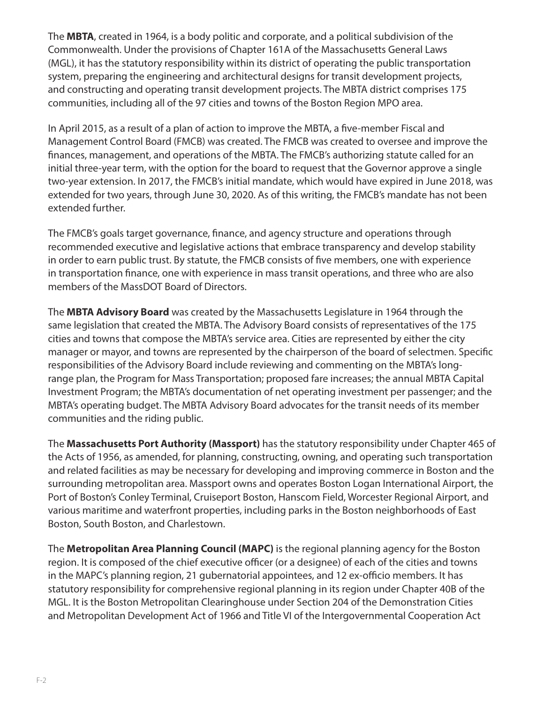The **MBTA**, created in 1964, is a body politic and corporate, and a political subdivision of the Commonwealth. Under the provisions of Chapter 161A of the Massachusetts General Laws (MGL), it has the statutory responsibility within its district of operating the public transportation system, preparing the engineering and architectural designs for transit development projects, and constructing and operating transit development projects. The MBTA district comprises 175 communities, including all of the 97 cities and towns of the Boston Region MPO area.

In April 2015, as a result of a plan of action to improve the MBTA, a five-member Fiscal and Management Control Board (FMCB) was created. The FMCB was created to oversee and improve the finances, management, and operations of the MBTA. The FMCB's authorizing statute called for an initial three-year term, with the option for the board to request that the Governor approve a single two-year extension. In 2017, the FMCB's initial mandate, which would have expired in June 2018, was extended for two years, through June 30, 2020. As of this writing, the FMCB's mandate has not been extended further.

The FMCB's goals target governance, finance, and agency structure and operations through recommended executive and legislative actions that embrace transparency and develop stability in order to earn public trust. By statute, the FMCB consists of five members, one with experience in transportation finance, one with experience in mass transit operations, and three who are also members of the MassDOT Board of Directors.

The **MBTA Advisory Board** was created by the Massachusetts Legislature in 1964 through the same legislation that created the MBTA. The Advisory Board consists of representatives of the 175 cities and towns that compose the MBTA's service area. Cities are represented by either the city manager or mayor, and towns are represented by the chairperson of the board of selectmen. Specific responsibilities of the Advisory Board include reviewing and commenting on the MBTA's longrange plan, the Program for Mass Transportation; proposed fare increases; the annual MBTA Capital Investment Program; the MBTA's documentation of net operating investment per passenger; and the MBTA's operating budget. The MBTA Advisory Board advocates for the transit needs of its member communities and the riding public.

The **Massachusetts Port Authority (Massport)** has the statutory responsibility under Chapter 465 of the Acts of 1956, as amended, for planning, constructing, owning, and operating such transportation and related facilities as may be necessary for developing and improving commerce in Boston and the surrounding metropolitan area. Massport owns and operates Boston Logan International Airport, the Port of Boston's Conley Terminal, Cruiseport Boston, Hanscom Field, Worcester Regional Airport, and various maritime and waterfront properties, including parks in the Boston neighborhoods of East Boston, South Boston, and Charlestown.

The **Metropolitan Area Planning Council (MAPC)** is the regional planning agency for the Boston region. It is composed of the chief executive officer (or a designee) of each of the cities and towns in the MAPC's planning region, 21 gubernatorial appointees, and 12 ex-officio members. It has statutory responsibility for comprehensive regional planning in its region under Chapter 40B of the MGL. It is the Boston Metropolitan Clearinghouse under Section 204 of the Demonstration Cities and Metropolitan Development Act of 1966 and Title VI of the Intergovernmental Cooperation Act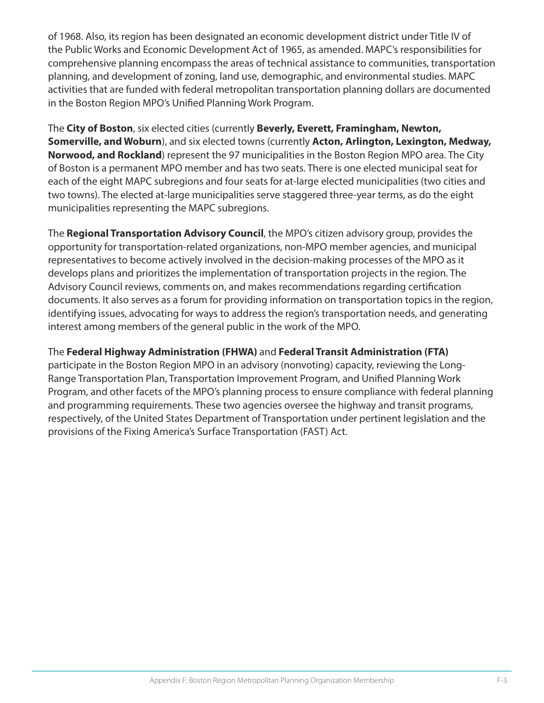of 1968. Also, its region has been designated an economic development district under Title IV of the Public Works and Economic Development Act of 1965, as amended. MAPC's responsibilities for comprehensive planning encompass the areas of technical assistance to communities, transportation planning, and development of zoning, land use, demographic, and environmental studies. MAPC activities that are funded with federal metropolitan transportation planning dollars are documented in the Boston Region MPO's Unified Planning Work Program.

The **City of Boston**, six elected cities (currently **Beverly, Everett, Framingham, Newton, Somerville, and Woburn**), and six elected towns (currently **Acton, Arlington, Lexington, Medway, Norwood, and Rockland**) represent the 97 municipalities in the Boston Region MPO area. The City of Boston is a permanent MPO member and has two seats. There is one elected municipal seat for each of the eight MAPC subregions and four seats for at-large elected municipalities (two cities and two towns). The elected at-large municipalities serve staggered three-year terms, as do the eight municipalities representing the MAPC subregions.

The **Regional Transportation Advisory Council**, the MPO's citizen advisory group, provides the opportunity for transportation-related organizations, non-MPO member agencies, and municipal representatives to become actively involved in the decision-making processes of the MPO as it develops plans and prioritizes the implementation of transportation projects in the region. The Advisory Council reviews, comments on, and makes recommendations regarding certification documents. It also serves as a forum for providing information on transportation topics in the region, identifying issues, advocating for ways to address the region's transportation needs, and generating interest among members of the general public in the work of the MPO.

#### The **Federal Highway Administration (FHWA)** and **Federal Transit Administration (FTA)**

participate in the Boston Region MPO in an advisory (nonvoting) capacity, reviewing the Long-Range Transportation Plan, Transportation Improvement Program, and Unified Planning Work Program, and other facets of the MPO's planning process to ensure compliance with federal planning and programming requirements. These two agencies oversee the highway and transit programs, respectively, of the United States Department of Transportation under pertinent legislation and the provisions of the Fixing America's Surface Transportation (FAST) Act.